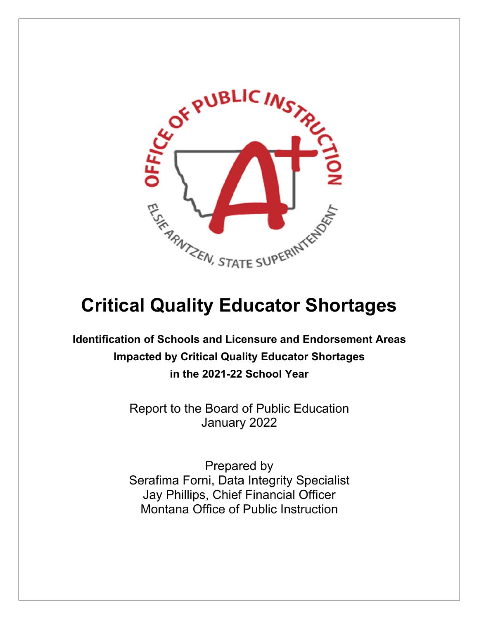

# **Critical Quality Educator Shortages**

**Identification of Schools and Licensure and Endorsement Areas Impacted by Critical Quality Educator Shortages in the 2021-22 School Year** 

> Report to the Board of Public Education January 2022

> Prepared by Serafima Forni, Data Integrity Specialist Jay Phillips, Chief Financial Officer Montana Office of Public Instruction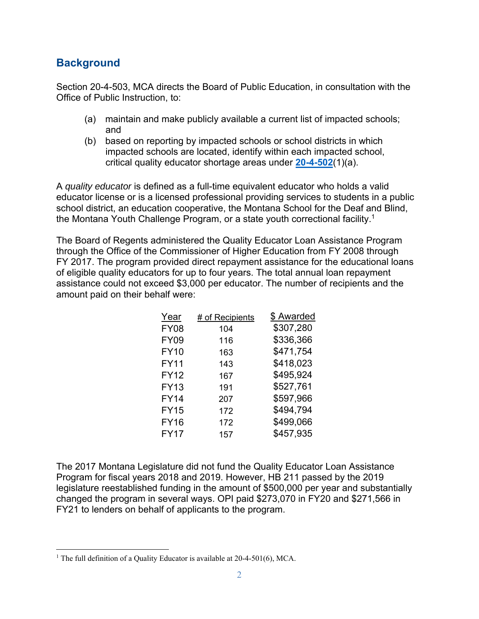## **Background**

Section 20-4-503, MCA directs the Board of Public Education, in consultation with the Office of Public Instruction, to:

- (a) maintain and make publicly available a current list of impacted schools; and
- (b) based on reporting by impacted schools or school districts in which impacted schools are located, identify within each impacted school, critical quality educator shortage areas under **20-4-502**(1)(a).

A *quality educator* is defined as a full-time equivalent educator who holds a valid educator license or is a licensed professional providing services to students in a public school district, an education cooperative, the Montana School for the Deaf and Blind, the Montana Youth Challenge Program, or a state youth correctional facility.<sup>1</sup>

The Board of Regents administered the Quality Educator Loan Assistance Program through the Office of the Commissioner of Higher Education from FY 2008 through FY 2017. The program provided direct repayment assistance for the educational loans of eligible quality educators for up to four years. The total annual loan repayment assistance could not exceed \$3,000 per educator. The number of recipients and the amount paid on their behalf were:

| Year        | # of Recipients | \$ Awarded |
|-------------|-----------------|------------|
| <b>FY08</b> | 104             | \$307,280  |
| <b>FY09</b> | 116             | \$336,366  |
| <b>FY10</b> | 163             | \$471,754  |
| <b>FY11</b> | 143             | \$418,023  |
| <b>FY12</b> | 167             | \$495,924  |
| <b>FY13</b> | 191             | \$527,761  |
| <b>FY14</b> | 207             | \$597,966  |
| <b>FY15</b> | 172             | \$494,794  |
| <b>FY16</b> | 172             | \$499,066  |
| <b>FY17</b> | 157             | \$457,935  |

The 2017 Montana Legislature did not fund the Quality Educator Loan Assistance Program for fiscal years 2018 and 2019. However, HB 211 passed by the 2019 legislature reestablished funding in the amount of \$500,000 per year and substantially changed the program in several ways. OPI paid \$273,070 in FY20 and \$271,566 in FY21 to lenders on behalf of applicants to the program.

<sup>&</sup>lt;sup>1</sup> The full definition of a Quality Educator is available at  $20-4-501(6)$ , MCA.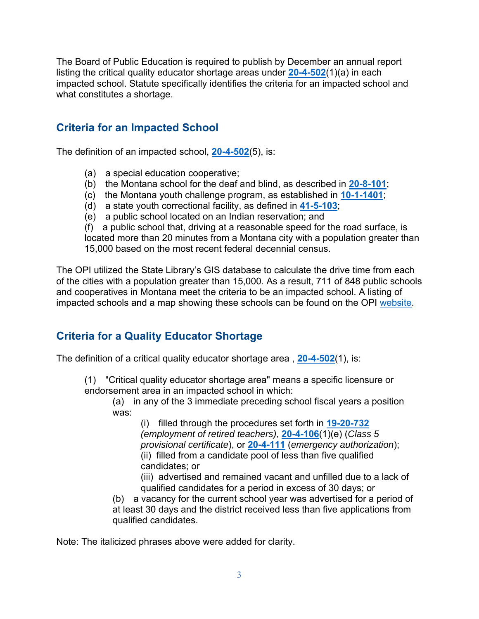The Board of Public Education is required to publish by December an annual report listing the critical quality educator shortage areas under **20-4-502**(1)(a) in each impacted school. Statute specifically identifies the criteria for an impacted school and what constitutes a shortage.

## **Criteria for an Impacted School**

The definition of an impacted school, **20-4-502**(5), is:

- (a) a special education cooperative;
- (b) the Montana school for the deaf and blind, as described in **20-8-101**;
- (c) the Montana youth challenge program, as established in **10-1-1401**;
- (d) a state youth correctional facility, as defined in **41-5-103**;
- (e) a public school located on an Indian reservation; and

(f) a public school that, driving at a reasonable speed for the road surface, is located more than 20 minutes from a Montana city with a population greater than 15,000 based on the most recent federal decennial census.

The OPI utilized the State Library's GIS database to calculate the drive time from each of the cities with a population greater than 15,000. As a result, 711 of 848 public schools and cooperatives in Montana meet the criteria to be an impacted school. A listing of impacted schools and a map showing these schools can be found on the OPI website.

## **Criteria for a Quality Educator Shortage**

The definition of a critical quality educator shortage area , **20-4-502**(1), is:

(1) "Critical quality educator shortage area" means a specific licensure or endorsement area in an impacted school in which:

(a) in any of the 3 immediate preceding school fiscal years a position was:

(i) filled through the procedures set forth in **19-20-732** *(employment of retired teachers)*, **20-4-106**(1)(e) (*Class 5 provisional certificate*), or **20-4-111** (*emergency authorization*); (ii) filled from a candidate pool of less than five qualified candidates; or

(iii) advertised and remained vacant and unfilled due to a lack of qualified candidates for a period in excess of 30 days; or

(b) a vacancy for the current school year was advertised for a period of at least 30 days and the district received less than five applications from qualified candidates.

Note: The italicized phrases above were added for clarity.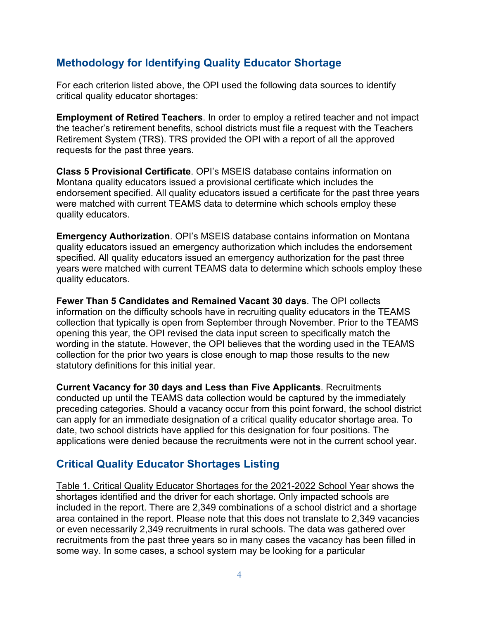## **Methodology for Identifying Quality Educator Shortage**

For each criterion listed above, the OPI used the following data sources to identify critical quality educator shortages:

**Employment of Retired Teachers**. In order to employ a retired teacher and not impact the teacher's retirement benefits, school districts must file a request with the Teachers Retirement System (TRS). TRS provided the OPI with a report of all the approved requests for the past three years.

**Class 5 Provisional Certificate**. OPI's MSEIS database contains information on Montana quality educators issued a provisional certificate which includes the endorsement specified. All quality educators issued a certificate for the past three years were matched with current TEAMS data to determine which schools employ these quality educators.

**Emergency Authorization**. OPI's MSEIS database contains information on Montana quality educators issued an emergency authorization which includes the endorsement specified. All quality educators issued an emergency authorization for the past three years were matched with current TEAMS data to determine which schools employ these quality educators.

**Fewer Than 5 Candidates and Remained Vacant 30 days**. The OPI collects information on the difficulty schools have in recruiting quality educators in the TEAMS collection that typically is open from September through November. Prior to the TEAMS opening this year, the OPI revised the data input screen to specifically match the wording in the statute. However, the OPI believes that the wording used in the TEAMS collection for the prior two years is close enough to map those results to the new statutory definitions for this initial year.

**Current Vacancy for 30 days and Less than Five Applicants**. Recruitments conducted up until the TEAMS data collection would be captured by the immediately preceding categories. Should a vacancy occur from this point forward, the school district can apply for an immediate designation of a critical quality educator shortage area. To date, two school districts have applied for this designation for four positions. The applications were denied because the recruitments were not in the current school year.

### **Critical Quality Educator Shortages Listing**

Table 1. Critical Quality Educator Shortages for the 2021-2022 School Year shows the shortages identified and the driver for each shortage. Only impacted schools are included in the report. There are 2,349 combinations of a school district and a shortage area contained in the report. Please note that this does not translate to 2,349 vacancies or even necessarily 2,349 recruitments in rural schools. The data was gathered over recruitments from the past three years so in many cases the vacancy has been filled in some way. In some cases, a school system may be looking for a particular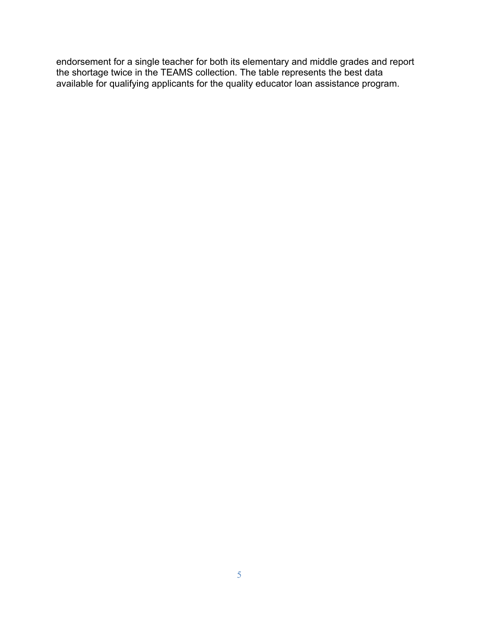endorsement for a single teacher for both its elementary and middle grades and report the shortage twice in the TEAMS collection. The table represents the best data available for qualifying applicants for the quality educator loan assistance program.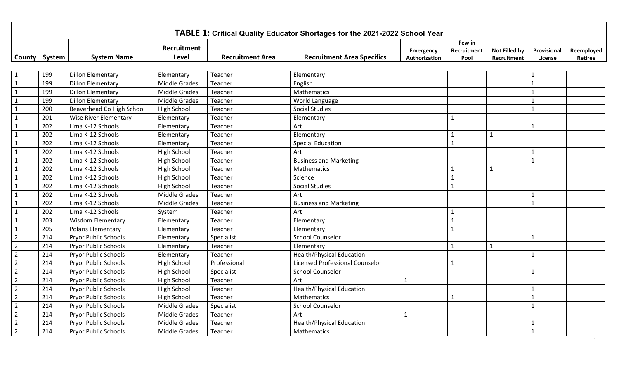|                 |     |                              |                      |                         | TABLE 1: Critical Quality Educator Shortages for the 2021-2022 School Year |                            |                               |                                     |                        |                       |
|-----------------|-----|------------------------------|----------------------|-------------------------|----------------------------------------------------------------------------|----------------------------|-------------------------------|-------------------------------------|------------------------|-----------------------|
| County   System |     | <b>System Name</b>           | Recruitment<br>Level | <b>Recruitment Area</b> | <b>Recruitment Area Specifics</b>                                          | Emergency<br>Authorization | Few in<br>Recruitment<br>Pool | <b>Not Filled by</b><br>Recruitment | Provisional<br>License | Reemployed<br>Retiree |
|                 |     |                              |                      |                         |                                                                            |                            |                               |                                     |                        |                       |
| 1               | 199 | <b>Dillon Elementary</b>     | Elementary           | Teacher                 | Elementary                                                                 |                            |                               |                                     | 1                      |                       |
| $\mathbf{1}$    | 199 | <b>Dillon Elementary</b>     | <b>Middle Grades</b> | Teacher                 | English                                                                    |                            |                               |                                     | $\overline{1}$         |                       |
| $\mathbf{1}$    | 199 | <b>Dillon Elementary</b>     | <b>Middle Grades</b> | Teacher                 | Mathematics                                                                |                            |                               |                                     |                        |                       |
| $\mathbf{1}$    | 199 | <b>Dillon Elementary</b>     | <b>Middle Grades</b> | Teacher                 | World Language                                                             |                            |                               |                                     |                        |                       |
| $\mathbf{1}$    | 200 | Beaverhead Co High School    | <b>High School</b>   | Teacher                 | <b>Social Studies</b>                                                      |                            |                               |                                     | $\mathbf{1}$           |                       |
| $\mathbf{1}$    | 201 | <b>Wise River Elementary</b> | Elementary           | Teacher                 | Elementary                                                                 |                            | $\mathbf{1}$                  |                                     |                        |                       |
| $\mathbf 1$     | 202 | Lima K-12 Schools            | Elementary           | Teacher                 | Art                                                                        |                            |                               |                                     | $\mathbf{1}$           |                       |
| $\mathbf{1}$    | 202 | Lima K-12 Schools            | Elementary           | Teacher                 | Elementary                                                                 |                            | $\mathbf 1$                   | $\mathbf{1}$                        |                        |                       |
| $\mathbf{1}$    | 202 | Lima K-12 Schools            | Elementary           | Teacher                 | <b>Special Education</b>                                                   |                            | $\mathbf{1}$                  |                                     |                        |                       |
| $\mathbf{1}$    | 202 | Lima K-12 Schools            | <b>High School</b>   | Teacher                 | Art                                                                        |                            |                               |                                     | $\mathbf{1}$           |                       |
| $\mathbf{1}$    | 202 | Lima K-12 Schools            | <b>High School</b>   | Teacher                 | <b>Business and Marketing</b>                                              |                            |                               |                                     | $\mathbf{1}$           |                       |
| $\mathbf{1}$    | 202 | Lima K-12 Schools            | <b>High School</b>   | Teacher                 | Mathematics                                                                |                            |                               | $\mathbf{1}$                        |                        |                       |
| $\mathbf{1}$    | 202 | Lima K-12 Schools            | High School          | Teacher                 | Science                                                                    |                            |                               |                                     |                        |                       |
| $\mathbf{1}$    | 202 | Lima K-12 Schools            | High School          | Teacher                 | <b>Social Studies</b>                                                      |                            |                               |                                     |                        |                       |
| $\mathbf{1}$    | 202 | Lima K-12 Schools            | <b>Middle Grades</b> | Teacher                 | Art                                                                        |                            |                               |                                     | $\mathbf{1}$           |                       |
| $\mathbf{1}$    | 202 | Lima K-12 Schools            | <b>Middle Grades</b> | Teacher                 | <b>Business and Marketing</b>                                              |                            |                               |                                     | $\mathbf{1}$           |                       |
| $\mathbf{1}$    | 202 | Lima K-12 Schools            | System               | Teacher                 | Art                                                                        |                            | 1                             |                                     |                        |                       |
| $\mathbf{1}$    | 203 | <b>Wisdom Elementary</b>     | Elementary           | Teacher                 | Elementary                                                                 |                            | 1                             |                                     |                        |                       |
| $\mathbf{1}$    | 205 | <b>Polaris Elementary</b>    | Elementary           | Teacher                 | Elementary                                                                 |                            | $\mathbf{1}$                  |                                     |                        |                       |
| $\overline{2}$  | 214 | <b>Pryor Public Schools</b>  | Elementary           | Specialist              | <b>School Counselor</b>                                                    |                            |                               |                                     | $\mathbf{1}$           |                       |
| $\overline{2}$  | 214 | <b>Pryor Public Schools</b>  | Elementary           | Teacher                 | Elementary                                                                 |                            | $\mathbf{1}$                  | $\mathbf{1}$                        |                        |                       |
| $\overline{2}$  | 214 | <b>Pryor Public Schools</b>  | Elementary           | Teacher                 | <b>Health/Physical Education</b>                                           |                            |                               |                                     | $\mathbf{1}$           |                       |
| $\overline{2}$  | 214 | <b>Pryor Public Schools</b>  | High School          | Professional            | Licensed Professional Counselor                                            |                            | 1                             |                                     |                        |                       |
| $\overline{2}$  | 214 | <b>Pryor Public Schools</b>  | High School          | Specialist              | <b>School Counselor</b>                                                    |                            |                               |                                     | $\mathbf{1}$           |                       |
| $\overline{2}$  | 214 | <b>Pryor Public Schools</b>  | High School          | Teacher                 | Art                                                                        | $\mathbf{1}$               |                               |                                     |                        |                       |
| $\overline{2}$  | 214 | <b>Pryor Public Schools</b>  | High School          | Teacher                 | <b>Health/Physical Education</b>                                           |                            |                               |                                     |                        |                       |
| $\overline{2}$  | 214 | <b>Pryor Public Schools</b>  | High School          | Teacher                 | Mathematics                                                                |                            | $\mathbf{1}$                  |                                     | $\mathbf{1}$           |                       |
| $\overline{2}$  | 214 | <b>Pryor Public Schools</b>  | <b>Middle Grades</b> | Specialist              | <b>School Counselor</b>                                                    |                            |                               |                                     | $\mathbf{1}$           |                       |
| $\overline{2}$  | 214 | <b>Pryor Public Schools</b>  | <b>Middle Grades</b> | Teacher                 | Art                                                                        | $\mathbf{1}$               |                               |                                     |                        |                       |
| $\overline{2}$  | 214 | <b>Pryor Public Schools</b>  | <b>Middle Grades</b> | Teacher                 | <b>Health/Physical Education</b>                                           |                            |                               |                                     |                        |                       |
| $\overline{2}$  | 214 | <b>Pryor Public Schools</b>  | <b>Middle Grades</b> | Teacher                 | Mathematics                                                                |                            |                               |                                     | $\mathbf{1}$           |                       |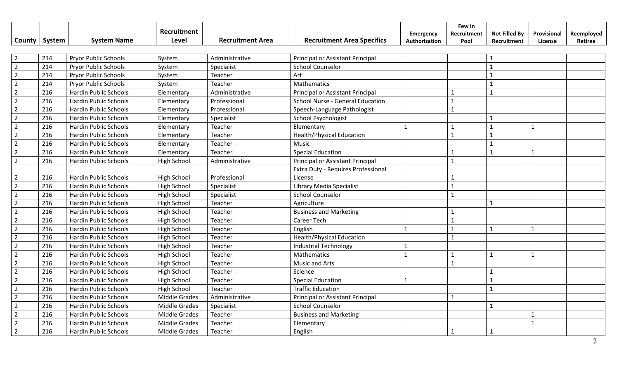|                |        |                              | <b>Recruitment</b>   |                         |                                    | Emergency     | Few in<br>Recruitment | <b>Not Filled By</b> | Provisional  | Reemployed |
|----------------|--------|------------------------------|----------------------|-------------------------|------------------------------------|---------------|-----------------------|----------------------|--------------|------------|
| County         | System | <b>System Name</b>           | Level                | <b>Recruitment Area</b> | <b>Recruitment Area Specifics</b>  | Authorization | Pool                  | Recruitment          | License      | Retiree    |
|                |        |                              |                      |                         |                                    |               |                       |                      |              |            |
| $\overline{2}$ | 214    | Pryor Public Schools         | System               | Administrative          | Principal or Assistant Principal   |               |                       | $\mathbf{1}$         |              |            |
| $\overline{2}$ | 214    | <b>Pryor Public Schools</b>  | System               | Specialist              | <b>School Counselor</b>            |               |                       | $\mathbf{1}$         |              |            |
| $\overline{2}$ | 214    | <b>Pryor Public Schools</b>  | System               | Teacher                 | Art                                |               |                       | $\mathbf{1}$         |              |            |
| $\overline{2}$ | 214    | Pryor Public Schools         | System               | Teacher                 | Mathematics                        |               |                       | $\mathbf{1}$         |              |            |
| $\overline{2}$ | 216    | <b>Hardin Public Schools</b> | Elementary           | Administrative          | Principal or Assistant Principal   |               | -1                    | $\mathbf{1}$         |              |            |
| $\overline{2}$ | 216    | Hardin Public Schools        | Elementary           | Professional            | School Nurse - General Education   |               | $\mathbf{1}$          |                      |              |            |
| $\overline{2}$ | 216    | Hardin Public Schools        | Elementary           | Professional            | Speech-Language Pathologist        |               | 1                     |                      |              |            |
| $\overline{2}$ | 216    | <b>Hardin Public Schools</b> | Elementary           | Specialist              | School Psychologist                |               |                       | $\mathbf{1}$         |              |            |
| $\overline{2}$ | 216    | <b>Hardin Public Schools</b> | Elementary           | Teacher                 | Elementary                         | $\mathbf{1}$  | $\mathbf{1}$          | $\mathbf{1}$         | $\mathbf{1}$ |            |
| $\overline{2}$ | 216    | <b>Hardin Public Schools</b> | Elementary           | Teacher                 | <b>Health/Physical Education</b>   |               | $\mathbf{1}$          | $\mathbf{1}$         |              |            |
| $\overline{2}$ | 216    | Hardin Public Schools        | Elementary           | Teacher                 | Music                              |               |                       | $\mathbf{1}$         |              |            |
| $\overline{2}$ | 216    | <b>Hardin Public Schools</b> | Elementary           | Teacher                 | <b>Special Education</b>           |               |                       | $\overline{1}$       | $\mathbf{1}$ |            |
| $\overline{2}$ | 216    | Hardin Public Schools        | <b>High School</b>   | Administrative          | Principal or Assistant Principal   |               | $\mathbf{1}$          |                      |              |            |
|                |        |                              |                      |                         | Extra Duty - Requires Professional |               |                       |                      |              |            |
| $\overline{2}$ | 216    | <b>Hardin Public Schools</b> | <b>High School</b>   | Professional            | License                            |               |                       |                      |              |            |
| $\overline{2}$ | 216    | <b>Hardin Public Schools</b> | <b>High School</b>   | Specialist              | Library Media Specialist           |               | $\mathbf{1}$          |                      |              |            |
| $\overline{2}$ | 216    | <b>Hardin Public Schools</b> | <b>High School</b>   | Specialist              | <b>School Counselor</b>            |               | $\mathbf{1}$          |                      |              |            |
| $\overline{2}$ | 216    | <b>Hardin Public Schools</b> | <b>High School</b>   | Teacher                 | Agriculture                        |               |                       | 1                    |              |            |
| $\overline{2}$ | 216    | <b>Hardin Public Schools</b> | <b>High School</b>   | Teacher                 | <b>Business and Marketing</b>      |               | 1                     |                      |              |            |
| $\overline{2}$ | 216    | <b>Hardin Public Schools</b> | <b>High School</b>   | Teacher                 | <b>Career Tech</b>                 |               | $\mathbf{1}$          |                      |              |            |
| $\overline{2}$ | 216    | <b>Hardin Public Schools</b> | <b>High School</b>   | Teacher                 | English                            | $\mathbf{1}$  | $\mathbf{1}$          | $\mathbf{1}$         | $\mathbf{1}$ |            |
| $\overline{2}$ | 216    | <b>Hardin Public Schools</b> | <b>High School</b>   | Teacher                 | <b>Health/Physical Education</b>   |               | $\mathbf{1}$          |                      |              |            |
| $\overline{2}$ | 216    | <b>Hardin Public Schools</b> | <b>High School</b>   | Teacher                 | <b>Industrial Technology</b>       | $\mathbf{1}$  |                       |                      |              |            |
| $\overline{2}$ | 216    | <b>Hardin Public Schools</b> | <b>High School</b>   | Teacher                 | Mathematics                        | $\mathbf{1}$  | $\mathbf{1}$          | $\mathbf{1}$         | $\mathbf{1}$ |            |
| $\overline{2}$ | 216    | <b>Hardin Public Schools</b> | <b>High School</b>   | Teacher                 | <b>Music and Arts</b>              |               | $\mathbf{1}$          |                      |              |            |
| $\overline{2}$ | 216    | <b>Hardin Public Schools</b> | <b>High School</b>   | Teacher                 | Science                            |               |                       | $\overline{1}$       |              |            |
| $\overline{2}$ | 216    | Hardin Public Schools        | <b>High School</b>   | Teacher                 | <b>Special Education</b>           | $\mathbf{1}$  |                       | $\mathbf{1}$         |              |            |
| $\overline{2}$ | 216    | <b>Hardin Public Schools</b> | <b>High School</b>   | Teacher                 | <b>Traffic Education</b>           |               |                       | $\mathbf{1}$         |              |            |
| $\overline{2}$ | 216    | Hardin Public Schools        | Middle Grades        | Administrative          | Principal or Assistant Principal   |               | $\mathbf{1}$          |                      |              |            |
| $\overline{2}$ | 216    | <b>Hardin Public Schools</b> | <b>Middle Grades</b> | Specialist              | <b>School Counselor</b>            |               |                       | $\overline{1}$       |              |            |
| $\overline{2}$ | 216    | <b>Hardin Public Schools</b> | <b>Middle Grades</b> | Teacher                 | <b>Business and Marketing</b>      |               |                       |                      |              |            |
| $\overline{2}$ | 216    | <b>Hardin Public Schools</b> | <b>Middle Grades</b> | Teacher                 | Elementary                         |               |                       |                      | $\mathbf{1}$ |            |
| $\overline{2}$ | 216    | <b>Hardin Public Schools</b> | <b>Middle Grades</b> | Teacher                 | English                            |               | 1                     | $\mathbf{1}$         |              |            |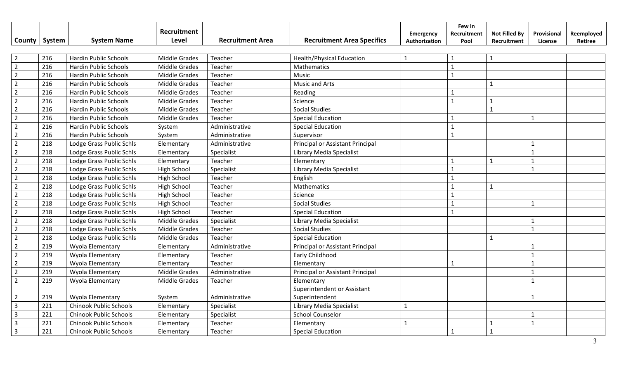| County         | System | <b>System Name</b>            | Recruitment<br>Level | <b>Recruitment Area</b> | <b>Recruitment Area Specifics</b> | Emergency<br>Authorization | Few in<br>Recruitment<br>Pool | <b>Not Filled By</b><br>Recruitment | Provisional<br>License | Reemployed<br>Retiree |
|----------------|--------|-------------------------------|----------------------|-------------------------|-----------------------------------|----------------------------|-------------------------------|-------------------------------------|------------------------|-----------------------|
|                |        |                               |                      |                         |                                   |                            |                               |                                     |                        |                       |
| $\overline{2}$ | 216    | <b>Hardin Public Schools</b>  | <b>Middle Grades</b> | Teacher                 | <b>Health/Physical Education</b>  | $\mathbf{1}$               | 1                             | $\mathbf{1}$                        |                        |                       |
| $\overline{2}$ | 216    | <b>Hardin Public Schools</b>  | <b>Middle Grades</b> | Teacher                 | Mathematics                       |                            | $\mathbf{1}$                  |                                     |                        |                       |
| $\overline{2}$ | 216    | <b>Hardin Public Schools</b>  | Middle Grades        | Teacher                 | Music                             |                            | $\mathbf{1}$                  |                                     |                        |                       |
| $\overline{2}$ | 216    | <b>Hardin Public Schools</b>  | <b>Middle Grades</b> | Teacher                 | <b>Music and Arts</b>             |                            |                               | $\mathbf{1}$                        |                        |                       |
| $\overline{2}$ | 216    | <b>Hardin Public Schools</b>  | <b>Middle Grades</b> | Teacher                 | Reading                           |                            | $\mathbf{1}$                  |                                     |                        |                       |
| $\overline{2}$ | 216    | <b>Hardin Public Schools</b>  | Middle Grades        | Teacher                 | Science                           |                            | $\mathbf{1}$                  | $\mathbf{1}$                        |                        |                       |
| $\overline{2}$ | 216    | <b>Hardin Public Schools</b>  | Middle Grades        | Teacher                 | <b>Social Studies</b>             |                            |                               | $\mathbf{1}$                        |                        |                       |
| $\overline{2}$ | 216    | <b>Hardin Public Schools</b>  | <b>Middle Grades</b> | Teacher                 | <b>Special Education</b>          |                            | $\mathbf{1}$                  |                                     | $\mathbf{1}$           |                       |
| $\overline{2}$ | 216    | <b>Hardin Public Schools</b>  | System               | Administrative          | <b>Special Education</b>          |                            | $\mathbf{1}$                  |                                     |                        |                       |
| $\overline{2}$ | 216    | <b>Hardin Public Schools</b>  | System               | Administrative          | Supervisor                        |                            | $\mathbf{1}$                  |                                     |                        |                       |
| $\overline{2}$ | 218    | Lodge Grass Public Schls      | Elementary           | Administrative          | Principal or Assistant Principal  |                            |                               |                                     | $\mathbf{1}$           |                       |
| $\overline{2}$ | 218    | Lodge Grass Public Schls      | Elementary           | Specialist              | Library Media Specialist          |                            |                               |                                     |                        |                       |
| $\overline{2}$ | 218    | Lodge Grass Public Schls      | Elementary           | Teacher                 | Elementary                        |                            | $\mathbf{1}$                  | $\mathbf{1}$                        |                        |                       |
| $\overline{2}$ | 218    | Lodge Grass Public Schls      | <b>High School</b>   | Specialist              | Library Media Specialist          |                            | $\mathbf{1}$                  |                                     | $\mathbf{1}$           |                       |
| $\overline{2}$ | 218    | Lodge Grass Public Schls      | <b>High School</b>   | Teacher                 | English                           |                            | $\mathbf{1}$                  |                                     |                        |                       |
| $\overline{2}$ | 218    | Lodge Grass Public Schls      | <b>High School</b>   | Teacher                 | Mathematics                       |                            | $\mathbf{1}$                  | $\mathbf{1}$                        |                        |                       |
| $\overline{2}$ | 218    | Lodge Grass Public Schls      | <b>High School</b>   | Teacher                 | Science                           |                            | $\mathbf{1}$                  |                                     |                        |                       |
| $\overline{2}$ | 218    | Lodge Grass Public Schls      | High School          | Teacher                 | <b>Social Studies</b>             |                            | $\mathbf{1}$                  |                                     | $\mathbf{1}$           |                       |
| $\overline{2}$ | 218    | Lodge Grass Public Schls      | High School          | Teacher                 | <b>Special Education</b>          |                            | $\mathbf{1}$                  |                                     |                        |                       |
| $\overline{2}$ | 218    | Lodge Grass Public Schls      | <b>Middle Grades</b> | Specialist              | Library Media Specialist          |                            |                               |                                     |                        |                       |
| $\overline{2}$ | 218    | Lodge Grass Public Schls      | <b>Middle Grades</b> | Teacher                 | <b>Social Studies</b>             |                            |                               |                                     | $\mathbf{1}$           |                       |
| $\overline{2}$ | 218    | Lodge Grass Public Schls      | Middle Grades        | Teacher                 | <b>Special Education</b>          |                            |                               | $\mathbf{1}$                        |                        |                       |
| $\overline{2}$ | 219    | Wyola Elementary              | Elementary           | Administrative          | Principal or Assistant Principal  |                            |                               |                                     |                        |                       |
| $\overline{2}$ | 219    | Wyola Elementary              | Elementary           | Teacher                 | Early Childhood                   |                            |                               |                                     | $\mathbf{1}$           |                       |
| $\overline{2}$ | 219    | Wyola Elementary              | Elementary           | Teacher                 | Elementary                        |                            | $\mathbf{1}$                  |                                     | $\mathbf{1}$           |                       |
| $\overline{2}$ | 219    | Wyola Elementary              | <b>Middle Grades</b> | Administrative          | Principal or Assistant Principal  |                            |                               |                                     | $\mathbf{1}$           |                       |
| $\overline{2}$ | 219    | Wyola Elementary              | <b>Middle Grades</b> | Teacher                 | Elementary                        |                            |                               |                                     | $\mathbf{1}$           |                       |
|                |        |                               |                      |                         | Superintendent or Assistant       |                            |                               |                                     |                        |                       |
| $\overline{2}$ | 219    | Wyola Elementary              | System               | Administrative          | Superintendent                    |                            |                               |                                     |                        |                       |
| $\overline{3}$ | 221    | <b>Chinook Public Schools</b> | Elementary           | Specialist              | Library Media Specialist          | $\mathbf{1}$               |                               |                                     |                        |                       |
| $\overline{3}$ | 221    | <b>Chinook Public Schools</b> | Elementary           | Specialist              | <b>School Counselor</b>           |                            |                               |                                     |                        |                       |
| $\overline{3}$ | 221    | <b>Chinook Public Schools</b> | Elementary           | Teacher                 | Elementary                        | $\mathbf{1}$               |                               | $\overline{1}$                      | $\mathbf{1}$           |                       |
| $\overline{3}$ | 221    | <b>Chinook Public Schools</b> | Elementary           | Teacher                 | <b>Special Education</b>          |                            | $\mathbf{1}$                  | $\mathbf{1}$                        |                        |                       |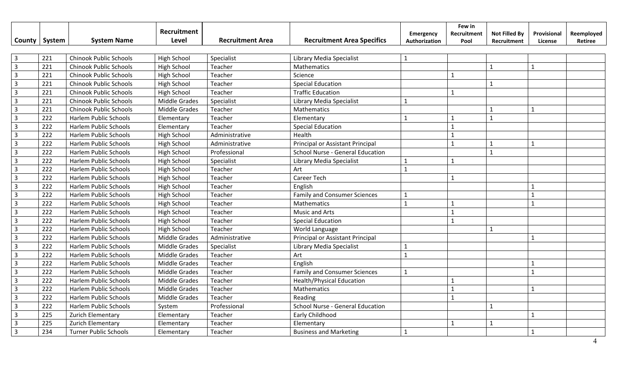|                         |        |                               | Recruitment          |                         |                                     | <b>Emergency</b> | Few in<br>Recruitment | <b>Not Filled By</b> | Provisional    | Reemployed |
|-------------------------|--------|-------------------------------|----------------------|-------------------------|-------------------------------------|------------------|-----------------------|----------------------|----------------|------------|
| County                  | System | <b>System Name</b>            | Level                | <b>Recruitment Area</b> | <b>Recruitment Area Specifics</b>   | Authorization    | Pool                  | Recruitment          | License        | Retiree    |
|                         |        |                               |                      |                         |                                     |                  |                       |                      |                |            |
| $\overline{3}$          | 221    | <b>Chinook Public Schools</b> | <b>High School</b>   | Specialist              | Library Media Specialist            | $\mathbf{1}$     |                       |                      |                |            |
| $\overline{3}$          | 221    | <b>Chinook Public Schools</b> | <b>High School</b>   | Teacher                 | Mathematics                         |                  |                       | $\mathbf{1}$         | $\overline{1}$ |            |
| $\overline{\mathbf{3}}$ | 221    | <b>Chinook Public Schools</b> | <b>High School</b>   | Teacher                 | Science                             |                  | $\mathbf{1}$          |                      |                |            |
| $\overline{3}$          | 221    | <b>Chinook Public Schools</b> | <b>High School</b>   | Teacher                 | <b>Special Education</b>            |                  |                       | $\mathbf{1}$         |                |            |
| $\overline{3}$          | 221    | <b>Chinook Public Schools</b> | <b>High School</b>   | Teacher                 | <b>Traffic Education</b>            |                  | $\mathbf{1}$          |                      |                |            |
| $\overline{3}$          | 221    | <b>Chinook Public Schools</b> | Middle Grades        | Specialist              | Library Media Specialist            | $\mathbf{1}$     |                       |                      |                |            |
| $\overline{3}$          | 221    | <b>Chinook Public Schools</b> | Middle Grades        | Teacher                 | Mathematics                         |                  |                       | $\mathbf{1}$         | $\mathbf{1}$   |            |
| $\overline{3}$          | 222    | <b>Harlem Public Schools</b>  | Elementary           | Teacher                 | Elementary                          | $\mathbf{1}$     | $\mathbf{1}$          | $\mathbf{1}$         |                |            |
| $\overline{3}$          | 222    | <b>Harlem Public Schools</b>  | Elementary           | Teacher                 | <b>Special Education</b>            |                  | $\mathbf 1$           |                      |                |            |
| $\overline{3}$          | 222    | Harlem Public Schools         | High School          | Administrative          | Health                              |                  |                       |                      |                |            |
| $\overline{3}$          | 222    | Harlem Public Schools         | High School          | Administrative          | Principal or Assistant Principal    |                  | $\mathbf{1}$          | $\mathbf{1}$         | $\mathbf{1}$   |            |
| $\overline{3}$          | 222    | <b>Harlem Public Schools</b>  | <b>High School</b>   | Professional            | School Nurse - General Education    |                  |                       | $\mathbf{1}$         |                |            |
| $\overline{3}$          | 222    | Harlem Public Schools         | <b>High School</b>   | Specialist              | Library Media Specialist            | $\mathbf{1}$     | $\mathbf{1}$          |                      |                |            |
| $\overline{3}$          | 222    | <b>Harlem Public Schools</b>  | <b>High School</b>   | Teacher                 | Art                                 | $\mathbf{1}$     |                       |                      |                |            |
| $\overline{3}$          | 222    | <b>Harlem Public Schools</b>  | <b>High School</b>   | Teacher                 | <b>Career Tech</b>                  |                  | $\mathbf{1}$          |                      |                |            |
| $\overline{3}$          | 222    | <b>Harlem Public Schools</b>  | <b>High School</b>   | Teacher                 | English                             |                  |                       |                      |                |            |
| $\overline{3}$          | 222    | Harlem Public Schools         | <b>High School</b>   | Teacher                 | <b>Family and Consumer Sciences</b> | $\mathbf{1}$     |                       |                      | $\overline{1}$ |            |
| $\overline{3}$          | 222    | Harlem Public Schools         | <b>High School</b>   | Teacher                 | Mathematics                         | $\mathbf{1}$     | $\mathbf{1}$          |                      | $\mathbf{1}$   |            |
| $\overline{3}$          | 222    | <b>Harlem Public Schools</b>  | <b>High School</b>   | Teacher                 | <b>Music and Arts</b>               |                  | $\mathbf{1}$          |                      |                |            |
| $\overline{3}$          | 222    | Harlem Public Schools         | <b>High School</b>   | Teacher                 | <b>Special Education</b>            |                  | $\mathbf{1}$          |                      |                |            |
| $\overline{3}$          | 222    | Harlem Public Schools         | <b>High School</b>   | Teacher                 | World Language                      |                  |                       | $\overline{1}$       |                |            |
| $\overline{3}$          | 222    | <b>Harlem Public Schools</b>  | <b>Middle Grades</b> | Administrative          | Principal or Assistant Principal    |                  |                       |                      |                |            |
| $\overline{3}$          | 222    | <b>Harlem Public Schools</b>  | <b>Middle Grades</b> | Specialist              | Library Media Specialist            | $\mathbf{1}$     |                       |                      |                |            |
| $\overline{3}$          | 222    | <b>Harlem Public Schools</b>  | Middle Grades        | Teacher                 | Art                                 | $\mathbf{1}$     |                       |                      |                |            |
| $\overline{3}$          | 222    | Harlem Public Schools         | Middle Grades        | Teacher                 | English                             |                  |                       |                      | $\mathbf{1}$   |            |
| $\overline{3}$          | 222    | <b>Harlem Public Schools</b>  | <b>Middle Grades</b> | Teacher                 | <b>Family and Consumer Sciences</b> | $\mathbf{1}$     |                       |                      | $\mathbf{1}$   |            |
| $\overline{3}$          | 222    | <b>Harlem Public Schools</b>  | <b>Middle Grades</b> | Teacher                 | <b>Health/Physical Education</b>    |                  |                       |                      |                |            |
| $\overline{3}$          | 222    | <b>Harlem Public Schools</b>  | <b>Middle Grades</b> | Teacher                 | Mathematics                         |                  | $\mathbf{1}$          |                      | $\mathbf{1}$   |            |
| $\overline{3}$          | 222    | Harlem Public Schools         | Middle Grades        | Teacher                 | Reading                             |                  | $\mathbf{1}$          |                      |                |            |
| $\overline{3}$          | 222    | <b>Harlem Public Schools</b>  | System               | Professional            | School Nurse - General Education    |                  |                       | $\mathbf{1}$         |                |            |
| $\overline{3}$          | 225    | Zurich Elementary             | Elementary           | Teacher                 | Early Childhood                     |                  |                       |                      | $\mathbf{1}$   |            |
| $\overline{3}$          | 225    | Zurich Elementary             | Elementary           | Teacher                 | Elementary                          |                  | $\mathbf{1}$          | $\mathbf{1}$         |                |            |
| $\overline{3}$          | 234    | <b>Turner Public Schools</b>  | Elementary           | Teacher                 | <b>Business and Marketing</b>       | $\mathbf{1}$     |                       |                      |                |            |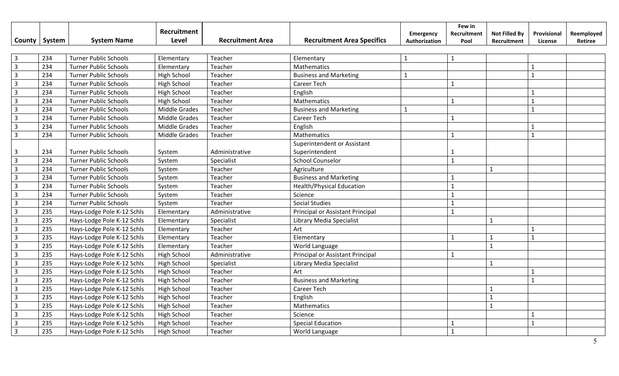| County                  | System | <b>System Name</b>           | Recruitment<br>Level | <b>Recruitment Area</b> | <b>Recruitment Area Specifics</b>             | Emergency<br>Authorization | Few in<br>Recruitment<br>Pool | <b>Not Filled By</b><br>Recruitment | Provisional<br>License | Reemployed<br>Retiree |
|-------------------------|--------|------------------------------|----------------------|-------------------------|-----------------------------------------------|----------------------------|-------------------------------|-------------------------------------|------------------------|-----------------------|
| $\overline{\mathbf{3}}$ | 234    | <b>Turner Public Schools</b> | Elementary           | Teacher                 | Elementary                                    | $\mathbf{1}$               | $\mathbf{1}$                  |                                     |                        |                       |
| $\overline{\mathbf{3}}$ | 234    | <b>Turner Public Schools</b> | Elementary           | Teacher                 | Mathematics                                   |                            |                               |                                     | $\mathbf{1}$           |                       |
| $\overline{3}$          | 234    | <b>Turner Public Schools</b> | <b>High School</b>   | Teacher                 | <b>Business and Marketing</b>                 | $\mathbf{1}$               |                               |                                     | $\mathbf{1}$           |                       |
| $\overline{3}$          | 234    | <b>Turner Public Schools</b> | <b>High School</b>   | Teacher                 | Career Tech                                   |                            | $\mathbf{1}$                  |                                     |                        |                       |
| $\overline{3}$          | 234    | <b>Turner Public Schools</b> | <b>High School</b>   | Teacher                 | English                                       |                            |                               |                                     | $\mathbf{1}$           |                       |
| $\overline{3}$          | 234    | <b>Turner Public Schools</b> | <b>High School</b>   | Teacher                 | Mathematics                                   |                            | $\mathbf{1}$                  |                                     | $\mathbf{1}$           |                       |
| $\overline{3}$          | 234    | <b>Turner Public Schools</b> | <b>Middle Grades</b> | Teacher                 | <b>Business and Marketing</b>                 | $\mathbf{1}$               |                               |                                     | $\mathbf{1}$           |                       |
| $\overline{3}$          | 234    | <b>Turner Public Schools</b> | <b>Middle Grades</b> | Teacher                 | Career Tech                                   |                            | $\mathbf{1}$                  |                                     |                        |                       |
| $\overline{3}$          | 234    | <b>Turner Public Schools</b> | <b>Middle Grades</b> | Teacher                 | English                                       |                            |                               |                                     | $\mathbf{1}$           |                       |
| $\overline{3}$          | 234    | <b>Turner Public Schools</b> | <b>Middle Grades</b> | Teacher                 | Mathematics                                   |                            | $\mathbf{1}$                  |                                     | $\mathbf{1}$           |                       |
| 3                       | 234    | <b>Turner Public Schools</b> | System               | Administrative          | Superintendent or Assistant<br>Superintendent |                            |                               |                                     |                        |                       |
| $\overline{3}$          | 234    | <b>Turner Public Schools</b> | System               | Specialist              | <b>School Counselor</b>                       |                            | $\mathbf{1}$                  |                                     |                        |                       |
| $\overline{3}$          | 234    | <b>Turner Public Schools</b> | System               | Teacher                 | Agriculture                                   |                            |                               | $\mathbf{1}$                        |                        |                       |
| $\overline{3}$          | 234    | <b>Turner Public Schools</b> | System               | Teacher                 | <b>Business and Marketing</b>                 |                            | $\mathbf{1}$                  |                                     |                        |                       |
| $\overline{3}$          | 234    | <b>Turner Public Schools</b> | System               | Teacher                 | <b>Health/Physical Education</b>              |                            | $\mathbf{1}$                  |                                     |                        |                       |
| $\overline{3}$          | 234    | <b>Turner Public Schools</b> | System               | Teacher                 | Science                                       |                            | $\mathbf{1}$                  |                                     |                        |                       |
| $\overline{3}$          | 234    | <b>Turner Public Schools</b> | System               | Teacher                 | <b>Social Studies</b>                         |                            | $\mathbf{1}$                  |                                     |                        |                       |
| $\overline{3}$          | 235    | Hays-Lodge Pole K-12 Schls   | Elementary           | Administrative          | Principal or Assistant Principal              |                            | $\mathbf{1}$                  |                                     |                        |                       |
| $\overline{3}$          | 235    | Hays-Lodge Pole K-12 Schls   | Elementary           | Specialist              | Library Media Specialist                      |                            |                               | 1                                   |                        |                       |
| $\overline{3}$          | 235    | Hays-Lodge Pole K-12 Schls   | Elementary           | Teacher                 | Art                                           |                            |                               |                                     |                        |                       |
| $\overline{\mathbf{3}}$ | 235    | Hays-Lodge Pole K-12 Schls   | Elementary           | Teacher                 | Elementary                                    |                            | $\mathbf{1}$                  | $\mathbf{1}$                        | $\mathbf{1}$           |                       |
| $\overline{3}$          | 235    | Hays-Lodge Pole K-12 Schls   | Elementary           | Teacher                 | World Language                                |                            |                               | $\mathbf{1}$                        |                        |                       |
| $\overline{3}$          | 235    | Hays-Lodge Pole K-12 Schls   | <b>High School</b>   | Administrative          | Principal or Assistant Principal              |                            | $\mathbf{1}$                  |                                     |                        |                       |
| $\overline{3}$          | 235    | Hays-Lodge Pole K-12 Schls   | <b>High School</b>   | Specialist              | Library Media Specialist                      |                            |                               | $\mathbf{1}$                        |                        |                       |
| $\overline{3}$          | 235    | Hays-Lodge Pole K-12 Schls   | <b>High School</b>   | Teacher                 | Art                                           |                            |                               |                                     |                        |                       |
| $\overline{3}$          | 235    | Hays-Lodge Pole K-12 Schls   | <b>High School</b>   | Teacher                 | <b>Business and Marketing</b>                 |                            |                               |                                     | $\mathbf{1}$           |                       |
| $\overline{3}$          | 235    | Hays-Lodge Pole K-12 Schls   | <b>High School</b>   | Teacher                 | Career Tech                                   |                            |                               | $\mathbf{1}$                        |                        |                       |
| $\overline{3}$          | 235    | Hays-Lodge Pole K-12 Schls   | <b>High School</b>   | Teacher                 | English                                       |                            |                               | $\mathbf{1}$                        |                        |                       |
| $\overline{3}$          | 235    | Hays-Lodge Pole K-12 Schls   | <b>High School</b>   | Teacher                 | Mathematics                                   |                            |                               | $\overline{1}$                      |                        |                       |
| $\overline{3}$          | 235    | Hays-Lodge Pole K-12 Schls   | <b>High School</b>   | Teacher                 | Science                                       |                            |                               |                                     | $\mathbf{1}$           |                       |
| $\overline{3}$          | 235    | Hays-Lodge Pole K-12 Schls   | <b>High School</b>   | Teacher                 | <b>Special Education</b>                      |                            | $\mathbf{1}$                  |                                     | $\mathbf{1}$           |                       |
| $\overline{3}$          | 235    | Hays-Lodge Pole K-12 Schls   | High School          | Teacher                 | World Language                                |                            | $\mathbf{1}$                  |                                     |                        |                       |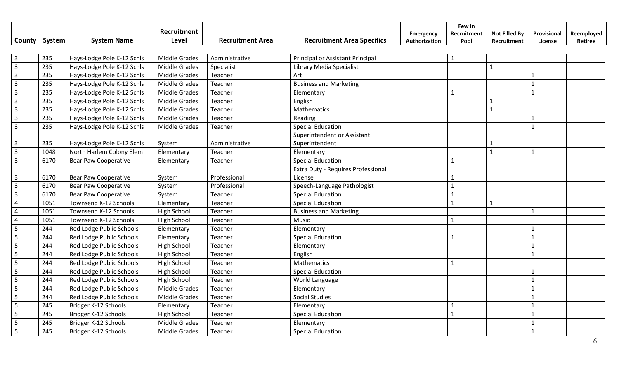| County                  | System | <b>System Name</b>          | Recruitment<br>Level | <b>Recruitment Area</b> | <b>Recruitment Area Specifics</b>  | Emergency<br>Authorization | Few in<br>Recruitment<br>Pool | <b>Not Filled By</b><br>Recruitment | Provisional<br>License | Reemployed<br>Retiree |
|-------------------------|--------|-----------------------------|----------------------|-------------------------|------------------------------------|----------------------------|-------------------------------|-------------------------------------|------------------------|-----------------------|
| $\overline{\mathbf{3}}$ | 235    | Hays-Lodge Pole K-12 Schls  | Middle Grades        | Administrative          | Principal or Assistant Principal   |                            | $\mathbf{1}$                  |                                     |                        |                       |
| $\overline{3}$          | 235    | Hays-Lodge Pole K-12 Schls  | Middle Grades        | Specialist              | Library Media Specialist           |                            |                               | $\mathbf{1}$                        |                        |                       |
| $\overline{3}$          | 235    | Hays-Lodge Pole K-12 Schls  | <b>Middle Grades</b> | Teacher                 | Art                                |                            |                               |                                     | $\mathbf{1}$           |                       |
| $\overline{3}$          | 235    | Hays-Lodge Pole K-12 Schls  | Middle Grades        | Teacher                 | <b>Business and Marketing</b>      |                            |                               |                                     | $\mathbf{1}$           |                       |
| $\overline{3}$          | 235    | Hays-Lodge Pole K-12 Schls  | <b>Middle Grades</b> | Teacher                 | Elementary                         |                            | $\mathbf{1}$                  |                                     | $\mathbf{1}$           |                       |
| $\overline{3}$          | 235    | Hays-Lodge Pole K-12 Schls  | <b>Middle Grades</b> | Teacher                 | English                            |                            |                               | $\mathbf{1}$                        |                        |                       |
| $\overline{3}$          | 235    | Hays-Lodge Pole K-12 Schls  | <b>Middle Grades</b> | Teacher                 | Mathematics                        |                            |                               | $\mathbf{1}$                        |                        |                       |
| $\overline{3}$          | 235    | Hays-Lodge Pole K-12 Schls  | <b>Middle Grades</b> | Teacher                 | Reading                            |                            |                               |                                     | $\mathbf{1}$           |                       |
| $\overline{3}$          | 235    | Hays-Lodge Pole K-12 Schls  | <b>Middle Grades</b> | Teacher                 | <b>Special Education</b>           |                            |                               |                                     | $\mathbf{1}$           |                       |
|                         |        |                             |                      |                         | Superintendent or Assistant        |                            |                               |                                     |                        |                       |
| $\overline{3}$          | 235    | Hays-Lodge Pole K-12 Schls  | System               | Administrative          | Superintendent                     |                            |                               | 1                                   |                        |                       |
| $\overline{3}$          | 1048   | North Harlem Colony Elem    | Elementary           | Teacher                 | Elementary                         |                            |                               | $\mathbf{1}$                        | $\mathbf{1}$           |                       |
| $\overline{3}$          | 6170   | <b>Bear Paw Cooperative</b> | Elementary           | Teacher                 | <b>Special Education</b>           |                            | $\mathbf{1}$                  |                                     |                        |                       |
|                         |        |                             |                      |                         | Extra Duty - Requires Professional |                            |                               |                                     |                        |                       |
| $\overline{3}$          | 6170   | <b>Bear Paw Cooperative</b> | System               | Professional            | License                            |                            |                               |                                     |                        |                       |
| $\overline{3}$          | 6170   | <b>Bear Paw Cooperative</b> | System               | Professional            | Speech-Language Pathologist        |                            | $\mathbf{1}$                  |                                     |                        |                       |
| $\overline{3}$          | 6170   | <b>Bear Paw Cooperative</b> | System               | Teacher                 | <b>Special Education</b>           |                            | $\mathbf{1}$                  |                                     |                        |                       |
| $\overline{4}$          | 1051   | Townsend K-12 Schools       | Elementary           | Teacher                 | <b>Special Education</b>           |                            | $\mathbf{1}$                  | $\mathbf{1}$                        |                        |                       |
| $\overline{4}$          | 1051   | Townsend K-12 Schools       | <b>High School</b>   | Teacher                 | <b>Business and Marketing</b>      |                            |                               |                                     | $\mathbf{1}$           |                       |
| $\overline{4}$          | 1051   | Townsend K-12 Schools       | <b>High School</b>   | Teacher                 | Music                              |                            | $\mathbf{1}$                  |                                     |                        |                       |
| 5                       | 244    | Red Lodge Public Schools    | Elementary           | Teacher                 | Elementary                         |                            |                               |                                     | $\mathbf{1}$           |                       |
| 5                       | 244    | Red Lodge Public Schools    | Elementary           | Teacher                 | <b>Special Education</b>           |                            | $\mathbf{1}$                  |                                     | $\overline{1}$         |                       |
| 5                       | 244    | Red Lodge Public Schools    | <b>High School</b>   | Teacher                 | Elementary                         |                            |                               |                                     | $\overline{1}$         |                       |
| 5                       | 244    | Red Lodge Public Schools    | High School          | Teacher                 | English                            |                            |                               |                                     | $\mathbf{1}$           |                       |
| 5                       | 244    | Red Lodge Public Schools    | <b>High School</b>   | Teacher                 | Mathematics                        |                            | $\mathbf{1}$                  |                                     |                        |                       |
| 5                       | 244    | Red Lodge Public Schools    | <b>High School</b>   | Teacher                 | <b>Special Education</b>           |                            |                               |                                     |                        |                       |
| 5                       | 244    | Red Lodge Public Schools    | <b>High School</b>   | Teacher                 | World Language                     |                            |                               |                                     |                        |                       |
| 5                       | 244    | Red Lodge Public Schools    | <b>Middle Grades</b> | Teacher                 | Elementary                         |                            |                               |                                     |                        |                       |
| 5                       | 244    | Red Lodge Public Schools    | <b>Middle Grades</b> | Teacher                 | <b>Social Studies</b>              |                            |                               |                                     | $\overline{1}$         |                       |
| 5                       | 245    | Bridger K-12 Schools        | Elementary           | Teacher                 | Elementary                         |                            | $\mathbf{1}$                  |                                     | $\mathbf{1}$           |                       |
| 5                       | 245    | Bridger K-12 Schools        | <b>High School</b>   | Teacher                 | <b>Special Education</b>           |                            | $\mathbf{1}$                  |                                     | $\mathbf{1}$           |                       |
| 5                       | 245    | Bridger K-12 Schools        | Middle Grades        | Teacher                 | Elementary                         |                            |                               |                                     | $\mathbf{1}$           |                       |
| 5                       | 245    | Bridger K-12 Schools        | <b>Middle Grades</b> | Teacher                 | <b>Special Education</b>           |                            |                               |                                     | $\mathbf{1}$           |                       |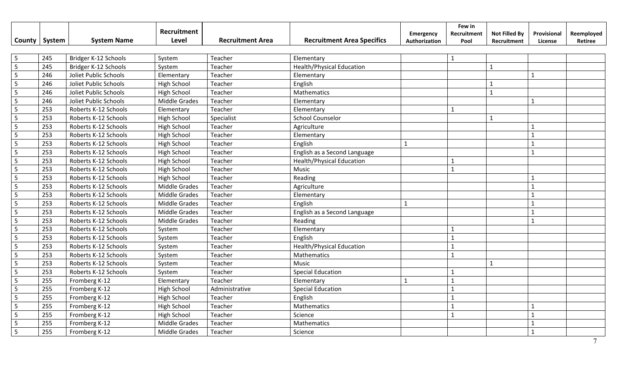| County         | System | <b>System Name</b>    | Recruitment<br><b>Level</b> | <b>Recruitment Area</b> | <b>Recruitment Area Specifics</b> | Emergency<br>Authorization | Few in<br>Recruitment<br>Pool | <b>Not Filled By</b><br>Recruitment | Provisional<br>License | Reemployed<br>Retiree |
|----------------|--------|-----------------------|-----------------------------|-------------------------|-----------------------------------|----------------------------|-------------------------------|-------------------------------------|------------------------|-----------------------|
|                |        |                       |                             |                         |                                   |                            |                               |                                     |                        |                       |
| 5              | 245    | Bridger K-12 Schools  | System                      | Teacher                 | Elementary                        |                            | $\mathbf{1}$                  |                                     |                        |                       |
| 5              | 245    | Bridger K-12 Schools  | System                      | Teacher                 | <b>Health/Physical Education</b>  |                            |                               | $\mathbf{1}$                        |                        |                       |
| 5              | 246    | Joliet Public Schools | Elementary                  | Teacher                 | Elementary                        |                            |                               |                                     | $\mathbf{1}$           |                       |
| 5              | 246    | Joliet Public Schools | <b>High School</b>          | Teacher                 | English                           |                            |                               | $\mathbf{1}$                        |                        |                       |
| 5              | 246    | Joliet Public Schools | <b>High School</b>          | Teacher                 | Mathematics                       |                            |                               | $\mathbf{1}$                        |                        |                       |
| 5              | 246    | Joliet Public Schools | Middle Grades               | Teacher                 | Elementary                        |                            |                               |                                     | $\mathbf{1}$           |                       |
| 5              | 253    | Roberts K-12 Schools  | Elementary                  | Teacher                 | Elementary                        |                            | $\mathbf{1}$                  |                                     |                        |                       |
| 5              | 253    | Roberts K-12 Schools  | <b>High School</b>          | Specialist              | <b>School Counselor</b>           |                            |                               | $\mathbf{1}$                        |                        |                       |
| 5              | 253    | Roberts K-12 Schools  | <b>High School</b>          | Teacher                 | Agriculture                       |                            |                               |                                     | $\mathbf{1}$           |                       |
| 5              | 253    | Roberts K-12 Schools  | High School                 | Teacher                 | Elementary                        |                            |                               |                                     | $\mathbf{1}$           |                       |
| 5              | 253    | Roberts K-12 Schools  | High School                 | Teacher                 | English                           | $\mathbf{1}$               |                               |                                     | $\mathbf{1}$           |                       |
| 5              | 253    | Roberts K-12 Schools  | <b>High School</b>          | Teacher                 | English as a Second Language      |                            |                               |                                     | $\mathbf{1}$           |                       |
| 5              | 253    | Roberts K-12 Schools  | <b>High School</b>          | Teacher                 | <b>Health/Physical Education</b>  |                            | $\mathbf{1}$                  |                                     |                        |                       |
| 5              | 253    | Roberts K-12 Schools  | <b>High School</b>          | Teacher                 | Music                             |                            | $\mathbf{1}$                  |                                     |                        |                       |
| 5              | 253    | Roberts K-12 Schools  | High School                 | Teacher                 | Reading                           |                            |                               |                                     | $\mathbf{1}$           |                       |
| 5              | 253    | Roberts K-12 Schools  | <b>Middle Grades</b>        | Teacher                 | Agriculture                       |                            |                               |                                     | $\mathbf{1}$           |                       |
| 5              | 253    | Roberts K-12 Schools  | <b>Middle Grades</b>        | Teacher                 | Elementary                        |                            |                               |                                     |                        |                       |
| 5              | 253    | Roberts K-12 Schools  | <b>Middle Grades</b>        | Teacher                 | English                           | $\mathbf{1}$               |                               |                                     | $\overline{1}$         |                       |
| $\overline{5}$ | 253    | Roberts K-12 Schools  | <b>Middle Grades</b>        | Teacher                 | English as a Second Language      |                            |                               |                                     | $\mathbf{1}$           |                       |
| 5              | 253    | Roberts K-12 Schools  | <b>Middle Grades</b>        | Teacher                 | Reading                           |                            |                               |                                     | $\mathbf{1}$           |                       |
| 5              | 253    | Roberts K-12 Schools  | System                      | Teacher                 | Elementary                        |                            | $\mathbf{1}$                  |                                     |                        |                       |
| $\overline{5}$ | 253    | Roberts K-12 Schools  | System                      | Teacher                 | English                           |                            | $\mathbf{1}$                  |                                     |                        |                       |
| 5              | 253    | Roberts K-12 Schools  | System                      | Teacher                 | <b>Health/Physical Education</b>  |                            | $\mathbf{1}$                  |                                     |                        |                       |
| 5              | 253    | Roberts K-12 Schools  | System                      | Teacher                 | Mathematics                       |                            | $\mathbf{1}$                  |                                     |                        |                       |
| 5              | 253    | Roberts K-12 Schools  | System                      | Teacher                 | Music                             |                            |                               | $\mathbf{1}$                        |                        |                       |
| 5              | 253    | Roberts K-12 Schools  | System                      | Teacher                 | <b>Special Education</b>          |                            | $\mathbf{1}$                  |                                     |                        |                       |
| 5              | 255    | Fromberg K-12         | Elementary                  | Teacher                 | Elementary                        | $\mathbf{1}$               | $\mathbf{1}$                  |                                     |                        |                       |
| 5              | 255    | Fromberg K-12         | <b>High School</b>          | Administrative          | <b>Special Education</b>          |                            | $\mathbf{1}$                  |                                     |                        |                       |
| 5              | 255    | Fromberg K-12         | High School                 | Teacher                 | English                           |                            | $\mathbf{1}$                  |                                     |                        |                       |
| 5              | 255    | Fromberg K-12         | High School                 | Teacher                 | Mathematics                       |                            | $\mathbf{1}$                  |                                     | $\mathbf{1}$           |                       |
| 5              | 255    | Fromberg K-12         | <b>High School</b>          | Teacher                 | Science                           |                            | $\mathbf{1}$                  |                                     | $\mathbf{1}$           |                       |
| 5              | 255    | Fromberg K-12         | <b>Middle Grades</b>        | Teacher                 | Mathematics                       |                            |                               |                                     | $\mathbf{1}$           |                       |
| 5              | 255    | Fromberg K-12         | <b>Middle Grades</b>        | Teacher                 | Science                           |                            |                               |                                     | $\mathbf{1}$           |                       |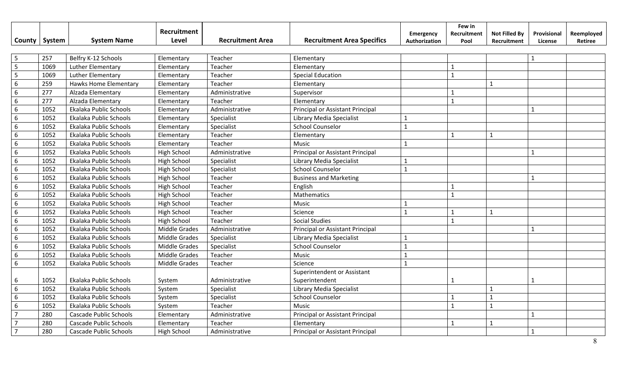|                 |        |                               | Recruitment          |                         |                                   | <b>Emergency</b> | Few in<br>Recruitment | <b>Not Filled By</b> | Provisional  | Reemployed |
|-----------------|--------|-------------------------------|----------------------|-------------------------|-----------------------------------|------------------|-----------------------|----------------------|--------------|------------|
| County          | System | <b>System Name</b>            | Level                | <b>Recruitment Area</b> | <b>Recruitment Area Specifics</b> | Authorization    | Pool                  | Recruitment          | License      | Retiree    |
| 5               | 257    | Belfry K-12 Schools           | Elementary           | Teacher                 | Elementary                        |                  |                       |                      | $\mathbf{1}$ |            |
|                 | 1069   | Luther Elementary             | Elementary           | Teacher                 | Elementary                        |                  | $\mathbf{1}$          |                      |              |            |
| 5               | 1069   | Luther Elementary             | Elementary           | Teacher                 | <b>Special Education</b>          |                  | $\mathbf{1}$          |                      |              |            |
| $6\phantom{1}6$ | 259    | <b>Hawks Home Elementary</b>  | Elementary           | Teacher                 | Elementary                        |                  |                       | $\mathbf{1}$         |              |            |
| $6\phantom{1}6$ | 277    | Alzada Elementary             | Elementary           | Administrative          | Supervisor                        |                  | 1                     |                      |              |            |
| $\sqrt{6}$      | 277    | Alzada Elementary             | Elementary           | Teacher                 | Elementary                        |                  | $\mathbf{1}$          |                      |              |            |
| $6\phantom{1}6$ | 1052   | Ekalaka Public Schools        |                      | Administrative          |                                   |                  |                       |                      | $\mathbf{1}$ |            |
| 6               | 1052   | Ekalaka Public Schools        | Elementary           |                         | Principal or Assistant Principal  |                  |                       |                      |              |            |
|                 |        |                               | Elementary           | Specialist              | Library Media Specialist          | $\mathbf{1}$     |                       |                      |              |            |
| 6               | 1052   | Ekalaka Public Schools        | Elementary           | Specialist              | <b>School Counselor</b>           | $\mathbf{1}$     |                       |                      |              |            |
| 6               | 1052   | Ekalaka Public Schools        | Elementary           | Teacher                 | Elementary                        |                  | $\mathbf{1}$          | $\mathbf{1}$         |              |            |
| $\sqrt{6}$      | 1052   | Ekalaka Public Schools        | Elementary           | Teacher                 | Music                             | $\mathbf{1}$     |                       |                      |              |            |
| $\sqrt{6}$      | 1052   | Ekalaka Public Schools        | High School          | Administrative          | Principal or Assistant Principal  |                  |                       |                      | $\mathbf{1}$ |            |
| $\sqrt{6}$      | 1052   | Ekalaka Public Schools        | High School          | Specialist              | Library Media Specialist          | $\mathbf{1}$     |                       |                      |              |            |
| $\sqrt{6}$      | 1052   | Ekalaka Public Schools        | High School          | Specialist              | <b>School Counselor</b>           | $\mathbf{1}$     |                       |                      |              |            |
| 6               | 1052   | Ekalaka Public Schools        | <b>High School</b>   | Teacher                 | <b>Business and Marketing</b>     |                  |                       |                      | $\mathbf{1}$ |            |
| $\sqrt{6}$      | 1052   | Ekalaka Public Schools        | High School          | Teacher                 | English                           |                  | $\mathbf{1}$          |                      |              |            |
| $6\phantom{1}6$ | 1052   | Ekalaka Public Schools        | High School          | Teacher                 | Mathematics                       |                  | $\mathbf{1}$          |                      |              |            |
| $6\phantom{1}6$ | 1052   | Ekalaka Public Schools        | <b>High School</b>   | Teacher                 | Music                             | $\mathbf{1}$     |                       |                      |              |            |
| $6\phantom{1}6$ | 1052   | Ekalaka Public Schools        | <b>High School</b>   | Teacher                 | Science                           | $\mathbf{1}$     | 1                     | $\mathbf{1}$         |              |            |
| $6\phantom{1}6$ | 1052   | Ekalaka Public Schools        | High School          | Teacher                 | <b>Social Studies</b>             |                  | $\mathbf{1}$          |                      |              |            |
| $6\phantom{1}6$ | 1052   | Ekalaka Public Schools        | <b>Middle Grades</b> | Administrative          | Principal or Assistant Principal  |                  |                       |                      | $\mathbf{1}$ |            |
| $6\phantom{1}6$ | 1052   | Ekalaka Public Schools        | Middle Grades        | Specialist              | Library Media Specialist          | $\mathbf{1}$     |                       |                      |              |            |
| $6\phantom{1}6$ | 1052   | Ekalaka Public Schools        | Middle Grades        | Specialist              | <b>School Counselor</b>           | $\mathbf{1}$     |                       |                      |              |            |
| $\sqrt{6}$      | 1052   | Ekalaka Public Schools        | Middle Grades        | Teacher                 | Music                             | $\mathbf{1}$     |                       |                      |              |            |
| $6\phantom{1}6$ | 1052   | Ekalaka Public Schools        | Middle Grades        | Teacher                 | Science                           | $\mathbf{1}$     |                       |                      |              |            |
|                 |        |                               |                      |                         | Superintendent or Assistant       |                  |                       |                      |              |            |
| 6               | 1052   | Ekalaka Public Schools        | System               | Administrative          | Superintendent                    |                  | 1                     |                      | $\mathbf{1}$ |            |
| $6\phantom{1}6$ | 1052   | Ekalaka Public Schools        | System               | Specialist              | Library Media Specialist          |                  |                       | $\mathbf{1}$         |              |            |
| $6\phantom{1}6$ | 1052   | Ekalaka Public Schools        | System               | Specialist              | <b>School Counselor</b>           |                  | $\mathbf{1}$          | $\mathbf{1}$         |              |            |
| $6\phantom{1}6$ | 1052   | Ekalaka Public Schools        | System               | Teacher                 | Music                             |                  | $\mathbf{1}$          | $\mathbf{1}$         |              |            |
| $\overline{7}$  | 280    | Cascade Public Schools        | Elementary           | Administrative          | Principal or Assistant Principal  |                  |                       |                      | $\mathbf{1}$ |            |
| $\overline{7}$  | 280    | Cascade Public Schools        | Elementary           | Teacher                 | Elementary                        |                  | 1                     | $\mathbf{1}$         |              |            |
| $\overline{7}$  | 280    | <b>Cascade Public Schools</b> | High School          | Administrative          | Principal or Assistant Principal  |                  |                       |                      | $\mathbf{1}$ |            |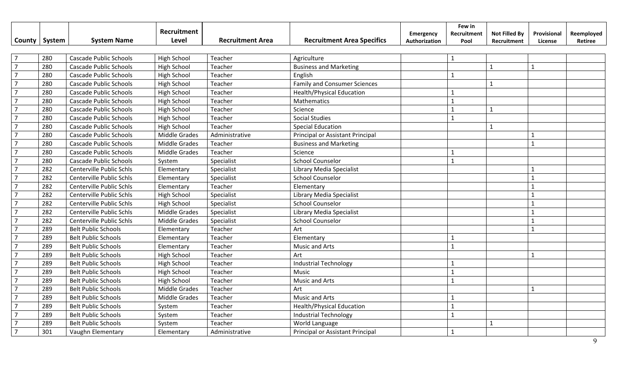|                          |        |                               | Recruitment          |                         |                                     | <b>Emergency</b> | Few in<br>Recruitment | <b>Not Filled By</b> | Provisional  | Reemployed |
|--------------------------|--------|-------------------------------|----------------------|-------------------------|-------------------------------------|------------------|-----------------------|----------------------|--------------|------------|
| County                   | System | <b>System Name</b>            | <b>Level</b>         | <b>Recruitment Area</b> | <b>Recruitment Area Specifics</b>   | Authorization    | Pool                  | Recruitment          | License      | Retiree    |
|                          |        |                               |                      |                         |                                     |                  |                       |                      |              |            |
| $\overline{7}$           | 280    | <b>Cascade Public Schools</b> | <b>High School</b>   | Teacher                 | Agriculture                         |                  | $\mathbf{1}$          |                      |              |            |
| $\overline{7}$           | 280    | <b>Cascade Public Schools</b> | <b>High School</b>   | Teacher                 | <b>Business and Marketing</b>       |                  |                       | $\mathbf{1}$         | $\mathbf{1}$ |            |
| $\overline{7}$           | 280    | <b>Cascade Public Schools</b> | <b>High School</b>   | Teacher                 | English                             |                  | $\mathbf{1}$          |                      |              |            |
| $\overline{7}$           | 280    | <b>Cascade Public Schools</b> | <b>High School</b>   | Teacher                 | <b>Family and Consumer Sciences</b> |                  |                       | $\mathbf{1}$         |              |            |
| $\overline{7}$           | 280    | <b>Cascade Public Schools</b> | <b>High School</b>   | Teacher                 | <b>Health/Physical Education</b>    |                  | $\mathbf{1}$          |                      |              |            |
|                          | 280    | <b>Cascade Public Schools</b> | <b>High School</b>   | Teacher                 | Mathematics                         |                  | $\mathbf{1}$          |                      |              |            |
|                          | 280    | <b>Cascade Public Schools</b> | <b>High School</b>   | Teacher                 | Science                             |                  | 1                     | $\mathbf{1}$         |              |            |
|                          | 280    | <b>Cascade Public Schools</b> | <b>High School</b>   | Teacher                 | <b>Social Studies</b>               |                  | $\mathbf{1}$          |                      |              |            |
|                          | 280    | <b>Cascade Public Schools</b> | <b>High School</b>   | Teacher                 | <b>Special Education</b>            |                  |                       | $\mathbf{1}$         |              |            |
|                          | 280    | <b>Cascade Public Schools</b> | Middle Grades        | Administrative          | Principal or Assistant Principal    |                  |                       |                      | $\mathbf{1}$ |            |
|                          | 280    | <b>Cascade Public Schools</b> | <b>Middle Grades</b> | Teacher                 | <b>Business and Marketing</b>       |                  |                       |                      | $\mathbf{1}$ |            |
|                          | 280    | <b>Cascade Public Schools</b> | <b>Middle Grades</b> | Teacher                 | Science                             |                  |                       |                      |              |            |
|                          | 280    | <b>Cascade Public Schools</b> | System               | Specialist              | <b>School Counselor</b>             |                  | $\mathbf{1}$          |                      |              |            |
| $\overline{\phantom{a}}$ | 282    | Centerville Public Schls      | Elementary           | Specialist              | Library Media Specialist            |                  |                       |                      | $\mathbf{1}$ |            |
|                          | 282    | Centerville Public Schls      | Elementary           | Specialist              | <b>School Counselor</b>             |                  |                       |                      | $\mathbf{1}$ |            |
|                          | 282    | Centerville Public Schls      | Elementary           | Teacher                 | Elementary                          |                  |                       |                      | $\mathbf{1}$ |            |
|                          | 282    | Centerville Public Schls      | <b>High School</b>   | Specialist              | Library Media Specialist            |                  |                       |                      | $\mathbf{1}$ |            |
|                          | 282    | Centerville Public Schls      | <b>High School</b>   | Specialist              | <b>School Counselor</b>             |                  |                       |                      | $\mathbf{1}$ |            |
|                          | 282    | Centerville Public Schls      | <b>Middle Grades</b> | Specialist              | Library Media Specialist            |                  |                       |                      | $\mathbf{1}$ |            |
|                          | 282    | Centerville Public Schls      | <b>Middle Grades</b> | Specialist              | <b>School Counselor</b>             |                  |                       |                      | $\mathbf{1}$ |            |
|                          | 289    | <b>Belt Public Schools</b>    | Elementary           | Teacher                 | Art                                 |                  |                       |                      | $\mathbf{1}$ |            |
| $\overline{7}$           | 289    | <b>Belt Public Schools</b>    | Elementary           | Teacher                 | Elementary                          |                  | $\mathbf{1}$          |                      |              |            |
| $\overline{7}$           | 289    | <b>Belt Public Schools</b>    | Elementary           | Teacher                 | <b>Music and Arts</b>               |                  | $\mathbf{1}$          |                      |              |            |
|                          | 289    | <b>Belt Public Schools</b>    | <b>High School</b>   | Teacher                 | Art                                 |                  |                       |                      | $\mathbf{1}$ |            |
|                          | 289    | <b>Belt Public Schools</b>    | <b>High School</b>   | Teacher                 | <b>Industrial Technology</b>        |                  |                       |                      |              |            |
|                          | 289    | <b>Belt Public Schools</b>    | <b>High School</b>   | Teacher                 | Music                               |                  | $\mathbf{1}$          |                      |              |            |
|                          | 289    | <b>Belt Public Schools</b>    | <b>High School</b>   | Teacher                 | Music and Arts                      |                  | $\mathbf{1}$          |                      |              |            |
|                          | 289    | <b>Belt Public Schools</b>    | <b>Middle Grades</b> | Teacher                 | Art                                 |                  |                       |                      | $\mathbf{1}$ |            |
|                          | 289    | <b>Belt Public Schools</b>    | <b>Middle Grades</b> | Teacher                 | Music and Arts                      |                  | $\mathbf{1}$          |                      |              |            |
|                          | 289    | <b>Belt Public Schools</b>    | System               | Teacher                 | <b>Health/Physical Education</b>    |                  | $\mathbf{1}$          |                      |              |            |
|                          | 289    | <b>Belt Public Schools</b>    | System               | Teacher                 | <b>Industrial Technology</b>        |                  | $\mathbf{1}$          |                      |              |            |
|                          | 289    | <b>Belt Public Schools</b>    | System               | Teacher                 | World Language                      |                  |                       | $\mathbf{1}$         |              |            |
|                          | 301    | Vaughn Elementary             | Elementary           | Administrative          | Principal or Assistant Principal    |                  | $\mathbf{1}$          |                      |              |            |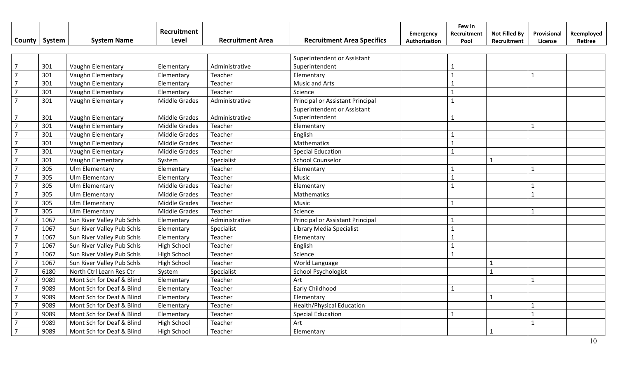|                |        |                            | Recruitment          |                         |                                   | Emergency     | Few in<br>Recruitment | <b>Not Filled By</b> | Provisional  | Reemployed |
|----------------|--------|----------------------------|----------------------|-------------------------|-----------------------------------|---------------|-----------------------|----------------------|--------------|------------|
| County         | System | <b>System Name</b>         | Level                | <b>Recruitment Area</b> | <b>Recruitment Area Specifics</b> | Authorization | Pool                  | Recruitment          | License      | Retiree    |
|                |        |                            |                      |                         |                                   |               |                       |                      |              |            |
|                |        |                            |                      |                         | Superintendent or Assistant       |               |                       |                      |              |            |
| $\overline{7}$ | 301    | Vaughn Elementary          | Elementary           | Administrative          | Superintendent                    |               | 1                     |                      |              |            |
| $\overline{7}$ | 301    | Vaughn Elementary          | Elementary           | Teacher                 | Elementary                        |               | $\mathbf{1}$          |                      | $\mathbf{1}$ |            |
| $\overline{7}$ | 301    | Vaughn Elementary          | Elementary           | Teacher                 | <b>Music and Arts</b>             |               | $\mathbf{1}$          |                      |              |            |
| $\overline{7}$ | 301    | Vaughn Elementary          | Elementary           | Teacher                 | Science                           |               | $\mathbf{1}$          |                      |              |            |
| $\overline{7}$ | 301    | Vaughn Elementary          | <b>Middle Grades</b> | Administrative          | Principal or Assistant Principal  |               | $\mathbf{1}$          |                      |              |            |
|                |        |                            |                      |                         | Superintendent or Assistant       |               |                       |                      |              |            |
| 7              | 301    | Vaughn Elementary          | <b>Middle Grades</b> | Administrative          | Superintendent                    |               | 1                     |                      |              |            |
| $\overline{7}$ | 301    | Vaughn Elementary          | <b>Middle Grades</b> | Teacher                 | Elementary                        |               |                       |                      | $\mathbf{1}$ |            |
| $\overline{7}$ | 301    | Vaughn Elementary          | <b>Middle Grades</b> | Teacher                 | English                           |               |                       |                      |              |            |
| $\overline{7}$ | 301    | Vaughn Elementary          | <b>Middle Grades</b> | Teacher                 | Mathematics                       |               | $\mathbf{1}$          |                      |              |            |
| $\overline{7}$ | 301    | Vaughn Elementary          | <b>Middle Grades</b> | Teacher                 | <b>Special Education</b>          |               | $\mathbf{1}$          |                      |              |            |
| $\overline{7}$ | 301    | Vaughn Elementary          | System               | Specialist              | <b>School Counselor</b>           |               |                       | $\mathbf{1}$         |              |            |
| $\overline{7}$ | 305    | Ulm Elementary             | Elementary           | Teacher                 | Elementary                        |               | $\mathbf{1}$          |                      | $\mathbf{1}$ |            |
| $\overline{7}$ | 305    | Ulm Elementary             | Elementary           | Teacher                 | Music                             |               | $\mathbf{1}$          |                      |              |            |
| $\overline{7}$ | 305    | Ulm Elementary             | <b>Middle Grades</b> | Teacher                 | Elementary                        |               | $\mathbf{1}$          |                      |              |            |
| $\overline{7}$ | 305    | Ulm Elementary             | <b>Middle Grades</b> | Teacher                 | Mathematics                       |               |                       |                      | $\mathbf{1}$ |            |
| $\overline{7}$ | 305    | Ulm Elementary             | <b>Middle Grades</b> | Teacher                 | Music                             |               | $\mathbf{1}$          |                      |              |            |
| $\overline{7}$ | 305    | Ulm Elementary             | <b>Middle Grades</b> | Teacher                 | Science                           |               |                       |                      | $\mathbf{1}$ |            |
| $\overline{7}$ | 1067   | Sun River Valley Pub Schls | Elementary           | Administrative          | Principal or Assistant Principal  |               | $\mathbf{1}$          |                      |              |            |
| $\overline{7}$ | 1067   | Sun River Valley Pub Schls | Elementary           | Specialist              | Library Media Specialist          |               | $\mathbf{1}$          |                      |              |            |
| $\overline{7}$ | 1067   | Sun River Valley Pub Schls | Elementary           | Teacher                 | Elementary                        |               | $\mathbf{1}$          |                      |              |            |
| $\overline{7}$ | 1067   | Sun River Valley Pub Schls | High School          | Teacher                 | English                           |               | $\mathbf{1}$          |                      |              |            |
| $\overline{7}$ | 1067   | Sun River Valley Pub Schls | High School          | Teacher                 | Science                           |               | $\mathbf{1}$          |                      |              |            |
| $\overline{7}$ | 1067   | Sun River Valley Pub Schls | High School          | Teacher                 | World Language                    |               |                       | $\overline{1}$       |              |            |
| $\overline{7}$ | 6180   | North Ctrl Learn Res Ctr   | System               | Specialist              | <b>School Psychologist</b>        |               |                       | $\mathbf{1}$         |              |            |
| $\overline{7}$ | 9089   | Mont Sch for Deaf & Blind  | Elementary           | Teacher                 | Art                               |               |                       |                      |              |            |
| $\overline{7}$ | 9089   | Mont Sch for Deaf & Blind  | Elementary           | Teacher                 | Early Childhood                   |               | $\mathbf{1}$          |                      |              |            |
| $\overline{7}$ | 9089   | Mont Sch for Deaf & Blind  | Elementary           | Teacher                 | Elementary                        |               |                       | $\mathbf{1}$         |              |            |
| $\overline{7}$ | 9089   | Mont Sch for Deaf & Blind  | Elementary           | Teacher                 | <b>Health/Physical Education</b>  |               |                       |                      | $\mathbf{1}$ |            |
| $\overline{7}$ | 9089   | Mont Sch for Deaf & Blind  | Elementary           | Teacher                 | <b>Special Education</b>          |               | $\mathbf{1}$          |                      | $\mathbf{1}$ |            |
|                | 9089   | Mont Sch for Deaf & Blind  | <b>High School</b>   | Teacher                 | Art                               |               |                       |                      | $\mathbf{1}$ |            |
| $\overline{7}$ | 9089   | Mont Sch for Deaf & Blind  | <b>High School</b>   | Teacher                 | Elementary                        |               |                       | $\overline{1}$       |              |            |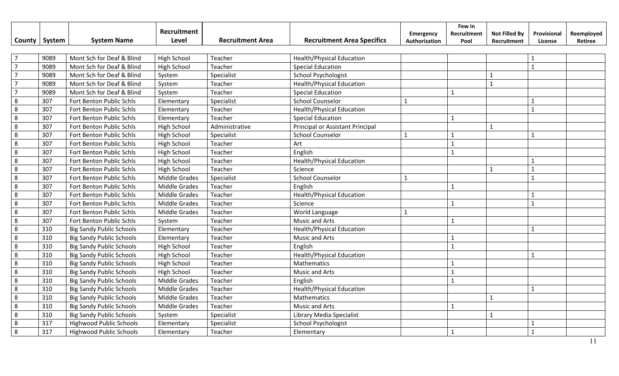|                |        |                                 | Recruitment          |                         |                                   | Emergency     | Few in<br>Recruitment | <b>Not Filled By</b> | Provisional    | Reemployed |
|----------------|--------|---------------------------------|----------------------|-------------------------|-----------------------------------|---------------|-----------------------|----------------------|----------------|------------|
| County         | System | <b>System Name</b>              | Level                | <b>Recruitment Area</b> | <b>Recruitment Area Specifics</b> | Authorization | Pool                  | Recruitment          | License        | Retiree    |
| $\overline{7}$ | 9089   | Mont Sch for Deaf & Blind       | <b>High School</b>   | Teacher                 | <b>Health/Physical Education</b>  |               |                       |                      | $\mathbf{1}$   |            |
| $\overline{7}$ | 9089   | Mont Sch for Deaf & Blind       | <b>High School</b>   | Teacher                 | <b>Special Education</b>          |               |                       |                      | $\mathbf{1}$   |            |
| $\overline{7}$ | 9089   | Mont Sch for Deaf & Blind       | System               | Specialist              | <b>School Psychologist</b>        |               |                       | $\mathbf{1}$         |                |            |
|                | 9089   | Mont Sch for Deaf & Blind       | System               | Teacher                 | <b>Health/Physical Education</b>  |               |                       | $\overline{1}$       |                |            |
|                | 9089   | Mont Sch for Deaf & Blind       | System               | Teacher                 | <b>Special Education</b>          |               | $\mathbf{1}$          |                      |                |            |
| 8              | 307    | Fort Benton Public Schls        | Elementary           | Specialist              | <b>School Counselor</b>           | $\mathbf{1}$  |                       |                      | $\mathbf{1}$   |            |
| 8              | 307    | Fort Benton Public Schls        | Elementary           | Teacher                 | <b>Health/Physical Education</b>  |               |                       |                      | $\mathbf{1}$   |            |
| 8              | 307    | Fort Benton Public Schls        | Elementary           | Teacher                 | <b>Special Education</b>          |               | $\mathbf{1}$          |                      |                |            |
| 8              | 307    | Fort Benton Public Schls        | High School          | Administrative          | Principal or Assistant Principal  |               |                       | $\mathbf{1}$         |                |            |
| 8              | 307    | Fort Benton Public Schls        | <b>High School</b>   | Specialist              | <b>School Counselor</b>           | $\mathbf{1}$  | $\mathbf{1}$          |                      | $\mathbf{1}$   |            |
| 8              | 307    | Fort Benton Public Schls        | <b>High School</b>   | Teacher                 | Art                               |               | $\mathbf{1}$          |                      |                |            |
| 8              | 307    | Fort Benton Public Schls        | <b>High School</b>   | Teacher                 | English                           |               | 1                     |                      |                |            |
| 8              | 307    | Fort Benton Public Schls        | High School          | Teacher                 | <b>Health/Physical Education</b>  |               |                       |                      |                |            |
| 8              | 307    | Fort Benton Public Schls        | <b>High School</b>   | Teacher                 | Science                           |               |                       | $\mathbf{1}$         | $\mathbf{1}$   |            |
| 8              | 307    | Fort Benton Public Schls        | <b>Middle Grades</b> | Specialist              | <b>School Counselor</b>           | $\mathbf{1}$  |                       |                      | $\mathbf{1}$   |            |
| 8              | 307    | Fort Benton Public Schls        | Middle Grades        | Teacher                 | English                           |               | $\mathbf{1}$          |                      |                |            |
| 8              | 307    | Fort Benton Public Schls        | <b>Middle Grades</b> | Teacher                 | <b>Health/Physical Education</b>  |               |                       |                      |                |            |
| 8              | 307    | Fort Benton Public Schls        | <b>Middle Grades</b> | Teacher                 | Science                           |               | $\mathbf{1}$          |                      | $\mathbf{1}$   |            |
| 8              | 307    | Fort Benton Public Schls        | <b>Middle Grades</b> | Teacher                 | World Language                    | $\mathbf{1}$  |                       |                      |                |            |
| 8              | 307    | Fort Benton Public Schls        | System               | Teacher                 | Music and Arts                    |               | $\mathbf{1}$          |                      |                |            |
| 8              | 310    | <b>Big Sandy Public Schools</b> | Elementary           | Teacher                 | <b>Health/Physical Education</b>  |               |                       |                      | $\mathbf{1}$   |            |
| 8              | 310    | <b>Big Sandy Public Schools</b> | Elementary           | Teacher                 | <b>Music and Arts</b>             |               | $\mathbf{1}$          |                      |                |            |
| 8              | 310    | <b>Big Sandy Public Schools</b> | <b>High School</b>   | Teacher                 | English                           |               | $\mathbf{1}$          |                      |                |            |
| 8              | 310    | <b>Big Sandy Public Schools</b> | <b>High School</b>   | Teacher                 | <b>Health/Physical Education</b>  |               |                       |                      | $\overline{1}$ |            |
| 8              | 310    | <b>Big Sandy Public Schools</b> | <b>High School</b>   | Teacher                 | Mathematics                       |               | $\mathbf{1}$          |                      |                |            |
| 8              | 310    | <b>Big Sandy Public Schools</b> | <b>High School</b>   | Teacher                 | <b>Music and Arts</b>             |               | $\mathbf{1}$          |                      |                |            |
| 8              | 310    | <b>Big Sandy Public Schools</b> | <b>Middle Grades</b> | Teacher                 | English                           |               | $\mathbf{1}$          |                      |                |            |
| 8              | 310    | <b>Big Sandy Public Schools</b> | <b>Middle Grades</b> | Teacher                 | <b>Health/Physical Education</b>  |               |                       |                      | $\mathbf{1}$   |            |
| 8              | 310    | <b>Big Sandy Public Schools</b> | <b>Middle Grades</b> | Teacher                 | Mathematics                       |               |                       | $\mathbf{1}$         |                |            |
| 8              | 310    | <b>Big Sandy Public Schools</b> | Middle Grades        | Teacher                 | Music and Arts                    |               | 1                     |                      |                |            |
| 8              | 310    | <b>Big Sandy Public Schools</b> | System               | Specialist              | Library Media Specialist          |               |                       | $\mathbf{1}$         |                |            |
| 8              | 317    | <b>Highwood Public Schools</b>  | Elementary           | Specialist              | School Psychologist               |               |                       |                      | $\mathbf{1}$   |            |
| 8              | 317    | <b>Highwood Public Schools</b>  | Elementary           | Teacher                 | Elementary                        |               | $\mathbf{1}$          |                      | $\mathbf{1}$   |            |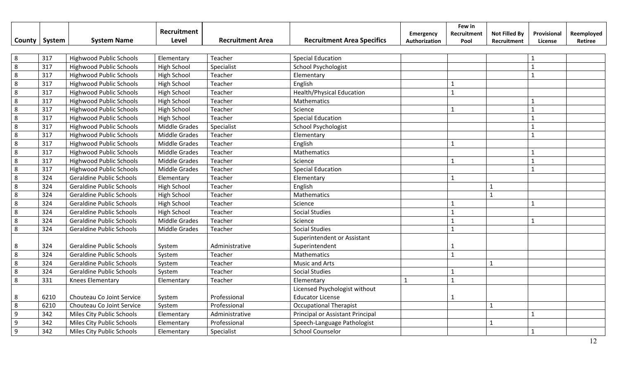|                |        |                                 | Recruitment          |                         |                                   | Emergency     | Few in<br>Recruitment | <b>Not Filled By</b> | Provisional    | Reemployed |
|----------------|--------|---------------------------------|----------------------|-------------------------|-----------------------------------|---------------|-----------------------|----------------------|----------------|------------|
| County         | System | <b>System Name</b>              | Level                | <b>Recruitment Area</b> | <b>Recruitment Area Specifics</b> | Authorization | Pool                  | Recruitment          | License        | Retiree    |
|                |        |                                 |                      |                         |                                   |               |                       |                      |                |            |
| 8              | 317    | <b>Highwood Public Schools</b>  | Elementary           | Teacher                 | <b>Special Education</b>          |               |                       |                      | $\mathbf{1}$   |            |
| $\overline{8}$ | 317    | <b>Highwood Public Schools</b>  | <b>High School</b>   | Specialist              | <b>School Psychologist</b>        |               |                       |                      | $\overline{1}$ |            |
| 8              | 317    | <b>Highwood Public Schools</b>  | <b>High School</b>   | Teacher                 | Elementary                        |               |                       |                      | $\mathbf{1}$   |            |
| 8              | 317    | <b>Highwood Public Schools</b>  | <b>High School</b>   | Teacher                 | English                           |               | 1                     |                      |                |            |
| 8              | 317    | <b>Highwood Public Schools</b>  | <b>High School</b>   | Teacher                 | <b>Health/Physical Education</b>  |               | $\mathbf{1}$          |                      |                |            |
| 8              | 317    | <b>Highwood Public Schools</b>  | <b>High School</b>   | Teacher                 | Mathematics                       |               |                       |                      | $\mathbf{1}$   |            |
| 8              | 317    | <b>Highwood Public Schools</b>  | <b>High School</b>   | Teacher                 | Science                           |               | $\mathbf{1}$          |                      | $\mathbf{1}$   |            |
| 8              | 317    | <b>Highwood Public Schools</b>  | <b>High School</b>   | Teacher                 | <b>Special Education</b>          |               |                       |                      | $\mathbf{1}$   |            |
| 8              | 317    | <b>Highwood Public Schools</b>  | Middle Grades        | Specialist              | <b>School Psychologist</b>        |               |                       |                      | $\mathbf{1}$   |            |
| 8              | 317    | <b>Highwood Public Schools</b>  | Middle Grades        | Teacher                 | Elementary                        |               |                       |                      | $\mathbf{1}$   |            |
| 8              | 317    | <b>Highwood Public Schools</b>  | <b>Middle Grades</b> | Teacher                 | English                           |               | $\mathbf{1}$          |                      |                |            |
| 8              | 317    | <b>Highwood Public Schools</b>  | Middle Grades        | Teacher                 | Mathematics                       |               |                       |                      | $\overline{1}$ |            |
| 8              | 317    | <b>Highwood Public Schools</b>  | Middle Grades        | Teacher                 | Science                           |               | $\mathbf{1}$          |                      | $\mathbf{1}$   |            |
| 8              | 317    | <b>Highwood Public Schools</b>  | <b>Middle Grades</b> | Teacher                 | <b>Special Education</b>          |               |                       |                      | $\mathbf{1}$   |            |
| 8              | 324    | <b>Geraldine Public Schools</b> | Elementary           | Teacher                 | Elementary                        |               | $\mathbf{1}$          |                      |                |            |
| 8              | 324    | <b>Geraldine Public Schools</b> | <b>High School</b>   | Teacher                 | English                           |               |                       | $\mathbf{1}$         |                |            |
| 8              | 324    | <b>Geraldine Public Schools</b> | <b>High School</b>   | Teacher                 | Mathematics                       |               |                       | $\mathbf{1}$         |                |            |
| 8              | 324    | <b>Geraldine Public Schools</b> | <b>High School</b>   | Teacher                 | Science                           |               | $\mathbf{1}$          |                      | $\mathbf{1}$   |            |
| 8              | 324    | <b>Geraldine Public Schools</b> | <b>High School</b>   | Teacher                 | <b>Social Studies</b>             |               | $\mathbf{1}$          |                      |                |            |
| 8              | 324    | <b>Geraldine Public Schools</b> | <b>Middle Grades</b> | Teacher                 | Science                           |               | $\mathbf{1}$          |                      | $\mathbf{1}$   |            |
| 8              | 324    | <b>Geraldine Public Schools</b> | <b>Middle Grades</b> | Teacher                 | <b>Social Studies</b>             |               | $\mathbf{1}$          |                      |                |            |
|                |        |                                 |                      |                         | Superintendent or Assistant       |               |                       |                      |                |            |
| 8              | 324    | <b>Geraldine Public Schools</b> | System               | Administrative          | Superintendent                    |               | 1                     |                      |                |            |
| 8              | 324    | <b>Geraldine Public Schools</b> | System               | Teacher                 | Mathematics                       |               | $\mathbf{1}$          |                      |                |            |
| 8              | 324    | <b>Geraldine Public Schools</b> | System               | Teacher                 | Music and Arts                    |               |                       | $\mathbf{1}$         |                |            |
| 8              | 324    | <b>Geraldine Public Schools</b> | System               | Teacher                 | <b>Social Studies</b>             |               | 1                     |                      |                |            |
| 8              | 331    | Knees Elementary                | Elementary           | Teacher                 | Elementary                        | $\mathbf{1}$  | $\mathbf{1}$          |                      |                |            |
|                |        |                                 |                      |                         | Licensed Psychologist without     |               |                       |                      |                |            |
| 8              | 6210   | Chouteau Co Joint Service       | System               | Professional            | <b>Educator License</b>           |               | $\mathbf{1}$          |                      |                |            |
| 8              | 6210   | Chouteau Co Joint Service       | System               | Professional            | <b>Occupational Therapist</b>     |               |                       | $\mathbf{1}$         |                |            |
| 9              | 342    | Miles City Public Schools       | Elementary           | Administrative          | Principal or Assistant Principal  |               |                       |                      | $\mathbf{1}$   |            |
| 9              | 342    | Miles City Public Schools       | Elementary           | Professional            | Speech-Language Pathologist       |               |                       | $\mathbf{1}$         |                |            |
| 9              | 342    | Miles City Public Schools       | Elementary           | Specialist              | <b>School Counselor</b>           |               |                       |                      | $\mathbf{1}$   |            |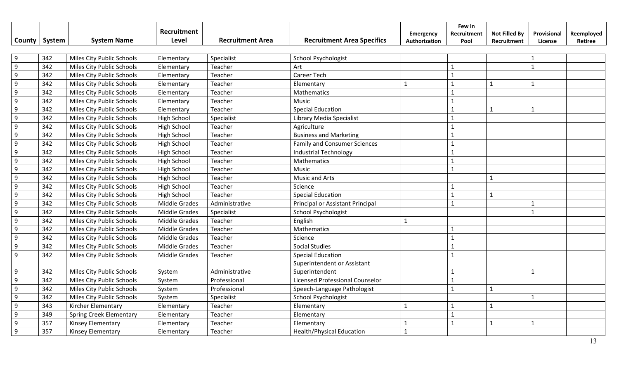| <b>County</b>    | System | <b>System Name</b>             | Recruitment<br>Level | <b>Recruitment Area</b> | <b>Recruitment Area Specifics</b>      | <b>Emergency</b><br>Authorization | Few in<br>Recruitment<br>Pool | <b>Not Filled By</b><br>Recruitment | Provisional<br>License | Reemployed<br>Retiree |
|------------------|--------|--------------------------------|----------------------|-------------------------|----------------------------------------|-----------------------------------|-------------------------------|-------------------------------------|------------------------|-----------------------|
|                  |        |                                |                      |                         |                                        |                                   |                               |                                     |                        |                       |
| 9                | 342    | Miles City Public Schools      | Elementary           | Specialist              | <b>School Psychologist</b>             |                                   |                               |                                     |                        |                       |
| $\overline{9}$   | 342    | Miles City Public Schools      | Elementary           | Teacher                 | Art                                    |                                   | $\mathbf{1}$                  |                                     | $\mathbf{1}$           |                       |
| $\overline{9}$   | 342    | Miles City Public Schools      | Elementary           | Teacher                 | Career Tech                            |                                   | $\mathbf{1}$                  |                                     |                        |                       |
| $\overline{9}$   | 342    | Miles City Public Schools      | Elementary           | Teacher                 | Elementary                             | $\mathbf{1}$                      | $\mathbf{1}$                  | $\mathbf{1}$                        | $\mathbf{1}$           |                       |
| 9                | 342    | Miles City Public Schools      | Elementary           | Teacher                 | Mathematics                            |                                   | $\mathbf{1}$                  |                                     |                        |                       |
| $\overline{9}$   | 342    | Miles City Public Schools      | Elementary           | Teacher                 | Music                                  |                                   | $\mathbf{1}$                  |                                     |                        |                       |
| $\overline{9}$   | 342    | Miles City Public Schools      | Elementary           | Teacher                 | <b>Special Education</b>               |                                   | $\mathbf 1$                   | $\mathbf{1}$                        | $\mathbf{1}$           |                       |
| $\overline{9}$   | 342    | Miles City Public Schools      | High School          | Specialist              | Library Media Specialist               |                                   |                               |                                     |                        |                       |
| $\overline{9}$   | 342    | Miles City Public Schools      | <b>High School</b>   | Teacher                 | Agriculture                            |                                   |                               |                                     |                        |                       |
| $\overline{9}$   | 342    | Miles City Public Schools      | High School          | Teacher                 | <b>Business and Marketing</b>          |                                   | $\mathbf 1$                   |                                     |                        |                       |
| 9                | 342    | Miles City Public Schools      | <b>High School</b>   | Teacher                 | <b>Family and Consumer Sciences</b>    |                                   | $\mathbf{1}$                  |                                     |                        |                       |
| $\overline{9}$   | 342    | Miles City Public Schools      | <b>High School</b>   | Teacher                 | <b>Industrial Technology</b>           |                                   | $\mathbf 1$                   |                                     |                        |                       |
| $\boldsymbol{9}$ | 342    | Miles City Public Schools      | <b>High School</b>   | Teacher                 | Mathematics                            |                                   | $\mathbf{1}$                  |                                     |                        |                       |
| $\overline{9}$   | 342    | Miles City Public Schools      | High School          | Teacher                 | Music                                  |                                   | $\overline{1}$                |                                     |                        |                       |
| $\overline{9}$   | 342    | Miles City Public Schools      | High School          | Teacher                 | <b>Music and Arts</b>                  |                                   |                               | $\mathbf{1}$                        |                        |                       |
| $\overline{9}$   | 342    | Miles City Public Schools      | <b>High School</b>   | Teacher                 | Science                                |                                   | $\mathbf{1}$                  |                                     |                        |                       |
| $\overline{9}$   | 342    | Miles City Public Schools      | High School          | Teacher                 | <b>Special Education</b>               |                                   | $\overline{1}$                | $\mathbf{1}$                        |                        |                       |
| 9                | 342    | Miles City Public Schools      | Middle Grades        | Administrative          | Principal or Assistant Principal       |                                   | $\mathbf{1}$                  |                                     |                        |                       |
| 9                | 342    | Miles City Public Schools      | Middle Grades        | Specialist              | <b>School Psychologist</b>             |                                   |                               |                                     |                        |                       |
| $\overline{9}$   | 342    | Miles City Public Schools      | <b>Middle Grades</b> | Teacher                 | English                                |                                   |                               |                                     |                        |                       |
| $\overline{9}$   | 342    | Miles City Public Schools      | <b>Middle Grades</b> | Teacher                 | Mathematics                            |                                   |                               |                                     |                        |                       |
| $\overline{9}$   | 342    | Miles City Public Schools      | <b>Middle Grades</b> | Teacher                 | Science                                |                                   | $\mathbf{1}$                  |                                     |                        |                       |
| $\overline{9}$   | 342    | Miles City Public Schools      | Middle Grades        | Teacher                 | <b>Social Studies</b>                  |                                   | $\mathbf{1}$                  |                                     |                        |                       |
| $\overline{9}$   | 342    | Miles City Public Schools      | <b>Middle Grades</b> | Teacher                 | <b>Special Education</b>               |                                   | $\mathbf{1}$                  |                                     |                        |                       |
|                  |        |                                |                      |                         | Superintendent or Assistant            |                                   |                               |                                     |                        |                       |
| 9                | 342    | Miles City Public Schools      | System               | Administrative          | Superintendent                         |                                   |                               |                                     |                        |                       |
| $\overline{9}$   | 342    | Miles City Public Schools      | System               | Professional            | <b>Licensed Professional Counselor</b> |                                   | $\mathbf{1}$                  |                                     |                        |                       |
| $\overline{9}$   | 342    | Miles City Public Schools      | System               | Professional            | Speech-Language Pathologist            |                                   | $\mathbf{1}$                  | $\mathbf{1}$                        |                        |                       |
| $\overline{9}$   | 342    | Miles City Public Schools      | System               | Specialist              | School Psychologist                    |                                   |                               |                                     | $\mathbf{1}$           |                       |
| 9                | 343    | Kircher Elementary             | Elementary           | Teacher                 | Elementary                             |                                   |                               | $\mathbf{1}$                        |                        |                       |
| 9                | 349    | <b>Spring Creek Elementary</b> | Elementary           | Teacher                 | Elementary                             |                                   | $\mathbf{1}$                  |                                     |                        |                       |
| 9                | 357    | Kinsey Elementary              | Elementary           | Teacher                 | Elementary                             | $\mathbf{1}$                      | $\mathbf{1}$                  | $\mathbf{1}$                        | $\mathbf{1}$           |                       |
| $\overline{9}$   | 357    | Kinsey Elementary              | Elementary           | Teacher                 | <b>Health/Physical Education</b>       | $\mathbf{1}$                      |                               |                                     |                        |                       |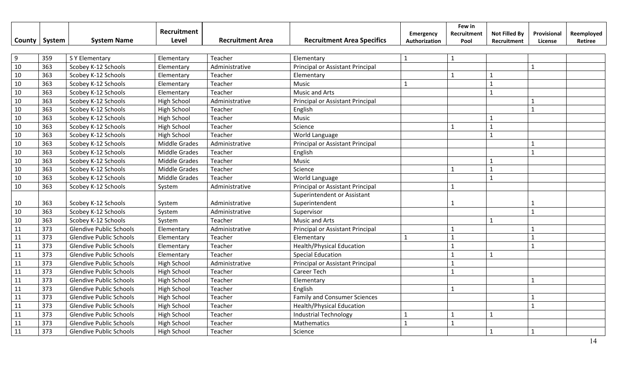|                 |     |                                | Recruitment          |                         |                                     | Emergency     | Few in<br>Recruitment | <b>Not Filled By</b> | Provisional  | Reemployed |
|-----------------|-----|--------------------------------|----------------------|-------------------------|-------------------------------------|---------------|-----------------------|----------------------|--------------|------------|
| County   System |     | <b>System Name</b>             | Level                | <b>Recruitment Area</b> | <b>Recruitment Area Specifics</b>   | Authorization | Pool                  | Recruitment          | License      | Retiree    |
|                 |     |                                |                      |                         |                                     |               |                       |                      |              |            |
| 9               | 359 | S Y Elementary                 | Elementary           | Teacher                 | Elementary                          | $\mathbf{1}$  | $\mathbf{1}$          |                      |              |            |
| 10              | 363 | Scobey K-12 Schools            | Elementary           | Administrative          | Principal or Assistant Principal    |               |                       |                      | $\mathbf{1}$ |            |
| 10              | 363 | Scobey K-12 Schools            | Elementary           | Teacher                 | Elementary                          |               | $\mathbf{1}$          | $\mathbf{1}$         |              |            |
| 10              | 363 | Scobey K-12 Schools            | Elementary           | Teacher                 | Music                               | $\mathbf{1}$  |                       | $\mathbf{1}$         |              |            |
| 10              | 363 | Scobey K-12 Schools            | Elementary           | Teacher                 | <b>Music and Arts</b>               |               |                       | $\mathbf{1}$         |              |            |
| 10              | 363 | Scobey K-12 Schools            | <b>High School</b>   | Administrative          | Principal or Assistant Principal    |               |                       |                      | $\mathbf{1}$ |            |
| 10              | 363 | Scobey K-12 Schools            | <b>High School</b>   | Teacher                 | English                             |               |                       |                      | $\mathbf{1}$ |            |
| 10              | 363 | Scobey K-12 Schools            | High School          | Teacher                 | Music                               |               |                       | 1                    |              |            |
| 10              | 363 | Scobey K-12 Schools            | High School          | Teacher                 | Science                             |               | $\mathbf 1$           | $\mathbf{1}$         |              |            |
| 10              | 363 | Scobey K-12 Schools            | <b>High School</b>   | Teacher                 | World Language                      |               |                       | $\mathbf{1}$         |              |            |
| 10              | 363 | Scobey K-12 Schools            | <b>Middle Grades</b> | Administrative          | Principal or Assistant Principal    |               |                       |                      | $\mathbf{1}$ |            |
| 10              | 363 | Scobey K-12 Schools            | Middle Grades        | Teacher                 | English                             |               |                       |                      | $\mathbf{1}$ |            |
| 10              | 363 | Scobey K-12 Schools            | Middle Grades        | Teacher                 | Music                               |               |                       | $\mathbf{1}$         |              |            |
| 10              | 363 | Scobey K-12 Schools            | Middle Grades        | Teacher                 | Science                             |               | $\mathbf{1}$          | $\mathbf{1}$         |              |            |
| $10\,$          | 363 | Scobey K-12 Schools            | <b>Middle Grades</b> | Teacher                 | World Language                      |               |                       | $\overline{1}$       |              |            |
| $10\,$          | 363 | Scobey K-12 Schools            | System               | Administrative          | Principal or Assistant Principal    |               | $\mathbf{1}$          |                      |              |            |
|                 |     |                                |                      |                         | Superintendent or Assistant         |               |                       |                      |              |            |
| 10              | 363 | Scobey K-12 Schools            | System               | Administrative          | Superintendent                      |               | 1                     |                      |              |            |
| 10              | 363 | Scobey K-12 Schools            | System               | Administrative          | Supervisor                          |               |                       |                      | $\mathbf{1}$ |            |
| 10              | 363 | Scobey K-12 Schools            | System               | Teacher                 | Music and Arts                      |               |                       | $\mathbf 1$          |              |            |
| 11              | 373 | <b>Glendive Public Schools</b> | Elementary           | Administrative          | Principal or Assistant Principal    |               | -1                    |                      |              |            |
| 11              | 373 | <b>Glendive Public Schools</b> | Elementary           | Teacher                 | Elementary                          | $\mathbf{1}$  | $\mathbf{1}$          |                      | $\mathbf{1}$ |            |
| 11              | 373 | <b>Glendive Public Schools</b> | Elementary           | Teacher                 | <b>Health/Physical Education</b>    |               | $\mathbf{1}$          |                      | $\mathbf{1}$ |            |
| 11              | 373 | <b>Glendive Public Schools</b> | Elementary           | Teacher                 | <b>Special Education</b>            |               | $\mathbf{1}$          | $\mathbf{1}$         |              |            |
| 11              | 373 | <b>Glendive Public Schools</b> | <b>High School</b>   | Administrative          | Principal or Assistant Principal    |               | $\mathbf{1}$          |                      |              |            |
| 11              | 373 | <b>Glendive Public Schools</b> | <b>High School</b>   | Teacher                 | <b>Career Tech</b>                  |               | $\mathbf{1}$          |                      |              |            |
| 11              | 373 | <b>Glendive Public Schools</b> | High School          | Teacher                 | Elementary                          |               |                       |                      | $\mathbf{1}$ |            |
| 11              | 373 | <b>Glendive Public Schools</b> | High School          | Teacher                 | English                             |               | $\mathbf{1}$          |                      |              |            |
| 11              | 373 | <b>Glendive Public Schools</b> | High School          | Teacher                 | <b>Family and Consumer Sciences</b> |               |                       |                      | 1            |            |
| 11              | 373 | <b>Glendive Public Schools</b> | <b>High School</b>   | Teacher                 | <b>Health/Physical Education</b>    |               |                       |                      | $\mathbf{1}$ |            |
| 11              | 373 | <b>Glendive Public Schools</b> | <b>High School</b>   | Teacher                 | <b>Industrial Technology</b>        | 1             |                       | $\mathbf{1}$         |              |            |
| 11              | 373 | <b>Glendive Public Schools</b> | <b>High School</b>   | Teacher                 | Mathematics                         | $\mathbf{1}$  | $\mathbf{1}$          |                      |              |            |
| 11              | 373 | <b>Glendive Public Schools</b> | <b>High School</b>   | Teacher                 | Science                             |               |                       | $\mathbf{1}$         | $\mathbf{1}$ |            |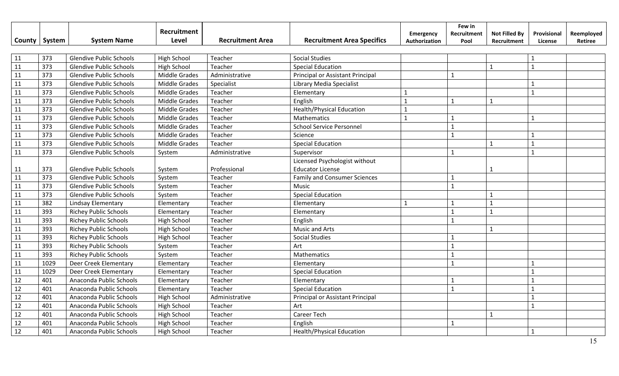|        |        |                                | Recruitment          |                         |                                     |                            | Few in              |                                     |                        |                       |
|--------|--------|--------------------------------|----------------------|-------------------------|-------------------------------------|----------------------------|---------------------|-------------------------------------|------------------------|-----------------------|
| County | System | <b>System Name</b>             | Level                | <b>Recruitment Area</b> | <b>Recruitment Area Specifics</b>   | Emergency<br>Authorization | Recruitment<br>Pool | <b>Not Filled By</b><br>Recruitment | Provisional<br>License | Reemployed<br>Retiree |
|        |        |                                |                      |                         |                                     |                            |                     |                                     |                        |                       |
| 11     | 373    | <b>Glendive Public Schools</b> | <b>High School</b>   | Teacher                 | <b>Social Studies</b>               |                            |                     |                                     | $\mathbf{1}$           |                       |
| 11     | 373    | <b>Glendive Public Schools</b> | High School          | Teacher                 | <b>Special Education</b>            |                            |                     | $\mathbf{1}$                        | $\mathbf{1}$           |                       |
| 11     | 373    | <b>Glendive Public Schools</b> | <b>Middle Grades</b> | Administrative          | Principal or Assistant Principal    |                            | $\mathbf{1}$        |                                     |                        |                       |
| 11     | 373    | <b>Glendive Public Schools</b> | Middle Grades        | Specialist              | Library Media Specialist            |                            |                     |                                     | $\mathbf{1}$           |                       |
| 11     | 373    | <b>Glendive Public Schools</b> | <b>Middle Grades</b> | Teacher                 | Elementary                          | $\mathbf{1}$               |                     |                                     | $\mathbf{1}$           |                       |
| 11     | 373    | <b>Glendive Public Schools</b> | <b>Middle Grades</b> | Teacher                 | English                             | $\mathbf{1}$               | $\mathbf{1}$        | $\mathbf{1}$                        |                        |                       |
| 11     | 373    | <b>Glendive Public Schools</b> | Middle Grades        | Teacher                 | <b>Health/Physical Education</b>    | $\mathbf{1}$               |                     |                                     |                        |                       |
| 11     | 373    | <b>Glendive Public Schools</b> | Middle Grades        | Teacher                 | Mathematics                         | $\mathbf{1}$               | 1                   |                                     | $\mathbf{1}$           |                       |
| 11     | 373    | <b>Glendive Public Schools</b> | <b>Middle Grades</b> | Teacher                 | <b>School Service Personnel</b>     |                            | $\mathbf{1}$        |                                     |                        |                       |
| 11     | 373    | <b>Glendive Public Schools</b> | <b>Middle Grades</b> | Teacher                 | Science                             |                            | $\mathbf{1}$        |                                     | $\mathbf{1}$           |                       |
| 11     | 373    | <b>Glendive Public Schools</b> | <b>Middle Grades</b> | Teacher                 | <b>Special Education</b>            |                            |                     | $\mathbf{1}$                        | $\mathbf{1}$           |                       |
| 11     | 373    | <b>Glendive Public Schools</b> | System               | Administrative          | Supervisor                          |                            | $\mathbf{1}$        |                                     | $\mathbf{1}$           |                       |
|        |        |                                |                      |                         | Licensed Psychologist without       |                            |                     |                                     |                        |                       |
| 11     | 373    | <b>Glendive Public Schools</b> | System               | Professional            | <b>Educator License</b>             |                            |                     | $\mathbf{1}$                        |                        |                       |
| 11     | 373    | <b>Glendive Public Schools</b> | System               | Teacher                 | <b>Family and Consumer Sciences</b> |                            | $\mathbf{1}$        |                                     |                        |                       |
| 11     | 373    | <b>Glendive Public Schools</b> | System               | Teacher                 | Music                               |                            | $\mathbf{1}$        |                                     |                        |                       |
| 11     | 373    | <b>Glendive Public Schools</b> | System               | Teacher                 | <b>Special Education</b>            |                            |                     | $\mathbf{1}$                        |                        |                       |
| 11     | 382    | Lindsay Elementary             | Elementary           | Teacher                 | Elementary                          | $\mathbf{1}$               | $\mathbf{1}$        | $\mathbf{1}$                        |                        |                       |
| 11     | 393    | <b>Richey Public Schools</b>   | Elementary           | Teacher                 | Elementary                          |                            | $\mathbf{1}$        | $\mathbf{1}$                        |                        |                       |
| 11     | 393    | <b>Richey Public Schools</b>   | <b>High School</b>   | Teacher                 | English                             |                            | $\mathbf{1}$        |                                     |                        |                       |
| 11     | 393    | <b>Richey Public Schools</b>   | High School          | Teacher                 | <b>Music and Arts</b>               |                            |                     | $\mathbf{1}$                        |                        |                       |
| 11     | 393    | <b>Richey Public Schools</b>   | <b>High School</b>   | Teacher                 | <b>Social Studies</b>               |                            | $\mathbf{1}$        |                                     |                        |                       |
| 11     | 393    | <b>Richey Public Schools</b>   | System               | Teacher                 | Art                                 |                            | $\mathbf{1}$        |                                     |                        |                       |
| 11     | 393    | <b>Richey Public Schools</b>   | System               | Teacher                 | Mathematics                         |                            | $\mathbf{1}$        |                                     |                        |                       |
| 11     | 1029   | Deer Creek Elementary          | Elementary           | Teacher                 | Elementary                          |                            | $\mathbf{1}$        |                                     | $\mathbf{1}$           |                       |
| 11     | 1029   | Deer Creek Elementary          | Elementary           | Teacher                 | <b>Special Education</b>            |                            |                     |                                     | $\mathbf{1}$           |                       |
| 12     | 401    | Anaconda Public Schools        | Elementary           | Teacher                 | Elementary                          |                            | $\mathbf{1}$        |                                     | $\mathbf{1}$           |                       |
| 12     | 401    | Anaconda Public Schools        | Elementary           | Teacher                 | <b>Special Education</b>            |                            | $\mathbf{1}$        |                                     | $\mathbf{1}$           |                       |
| 12     | 401    | Anaconda Public Schools        | High School          | Administrative          | Principal or Assistant Principal    |                            |                     |                                     | $\mathbf{1}$           |                       |
| 12     | 401    | Anaconda Public Schools        | <b>High School</b>   | Teacher                 | Art                                 |                            |                     |                                     | $\mathbf{1}$           |                       |
| 12     | 401    | Anaconda Public Schools        | <b>High School</b>   | Teacher                 | Career Tech                         |                            |                     | $\mathbf{1}$                        |                        |                       |
| 12     | 401    | Anaconda Public Schools        | <b>High School</b>   | Teacher                 | English                             |                            | $\mathbf{1}$        |                                     |                        |                       |
| 12     | 401    | Anaconda Public Schools        | <b>High School</b>   | Teacher                 | <b>Health/Physical Education</b>    |                            |                     |                                     | $\mathbf{1}$           |                       |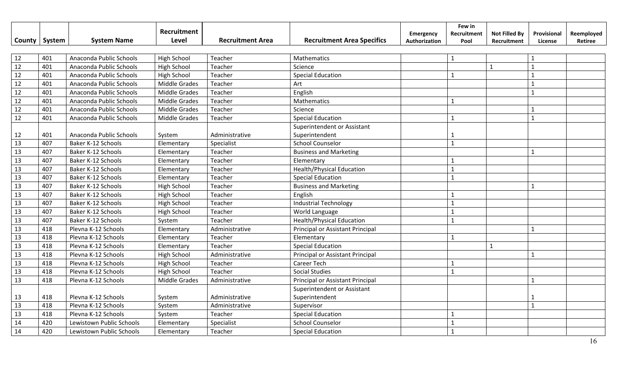|        |        |                           | Recruitment          |                         |                                   |                                   | Few in              |                                     |                        |                       |
|--------|--------|---------------------------|----------------------|-------------------------|-----------------------------------|-----------------------------------|---------------------|-------------------------------------|------------------------|-----------------------|
| County | System | <b>System Name</b>        | Level                | <b>Recruitment Area</b> | <b>Recruitment Area Specifics</b> | <b>Emergency</b><br>Authorization | Recruitment<br>Pool | <b>Not Filled By</b><br>Recruitment | Provisional<br>License | Reemployed<br>Retiree |
|        |        |                           |                      |                         |                                   |                                   |                     |                                     |                        |                       |
| 12     | 401    | Anaconda Public Schools   | <b>High School</b>   | Teacher                 | Mathematics                       |                                   | $\mathbf{1}$        |                                     | $\mathbf{1}$           |                       |
| 12     | 401    | Anaconda Public Schools   | <b>High School</b>   | Teacher                 | Science                           |                                   |                     | $\mathbf{1}$                        | $\mathbf{1}$           |                       |
| 12     | 401    | Anaconda Public Schools   | <b>High School</b>   | Teacher                 | <b>Special Education</b>          |                                   | $\mathbf{1}$        |                                     | $\mathbf{1}$           |                       |
| 12     | 401    | Anaconda Public Schools   | <b>Middle Grades</b> | Teacher                 | Art                               |                                   |                     |                                     | $\mathbf{1}$           |                       |
| 12     | 401    | Anaconda Public Schools   | <b>Middle Grades</b> | Teacher                 | English                           |                                   |                     |                                     | $\mathbf{1}$           |                       |
| 12     | 401    | Anaconda Public Schools   | Middle Grades        | Teacher                 | Mathematics                       |                                   | $\mathbf{1}$        |                                     |                        |                       |
| $12\,$ | 401    | Anaconda Public Schools   | <b>Middle Grades</b> | Teacher                 | Science                           |                                   |                     |                                     | $\mathbf{1}$           |                       |
| 12     | 401    | Anaconda Public Schools   | <b>Middle Grades</b> | Teacher                 | <b>Special Education</b>          |                                   | $\mathbf{1}$        |                                     | $\mathbf{1}$           |                       |
|        |        |                           |                      |                         | Superintendent or Assistant       |                                   |                     |                                     |                        |                       |
| 12     | 401    | Anaconda Public Schools   | System               | Administrative          | Superintendent                    |                                   | 1                   |                                     |                        |                       |
| 13     | 407    | <b>Baker K-12 Schools</b> | Elementary           | Specialist              | <b>School Counselor</b>           |                                   | $\mathbf{1}$        |                                     |                        |                       |
| 13     | 407    | Baker K-12 Schools        | Elementary           | Teacher                 | <b>Business and Marketing</b>     |                                   |                     |                                     | $\mathbf{1}$           |                       |
| 13     | 407    | Baker K-12 Schools        | Elementary           | Teacher                 | Elementary                        |                                   |                     |                                     |                        |                       |
| 13     | 407    | Baker K-12 Schools        | Elementary           | Teacher                 | <b>Health/Physical Education</b>  |                                   | $\mathbf{1}$        |                                     |                        |                       |
| 13     | 407    | Baker K-12 Schools        | Elementary           | Teacher                 | <b>Special Education</b>          |                                   | $\mathbf{1}$        |                                     |                        |                       |
| 13     | 407    | Baker K-12 Schools        | <b>High School</b>   | Teacher                 | <b>Business and Marketing</b>     |                                   |                     |                                     | $\mathbf{1}$           |                       |
| 13     | 407    | Baker K-12 Schools        | <b>High School</b>   | Teacher                 | English                           |                                   |                     |                                     |                        |                       |
| 13     | 407    | Baker K-12 Schools        | <b>High School</b>   | Teacher                 | <b>Industrial Technology</b>      |                                   | $\mathbf{1}$        |                                     |                        |                       |
| 13     | 407    | Baker K-12 Schools        | <b>High School</b>   | Teacher                 | World Language                    |                                   | $\mathbf{1}$        |                                     |                        |                       |
| 13     | 407    | Baker K-12 Schools        | System               | Teacher                 | <b>Health/Physical Education</b>  |                                   | $\mathbf{1}$        |                                     |                        |                       |
| 13     | 418    | Plevna K-12 Schools       | Elementary           | Administrative          | Principal or Assistant Principal  |                                   |                     |                                     | $\mathbf{1}$           |                       |
| 13     | 418    | Plevna K-12 Schools       | Elementary           | Teacher                 | Elementary                        |                                   | $\mathbf{1}$        |                                     |                        |                       |
| 13     | 418    | Plevna K-12 Schools       | Elementary           | Teacher                 | <b>Special Education</b>          |                                   |                     | $\mathbf{1}$                        |                        |                       |
| 13     | 418    | Plevna K-12 Schools       | <b>High School</b>   | Administrative          | Principal or Assistant Principal  |                                   |                     |                                     | $\mathbf{1}$           |                       |
| 13     | 418    | Plevna K-12 Schools       | <b>High School</b>   | Teacher                 | Career Tech                       |                                   |                     |                                     |                        |                       |
| 13     | 418    | Plevna K-12 Schools       | <b>High School</b>   | Teacher                 | <b>Social Studies</b>             |                                   | $\mathbf{1}$        |                                     |                        |                       |
| 13     | 418    | Plevna K-12 Schools       | <b>Middle Grades</b> | Administrative          | Principal or Assistant Principal  |                                   |                     |                                     | $\mathbf{1}$           |                       |
|        |        |                           |                      |                         | Superintendent or Assistant       |                                   |                     |                                     |                        |                       |
| 13     | 418    | Plevna K-12 Schools       | System               | Administrative          | Superintendent                    |                                   |                     |                                     | 1                      |                       |
| 13     | 418    | Plevna K-12 Schools       | System               | Administrative          | Supervisor                        |                                   |                     |                                     | $\mathbf{1}$           |                       |
| 13     | 418    | Plevna K-12 Schools       | System               | Teacher                 | <b>Special Education</b>          |                                   | $\mathbf{1}$        |                                     |                        |                       |
| 14     | 420    | Lewistown Public Schools  | Elementary           | Specialist              | <b>School Counselor</b>           |                                   | $\mathbf{1}$        |                                     |                        |                       |
| 14     | 420    | Lewistown Public Schools  | Elementary           | Teacher                 | <b>Special Education</b>          |                                   | $\mathbf{1}$        |                                     |                        |                       |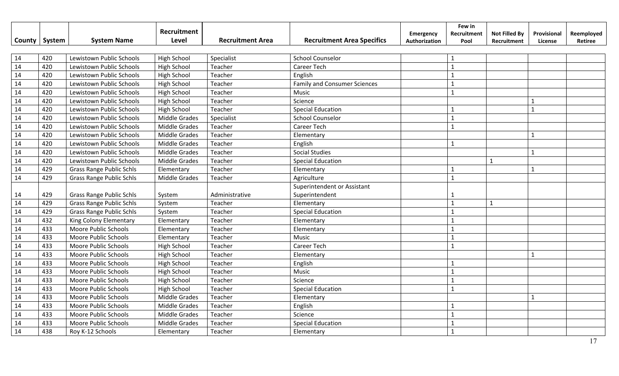|               |        |                                 | Recruitment          |                         |                                     | <b>Emergency</b> | Few in<br>Recruitment | <b>Not Filled By</b> | Provisional  | Reemployed |
|---------------|--------|---------------------------------|----------------------|-------------------------|-------------------------------------|------------------|-----------------------|----------------------|--------------|------------|
| <b>County</b> | System | <b>System Name</b>              | Level                | <b>Recruitment Area</b> | <b>Recruitment Area Specifics</b>   | Authorization    | Pool                  | Recruitment          | License      | Retiree    |
|               |        |                                 |                      |                         |                                     |                  |                       |                      |              |            |
| 14            | 420    | Lewistown Public Schools        | <b>High School</b>   | Specialist              | <b>School Counselor</b>             |                  | -1                    |                      |              |            |
| 14            | 420    | Lewistown Public Schools        | <b>High School</b>   | Teacher                 | Career Tech                         |                  | $\mathbf{1}$          |                      |              |            |
| 14            | 420    | Lewistown Public Schools        | <b>High School</b>   | Teacher                 | English                             |                  |                       |                      |              |            |
| 14            | 420    | Lewistown Public Schools        | <b>High School</b>   | Teacher                 | <b>Family and Consumer Sciences</b> |                  | -1                    |                      |              |            |
| 14            | 420    | Lewistown Public Schools        | <b>High School</b>   | Teacher                 | Music                               |                  | $\mathbf{1}$          |                      |              |            |
| 14            | 420    | Lewistown Public Schools        | <b>High School</b>   | Teacher                 | Science                             |                  |                       |                      | $\mathbf{1}$ |            |
| 14            | 420    | Lewistown Public Schools        | High School          | Teacher                 | <b>Special Education</b>            |                  | $\mathbf{1}$          |                      | $\mathbf{1}$ |            |
| 14            | 420    | Lewistown Public Schools        | <b>Middle Grades</b> | Specialist              | <b>School Counselor</b>             |                  | $\mathbf{1}$          |                      |              |            |
| 14            | 420    | Lewistown Public Schools        | <b>Middle Grades</b> | Teacher                 | Career Tech                         |                  | $\mathbf{1}$          |                      |              |            |
| 14            | 420    | Lewistown Public Schools        | <b>Middle Grades</b> | Teacher                 | Elementary                          |                  |                       |                      | $\mathbf{1}$ |            |
| 14            | 420    | Lewistown Public Schools        | <b>Middle Grades</b> | Teacher                 | English                             |                  |                       |                      |              |            |
| 14            | 420    | Lewistown Public Schools        | <b>Middle Grades</b> | Teacher                 | <b>Social Studies</b>               |                  |                       |                      | $\mathbf{1}$ |            |
| 14            | 420    | Lewistown Public Schools        | <b>Middle Grades</b> | Teacher                 | <b>Special Education</b>            |                  |                       | $\mathbf{1}$         |              |            |
| 14            | 429    | <b>Grass Range Public Schls</b> | Elementary           | Teacher                 | Elementary                          |                  | -1                    |                      | $\mathbf 1$  |            |
| 14            | 429    | <b>Grass Range Public Schls</b> | <b>Middle Grades</b> | Teacher                 | Agriculture                         |                  | $\overline{1}$        |                      |              |            |
|               |        |                                 |                      |                         | Superintendent or Assistant         |                  |                       |                      |              |            |
| 14            | 429    | <b>Grass Range Public Schls</b> | System               | Administrative          | Superintendent                      |                  |                       |                      |              |            |
| 14            | 429    | <b>Grass Range Public Schls</b> | System               | Teacher                 | Elementary                          |                  | $\overline{1}$        | $\mathbf{1}$         |              |            |
| 14            | 429    | <b>Grass Range Public Schls</b> | System               | Teacher                 | <b>Special Education</b>            |                  | $\mathbf{1}$          |                      |              |            |
| 14            | 432    | King Colony Elementary          | Elementary           | Teacher                 | Elementary                          |                  | $\mathbf{1}$          |                      |              |            |
| 14            | 433    | Moore Public Schools            | Elementary           | Teacher                 | Elementary                          |                  | $\mathbf{1}$          |                      |              |            |
| 14            | 433    | Moore Public Schools            | Elementary           | Teacher                 | Music                               |                  | $\mathbf{1}$          |                      |              |            |
| 14            | 433    | Moore Public Schools            | High School          | Teacher                 | Career Tech                         |                  | $\mathbf{1}$          |                      |              |            |
| 14            | 433    | Moore Public Schools            | High School          | Teacher                 | Elementary                          |                  |                       |                      | $\mathbf{1}$ |            |
| 14            | 433    | Moore Public Schools            | <b>High School</b>   | Teacher                 | English                             |                  | $\mathbf{1}$          |                      |              |            |
| 14            | 433    | Moore Public Schools            | High School          | Teacher                 | Music                               |                  | $\mathbf{1}$          |                      |              |            |
| 14            | 433    | Moore Public Schools            | High School          | Teacher                 | Science                             |                  |                       |                      |              |            |
| 14            | 433    | Moore Public Schools            | High School          | Teacher                 | <b>Special Education</b>            |                  | $\mathbf{1}$          |                      |              |            |
| 14            | 433    | Moore Public Schools            | <b>Middle Grades</b> | Teacher                 | Elementary                          |                  |                       |                      | $\mathbf{1}$ |            |
| 14            | 433    | Moore Public Schools            | <b>Middle Grades</b> | Teacher                 | English                             |                  |                       |                      |              |            |
| 14            | 433    | Moore Public Schools            | Middle Grades        | Teacher                 | Science                             |                  | $\mathbf{1}$          |                      |              |            |
| 14            | 433    | Moore Public Schools            | Middle Grades        | Teacher                 | <b>Special Education</b>            |                  |                       |                      |              |            |
| 14            | 438    | Roy K-12 Schools                | Elementary           | Teacher                 | Elementary                          |                  |                       |                      |              |            |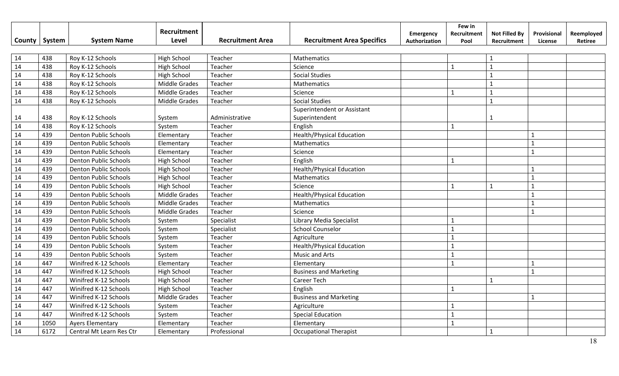|               |        |                              | Recruitment          |                         |                                             | <b>Emergency</b> | Few in<br>Recruitment | <b>Not Filled By</b> | Provisional  | Reemployed |
|---------------|--------|------------------------------|----------------------|-------------------------|---------------------------------------------|------------------|-----------------------|----------------------|--------------|------------|
| <b>County</b> | System | <b>System Name</b>           | Level                | <b>Recruitment Area</b> | <b>Recruitment Area Specifics</b>           | Authorization    | Pool                  | Recruitment          | License      | Retiree    |
| 14            | 438    | Roy K-12 Schools             | <b>High School</b>   | Teacher                 | Mathematics                                 |                  |                       | $\mathbf{1}$         |              |            |
| 14            | 438    | Roy K-12 Schools             | <b>High School</b>   | Teacher                 | Science                                     |                  | $\mathbf{1}$          | $\overline{1}$       |              |            |
| 14            | 438    | Roy K-12 Schools             | <b>High School</b>   | Teacher                 | <b>Social Studies</b>                       |                  |                       | $\mathbf{1}$         |              |            |
| 14            | 438    | Roy K-12 Schools             | <b>Middle Grades</b> | Teacher                 | Mathematics                                 |                  |                       | $\mathbf{1}$         |              |            |
| 14            | 438    | Roy K-12 Schools             | <b>Middle Grades</b> | Teacher                 | Science                                     |                  | $\mathbf{1}$          | $\mathbf{1}$         |              |            |
| 14            | 438    | Roy K-12 Schools             | <b>Middle Grades</b> | Teacher                 | <b>Social Studies</b>                       |                  |                       | $\overline{1}$       |              |            |
|               |        |                              |                      |                         | Superintendent or Assistant                 |                  |                       |                      |              |            |
| 14            | 438    | Roy K-12 Schools             | System               | Administrative          | Superintendent                              |                  |                       | 1                    |              |            |
| 14            | 438    | Roy K-12 Schools             | System               | Teacher                 | English                                     |                  | $\mathbf{1}$          |                      |              |            |
| 14            | 439    | <b>Denton Public Schools</b> | Elementary           | Teacher                 | <b>Health/Physical Education</b>            |                  |                       |                      | 1            |            |
| 14            | 439    | <b>Denton Public Schools</b> | Elementary           | Teacher                 | Mathematics                                 |                  |                       |                      | $\mathbf{1}$ |            |
| 14            | 439    | <b>Denton Public Schools</b> | Elementary           | Teacher                 | Science                                     |                  |                       |                      | $\mathbf{1}$ |            |
| 14            | 439    | <b>Denton Public Schools</b> | <b>High School</b>   | Teacher                 | English                                     |                  | $\mathbf{1}$          |                      |              |            |
| 14            | 439    | <b>Denton Public Schools</b> | <b>High School</b>   | Teacher                 | <b>Health/Physical Education</b>            |                  |                       |                      | $\mathbf{1}$ |            |
| 14            | 439    | <b>Denton Public Schools</b> | <b>High School</b>   | Teacher                 | Mathematics                                 |                  |                       |                      | $\mathbf{1}$ |            |
| 14            | 439    | <b>Denton Public Schools</b> | High School          | Teacher                 | Science                                     |                  | $\mathbf{1}$          | $\mathbf{1}$         | $\mathbf{1}$ |            |
| 14            | 439    | <b>Denton Public Schools</b> | <b>Middle Grades</b> | Teacher                 | <b>Health/Physical Education</b>            |                  |                       |                      | $\mathbf{1}$ |            |
| 14            | 439    | <b>Denton Public Schools</b> | <b>Middle Grades</b> | Teacher                 | Mathematics                                 |                  |                       |                      | $\mathbf{1}$ |            |
| 14            | 439    | <b>Denton Public Schools</b> | <b>Middle Grades</b> | Teacher                 | Science                                     |                  |                       |                      | $\mathbf{1}$ |            |
| 14            | 439    | <b>Denton Public Schools</b> | System               | Specialist              | <b>Library Media Specialist</b>             |                  | $\mathbf 1$           |                      |              |            |
| 14            | 439    | <b>Denton Public Schools</b> | System               | Specialist              | <b>School Counselor</b>                     |                  | $\mathbf{1}$          |                      |              |            |
| 14            | 439    | <b>Denton Public Schools</b> | System               | Teacher                 | Agriculture                                 |                  | $\mathbf 1$           |                      |              |            |
| 14            | 439    | <b>Denton Public Schools</b> | System               | Teacher                 | <b>Health/Physical Education</b>            |                  |                       |                      |              |            |
| 14            | 439    | <b>Denton Public Schools</b> | System               | Teacher                 | Music and Arts                              |                  | $\mathbf{1}$          |                      |              |            |
| 14            | 447    | Winifred K-12 Schools        | Elementary           | Teacher                 |                                             |                  | $\mathbf{1}$          |                      | $\mathbf{1}$ |            |
| 14            | 447    | Winifred K-12 Schools        | <b>High School</b>   | Teacher                 | Elementary<br><b>Business and Marketing</b> |                  |                       |                      | $\mathbf{1}$ |            |
| 14            | 447    | Winifred K-12 Schools        | High School          | Teacher                 | Career Tech                                 |                  |                       |                      |              |            |
|               | 447    |                              |                      |                         |                                             |                  |                       |                      |              |            |
| 14            | 447    | Winifred K-12 Schools        | High School          | Teacher                 | English                                     |                  | $\mathbf{1}$          |                      |              |            |
| 14            |        | Winifred K-12 Schools        | <b>Middle Grades</b> | Teacher                 | <b>Business and Marketing</b>               |                  |                       |                      | $\mathbf{1}$ |            |
| 14            | 447    | Winifred K-12 Schools        | System               | Teacher                 | Agriculture                                 |                  | $\mathbf{1}$          |                      |              |            |
| 14            | 447    | Winifred K-12 Schools        | System               | Teacher                 | <b>Special Education</b>                    |                  |                       |                      |              |            |
| 14            | 1050   | <b>Ayers Elementary</b>      | Elementary           | Teacher                 | Elementary                                  |                  | $\mathbf{1}$          |                      |              |            |
| 14            | 6172   | Central Mt Learn Res Ctr     | Elementary           | Professional            | <b>Occupational Therapist</b>               |                  |                       | $\mathbf{1}$         |              |            |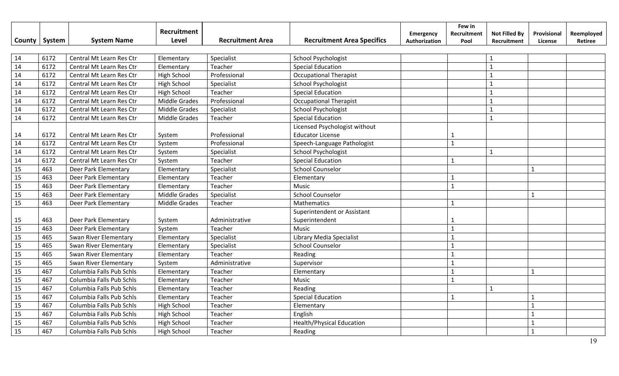|                 |        |                          | Recruitment          |                         |                                   | Emergency     | Few in<br>Recruitment | <b>Not Filled By</b> | Provisional  | Reemployed |
|-----------------|--------|--------------------------|----------------------|-------------------------|-----------------------------------|---------------|-----------------------|----------------------|--------------|------------|
| County          | System | <b>System Name</b>       | Level                | <b>Recruitment Area</b> | <b>Recruitment Area Specifics</b> | Authorization | Pool                  | Recruitment          | License      | Retiree    |
|                 |        |                          |                      |                         |                                   |               |                       |                      |              |            |
| 14              | 6172   | Central Mt Learn Res Ctr | Elementary           | Specialist              | <b>School Psychologist</b>        |               |                       | $\mathbf{1}$         |              |            |
| $\overline{14}$ | 6172   | Central Mt Learn Res Ctr | Elementary           | Teacher                 | <b>Special Education</b>          |               |                       | $\mathbf{1}$         |              |            |
| 14              | 6172   | Central Mt Learn Res Ctr | <b>High School</b>   | Professional            | <b>Occupational Therapist</b>     |               |                       | $\mathbf{1}$         |              |            |
| 14              | 6172   | Central Mt Learn Res Ctr | <b>High School</b>   | Specialist              | School Psychologist               |               |                       | $\mathbf{1}$         |              |            |
| 14              | 6172   | Central Mt Learn Res Ctr | <b>High School</b>   | Teacher                 | <b>Special Education</b>          |               |                       | $\mathbf{1}$         |              |            |
| 14              | 6172   | Central Mt Learn Res Ctr | Middle Grades        | Professional            | <b>Occupational Therapist</b>     |               |                       | $\mathbf{1}$         |              |            |
| 14              | 6172   | Central Mt Learn Res Ctr | Middle Grades        | Specialist              | School Psychologist               |               |                       | $\mathbf{1}$         |              |            |
| 14              | 6172   | Central Mt Learn Res Ctr | <b>Middle Grades</b> | Teacher                 | <b>Special Education</b>          |               |                       | $\mathbf{1}$         |              |            |
|                 |        |                          |                      |                         | Licensed Psychologist without     |               |                       |                      |              |            |
| 14              | 6172   | Central Mt Learn Res Ctr | System               | Professional            | <b>Educator License</b>           |               | 1                     |                      |              |            |
| 14              | 6172   | Central Mt Learn Res Ctr | System               | Professional            | Speech-Language Pathologist       |               | $\mathbf{1}$          |                      |              |            |
| 14              | 6172   | Central Mt Learn Res Ctr | System               | Specialist              | School Psychologist               |               |                       | $\mathbf{1}$         |              |            |
| 14              | 6172   | Central Mt Learn Res Ctr | System               | Teacher                 | <b>Special Education</b>          |               | $\mathbf{1}$          |                      |              |            |
| 15              | 463    | Deer Park Elementary     | Elementary           | Specialist              | <b>School Counselor</b>           |               |                       |                      | $\mathbf{1}$ |            |
| 15              | 463    | Deer Park Elementary     | Elementary           | Teacher                 | Elementary                        |               | $\mathbf{1}$          |                      |              |            |
| 15              | 463    | Deer Park Elementary     | Elementary           | Teacher                 | Music                             |               | $\mathbf{1}$          |                      |              |            |
| 15              | 463    | Deer Park Elementary     | Middle Grades        | Specialist              | <b>School Counselor</b>           |               |                       |                      | $\mathbf 1$  |            |
| 15              | 463    | Deer Park Elementary     | <b>Middle Grades</b> | Teacher                 | Mathematics                       |               | $\mathbf{1}$          |                      |              |            |
|                 |        |                          |                      |                         | Superintendent or Assistant       |               |                       |                      |              |            |
| 15              | 463    | Deer Park Elementary     | System               | Administrative          | Superintendent                    |               |                       |                      |              |            |
| 15              | 463    | Deer Park Elementary     | System               | Teacher                 | Music                             |               | $\mathbf{1}$          |                      |              |            |
| 15              | 465    | Swan River Elementary    | Elementary           | Specialist              | Library Media Specialist          |               | $\mathbf{1}$          |                      |              |            |
| 15              | 465    | Swan River Elementary    | Elementary           | Specialist              | <b>School Counselor</b>           |               | $\mathbf{1}$          |                      |              |            |
| 15              | 465    | Swan River Elementary    | Elementary           | Teacher                 | Reading                           |               | $\mathbf{1}$          |                      |              |            |
| 15              | 465    | Swan River Elementary    | System               | Administrative          | Supervisor                        |               | $\mathbf{1}$          |                      |              |            |
| 15              | 467    | Columbia Falls Pub Schls | Elementary           | Teacher                 | Elementary                        |               | $\mathbf{1}$          |                      | $\mathbf{1}$ |            |
| 15              | 467    | Columbia Falls Pub Schls | Elementary           | Teacher                 | Music                             |               | $\mathbf{1}$          |                      |              |            |
| 15              | 467    | Columbia Falls Pub Schls | Elementary           | Teacher                 | Reading                           |               |                       | $\mathbf{1}$         |              |            |
| 15              | 467    | Columbia Falls Pub Schls | Elementary           | Teacher                 | <b>Special Education</b>          |               | $\mathbf{1}$          |                      |              |            |
| 15              | 467    | Columbia Falls Pub Schls | <b>High School</b>   | Teacher                 | Elementary                        |               |                       |                      | $\mathbf{1}$ |            |
| 15              | 467    | Columbia Falls Pub Schls | <b>High School</b>   | Teacher                 | English                           |               |                       |                      | $\mathbf{1}$ |            |
| 15              | 467    | Columbia Falls Pub Schls | <b>High School</b>   | Teacher                 | <b>Health/Physical Education</b>  |               |                       |                      | $\mathbf{1}$ |            |
| 15              | 467    | Columbia Falls Pub Schls | <b>High School</b>   | Teacher                 | Reading                           |               |                       |                      | $\mathbf{1}$ |            |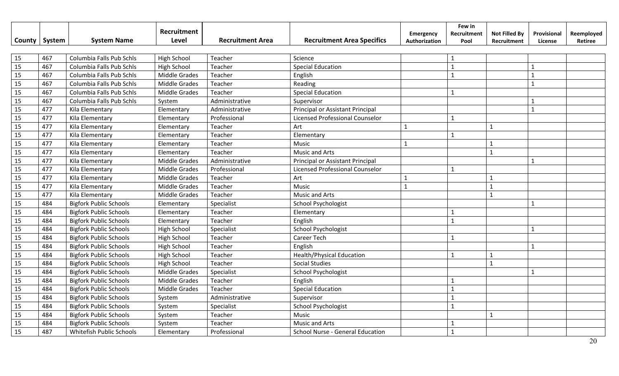|        |        |                               | <b>Recruitment</b>   |                         |                                        | Emergency     | Few in<br>Recruitment | <b>Not Filled By</b> | Provisional    | Reemployed |
|--------|--------|-------------------------------|----------------------|-------------------------|----------------------------------------|---------------|-----------------------|----------------------|----------------|------------|
| County | System | <b>System Name</b>            | Level                | <b>Recruitment Area</b> | <b>Recruitment Area Specifics</b>      | Authorization | Pool                  | Recruitment          | License        | Retiree    |
|        |        |                               |                      |                         |                                        |               |                       |                      |                |            |
| 15     | 467    | Columbia Falls Pub Schls      | <b>High School</b>   | Teacher                 | Science                                |               | 1                     |                      |                |            |
| 15     | 467    | Columbia Falls Pub Schls      | <b>High School</b>   | Teacher                 | <b>Special Education</b>               |               | $\mathbf{1}$          |                      | $\mathbf{1}$   |            |
| 15     | 467    | Columbia Falls Pub Schls      | <b>Middle Grades</b> | Teacher                 | English                                |               | $\mathbf{1}$          |                      | $\mathbf{1}$   |            |
| 15     | 467    | Columbia Falls Pub Schls      | <b>Middle Grades</b> | Teacher                 | Reading                                |               |                       |                      | $\mathbf{1}$   |            |
| 15     | 467    | Columbia Falls Pub Schls      | Middle Grades        | Teacher                 | <b>Special Education</b>               |               | $\mathbf{1}$          |                      |                |            |
| 15     | 467    | Columbia Falls Pub Schls      | System               | Administrative          | Supervisor                             |               |                       |                      | $\mathbf{1}$   |            |
| 15     | 477    | Kila Elementary               | Elementary           | Administrative          | Principal or Assistant Principal       |               |                       |                      | $\mathbf{1}$   |            |
| 15     | 477    | Kila Elementary               | Elementary           | Professional            | <b>Licensed Professional Counselor</b> |               | $\mathbf{1}$          |                      |                |            |
| 15     | 477    | Kila Elementary               | Elementary           | Teacher                 | Art                                    | $\mathbf{1}$  |                       | $\mathbf{1}$         |                |            |
| 15     | 477    | Kila Elementary               | Elementary           | Teacher                 | Elementary                             |               | $\mathbf{1}$          |                      |                |            |
| 15     | 477    | Kila Elementary               | Elementary           | Teacher                 | Music                                  | $\mathbf{1}$  |                       | $\mathbf{1}$         |                |            |
| 15     | 477    | Kila Elementary               | Elementary           | Teacher                 | Music and Arts                         |               |                       | $\mathbf{1}$         |                |            |
| 15     | 477    | Kila Elementary               | <b>Middle Grades</b> | Administrative          | Principal or Assistant Principal       |               |                       |                      | $\overline{1}$ |            |
| 15     | 477    | Kila Elementary               | <b>Middle Grades</b> | Professional            | Licensed Professional Counselor        |               | $\mathbf{1}$          |                      |                |            |
| 15     | 477    | Kila Elementary               | <b>Middle Grades</b> | Teacher                 | Art                                    | $\mathbf{1}$  |                       | $\mathbf{1}$         |                |            |
| 15     | 477    | Kila Elementary               | <b>Middle Grades</b> | Teacher                 | Music                                  | $\mathbf{1}$  |                       | $\mathbf{1}$         |                |            |
| 15     | 477    | Kila Elementary               | <b>Middle Grades</b> | Teacher                 | Music and Arts                         |               |                       | $\mathbf{1}$         |                |            |
| 15     | 484    | <b>Bigfork Public Schools</b> | Elementary           | Specialist              | School Psychologist                    |               |                       |                      | 1              |            |
| 15     | 484    | <b>Bigfork Public Schools</b> | Elementary           | Teacher                 | Elementary                             |               | $\mathbf{1}$          |                      |                |            |
| 15     | 484    | <b>Bigfork Public Schools</b> | Elementary           | Teacher                 | English                                |               | $\mathbf{1}$          |                      |                |            |
| 15     | 484    | <b>Bigfork Public Schools</b> | <b>High School</b>   | Specialist              | <b>School Psychologist</b>             |               |                       |                      | $\mathbf{1}$   |            |
| 15     | 484    | <b>Bigfork Public Schools</b> | <b>High School</b>   | Teacher                 | <b>Career Tech</b>                     |               | $\mathbf{1}$          |                      |                |            |
| 15     | 484    | <b>Bigfork Public Schools</b> | <b>High School</b>   | Teacher                 | English                                |               |                       |                      | $\mathbf{1}$   |            |
| 15     | 484    | <b>Bigfork Public Schools</b> | <b>High School</b>   | Teacher                 | <b>Health/Physical Education</b>       |               | $\mathbf{1}$          | $\mathbf{1}$         |                |            |
| 15     | 484    | <b>Bigfork Public Schools</b> | <b>High School</b>   | Teacher                 | <b>Social Studies</b>                  |               |                       | $\overline{1}$       |                |            |
| 15     | 484    | <b>Bigfork Public Schools</b> | <b>Middle Grades</b> | Specialist              | <b>School Psychologist</b>             |               |                       |                      | $\mathbf{1}$   |            |
| 15     | 484    | <b>Bigfork Public Schools</b> | Middle Grades        | Teacher                 | English                                |               | $\mathbf{1}$          |                      |                |            |
| 15     | 484    | <b>Bigfork Public Schools</b> | <b>Middle Grades</b> | Teacher                 | <b>Special Education</b>               |               | $\mathbf{1}$          |                      |                |            |
| 15     | 484    | <b>Bigfork Public Schools</b> | System               | Administrative          | Supervisor                             |               | $\mathbf{1}$          |                      |                |            |
| 15     | 484    | <b>Bigfork Public Schools</b> | System               | Specialist              | <b>School Psychologist</b>             |               | $\mathbf{1}$          |                      |                |            |
| 15     | 484    | <b>Bigfork Public Schools</b> | System               | Teacher                 | Music                                  |               |                       | $\mathbf{1}$         |                |            |
| 15     | 484    | <b>Bigfork Public Schools</b> | System               | Teacher                 | <b>Music and Arts</b>                  |               |                       |                      |                |            |
| 15     | 487    | Whitefish Public Schools      | Elementary           | Professional            | School Nurse - General Education       |               |                       |                      |                |            |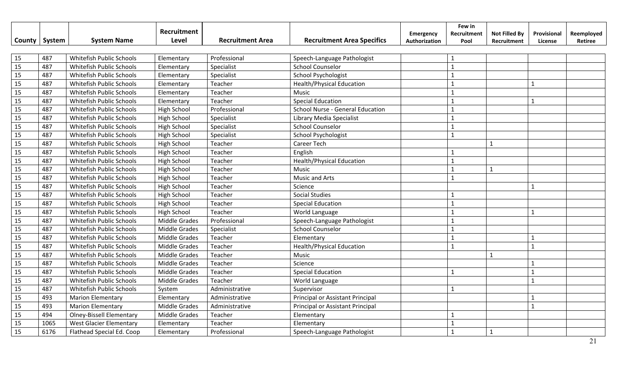| County | System | <b>System Name</b>              | Recruitment<br>Level | <b>Recruitment Area</b> | <b>Recruitment Area Specifics</b> | <b>Emergency</b><br>Authorization | Few in<br>Recruitment<br>Pool | <b>Not Filled By</b><br>Recruitment | Provisional<br>License | Reemployed<br>Retiree |
|--------|--------|---------------------------------|----------------------|-------------------------|-----------------------------------|-----------------------------------|-------------------------------|-------------------------------------|------------------------|-----------------------|
| 15     | 487    | Whitefish Public Schools        | Elementary           | Professional            | Speech-Language Pathologist       |                                   | 1                             |                                     |                        |                       |
| 15     | 487    | Whitefish Public Schools        | Elementary           | Specialist              | <b>School Counselor</b>           |                                   | $\mathbf{1}$                  |                                     |                        |                       |
| 15     | 487    | Whitefish Public Schools        | Elementary           | Specialist              | <b>School Psychologist</b>        |                                   | $\mathbf{1}$                  |                                     |                        |                       |
| 15     | 487    | Whitefish Public Schools        | Elementary           | Teacher                 | <b>Health/Physical Education</b>  |                                   | $\mathbf{1}$                  |                                     | $\mathbf{1}$           |                       |
| 15     | 487    | Whitefish Public Schools        | Elementary           | Teacher                 | Music                             |                                   | $\mathbf{1}$                  |                                     |                        |                       |
| 15     | 487    | Whitefish Public Schools        | Elementary           | Teacher                 | <b>Special Education</b>          |                                   | $\mathbf{1}$                  |                                     | $\mathbf{1}$           |                       |
| 15     | 487    | Whitefish Public Schools        | High School          | Professional            | School Nurse - General Education  |                                   | $\mathbf{1}$                  |                                     |                        |                       |
| 15     | 487    | Whitefish Public Schools        | High School          | Specialist              | Library Media Specialist          |                                   | $\mathbf{1}$                  |                                     |                        |                       |
| 15     | 487    | Whitefish Public Schools        | <b>High School</b>   | Specialist              | <b>School Counselor</b>           |                                   | $\mathbf 1$                   |                                     |                        |                       |
| 15     | 487    | Whitefish Public Schools        | High School          | Specialist              | School Psychologist               |                                   | $\mathbf 1$                   |                                     |                        |                       |
| 15     | 487    | Whitefish Public Schools        | <b>High School</b>   | Teacher                 | Career Tech                       |                                   |                               | $\mathbf{1}$                        |                        |                       |
| 15     | 487    | Whitefish Public Schools        | <b>High School</b>   | Teacher                 | English                           |                                   |                               |                                     |                        |                       |
| 15     | 487    | Whitefish Public Schools        | High School          | Teacher                 | <b>Health/Physical Education</b>  |                                   | $\mathbf{1}$                  |                                     |                        |                       |
| 15     | 487    | Whitefish Public Schools        | High School          | Teacher                 | Music                             |                                   | $\mathbf{1}$                  | $\mathbf{1}$                        |                        |                       |
| 15     | 487    | Whitefish Public Schools        | High School          | Teacher                 | <b>Music and Arts</b>             |                                   | $\mathbf{1}$                  |                                     |                        |                       |
| 15     | 487    | Whitefish Public Schools        | High School          | Teacher                 | Science                           |                                   |                               |                                     | 1                      |                       |
| 15     | 487    | Whitefish Public Schools        | <b>High School</b>   | Teacher                 | <b>Social Studies</b>             |                                   | $\mathbf{1}$                  |                                     |                        |                       |
| 15     | 487    | Whitefish Public Schools        | High School          | Teacher                 | <b>Special Education</b>          |                                   | $\mathbf{1}$                  |                                     |                        |                       |
| 15     | 487    | Whitefish Public Schools        | High School          | Teacher                 | World Language                    |                                   | $\mathbf{1}$                  |                                     | $\mathbf{1}$           |                       |
| 15     | 487    | Whitefish Public Schools        | <b>Middle Grades</b> | Professional            | Speech-Language Pathologist       |                                   | $\mathbf{1}$                  |                                     |                        |                       |
| 15     | 487    | Whitefish Public Schools        | Middle Grades        | Specialist              | <b>School Counselor</b>           |                                   | $\mathbf{1}$                  |                                     |                        |                       |
| 15     | 487    | Whitefish Public Schools        | Middle Grades        | Teacher                 | Elementary                        |                                   | $\mathbf{1}$                  |                                     | $\mathbf{1}$           |                       |
| 15     | 487    | Whitefish Public Schools        | <b>Middle Grades</b> | Teacher                 | <b>Health/Physical Education</b>  |                                   | $\mathbf{1}$                  |                                     | $\mathbf{1}$           |                       |
| 15     | 487    | Whitefish Public Schools        | <b>Middle Grades</b> | Teacher                 | Music                             |                                   |                               | $\mathbf 1$                         |                        |                       |
| 15     | 487    | Whitefish Public Schools        | Middle Grades        | Teacher                 | Science                           |                                   |                               |                                     | $\mathbf{1}$           |                       |
| 15     | 487    | Whitefish Public Schools        | Middle Grades        | Teacher                 | <b>Special Education</b>          |                                   | $\mathbf{1}$                  |                                     | $\mathbf{1}$           |                       |
| 15     | 487    | Whitefish Public Schools        | Middle Grades        | Teacher                 | World Language                    |                                   |                               |                                     | $\mathbf{1}$           |                       |
| 15     | 487    | Whitefish Public Schools        | System               | Administrative          | Supervisor                        |                                   | $\mathbf 1$                   |                                     |                        |                       |
| 15     | 493    | <b>Marion Elementary</b>        | Elementary           | Administrative          | Principal or Assistant Principal  |                                   |                               |                                     | $\mathbf{1}$           |                       |
| 15     | 493    | <b>Marion Elementary</b>        | Middle Grades        | Administrative          | Principal or Assistant Principal  |                                   |                               |                                     | $\mathbf{1}$           |                       |
| 15     | 494    | <b>Olney-Bissell Elementary</b> | Middle Grades        | Teacher                 | Elementary                        |                                   |                               |                                     |                        |                       |
| 15     | 1065   | <b>West Glacier Elementary</b>  | Elementary           | Teacher                 | Elementary                        |                                   |                               |                                     |                        |                       |
| 15     | 6176   | Flathead Special Ed. Coop       | Elementary           | Professional            | Speech-Language Pathologist       |                                   | $\mathbf{1}$                  | $\mathbf{1}$                        |                        |                       |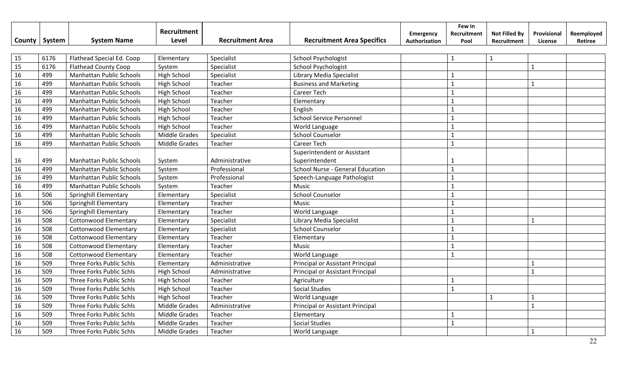|        |        |                                 | Recruitment          |                         |                                   | <b>Emergency</b> | Few in<br>Recruitment | <b>Not Filled By</b> | Provisional  | Reemployed |
|--------|--------|---------------------------------|----------------------|-------------------------|-----------------------------------|------------------|-----------------------|----------------------|--------------|------------|
| County | System | <b>System Name</b>              | Level                | <b>Recruitment Area</b> | <b>Recruitment Area Specifics</b> | Authorization    | Pool                  | Recruitment          | License      | Retiree    |
|        |        |                                 |                      |                         |                                   |                  |                       |                      |              |            |
| 15     | 6176   | Flathead Special Ed. Coop       | Elementary           | Specialist              | <b>School Psychologist</b>        |                  | $\mathbf{1}$          | $\mathbf{1}$         |              |            |
| 15     | 6176   | <b>Flathead County Coop</b>     | System               | Specialist              | School Psychologist               |                  |                       |                      | $\mathbf{1}$ |            |
| 16     | 499    | Manhattan Public Schools        | <b>High School</b>   | Specialist              | Library Media Specialist          |                  | 1                     |                      |              |            |
| 16     | 499    | <b>Manhattan Public Schools</b> | High School          | Teacher                 | <b>Business and Marketing</b>     |                  | $\mathbf{1}$          |                      | $\mathbf{1}$ |            |
| 16     | 499    | Manhattan Public Schools        | <b>High School</b>   | Teacher                 | <b>Career Tech</b>                |                  | $\mathbf{1}$          |                      |              |            |
| 16     | 499    | Manhattan Public Schools        | <b>High School</b>   | Teacher                 | Elementary                        |                  | $\mathbf{1}$          |                      |              |            |
| 16     | 499    | <b>Manhattan Public Schools</b> | <b>High School</b>   | Teacher                 | English                           |                  | $\mathbf{1}$          |                      |              |            |
| 16     | 499    | <b>Manhattan Public Schools</b> | High School          | Teacher                 | <b>School Service Personnel</b>   |                  | $\mathbf{1}$          |                      |              |            |
| 16     | 499    | <b>Manhattan Public Schools</b> | <b>High School</b>   | Teacher                 | World Language                    |                  | $\mathbf{1}$          |                      |              |            |
| 16     | 499    | <b>Manhattan Public Schools</b> | <b>Middle Grades</b> | Specialist              | <b>School Counselor</b>           |                  | $\mathbf{1}$          |                      |              |            |
| 16     | 499    | Manhattan Public Schools        | <b>Middle Grades</b> | Teacher                 | <b>Career Tech</b>                |                  | $\mathbf{1}$          |                      |              |            |
|        |        |                                 |                      |                         | Superintendent or Assistant       |                  |                       |                      |              |            |
| 16     | 499    | <b>Manhattan Public Schools</b> | System               | Administrative          | Superintendent                    |                  |                       |                      |              |            |
| 16     | 499    | <b>Manhattan Public Schools</b> | System               | Professional            | School Nurse - General Education  |                  | $\mathbf{1}$          |                      |              |            |
| 16     | 499    | <b>Manhattan Public Schools</b> | System               | Professional            | Speech-Language Pathologist       |                  | $\mathbf{1}$          |                      |              |            |
| 16     | 499    | <b>Manhattan Public Schools</b> | System               | Teacher                 | Music                             |                  | $\mathbf{1}$          |                      |              |            |
| 16     | 506    | Springhill Elementary           | Elementary           | Specialist              | <b>School Counselor</b>           |                  | $\mathbf{1}$          |                      |              |            |
| 16     | 506    | Springhill Elementary           | Elementary           | Teacher                 | Music                             |                  | $\mathbf{1}$          |                      |              |            |
| 16     | 506    | Springhill Elementary           | Elementary           | Teacher                 | World Language                    |                  | $\mathbf{1}$          |                      |              |            |
| 16     | 508    | Cottonwood Elementary           | Elementary           | Specialist              | Library Media Specialist          |                  | $\mathbf{1}$          |                      | $\mathbf{1}$ |            |
| 16     | 508    | Cottonwood Elementary           | Elementary           | Specialist              | <b>School Counselor</b>           |                  | $\mathbf{1}$          |                      |              |            |
| 16     | 508    | <b>Cottonwood Elementary</b>    | Elementary           | Teacher                 | Elementary                        |                  | $\mathbf{1}$          |                      |              |            |
| 16     | 508    | <b>Cottonwood Elementary</b>    | Elementary           | Teacher                 | Music                             |                  | $\mathbf{1}$          |                      |              |            |
| 16     | 508    | <b>Cottonwood Elementary</b>    | Elementary           | Teacher                 | World Language                    |                  | $\mathbf{1}$          |                      |              |            |
| 16     | 509    | Three Forks Public Schls        | Elementary           | Administrative          | Principal or Assistant Principal  |                  |                       |                      | $\mathbf{1}$ |            |
| 16     | 509    | Three Forks Public Schls        | High School          | Administrative          | Principal or Assistant Principal  |                  |                       |                      | $\mathbf{1}$ |            |
| 16     | 509    | Three Forks Public Schls        | High School          | Teacher                 | Agriculture                       |                  | $\mathbf{1}$          |                      |              |            |
| 16     | 509    | Three Forks Public Schls        | High School          | Teacher                 | <b>Social Studies</b>             |                  | $\mathbf{1}$          |                      |              |            |
| 16     | 509    | Three Forks Public Schls        | <b>High School</b>   | Teacher                 | World Language                    |                  |                       | $\mathbf{1}$         | $\mathbf{1}$ |            |
| 16     | 509    | Three Forks Public Schls        | <b>Middle Grades</b> | Administrative          | Principal or Assistant Principal  |                  |                       |                      | $\mathbf{1}$ |            |
| 16     | 509    | Three Forks Public Schls        | Middle Grades        | Teacher                 | Elementary                        |                  |                       |                      |              |            |
| 16     | 509    | Three Forks Public Schls        | <b>Middle Grades</b> | Teacher                 | <b>Social Studies</b>             |                  | $\mathbf{1}$          |                      |              |            |
| 16     | 509    | Three Forks Public Schls        | <b>Middle Grades</b> | Teacher                 | World Language                    |                  |                       |                      | $\mathbf{1}$ |            |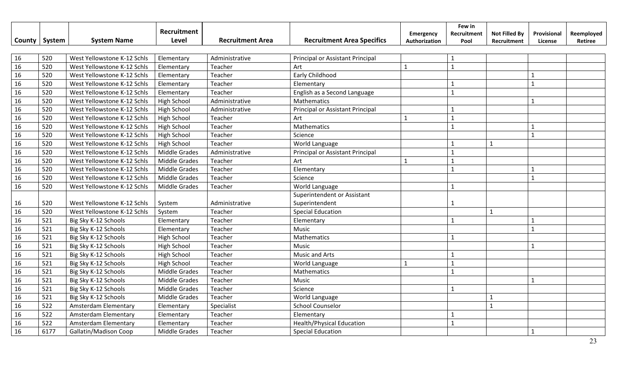|        |        |                              | Recruitment          |                         |                                   | Emergency     | Few in<br>Recruitment | <b>Not Filled By</b> | Provisional  | Reemployed |
|--------|--------|------------------------------|----------------------|-------------------------|-----------------------------------|---------------|-----------------------|----------------------|--------------|------------|
| County | System | <b>System Name</b>           | Level                | <b>Recruitment Area</b> | <b>Recruitment Area Specifics</b> | Authorization | Pool                  | Recruitment          | License      | Retiree    |
|        |        |                              |                      |                         |                                   |               |                       |                      |              |            |
| 16     | 520    | West Yellowstone K-12 Schls  | Elementary           | Administrative          | Principal or Assistant Principal  |               | $\mathbf{1}$          |                      |              |            |
| 16     | 520    | West Yellowstone K-12 Schls  | Elementary           | Teacher                 | Art                               | $\mathbf{1}$  | $\mathbf{1}$          |                      |              |            |
| 16     | 520    | West Yellowstone K-12 Schls  | Elementary           | Teacher                 | Early Childhood                   |               |                       |                      | $\mathbf{1}$ |            |
| 16     | 520    | West Yellowstone K-12 Schls  | Elementary           | Teacher                 | Elementary                        |               | 1                     |                      | $\mathbf{1}$ |            |
| 16     | 520    | West Yellowstone K-12 Schls  | Elementary           | Teacher                 | English as a Second Language      |               | $\mathbf{1}$          |                      |              |            |
| 16     | 520    | West Yellowstone K-12 Schls  | <b>High School</b>   | Administrative          | Mathematics                       |               |                       |                      | $\mathbf{1}$ |            |
| 16     | 520    | West Yellowstone K-12 Schls  | <b>High School</b>   | Administrative          | Principal or Assistant Principal  |               | $\mathbf{1}$          |                      |              |            |
| 16     | 520    | West Yellowstone K-12 Schls  | <b>High School</b>   | Teacher                 | Art                               | 1             | $\mathbf{1}$          |                      |              |            |
| 16     | 520    | West Yellowstone K-12 Schls  | <b>High School</b>   | Teacher                 | Mathematics                       |               | $\mathbf{1}$          |                      | $\mathbf{1}$ |            |
| 16     | 520    | West Yellowstone K-12 Schls  | <b>High School</b>   | Teacher                 | Science                           |               |                       |                      | $\mathbf{1}$ |            |
| 16     | 520    | West Yellowstone K-12 Schls  | <b>High School</b>   | Teacher                 | World Language                    |               |                       | $\mathbf{1}$         |              |            |
| 16     | 520    | West Yellowstone K-12 Schls  | <b>Middle Grades</b> | Administrative          | Principal or Assistant Principal  |               |                       |                      |              |            |
| 16     | 520    | West Yellowstone K-12 Schls  | <b>Middle Grades</b> | Teacher                 | Art                               | $\mathbf{1}$  | $\mathbf{1}$          |                      |              |            |
| 16     | 520    | West Yellowstone K-12 Schls  | <b>Middle Grades</b> | Teacher                 | Elementary                        |               | $\mathbf{1}$          |                      | $\mathbf{1}$ |            |
| 16     | 520    | West Yellowstone K-12 Schls  | <b>Middle Grades</b> | Teacher                 | Science                           |               |                       |                      | $\mathbf{1}$ |            |
| 16     | 520    | West Yellowstone K-12 Schls  | Middle Grades        | Teacher                 | World Language                    |               | $\mathbf{1}$          |                      |              |            |
|        |        |                              |                      |                         | Superintendent or Assistant       |               |                       |                      |              |            |
| 16     | 520    | West Yellowstone K-12 Schls  | System               | Administrative          | Superintendent                    |               | 1                     |                      |              |            |
| 16     | 520    | West Yellowstone K-12 Schls  | System               | Teacher                 | <b>Special Education</b>          |               |                       | $\mathbf{1}$         |              |            |
| 16     | 521    | Big Sky K-12 Schools         | Elementary           | Teacher                 | Elementary                        |               | $\mathbf{1}$          |                      | $\mathbf{1}$ |            |
| 16     | 521    | Big Sky K-12 Schools         | Elementary           | Teacher                 | Music                             |               |                       |                      | $\mathbf{1}$ |            |
| 16     | 521    | Big Sky K-12 Schools         | <b>High School</b>   | Teacher                 | Mathematics                       |               | $\mathbf{1}$          |                      |              |            |
| 16     | 521    | Big Sky K-12 Schools         | <b>High School</b>   | Teacher                 | Music                             |               |                       |                      | $\mathbf{1}$ |            |
| 16     | 521    | Big Sky K-12 Schools         | <b>High School</b>   | Teacher                 | Music and Arts                    |               | $\mathbf{1}$          |                      |              |            |
| 16     | 521    | Big Sky K-12 Schools         | <b>High School</b>   | Teacher                 | World Language                    | $\mathbf{1}$  | $\mathbf{1}$          |                      |              |            |
| 16     | 521    | Big Sky K-12 Schools         | <b>Middle Grades</b> | Teacher                 | Mathematics                       |               | $\mathbf{1}$          |                      |              |            |
| 16     | 521    | Big Sky K-12 Schools         | <b>Middle Grades</b> | Teacher                 | Music                             |               |                       |                      | $\mathbf{1}$ |            |
| 16     | 521    | Big Sky K-12 Schools         | Middle Grades        | Teacher                 | Science                           |               | $\mathbf{1}$          |                      |              |            |
| 16     | 521    | Big Sky K-12 Schools         | <b>Middle Grades</b> | Teacher                 | World Language                    |               |                       | $\mathbf{1}$         |              |            |
| 16     | 522    | Amsterdam Elementary         | Elementary           | Specialist              | <b>School Counselor</b>           |               |                       | $\mathbf{1}$         |              |            |
| 16     | 522    | Amsterdam Elementary         | Elementary           | Teacher                 | Elementary                        |               | $\mathbf{1}$          |                      |              |            |
| 16     | 522    | Amsterdam Elementary         | Elementary           | Teacher                 | <b>Health/Physical Education</b>  |               | $\mathbf{1}$          |                      |              |            |
| 16     | 6177   | <b>Gallatin/Madison Coop</b> | <b>Middle Grades</b> | Teacher                 | <b>Special Education</b>          |               |                       |                      | $\mathbf{1}$ |            |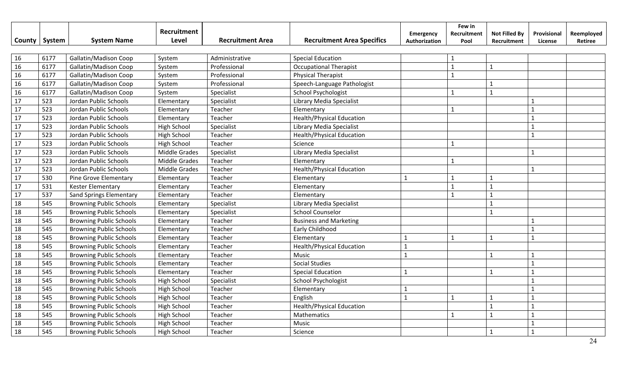|        |        |                                | Recruitment          |                         |                                   | Emergency     | Few in<br>Recruitment | <b>Not Filled By</b> | Provisional  | Reemployed |
|--------|--------|--------------------------------|----------------------|-------------------------|-----------------------------------|---------------|-----------------------|----------------------|--------------|------------|
| County | System | <b>System Name</b>             | Level                | <b>Recruitment Area</b> | <b>Recruitment Area Specifics</b> | Authorization | Pool                  | Recruitment          | License      | Retiree    |
|        |        |                                |                      |                         |                                   |               |                       |                      |              |            |
| 16     | 6177   | Gallatin/Madison Coop          | System               | Administrative          | <b>Special Education</b>          |               |                       |                      |              |            |
| 16     | 6177   | Gallatin/Madison Coop          | System               | Professional            | <b>Occupational Therapist</b>     |               | $\mathbf{1}$          | $\mathbf 1$          |              |            |
| 16     | 6177   | Gallatin/Madison Coop          | System               | Professional            | <b>Physical Therapist</b>         |               | $\mathbf{1}$          |                      |              |            |
| 16     | 6177   | Gallatin/Madison Coop          | System               | Professional            | Speech-Language Pathologist       |               |                       | $\mathbf{1}$         |              |            |
| 16     | 6177   | Gallatin/Madison Coop          | System               | Specialist              | School Psychologist               |               | $\mathbf{1}$          | $\mathbf{1}$         |              |            |
| 17     | 523    | Jordan Public Schools          | Elementary           | Specialist              | Library Media Specialist          |               |                       |                      |              |            |
| 17     | 523    | Jordan Public Schools          | Elementary           | Teacher                 | Elementary                        |               | 1                     |                      |              |            |
| 17     | 523    | Jordan Public Schools          | Elementary           | Teacher                 | <b>Health/Physical Education</b>  |               |                       |                      | $\mathbf{1}$ |            |
| 17     | 523    | Jordan Public Schools          | High School          | Specialist              | Library Media Specialist          |               |                       |                      | $\mathbf{1}$ |            |
| 17     | 523    | Jordan Public Schools          | High School          | Teacher                 | <b>Health/Physical Education</b>  |               |                       |                      | $\mathbf{1}$ |            |
| 17     | 523    | Jordan Public Schools          | High School          | Teacher                 | Science                           |               |                       |                      |              |            |
| 17     | 523    | Jordan Public Schools          | <b>Middle Grades</b> | Specialist              | Library Media Specialist          |               |                       |                      | $\mathbf{1}$ |            |
| 17     | 523    | Jordan Public Schools          | <b>Middle Grades</b> | Teacher                 | Elementary                        |               |                       |                      |              |            |
| 17     | 523    | Jordan Public Schools          | <b>Middle Grades</b> | Teacher                 | <b>Health/Physical Education</b>  |               |                       |                      |              |            |
| 17     | 530    | Pine Grove Elementary          | Elementary           | Teacher                 | Elementary                        | $\mathbf{1}$  | $\mathbf{1}$          | $\mathbf{1}$         |              |            |
| 17     | 531    | <b>Kester Elementary</b>       | Elementary           | Teacher                 | Elementary                        |               | $\mathbf{1}$          | $\mathbf{1}$         |              |            |
| 17     | 537    | <b>Sand Springs Elementary</b> | Elementary           | Teacher                 | Elementary                        |               | $\mathbf{1}$          | $\mathbf{1}$         |              |            |
| 18     | 545    | <b>Browning Public Schools</b> | Elementary           | Specialist              | Library Media Specialist          |               |                       | $\mathbf{1}$         |              |            |
| 18     | 545    | <b>Browning Public Schools</b> | Elementary           | Specialist              | <b>School Counselor</b>           |               |                       | $\mathbf{1}$         |              |            |
| 18     | 545    | <b>Browning Public Schools</b> | Elementary           | Teacher                 | <b>Business and Marketing</b>     |               |                       |                      |              |            |
| 18     | 545    | <b>Browning Public Schools</b> | Elementary           | Teacher                 | Early Childhood                   |               |                       |                      | $\mathbf{1}$ |            |
| 18     | 545    | <b>Browning Public Schools</b> | Elementary           | Teacher                 | Elementary                        | $\mathbf{1}$  | $\mathbf{1}$          | $\mathbf{1}$         | $\mathbf{1}$ |            |
| 18     | 545    | <b>Browning Public Schools</b> | Elementary           | Teacher                 | <b>Health/Physical Education</b>  | $\mathbf{1}$  |                       |                      |              |            |
| 18     | 545    | <b>Browning Public Schools</b> | Elementary           | Teacher                 | Music                             | $\mathbf{1}$  |                       | $\mathbf{1}$         |              |            |
| 18     | 545    | <b>Browning Public Schools</b> | Elementary           | Teacher                 | <b>Social Studies</b>             |               |                       |                      |              |            |
| 18     | 545    | <b>Browning Public Schools</b> | Elementary           | Teacher                 | <b>Special Education</b>          | $\mathbf{1}$  |                       | $\mathbf{1}$         | $\mathbf{1}$ |            |
| 18     | 545    | <b>Browning Public Schools</b> | High School          | Specialist              | School Psychologist               |               |                       |                      |              |            |
| 18     | 545    | <b>Browning Public Schools</b> | <b>High School</b>   | Teacher                 | Elementary                        |               |                       |                      |              |            |
| 18     | 545    | <b>Browning Public Schools</b> | High School          | Teacher                 | English                           | $\mathbf{1}$  | $\mathbf{1}$          | $\mathbf{1}$         |              |            |
| 18     | 545    | <b>Browning Public Schools</b> | High School          | Teacher                 | <b>Health/Physical Education</b>  |               |                       | $\mathbf{1}$         |              |            |
| 18     | 545    | <b>Browning Public Schools</b> | <b>High School</b>   | Teacher                 | Mathematics                       |               | $\mathbf{1}$          | $\mathbf{1}$         |              |            |
| 18     | 545    | <b>Browning Public Schools</b> | <b>High School</b>   | Teacher                 | Music                             |               |                       |                      |              |            |
| 18     | 545    | <b>Browning Public Schools</b> | <b>High School</b>   | Teacher                 | Science                           |               |                       | $\mathbf{1}$         |              |            |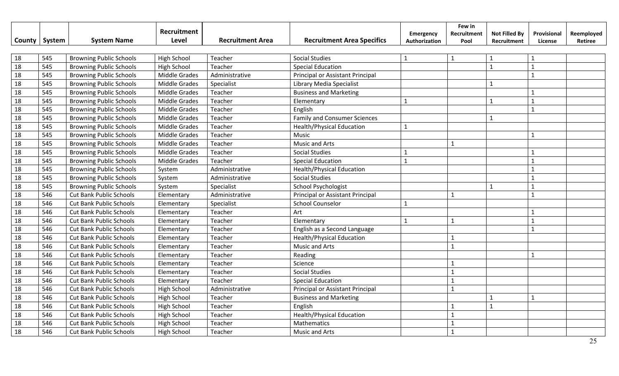| County          | System | <b>System Name</b>             | Recruitment<br>Level | <b>Recruitment Area</b> | <b>Recruitment Area Specifics</b>   | <b>Emergency</b><br>Authorization | Few in<br>Recruitment<br>Pool | <b>Not Filled By</b><br>Recruitment | Provisional<br>License | Reemployed<br>Retiree |
|-----------------|--------|--------------------------------|----------------------|-------------------------|-------------------------------------|-----------------------------------|-------------------------------|-------------------------------------|------------------------|-----------------------|
| 18              | 545    | <b>Browning Public Schools</b> | <b>High School</b>   | Teacher                 | <b>Social Studies</b>               | $\mathbf{1}$                      | -1                            | $\mathbf{1}$                        | $\mathbf{1}$           |                       |
| $\overline{18}$ | 545    | <b>Browning Public Schools</b> | <b>High School</b>   | Teacher                 | <b>Special Education</b>            |                                   |                               | $\overline{1}$                      | $\mathbf{1}$           |                       |
| 18              | 545    | <b>Browning Public Schools</b> | <b>Middle Grades</b> | Administrative          | Principal or Assistant Principal    |                                   |                               |                                     | $\mathbf{1}$           |                       |
| 18              | 545    | <b>Browning Public Schools</b> | Middle Grades        | Specialist              | Library Media Specialist            |                                   |                               | $\mathbf{1}$                        |                        |                       |
| 18              | 545    | <b>Browning Public Schools</b> | Middle Grades        | Teacher                 | <b>Business and Marketing</b>       |                                   |                               |                                     | $\mathbf{1}$           |                       |
| 18              | 545    | <b>Browning Public Schools</b> | Middle Grades        | Teacher                 | Elementary                          |                                   |                               | $\mathbf{1}$                        | $\mathbf{1}$           |                       |
| 18              | 545    | <b>Browning Public Schools</b> | Middle Grades        | Teacher                 | English                             |                                   |                               |                                     | $\mathbf{1}$           |                       |
| 18              | 545    | <b>Browning Public Schools</b> | Middle Grades        | Teacher                 | <b>Family and Consumer Sciences</b> |                                   |                               | $\mathbf{1}$                        |                        |                       |
| 18              | 545    | <b>Browning Public Schools</b> | Middle Grades        | Teacher                 | <b>Health/Physical Education</b>    | $\mathbf{1}$                      |                               |                                     |                        |                       |
| 18              | 545    | <b>Browning Public Schools</b> | Middle Grades        | Teacher                 | Music                               |                                   |                               |                                     | $\mathbf{1}$           |                       |
| 18              | 545    | <b>Browning Public Schools</b> | Middle Grades        | Teacher                 | <b>Music and Arts</b>               |                                   |                               |                                     |                        |                       |
| 18              | 545    | <b>Browning Public Schools</b> | Middle Grades        | Teacher                 | <b>Social Studies</b>               |                                   |                               |                                     |                        |                       |
| 18              | 545    | <b>Browning Public Schools</b> | <b>Middle Grades</b> | Teacher                 | <b>Special Education</b>            | $\mathbf{1}$                      |                               |                                     | $\mathbf{1}$           |                       |
| 18              | 545    | <b>Browning Public Schools</b> | System               | Administrative          | <b>Health/Physical Education</b>    |                                   |                               |                                     | $\mathbf{1}$           |                       |
| 18              | 545    | <b>Browning Public Schools</b> | System               | Administrative          | <b>Social Studies</b>               |                                   |                               |                                     | $\mathbf{1}$           |                       |
| 18              | 545    | <b>Browning Public Schools</b> | System               | Specialist              | <b>School Psychologist</b>          |                                   |                               | $\mathbf{1}$                        | $\mathbf{1}$           |                       |
| 18              | 546    | Cut Bank Public Schools        | Elementary           | Administrative          | Principal or Assistant Principal    |                                   | $\mathbf{1}$                  |                                     | $\mathbf{1}$           |                       |
| 18              | 546    | Cut Bank Public Schools        | Elementary           | Specialist              | <b>School Counselor</b>             | $\mathbf{1}$                      |                               |                                     |                        |                       |
| 18              | 546    | <b>Cut Bank Public Schools</b> | Elementary           | Teacher                 | Art                                 |                                   |                               |                                     | $\mathbf{1}$           |                       |
| 18              | 546    | <b>Cut Bank Public Schools</b> | Elementary           | Teacher                 | Elementary                          | $\mathbf{1}$                      | $\mathbf{1}$                  |                                     | $\mathbf{1}$           |                       |
| 18              | 546    | <b>Cut Bank Public Schools</b> | Elementary           | Teacher                 | English as a Second Language        |                                   |                               |                                     | $\mathbf{1}$           |                       |
| 18              | 546    | <b>Cut Bank Public Schools</b> | Elementary           | Teacher                 | <b>Health/Physical Education</b>    |                                   | 1                             |                                     |                        |                       |
| 18              | 546    | <b>Cut Bank Public Schools</b> | Elementary           | Teacher                 | Music and Arts                      |                                   | $\mathbf{1}$                  |                                     |                        |                       |
| 18              | 546    | <b>Cut Bank Public Schools</b> | Elementary           | Teacher                 | Reading                             |                                   |                               |                                     | $\mathbf{1}$           |                       |
| 18              | 546    | <b>Cut Bank Public Schools</b> | Elementary           | Teacher                 | Science                             |                                   |                               |                                     |                        |                       |
| 18              | 546    | <b>Cut Bank Public Schools</b> | Elementary           | Teacher                 | <b>Social Studies</b>               |                                   | $\mathbf{1}$                  |                                     |                        |                       |
| 18              | 546    | <b>Cut Bank Public Schools</b> | Elementary           | Teacher                 | <b>Special Education</b>            |                                   | $\mathbf{1}$                  |                                     |                        |                       |
| 18              | 546    | <b>Cut Bank Public Schools</b> | <b>High School</b>   | Administrative          | Principal or Assistant Principal    |                                   | $\mathbf{1}$                  |                                     |                        |                       |
| 18              | 546    | <b>Cut Bank Public Schools</b> | <b>High School</b>   | Teacher                 | <b>Business and Marketing</b>       |                                   |                               | $\overline{1}$                      | $\mathbf{1}$           |                       |
| 18              | 546    | <b>Cut Bank Public Schools</b> | <b>High School</b>   | Teacher                 | English                             |                                   |                               | $\overline{1}$                      |                        |                       |
| 18              | 546    | <b>Cut Bank Public Schools</b> | <b>High School</b>   | Teacher                 | <b>Health/Physical Education</b>    |                                   |                               |                                     |                        |                       |
| 18              | 546    | <b>Cut Bank Public Schools</b> | <b>High School</b>   | Teacher                 | Mathematics                         |                                   |                               |                                     |                        |                       |
| 18              | 546    | <b>Cut Bank Public Schools</b> | <b>High School</b>   | Teacher                 | Music and Arts                      |                                   | $\mathbf{1}$                  |                                     |                        |                       |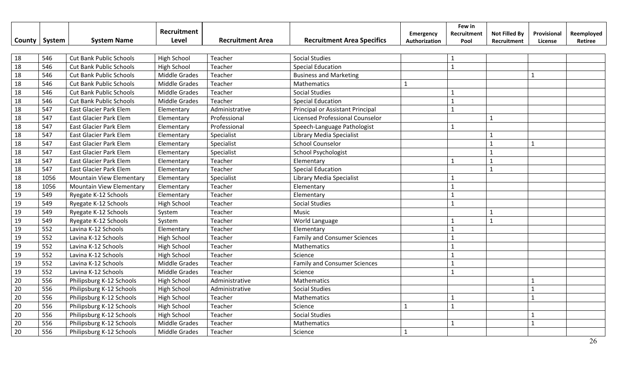| County | System | <b>System Name</b>             | Recruitment<br>Level | <b>Recruitment Area</b> | <b>Recruitment Area Specifics</b>   | Emergency<br>Authorization | Few in<br>Recruitment<br>Pool | <b>Not Filled By</b><br>Recruitment | Provisional<br>License | Reemployed<br>Retiree |
|--------|--------|--------------------------------|----------------------|-------------------------|-------------------------------------|----------------------------|-------------------------------|-------------------------------------|------------------------|-----------------------|
|        |        |                                |                      |                         |                                     |                            |                               |                                     |                        |                       |
| 18     | 546    | <b>Cut Bank Public Schools</b> | <b>High School</b>   | Teacher                 | <b>Social Studies</b>               |                            | 1                             |                                     |                        |                       |
| 18     | 546    | <b>Cut Bank Public Schools</b> | <b>High School</b>   | Teacher                 | <b>Special Education</b>            |                            | $\mathbf{1}$                  |                                     |                        |                       |
| 18     | 546    | <b>Cut Bank Public Schools</b> | <b>Middle Grades</b> | Teacher                 | <b>Business and Marketing</b>       |                            |                               |                                     | $\mathbf{1}$           |                       |
| 18     | 546    | <b>Cut Bank Public Schools</b> | <b>Middle Grades</b> | Teacher                 | Mathematics                         | $\mathbf{1}$               |                               |                                     |                        |                       |
| 18     | 546    | Cut Bank Public Schools        | <b>Middle Grades</b> | Teacher                 | <b>Social Studies</b>               |                            |                               |                                     |                        |                       |
| 18     | 546    | Cut Bank Public Schools        | <b>Middle Grades</b> | Teacher                 | <b>Special Education</b>            |                            |                               |                                     |                        |                       |
| 18     | 547    | East Glacier Park Elem         | Elementary           | Administrative          | Principal or Assistant Principal    |                            | $\mathbf{1}$                  |                                     |                        |                       |
| 18     | 547    | East Glacier Park Elem         | Elementary           | Professional            | Licensed Professional Counselor     |                            |                               | $\mathbf{1}$                        |                        |                       |
| 18     | 547    | East Glacier Park Elem         | Elementary           | Professional            | Speech-Language Pathologist         |                            | $\mathbf{1}$                  |                                     |                        |                       |
| 18     | 547    | East Glacier Park Elem         | Elementary           | Specialist              | Library Media Specialist            |                            |                               | $\mathbf 1$                         |                        |                       |
| 18     | 547    | East Glacier Park Elem         | Elementary           | Specialist              | <b>School Counselor</b>             |                            |                               | $\mathbf 1$                         | $\mathbf{1}$           |                       |
| 18     | 547    | East Glacier Park Elem         | Elementary           | Specialist              | School Psychologist                 |                            |                               | $\mathbf{1}$                        |                        |                       |
| 18     | 547    | East Glacier Park Elem         | Elementary           | Teacher                 | Elementary                          |                            |                               | $\mathbf{1}$                        |                        |                       |
| 18     | 547    | East Glacier Park Elem         | Elementary           | Teacher                 | <b>Special Education</b>            |                            |                               | $\mathbf{1}$                        |                        |                       |
| 18     | 1056   | Mountain View Elementary       | Elementary           | Specialist              | Library Media Specialist            |                            | -1                            |                                     |                        |                       |
| 18     | 1056   | Mountain View Elementary       | Elementary           | Teacher                 | Elementary                          |                            | $\mathbf{1}$                  |                                     |                        |                       |
| 19     | 549    | Ryegate K-12 Schools           | Elementary           | Teacher                 | Elementary                          |                            | $\mathbf{1}$                  |                                     |                        |                       |
| 19     | 549    | Ryegate K-12 Schools           | High School          | Teacher                 | <b>Social Studies</b>               |                            | $\mathbf{1}$                  |                                     |                        |                       |
| 19     | 549    | Ryegate K-12 Schools           | System               | Teacher                 | Music                               |                            |                               | $\mathbf{1}$                        |                        |                       |
| 19     | 549    | Ryegate K-12 Schools           | System               | Teacher                 | World Language                      |                            | 1                             | $\mathbf{1}$                        |                        |                       |
| 19     | 552    | Lavina K-12 Schools            | Elementary           | Teacher                 | Elementary                          |                            | $\mathbf{1}$                  |                                     |                        |                       |
| 19     | 552    | Lavina K-12 Schools            | High School          | Teacher                 | <b>Family and Consumer Sciences</b> |                            | $\mathbf{1}$                  |                                     |                        |                       |
| 19     | 552    | Lavina K-12 Schools            | High School          | Teacher                 | Mathematics                         |                            |                               |                                     |                        |                       |
| 19     | 552    | Lavina K-12 Schools            | High School          | Teacher                 | Science                             |                            |                               |                                     |                        |                       |
| 19     | 552    | Lavina K-12 Schools            | <b>Middle Grades</b> | Teacher                 | <b>Family and Consumer Sciences</b> |                            |                               |                                     |                        |                       |
| 19     | 552    | Lavina K-12 Schools            | <b>Middle Grades</b> | Teacher                 | Science                             |                            | $\mathbf{1}$                  |                                     |                        |                       |
| 20     | 556    | Philipsburg K-12 Schools       | High School          | Administrative          | Mathematics                         |                            |                               |                                     |                        |                       |
| 20     | 556    | Philipsburg K-12 Schools       | High School          | Administrative          | <b>Social Studies</b>               |                            |                               |                                     | $\mathbf 1$            |                       |
| 20     | 556    | Philipsburg K-12 Schools       | High School          | Teacher                 | Mathematics                         |                            |                               |                                     | $\mathbf 1$            |                       |
| 20     | 556    | Philipsburg K-12 Schools       | <b>High School</b>   | Teacher                 | Science                             | $\mathbf{1}$               | $\mathbf{1}$                  |                                     |                        |                       |
| 20     | 556    | Philipsburg K-12 Schools       | <b>High School</b>   | Teacher                 | <b>Social Studies</b>               |                            |                               |                                     |                        |                       |
| 20     | 556    | Philipsburg K-12 Schools       | <b>Middle Grades</b> | Teacher                 | Mathematics                         |                            | $\mathbf{1}$                  |                                     | $\mathbf{1}$           |                       |
| 20     | 556    | Philipsburg K-12 Schools       | <b>Middle Grades</b> | Teacher                 | Science                             | 1                          |                               |                                     |                        |                       |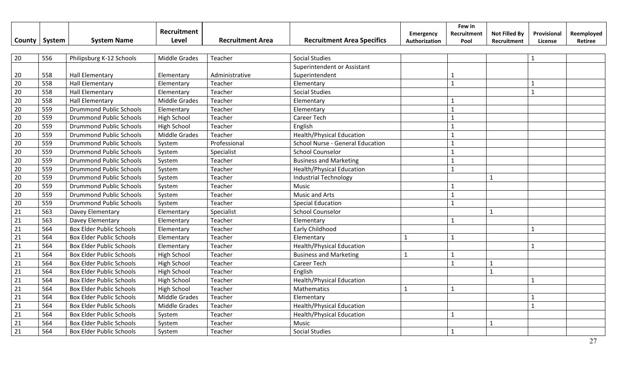|                 | County   System | <b>System Name</b>              | Recruitment<br>Level | <b>Recruitment Area</b> | <b>Recruitment Area Specifics</b> | Emergency<br>Authorization | Few in<br>Recruitment<br>Pool | <b>Not Filled By</b><br>Recruitment | Provisional<br>License | Reemployed<br>Retiree |
|-----------------|-----------------|---------------------------------|----------------------|-------------------------|-----------------------------------|----------------------------|-------------------------------|-------------------------------------|------------------------|-----------------------|
|                 |                 |                                 |                      |                         |                                   |                            |                               |                                     |                        |                       |
| 20              | 556             | Philipsburg K-12 Schools        | <b>Middle Grades</b> | Teacher                 | <b>Social Studies</b>             |                            |                               |                                     | $\mathbf{1}$           |                       |
|                 |                 |                                 |                      |                         | Superintendent or Assistant       |                            |                               |                                     |                        |                       |
| 20              | 558             | <b>Hall Elementary</b>          | Elementary           | Administrative          | Superintendent                    |                            | 1                             |                                     |                        |                       |
| 20              | 558             | <b>Hall Elementary</b>          | Elementary           | Teacher                 | Elementary                        |                            | $\mathbf{1}$                  |                                     | $\mathbf{1}$           |                       |
| 20              | 558             | <b>Hall Elementary</b>          | Elementary           | Teacher                 | <b>Social Studies</b>             |                            |                               |                                     | $\mathbf{1}$           |                       |
| 20              | 558             | <b>Hall Elementary</b>          | <b>Middle Grades</b> | Teacher                 | Elementary                        |                            |                               |                                     |                        |                       |
| 20              | 559             | <b>Drummond Public Schools</b>  | Elementary           | Teacher                 | Elementary                        |                            | $\mathbf{1}$                  |                                     |                        |                       |
| 20              | 559             | <b>Drummond Public Schools</b>  | <b>High School</b>   | Teacher                 | Career Tech                       |                            | $\overline{1}$                |                                     |                        |                       |
| 20              | 559             | <b>Drummond Public Schools</b>  | <b>High School</b>   | Teacher                 | English                           |                            | $\mathbf{1}$                  |                                     |                        |                       |
| 20              | 559             | <b>Drummond Public Schools</b>  | Middle Grades        | Teacher                 | <b>Health/Physical Education</b>  |                            | $\mathbf{1}$                  |                                     |                        |                       |
| 20              | 559             | <b>Drummond Public Schools</b>  | System               | Professional            | School Nurse - General Education  |                            | $\mathbf{1}$                  |                                     |                        |                       |
| 20              | 559             | <b>Drummond Public Schools</b>  | System               | Specialist              | <b>School Counselor</b>           |                            | $\mathbf{1}$                  |                                     |                        |                       |
| 20              | 559             | <b>Drummond Public Schools</b>  | System               | Teacher                 | <b>Business and Marketing</b>     |                            | $\mathbf{1}$                  |                                     |                        |                       |
| 20              | 559             | <b>Drummond Public Schools</b>  | System               | Teacher                 | <b>Health/Physical Education</b>  |                            | $\mathbf{1}$                  |                                     |                        |                       |
| 20              | 559             | <b>Drummond Public Schools</b>  | System               | Teacher                 | <b>Industrial Technology</b>      |                            |                               | $\mathbf{1}$                        |                        |                       |
| 20              | 559             | <b>Drummond Public Schools</b>  | System               | Teacher                 | Music                             |                            | $\mathbf{1}$                  |                                     |                        |                       |
| 20              | 559             | <b>Drummond Public Schools</b>  | System               | Teacher                 | <b>Music and Arts</b>             |                            | $\mathbf{1}$                  |                                     |                        |                       |
| 20              | 559             | <b>Drummond Public Schools</b>  | System               | Teacher                 | <b>Special Education</b>          |                            | $\mathbf{1}$                  |                                     |                        |                       |
| 21              | 563             | Davey Elementary                | Elementary           | Specialist              | <b>School Counselor</b>           |                            |                               | $\mathbf{1}$                        |                        |                       |
| 21              | 563             | Davey Elementary                | Elementary           | Teacher                 | Elementary                        |                            | $\mathbf{1}$                  |                                     |                        |                       |
| 21              | 564             | <b>Box Elder Public Schools</b> | Elementary           | Teacher                 | Early Childhood                   |                            |                               |                                     | $\mathbf{1}$           |                       |
| 21              | 564             | <b>Box Elder Public Schools</b> | Elementary           | Teacher                 | Elementary                        | $\mathbf{1}$               | $\mathbf{1}$                  |                                     |                        |                       |
| 21              | 564             | <b>Box Elder Public Schools</b> | Elementary           | Teacher                 | <b>Health/Physical Education</b>  |                            |                               |                                     | $\mathbf{1}$           |                       |
| 21              | 564             | <b>Box Elder Public Schools</b> | High School          | Teacher                 | <b>Business and Marketing</b>     | $\mathbf{1}$               | $\mathbf{1}$                  |                                     |                        |                       |
| $\overline{21}$ | 564             | <b>Box Elder Public Schools</b> | High School          | Teacher                 | <b>Career Tech</b>                |                            | $\mathbf{1}$                  | $\mathbf{1}$                        |                        |                       |
| $\overline{21}$ | 564             | <b>Box Elder Public Schools</b> | High School          | Teacher                 | English                           |                            |                               | $\mathbf{1}$                        |                        |                       |
| 21              | 564             | <b>Box Elder Public Schools</b> | <b>High School</b>   | Teacher                 | <b>Health/Physical Education</b>  |                            |                               |                                     | $\mathbf{1}$           |                       |
| 21              | 564             | <b>Box Elder Public Schools</b> | High School          | Teacher                 | Mathematics                       |                            | $\mathbf{1}$                  |                                     |                        |                       |
| 21              | 564             | <b>Box Elder Public Schools</b> | <b>Middle Grades</b> | Teacher                 | Elementary                        |                            |                               |                                     | $\mathbf{1}$           |                       |
| 21              | 564             | <b>Box Elder Public Schools</b> | <b>Middle Grades</b> | Teacher                 | <b>Health/Physical Education</b>  |                            |                               |                                     | $\mathbf{1}$           |                       |
| 21              | 564             | <b>Box Elder Public Schools</b> | System               | Teacher                 | <b>Health/Physical Education</b>  |                            | $\mathbf{1}$                  |                                     |                        |                       |
| 21              | 564             | <b>Box Elder Public Schools</b> | System               | Teacher                 | Music                             |                            |                               | $\mathbf{1}$                        |                        |                       |
| 21              | 564             | <b>Box Elder Public Schools</b> | System               | Teacher                 | <b>Social Studies</b>             |                            | $\mathbf{1}$                  |                                     |                        |                       |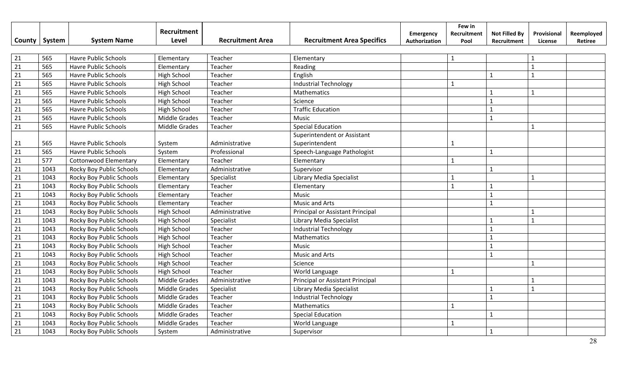|                 |        |                              | Recruitment          |                         | <b>Recruitment Area Specifics</b> | Emergency     | Few in<br>Recruitment | <b>Not Filled By</b> | Provisional    | Reemployed |
|-----------------|--------|------------------------------|----------------------|-------------------------|-----------------------------------|---------------|-----------------------|----------------------|----------------|------------|
| County          | System | <b>System Name</b>           | Level                | <b>Recruitment Area</b> |                                   | Authorization | Pool                  | Recruitment          | License        | Retiree    |
| 21              | 565    | <b>Havre Public Schools</b>  | Elementary           | Teacher                 | Elementary                        |               | $\mathbf{1}$          |                      | $\mathbf{1}$   |            |
| $\overline{21}$ | 565    | <b>Havre Public Schools</b>  | Elementary           | Teacher                 | Reading                           |               |                       |                      | $\overline{1}$ |            |
| 21              | 565    | <b>Havre Public Schools</b>  | High School          | Teacher                 | English                           |               |                       | $\mathbf{1}$         | $\mathbf{1}$   |            |
| 21              | 565    | <b>Havre Public Schools</b>  | High School          | Teacher                 | <b>Industrial Technology</b>      |               | 1                     |                      |                |            |
| 21              | 565    | Havre Public Schools         | High School          | Teacher                 | Mathematics                       |               |                       | $\mathbf{1}$         | $\mathbf{1}$   |            |
| 21              | 565    | Havre Public Schools         | <b>High School</b>   | Teacher                 | Science                           |               |                       | $\mathbf{1}$         |                |            |
| 21              | 565    | Havre Public Schools         | High School          | Teacher                 | <b>Traffic Education</b>          |               |                       | $\mathbf{1}$         |                |            |
| 21              | 565    | Havre Public Schools         | <b>Middle Grades</b> | Teacher                 | Music                             |               |                       | $\mathbf{1}$         |                |            |
| 21              | 565    | Havre Public Schools         | Middle Grades        | Teacher                 | <b>Special Education</b>          |               |                       |                      | $\mathbf{1}$   |            |
|                 |        |                              |                      |                         | Superintendent or Assistant       |               |                       |                      |                |            |
| 21              | 565    | Havre Public Schools         | System               | Administrative          | Superintendent                    |               |                       |                      |                |            |
| 21              | 565    | <b>Havre Public Schools</b>  | System               | Professional            | Speech-Language Pathologist       |               |                       | $\mathbf{1}$         |                |            |
| 21              | 577    | <b>Cottonwood Elementary</b> | Elementary           | Teacher                 | Elementary                        |               | 1                     |                      |                |            |
| 21              | 1043   | Rocky Boy Public Schools     | Elementary           | Administrative          | Supervisor                        |               |                       | $\mathbf{1}$         |                |            |
| 21              | 1043   | Rocky Boy Public Schools     | Elementary           | Specialist              | Library Media Specialist          |               | $\mathbf{1}$          |                      | $\mathbf{1}$   |            |
| 21              | 1043   | Rocky Boy Public Schools     | Elementary           | Teacher                 | Elementary                        |               | $\mathbf{1}$          | $\mathbf{1}$         |                |            |
| 21              | 1043   | Rocky Boy Public Schools     | Elementary           | Teacher                 | Music                             |               |                       | $\overline{1}$       |                |            |
| 21              | 1043   | Rocky Boy Public Schools     | Elementary           | Teacher                 | <b>Music and Arts</b>             |               |                       | $\mathbf{1}$         |                |            |
| 21              | 1043   | Rocky Boy Public Schools     | High School          | Administrative          | Principal or Assistant Principal  |               |                       |                      | $\mathbf{1}$   |            |
| 21              | 1043   | Rocky Boy Public Schools     | High School          | Specialist              | <b>Library Media Specialist</b>   |               |                       | $\overline{1}$       | 1              |            |
| 21              | 1043   | Rocky Boy Public Schools     | High School          | Teacher                 | <b>Industrial Technology</b>      |               |                       | $\overline{1}$       |                |            |
| 21              | 1043   | Rocky Boy Public Schools     | High School          | Teacher                 | Mathematics                       |               |                       | $\overline{1}$       |                |            |
| 21              | 1043   | Rocky Boy Public Schools     | <b>High School</b>   | Teacher                 | Music                             |               |                       | $\overline{1}$       |                |            |
| 21              | 1043   | Rocky Boy Public Schools     | High School          | Teacher                 | <b>Music and Arts</b>             |               |                       |                      |                |            |
| 21              | 1043   | Rocky Boy Public Schools     | High School          | Teacher                 | Science                           |               |                       |                      | $\mathbf{1}$   |            |
| 21              | 1043   | Rocky Boy Public Schools     | High School          | Teacher                 | World Language                    |               | 1                     |                      |                |            |
| 21              | 1043   | Rocky Boy Public Schools     | <b>Middle Grades</b> | Administrative          | Principal or Assistant Principal  |               |                       |                      | 1              |            |
| 21              | 1043   | Rocky Boy Public Schools     | Middle Grades        | Specialist              | Library Media Specialist          |               |                       | $\mathbf{1}$         | $\mathbf{1}$   |            |
| 21              | 1043   | Rocky Boy Public Schools     | Middle Grades        | Teacher                 | <b>Industrial Technology</b>      |               |                       | $\overline{1}$       |                |            |
| 21              | 1043   | Rocky Boy Public Schools     | Middle Grades        | Teacher                 | <b>Mathematics</b>                |               | $\mathbf 1$           |                      |                |            |
| 21              | 1043   | Rocky Boy Public Schools     | <b>Middle Grades</b> | Teacher                 | <b>Special Education</b>          |               |                       | $\mathbf{1}$         |                |            |
| 21              | 1043   | Rocky Boy Public Schools     | <b>Middle Grades</b> | Teacher                 | World Language                    |               | $\mathbf{1}$          |                      |                |            |
| 21              | 1043   | Rocky Boy Public Schools     | System               | Administrative          | Supervisor                        |               |                       | $\mathbf{1}$         |                |            |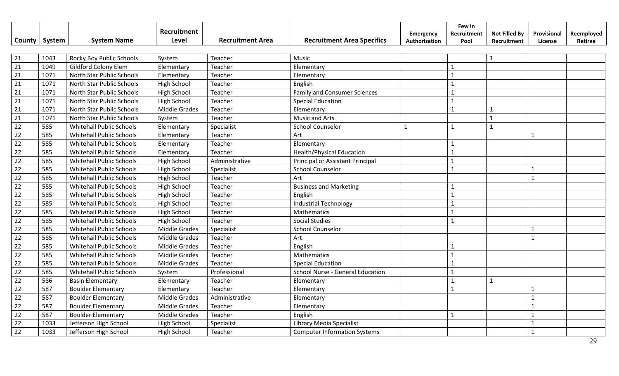|                 |        |                                 | Recruitment          |                         |                                         | Emergency     | Few in<br>Recruitment | <b>Not Filled By</b> | Provisional  | Reemployed |
|-----------------|--------|---------------------------------|----------------------|-------------------------|-----------------------------------------|---------------|-----------------------|----------------------|--------------|------------|
| County          | System | <b>System Name</b>              | Level                | <b>Recruitment Area</b> | <b>Recruitment Area Specifics</b>       | Authorization | Pool                  | Recruitment          | License      | Retiree    |
|                 |        |                                 |                      |                         |                                         |               |                       |                      |              |            |
| 21              | 1043   | Rocky Boy Public Schools        | System               | Teacher                 | Music                                   |               |                       | $\mathbf{1}$         |              |            |
| $\overline{21}$ | 1049   | Gildford Colony Elem            | Elementary           | Teacher                 | Elementary                              |               | $\mathbf{1}$          |                      |              |            |
| 21              | 1071   | North Star Public Schools       | Elementary           | Teacher                 | Elementary                              |               | $\mathbf{1}$          |                      |              |            |
| 21              | 1071   | North Star Public Schools       | <b>High School</b>   | Teacher                 | English                                 |               | 1                     |                      |              |            |
| 21              | 1071   | North Star Public Schools       | <b>High School</b>   | Teacher                 | <b>Family and Consumer Sciences</b>     |               | $\mathbf{1}$          |                      |              |            |
| 21              | 1071   | North Star Public Schools       | <b>High School</b>   | Teacher                 | <b>Special Education</b>                |               | $\mathbf{1}$          |                      |              |            |
| 21              | 1071   | North Star Public Schools       | Middle Grades        | Teacher                 | Elementary                              |               | $\mathbf{1}$          | $\mathbf 1$          |              |            |
| 21              | 1071   | North Star Public Schools       | System               | Teacher                 | Music and Arts                          |               |                       | $\mathbf{1}$         |              |            |
| 22              | 585    | <b>Whitehall Public Schools</b> | Elementary           | Specialist              | <b>School Counselor</b>                 | $\mathbf{1}$  | $\mathbf{1}$          | $\mathbf{1}$         |              |            |
| 22              | 585    | Whitehall Public Schools        | Elementary           | Teacher                 | Art                                     |               |                       |                      | $\mathbf{1}$ |            |
| 22              | 585    | Whitehall Public Schools        | Elementary           | Teacher                 | Elementary                              |               |                       |                      |              |            |
| 22              | 585    | <b>Whitehall Public Schools</b> | Elementary           | Teacher                 | <b>Health/Physical Education</b>        |               | 1                     |                      |              |            |
| 22              | 585    | <b>Whitehall Public Schools</b> | High School          | Administrative          | Principal or Assistant Principal        |               | $\mathbf{1}$          |                      |              |            |
| 22              | 585    | <b>Whitehall Public Schools</b> | <b>High School</b>   | Specialist              | <b>School Counselor</b>                 |               | $\mathbf{1}$          |                      | $\mathbf{1}$ |            |
| 22              | 585    | <b>Whitehall Public Schools</b> | High School          | Teacher                 | Art                                     |               |                       |                      | $\mathbf{1}$ |            |
| 22              | 585    | <b>Whitehall Public Schools</b> | High School          | Teacher                 | <b>Business and Marketing</b>           |               | $\mathbf{1}$          |                      |              |            |
| 22              | 585    | Whitehall Public Schools        | <b>High School</b>   | Teacher                 | English                                 |               | $\mathbf{1}$          |                      |              |            |
| 22              | 585    | <b>Whitehall Public Schools</b> | <b>High School</b>   | Teacher                 | <b>Industrial Technology</b>            |               | $\mathbf{1}$          |                      |              |            |
| 22              | 585    | <b>Whitehall Public Schools</b> | <b>High School</b>   | Teacher                 | Mathematics                             |               | $\mathbf{1}$          |                      |              |            |
| 22              | 585    | <b>Whitehall Public Schools</b> | High School          | Teacher                 | <b>Social Studies</b>                   |               | $\mathbf{1}$          |                      |              |            |
| 22              | 585    | <b>Whitehall Public Schools</b> | <b>Middle Grades</b> | Specialist              | <b>School Counselor</b>                 |               |                       |                      | $\mathbf{1}$ |            |
| 22              | 585    | <b>Whitehall Public Schools</b> | Middle Grades        | Teacher                 | Art                                     |               |                       |                      | $\mathbf{1}$ |            |
| 22              | 585    | <b>Whitehall Public Schools</b> | Middle Grades        | Teacher                 | English                                 |               | $\mathbf{1}$          |                      |              |            |
| $\overline{22}$ | 585    | Whitehall Public Schools        | Middle Grades        | Teacher                 | Mathematics                             |               | $\mathbf{1}$          |                      |              |            |
| 22              | 585    | <b>Whitehall Public Schools</b> | Middle Grades        | Teacher                 | <b>Special Education</b>                |               | $\mathbf{1}$          |                      |              |            |
| 22              | 585    | <b>Whitehall Public Schools</b> | System               | Professional            | <b>School Nurse - General Education</b> |               | $\mathbf{1}$          |                      |              |            |
| 22              | 586    | <b>Basin Elementary</b>         | Elementary           | Teacher                 | Elementary                              |               | $\mathbf{1}$          | $\mathbf{1}$         |              |            |
| 22              | 587    | <b>Boulder Elementary</b>       | Elementary           | Teacher                 | Elementary                              |               | $\mathbf{1}$          |                      | $\mathbf{1}$ |            |
| 22              | 587    | <b>Boulder Elementary</b>       | Middle Grades        | Administrative          | Elementary                              |               |                       |                      | $\mathbf{1}$ |            |
| 22              | 587    | <b>Boulder Elementary</b>       | Middle Grades        | Teacher                 | Elementary                              |               |                       |                      |              |            |
| 22              | 587    | <b>Boulder Elementary</b>       | Middle Grades        | Teacher                 | English                                 |               | $\mathbf{1}$          |                      |              |            |
| 22              | 1033   | Jefferson High School           | <b>High School</b>   | Specialist              | Library Media Specialist                |               |                       |                      | $\mathbf{1}$ |            |
| 22              | 1033   | Jefferson High School           | <b>High School</b>   | Teacher                 | <b>Computer Information Systems</b>     |               |                       |                      | $\mathbf{1}$ |            |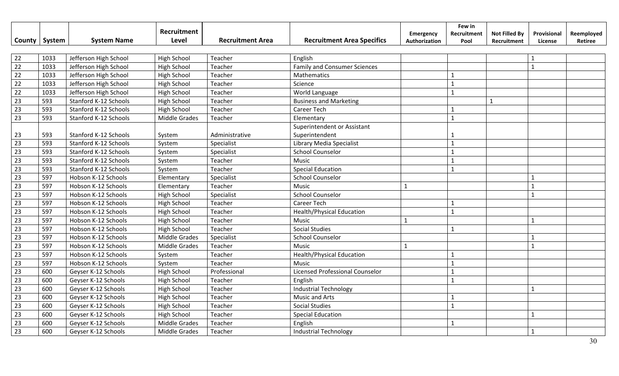|                 |        |                       | Recruitment          |                         |                                        | <b>Emergency</b> | Few in<br>Recruitment | <b>Not Filled By</b> | Provisional  | Reemployed |
|-----------------|--------|-----------------------|----------------------|-------------------------|----------------------------------------|------------------|-----------------------|----------------------|--------------|------------|
| County          | System | <b>System Name</b>    | Level                | <b>Recruitment Area</b> | <b>Recruitment Area Specifics</b>      | Authorization    | Pool                  | Recruitment          | License      | Retiree    |
|                 |        |                       |                      |                         |                                        |                  |                       |                      |              |            |
| 22              | 1033   | Jefferson High School | High School          | Teacher                 | English                                |                  |                       |                      | $\mathbf{1}$ |            |
| $\overline{22}$ | 1033   | Jefferson High School | <b>High School</b>   | Teacher                 | <b>Family and Consumer Sciences</b>    |                  |                       |                      | $\mathbf{1}$ |            |
| 22              | 1033   | Jefferson High School | <b>High School</b>   | Teacher                 | Mathematics                            |                  | $\mathbf{1}$          |                      |              |            |
| 22              | 1033   | Jefferson High School | <b>High School</b>   | Teacher                 | Science                                |                  | $\mathbf{1}$          |                      |              |            |
| 22              | 1033   | Jefferson High School | High School          | Teacher                 | World Language                         |                  | $\mathbf{1}$          |                      |              |            |
| 23              | 593    | Stanford K-12 Schools | <b>High School</b>   | Teacher                 | <b>Business and Marketing</b>          |                  |                       | $\mathbf{1}$         |              |            |
| 23              | 593    | Stanford K-12 Schools | High School          | Teacher                 | <b>Career Tech</b>                     |                  | $\mathbf{1}$          |                      |              |            |
| 23              | 593    | Stanford K-12 Schools | Middle Grades        | Teacher                 | Elementary                             |                  | $\mathbf{1}$          |                      |              |            |
|                 |        |                       |                      |                         | Superintendent or Assistant            |                  |                       |                      |              |            |
| 23              | 593    | Stanford K-12 Schools | System               | Administrative          | Superintendent                         |                  | $\mathbf{1}$          |                      |              |            |
| 23              | 593    | Stanford K-12 Schools | System               | Specialist              | Library Media Specialist               |                  | $\mathbf{1}$          |                      |              |            |
| 23              | 593    | Stanford K-12 Schools | System               | Specialist              | <b>School Counselor</b>                |                  | $\mathbf{1}$          |                      |              |            |
| 23              | 593    | Stanford K-12 Schools | System               | Teacher                 | Music                                  |                  | $\mathbf{1}$          |                      |              |            |
| 23              | 593    | Stanford K-12 Schools | System               | Teacher                 | <b>Special Education</b>               |                  | $\mathbf{1}$          |                      |              |            |
| 23              | 597    | Hobson K-12 Schools   | Elementary           | Specialist              | <b>School Counselor</b>                |                  |                       |                      | $\mathbf{1}$ |            |
| 23              | 597    | Hobson K-12 Schools   | Elementary           | Teacher                 | Music                                  | $\mathbf{1}$     |                       |                      | $\mathbf{1}$ |            |
| 23              | 597    | Hobson K-12 Schools   | High School          | Specialist              | <b>School Counselor</b>                |                  |                       |                      | $\mathbf{1}$ |            |
| 23              | 597    | Hobson K-12 Schools   | High School          | Teacher                 | <b>Career Tech</b>                     |                  | $\mathbf{1}$          |                      |              |            |
| 23              | 597    | Hobson K-12 Schools   | High School          | Teacher                 | <b>Health/Physical Education</b>       |                  | $\mathbf{1}$          |                      |              |            |
| 23              | 597    | Hobson K-12 Schools   | <b>High School</b>   | Teacher                 | Music                                  | $\mathbf{1}$     |                       |                      | $\mathbf{1}$ |            |
| 23              | 597    | Hobson K-12 Schools   | High School          | Teacher                 | <b>Social Studies</b>                  |                  | $\mathbf{1}$          |                      |              |            |
| 23              | 597    | Hobson K-12 Schools   | <b>Middle Grades</b> | Specialist              | <b>School Counselor</b>                |                  |                       |                      | $\mathbf{1}$ |            |
| 23              | 597    | Hobson K-12 Schools   | <b>Middle Grades</b> | Teacher                 | Music                                  | $\mathbf{1}$     |                       |                      | $\mathbf{1}$ |            |
| $\overline{23}$ | 597    | Hobson K-12 Schools   | System               | Teacher                 | <b>Health/Physical Education</b>       |                  | $\mathbf{1}$          |                      |              |            |
| $\overline{23}$ | 597    | Hobson K-12 Schools   | System               | Teacher                 | <b>Music</b>                           |                  | $\mathbf{1}$          |                      |              |            |
| $\overline{23}$ | 600    | Geyser K-12 Schools   | High School          | Professional            | <b>Licensed Professional Counselor</b> |                  | $\mathbf{1}$          |                      |              |            |
| 23              | 600    | Geyser K-12 Schools   | High School          | Teacher                 | English                                |                  | $\mathbf{1}$          |                      |              |            |
| 23              | 600    | Geyser K-12 Schools   | High School          | Teacher                 | <b>Industrial Technology</b>           |                  |                       |                      | $\mathbf{1}$ |            |
| 23              | 600    | Geyser K-12 Schools   | High School          | Teacher                 | Music and Arts                         |                  | $\mathbf{1}$          |                      |              |            |
| 23              | 600    | Geyser K-12 Schools   | <b>High School</b>   | Teacher                 | <b>Social Studies</b>                  |                  | $\mathbf{1}$          |                      |              |            |
| 23              | 600    | Geyser K-12 Schools   | High School          | Teacher                 | <b>Special Education</b>               |                  |                       |                      | $\mathbf{1}$ |            |
| 23              | 600    | Geyser K-12 Schools   | Middle Grades        | Teacher                 | English                                |                  | $\mathbf{1}$          |                      |              |            |
| 23              | 600    | Geyser K-12 Schools   | <b>Middle Grades</b> | Teacher                 | <b>Industrial Technology</b>           |                  |                       |                      | $\mathbf{1}$ |            |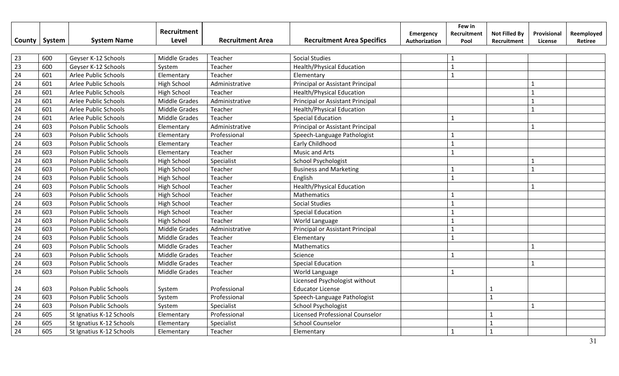|                 |        |                          | Recruitment          |                         |                                   | <b>Emergency</b> | Few in<br>Recruitment | <b>Not Filled By</b> | Provisional  | Reemployed |
|-----------------|--------|--------------------------|----------------------|-------------------------|-----------------------------------|------------------|-----------------------|----------------------|--------------|------------|
| County          | System | <b>System Name</b>       | Level                | <b>Recruitment Area</b> | <b>Recruitment Area Specifics</b> | Authorization    | Pool                  | Recruitment          | License      | Retiree    |
|                 |        |                          |                      |                         |                                   |                  |                       |                      |              |            |
| 23              | 600    | Geyser K-12 Schools      | <b>Middle Grades</b> | Teacher                 | <b>Social Studies</b>             |                  | 1                     |                      |              |            |
| $\overline{23}$ | 600    | Geyser K-12 Schools      | System               | Teacher                 | <b>Health/Physical Education</b>  |                  | $\mathbf{1}$          |                      |              |            |
| $\overline{24}$ | 601    | Arlee Public Schools     | Elementary           | Teacher                 | Elementary                        |                  | $\mathbf{1}$          |                      |              |            |
| 24              | 601    | Arlee Public Schools     | High School          | Administrative          | Principal or Assistant Principal  |                  |                       |                      | $\mathbf{1}$ |            |
| 24              | 601    | Arlee Public Schools     | <b>High School</b>   | Teacher                 | <b>Health/Physical Education</b>  |                  |                       |                      | $\mathbf{1}$ |            |
| 24              | 601    | Arlee Public Schools     | Middle Grades        | Administrative          | Principal or Assistant Principal  |                  |                       |                      | $\mathbf{1}$ |            |
| 24              | 601    | Arlee Public Schools     | Middle Grades        | Teacher                 | <b>Health/Physical Education</b>  |                  |                       |                      | $\mathbf{1}$ |            |
| 24              | 601    | Arlee Public Schools     | Middle Grades        | Teacher                 | <b>Special Education</b>          |                  | $\mathbf{1}$          |                      |              |            |
| $\overline{24}$ | 603    | Polson Public Schools    | Elementary           | Administrative          | Principal or Assistant Principal  |                  |                       |                      | $\mathbf{1}$ |            |
| 24              | 603    | Polson Public Schools    | Elementary           | Professional            | Speech-Language Pathologist       |                  | $\mathbf{1}$          |                      |              |            |
| 24              | 603    | Polson Public Schools    | Elementary           | Teacher                 | Early Childhood                   |                  | $\mathbf{1}$          |                      |              |            |
| 24              | 603    | Polson Public Schools    | Elementary           | Teacher                 | <b>Music and Arts</b>             |                  | $\mathbf{1}$          |                      |              |            |
| 24              | 603    | Polson Public Schools    | High School          | Specialist              | School Psychologist               |                  |                       |                      | $\mathbf{1}$ |            |
| 24              | 603    | Polson Public Schools    | High School          | Teacher                 | <b>Business and Marketing</b>     |                  | $\mathbf{1}$          |                      | $\mathbf{1}$ |            |
| 24              | 603    | Polson Public Schools    | <b>High School</b>   | Teacher                 | English                           |                  | $\mathbf{1}$          |                      |              |            |
| 24              | 603    | Polson Public Schools    | High School          | Teacher                 | <b>Health/Physical Education</b>  |                  |                       |                      | $\mathbf{1}$ |            |
| 24              | 603    | Polson Public Schools    | <b>High School</b>   | Teacher                 | Mathematics                       |                  | $\mathbf{1}$          |                      |              |            |
| 24              | 603    | Polson Public Schools    | <b>High School</b>   | Teacher                 | <b>Social Studies</b>             |                  | $\mathbf{1}$          |                      |              |            |
| 24              | 603    | Polson Public Schools    | <b>High School</b>   | Teacher                 | <b>Special Education</b>          |                  | $\mathbf{1}$          |                      |              |            |
| 24              | 603    | Polson Public Schools    | <b>High School</b>   | Teacher                 | World Language                    |                  | $\mathbf{1}$          |                      |              |            |
| 24              | 603    | Polson Public Schools    | <b>Middle Grades</b> | Administrative          | Principal or Assistant Principal  |                  | $\mathbf{1}$          |                      |              |            |
| $\overline{24}$ | 603    | Polson Public Schools    | <b>Middle Grades</b> | Teacher                 | Elementary                        |                  | $\mathbf{1}$          |                      |              |            |
| 24              | 603    | Polson Public Schools    | <b>Middle Grades</b> | Teacher                 | Mathematics                       |                  |                       |                      | $\mathbf{1}$ |            |
| 24              | 603    | Polson Public Schools    | <b>Middle Grades</b> | Teacher                 | Science                           |                  | $\mathbf{1}$          |                      |              |            |
| 24              | 603    | Polson Public Schools    | Middle Grades        | Teacher                 | <b>Special Education</b>          |                  |                       |                      | $\mathbf{1}$ |            |
| 24              | 603    | Polson Public Schools    | Middle Grades        | Teacher                 | World Language                    |                  | $\mathbf{1}$          |                      |              |            |
|                 |        |                          |                      |                         | Licensed Psychologist without     |                  |                       |                      |              |            |
| 24              | 603    | Polson Public Schools    | System               | Professional            | <b>Educator License</b>           |                  |                       | 1                    |              |            |
| 24              | 603    | Polson Public Schools    | System               | Professional            | Speech-Language Pathologist       |                  |                       | $\mathbf{1}$         |              |            |
| 24              | 603    | Polson Public Schools    | System               | Specialist              | <b>School Psychologist</b>        |                  |                       |                      | $\mathbf{1}$ |            |
| 24              | 605    | St Ignatius K-12 Schools | Elementary           | Professional            | Licensed Professional Counselor   |                  |                       | $\mathbf{1}$         |              |            |
| 24              | 605    | St Ignatius K-12 Schools | Elementary           | Specialist              | <b>School Counselor</b>           |                  |                       | $\mathbf{1}$         |              |            |
| 24              | 605    | St Ignatius K-12 Schools | Elementary           | Teacher                 | Elementary                        |                  | $\mathbf{1}$          | $\mathbf{1}$         |              |            |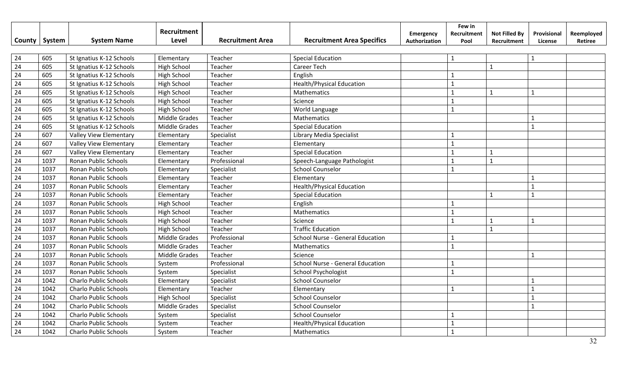|        |        |                               | Recruitment          |                         |                                         | Emergency     | Few in<br>Recruitment | <b>Not Filled By</b> | Provisional    | Reemployed |
|--------|--------|-------------------------------|----------------------|-------------------------|-----------------------------------------|---------------|-----------------------|----------------------|----------------|------------|
| County | System | <b>System Name</b>            | Level                | <b>Recruitment Area</b> | <b>Recruitment Area Specifics</b>       | Authorization | Pool                  | Recruitment          | License        | Retiree    |
|        |        |                               |                      |                         |                                         |               |                       |                      |                |            |
| 24     | 605    | St Ignatius K-12 Schools      | Elementary           | Teacher                 | <b>Special Education</b>                |               | $\mathbf{1}$          |                      | $\overline{1}$ |            |
| 24     | 605    | St Ignatius K-12 Schools      | High School          | Teacher                 | <b>Career Tech</b>                      |               |                       | $\mathbf{1}$         |                |            |
| 24     | 605    | St Ignatius K-12 Schools      | High School          | Teacher                 | English                                 |               | $\mathbf{1}$          |                      |                |            |
| 24     | 605    | St Ignatius K-12 Schools      | High School          | Teacher                 | <b>Health/Physical Education</b>        |               | $\mathbf{1}$          |                      |                |            |
| 24     | 605    | St Ignatius K-12 Schools      | High School          | Teacher                 | Mathematics                             |               | $\mathbf{1}$          | $\mathbf{1}$         | $\mathbf{1}$   |            |
| 24     | 605    | St Ignatius K-12 Schools      | High School          | Teacher                 | Science                                 |               |                       |                      |                |            |
| 24     | 605    | St Ignatius K-12 Schools      | High School          | Teacher                 | World Language                          |               | $\mathbf{1}$          |                      |                |            |
| 24     | 605    | St Ignatius K-12 Schools      | <b>Middle Grades</b> | Teacher                 | Mathematics                             |               |                       |                      | $\mathbf{1}$   |            |
| 24     | 605    | St Ignatius K-12 Schools      | <b>Middle Grades</b> | Teacher                 | <b>Special Education</b>                |               |                       |                      | $\mathbf{1}$   |            |
| 24     | 607    | Valley View Elementary        | Elementary           | Specialist              | Library Media Specialist                |               | 1                     |                      |                |            |
| 24     | 607    | <b>Valley View Elementary</b> | Elementary           | Teacher                 | Elementary                              |               |                       |                      |                |            |
| 24     | 607    | Valley View Elementary        | Elementary           | Teacher                 | <b>Special Education</b>                |               |                       | $\mathbf{1}$         |                |            |
| 24     | 1037   | Ronan Public Schools          | Elementary           | Professional            | Speech-Language Pathologist             |               |                       | $\mathbf{1}$         |                |            |
| 24     | 1037   | Ronan Public Schools          | Elementary           | Specialist              | <b>School Counselor</b>                 |               | $\mathbf{1}$          |                      |                |            |
| 24     | 1037   | Ronan Public Schools          | Elementary           | Teacher                 | Elementary                              |               |                       |                      |                |            |
| 24     | 1037   | Ronan Public Schools          | Elementary           | Teacher                 | <b>Health/Physical Education</b>        |               |                       |                      | $\overline{1}$ |            |
| 24     | 1037   | Ronan Public Schools          | Elementary           | Teacher                 | <b>Special Education</b>                |               |                       | $\mathbf{1}$         | $\mathbf{1}$   |            |
| 24     | 1037   | Ronan Public Schools          | High School          | Teacher                 | English                                 |               |                       |                      |                |            |
| 24     | 1037   | Ronan Public Schools          | High School          | Teacher                 | Mathematics                             |               | $\mathbf{1}$          |                      |                |            |
| 24     | 1037   | Ronan Public Schools          | High School          | Teacher                 | Science                                 |               | $\mathbf{1}$          | $\mathbf{1}$         | $\mathbf{1}$   |            |
| 24     | 1037   | Ronan Public Schools          | High School          | Teacher                 | <b>Traffic Education</b>                |               |                       | $\mathbf{1}$         |                |            |
| 24     | 1037   | Ronan Public Schools          | <b>Middle Grades</b> | Professional            | <b>School Nurse - General Education</b> |               | $\mathbf{1}$          |                      |                |            |
| 24     | 1037   | Ronan Public Schools          | <b>Middle Grades</b> | Teacher                 | Mathematics                             |               | $\mathbf{1}$          |                      |                |            |
| 24     | 1037   | Ronan Public Schools          | <b>Middle Grades</b> | Teacher                 | Science                                 |               |                       |                      |                |            |
| 24     | 1037   | Ronan Public Schools          | System               | Professional            | <b>School Nurse - General Education</b> |               |                       |                      |                |            |
| 24     | 1037   | Ronan Public Schools          | System               | Specialist              | <b>School Psychologist</b>              |               | $\mathbf{1}$          |                      |                |            |
| 24     | 1042   | <b>Charlo Public Schools</b>  | Elementary           | Specialist              | <b>School Counselor</b>                 |               |                       |                      |                |            |
| 24     | 1042   | <b>Charlo Public Schools</b>  | Elementary           | Teacher                 | Elementary                              |               | $\mathbf{1}$          |                      | $\mathbf 1$    |            |
| 24     | 1042   | <b>Charlo Public Schools</b>  | <b>High School</b>   | Specialist              | <b>School Counselor</b>                 |               |                       |                      | $\mathbf{1}$   |            |
| 24     | 1042   | <b>Charlo Public Schools</b>  | <b>Middle Grades</b> | Specialist              | <b>School Counselor</b>                 |               |                       |                      | $\mathbf{1}$   |            |
| 24     | 1042   | <b>Charlo Public Schools</b>  | System               | Specialist              | <b>School Counselor</b>                 |               |                       |                      |                |            |
| 24     | 1042   | Charlo Public Schools         | System               | Teacher                 | <b>Health/Physical Education</b>        |               |                       |                      |                |            |
| 24     | 1042   | <b>Charlo Public Schools</b>  | System               | Teacher                 | Mathematics                             |               |                       |                      |                |            |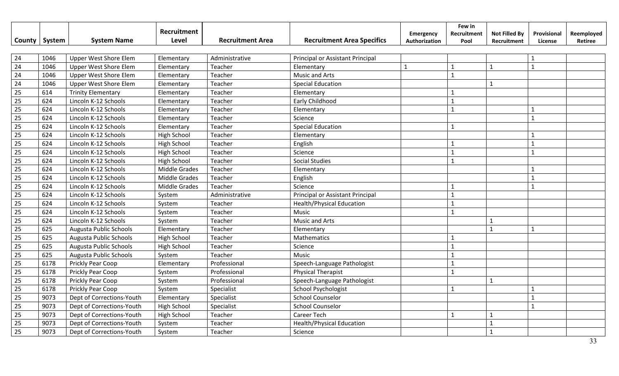|                 |        |                              | Recruitment          |                         |                                   | Emergency     | Few in<br>Recruitment | <b>Not Filled By</b> | Provisional  | Reemployed |
|-----------------|--------|------------------------------|----------------------|-------------------------|-----------------------------------|---------------|-----------------------|----------------------|--------------|------------|
| County          | System | <b>System Name</b>           | Level                | <b>Recruitment Area</b> | <b>Recruitment Area Specifics</b> | Authorization | Pool                  | Recruitment          | License      | Retiree    |
|                 |        |                              |                      |                         |                                   |               |                       |                      |              |            |
| 24              | 1046   | <b>Upper West Shore Elem</b> | Elementary           | Administrative          | Principal or Assistant Principal  |               |                       |                      | $\mathbf{1}$ |            |
| 24              | 1046   | <b>Upper West Shore Elem</b> | Elementary           | Teacher                 | Elementary                        | $\mathbf{1}$  | $\mathbf{1}$          | $\mathbf{1}$         | $\mathbf{1}$ |            |
| 24              | 1046   | <b>Upper West Shore Elem</b> | Elementary           | Teacher                 | Music and Arts                    |               | $\mathbf{1}$          |                      |              |            |
| 24              | 1046   | <b>Upper West Shore Elem</b> | Elementary           | Teacher                 | <b>Special Education</b>          |               |                       | $\mathbf{1}$         |              |            |
| 25              | 614    | <b>Trinity Elementary</b>    | Elementary           | Teacher                 | Elementary                        |               |                       |                      |              |            |
| 25              | 624    | Lincoln K-12 Schools         | Elementary           | Teacher                 | Early Childhood                   |               | $\mathbf{1}$          |                      |              |            |
| 25              | 624    | Lincoln K-12 Schools         | Elementary           | Teacher                 | Elementary                        |               | $\mathbf{1}$          |                      | $\mathbf{1}$ |            |
| 25              | 624    | Lincoln K-12 Schools         | Elementary           | Teacher                 | Science                           |               |                       |                      | $\mathbf{1}$ |            |
| 25              | 624    | Lincoln K-12 Schools         | Elementary           | Teacher                 | <b>Special Education</b>          |               | $\mathbf{1}$          |                      |              |            |
| 25              | 624    | Lincoln K-12 Schools         | High School          | Teacher                 | Elementary                        |               |                       |                      | $\mathbf 1$  |            |
| 25              | 624    | Lincoln K-12 Schools         | High School          | Teacher                 | English                           |               |                       |                      | $\mathbf{1}$ |            |
| 25              | 624    | Lincoln K-12 Schools         | High School          | Teacher                 | Science                           |               |                       |                      | $\mathbf{1}$ |            |
| 25              | 624    | Lincoln K-12 Schools         | High School          | Teacher                 | <b>Social Studies</b>             |               |                       |                      |              |            |
| 25              | 624    | Lincoln K-12 Schools         | Middle Grades        | Teacher                 | Elementary                        |               |                       |                      |              |            |
| 25              | 624    | Lincoln K-12 Schools         | <b>Middle Grades</b> | Teacher                 | English                           |               |                       |                      |              |            |
| 25              | 624    | Lincoln K-12 Schools         | <b>Middle Grades</b> | Teacher                 | Science                           |               |                       |                      | $\mathbf{1}$ |            |
| 25              | 624    | Lincoln K-12 Schools         | System               | Administrative          | Principal or Assistant Principal  |               | $\mathbf{1}$          |                      |              |            |
| 25              | 624    | Lincoln K-12 Schools         | System               | Teacher                 | <b>Health/Physical Education</b>  |               | $\mathbf{1}$          |                      |              |            |
| 25              | 624    | Lincoln K-12 Schools         | System               | Teacher                 | Music                             |               | $\mathbf{1}$          |                      |              |            |
| 25              | 624    | Lincoln K-12 Schools         | System               | Teacher                 | Music and Arts                    |               |                       | $\mathbf{1}$         |              |            |
| 25              | 625    | Augusta Public Schools       | Elementary           | Teacher                 | Elementary                        |               |                       | $\mathbf{1}$         | $\mathbf 1$  |            |
| $\overline{25}$ | 625    | Augusta Public Schools       | <b>High School</b>   | Teacher                 | Mathematics                       |               |                       |                      |              |            |
| $\overline{25}$ | 625    | Augusta Public Schools       | <b>High School</b>   | Teacher                 | Science                           |               | $\mathbf{1}$          |                      |              |            |
| 25              | 625    | Augusta Public Schools       | System               | Teacher                 | Music                             |               | 1                     |                      |              |            |
| 25              | 6178   | Prickly Pear Coop            | Elementary           | Professional            | Speech-Language Pathologist       |               | $\mathbf{1}$          |                      |              |            |
| 25              | 6178   | Prickly Pear Coop            | System               | Professional            | <b>Physical Therapist</b>         |               | $\mathbf{1}$          |                      |              |            |
| 25              | 6178   | Prickly Pear Coop            | System               | Professional            | Speech-Language Pathologist       |               |                       | $\mathbf{1}$         |              |            |
| 25              | 6178   | Prickly Pear Coop            | System               | Specialist              | <b>School Psychologist</b>        |               | $\mathbf{1}$          |                      |              |            |
| 25              | 9073   | Dept of Corrections-Youth    | Elementary           | Specialist              | <b>School Counselor</b>           |               |                       |                      | $\mathbf{1}$ |            |
| 25              | 9073   | Dept of Corrections-Youth    | High School          | Specialist              | <b>School Counselor</b>           |               |                       |                      | $\mathbf{1}$ |            |
| 25              | 9073   | Dept of Corrections-Youth    | <b>High School</b>   | Teacher                 | <b>Career Tech</b>                |               | $\mathbf{1}$          | $\mathbf{1}$         |              |            |
| 25              | 9073   | Dept of Corrections-Youth    | System               | Teacher                 | <b>Health/Physical Education</b>  |               |                       | $\mathbf{1}$         |              |            |
| 25              | 9073   | Dept of Corrections-Youth    | System               | Teacher                 | Science                           |               |                       | $\mathbf{1}$         |              |            |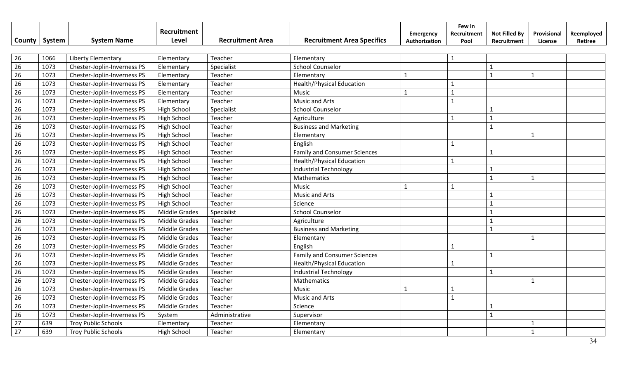|                 |        |                             | Recruitment<br>Level | <b>Recruitment Area</b> | <b>Recruitment Area Specifics</b>   | Emergency     | Few in<br>Recruitment | <b>Not Filled By</b> | Provisional  | Reemployed |
|-----------------|--------|-----------------------------|----------------------|-------------------------|-------------------------------------|---------------|-----------------------|----------------------|--------------|------------|
| County          | System | <b>System Name</b>          |                      |                         |                                     | Authorization | Pool                  | Recruitment          | License      | Retiree    |
| 26              | 1066   | Liberty Elementary          | Elementary           | Teacher                 | Elementary                          |               | $\mathbf{1}$          |                      |              |            |
| $\overline{26}$ | 1073   | Chester-Joplin-Inverness PS | Elementary           | Specialist              | <b>School Counselor</b>             |               |                       | $\mathbf{1}$         |              |            |
| $\overline{26}$ | 1073   | Chester-Joplin-Inverness PS | Elementary           | Teacher                 | Elementary                          | $\mathbf{1}$  |                       | $\mathbf{1}$         | $\mathbf{1}$ |            |
| $\overline{26}$ | 1073   | Chester-Joplin-Inverness PS | Elementary           | Teacher                 | <b>Health/Physical Education</b>    |               | $\mathbf{1}$          |                      |              |            |
| 26              | 1073   | Chester-Joplin-Inverness PS | Elementary           | Teacher                 | Music                               | $\mathbf{1}$  | $\mathbf{1}$          |                      |              |            |
| 26              | 1073   | Chester-Joplin-Inverness PS | Elementary           | Teacher                 | <b>Music and Arts</b>               |               | $\mathbf{1}$          |                      |              |            |
| 26              | 1073   | Chester-Joplin-Inverness PS | <b>High School</b>   | Specialist              | <b>School Counselor</b>             |               |                       | $\mathbf{1}$         |              |            |
| 26              | 1073   | Chester-Joplin-Inverness PS | <b>High School</b>   | Teacher                 | Agriculture                         |               | $\mathbf{1}$          | $\mathbf 1$          |              |            |
| 26              | 1073   | Chester-Joplin-Inverness PS | High School          | Teacher                 | <b>Business and Marketing</b>       |               |                       | $\mathbf{1}$         |              |            |
| 26              | 1073   | Chester-Joplin-Inverness PS | High School          | Teacher                 | Elementary                          |               |                       |                      | $\mathbf{1}$ |            |
| 26              | 1073   | Chester-Joplin-Inverness PS | High School          | Teacher                 | English                             |               | $\mathbf{1}$          |                      |              |            |
| 26              | 1073   | Chester-Joplin-Inverness PS | <b>High School</b>   | Teacher                 | <b>Family and Consumer Sciences</b> |               |                       | $\mathbf{1}$         |              |            |
| 26              | 1073   | Chester-Joplin-Inverness PS | <b>High School</b>   | Teacher                 | <b>Health/Physical Education</b>    |               | $\mathbf{1}$          |                      |              |            |
| 26              | 1073   | Chester-Joplin-Inverness PS | <b>High School</b>   | Teacher                 | <b>Industrial Technology</b>        |               |                       | $\mathbf{1}$         |              |            |
| 26              | 1073   | Chester-Joplin-Inverness PS | <b>High School</b>   | Teacher                 | Mathematics                         |               |                       | $\mathbf{1}$         | $\mathbf{1}$ |            |
| 26              | 1073   | Chester-Joplin-Inverness PS | <b>High School</b>   | Teacher                 | Music                               | $\mathbf{1}$  | $\mathbf{1}$          |                      |              |            |
| 26              | 1073   | Chester-Joplin-Inverness PS | <b>High School</b>   | Teacher                 | <b>Music and Arts</b>               |               |                       | $\mathbf{1}$         |              |            |
| 26              | 1073   | Chester-Joplin-Inverness PS | High School          | Teacher                 | Science                             |               |                       | $\mathbf{1}$         |              |            |
| 26              | 1073   | Chester-Joplin-Inverness PS | Middle Grades        | Specialist              | <b>School Counselor</b>             |               |                       | $\mathbf{1}$         |              |            |
| 26              | 1073   | Chester-Joplin-Inverness PS | Middle Grades        | Teacher                 | Agriculture                         |               |                       | $\mathbf{1}$         |              |            |
| $\overline{26}$ | 1073   | Chester-Joplin-Inverness PS | Middle Grades        | Teacher                 | <b>Business and Marketing</b>       |               |                       | $\mathbf{1}$         |              |            |
| $\overline{26}$ | 1073   | Chester-Joplin-Inverness PS | <b>Middle Grades</b> | Teacher                 | Elementary                          |               |                       |                      | $\mathbf{1}$ |            |
| $\overline{26}$ | 1073   | Chester-Joplin-Inverness PS | <b>Middle Grades</b> | Teacher                 | English                             |               | $\mathbf{1}$          |                      |              |            |
| $\overline{26}$ | 1073   | Chester-Joplin-Inverness PS | <b>Middle Grades</b> | Teacher                 | <b>Family and Consumer Sciences</b> |               |                       | $\mathbf{1}$         |              |            |
| $\overline{26}$ | 1073   | Chester-Joplin-Inverness PS | <b>Middle Grades</b> | Teacher                 | <b>Health/Physical Education</b>    |               | $\mathbf{1}$          |                      |              |            |
| 26              | 1073   | Chester-Joplin-Inverness PS | Middle Grades        | Teacher                 | <b>Industrial Technology</b>        |               |                       | $\mathbf{1}$         |              |            |
| 26              | 1073   | Chester-Joplin-Inverness PS | Middle Grades        | Teacher                 | Mathematics                         |               |                       |                      | $\mathbf{1}$ |            |
| 26              | 1073   | Chester-Joplin-Inverness PS | Middle Grades        | Teacher                 | Music                               | $\mathbf{1}$  | $\mathbf{1}$          |                      |              |            |
| 26              | 1073   | Chester-Joplin-Inverness PS | Middle Grades        | Teacher                 | <b>Music and Arts</b>               |               | $\mathbf{1}$          |                      |              |            |
| 26              | 1073   | Chester-Joplin-Inverness PS | Middle Grades        | Teacher                 | Science                             |               |                       | $\mathbf{1}$         |              |            |
| 26              | 1073   | Chester-Joplin-Inverness PS | System               | Administrative          | Supervisor                          |               |                       | $\mathbf{1}$         |              |            |
| 27              | 639    | <b>Troy Public Schools</b>  | Elementary           | Teacher                 | Elementary                          |               |                       |                      | $\mathbf{1}$ |            |
| 27              | 639    | <b>Troy Public Schools</b>  | <b>High School</b>   | Teacher                 | Elementary                          |               |                       |                      | $\mathbf{1}$ |            |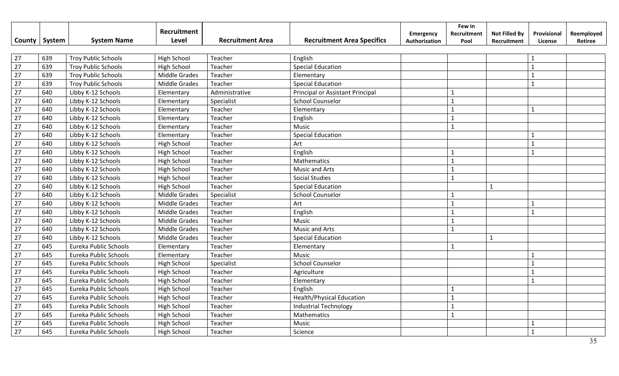|                 |        |                                                          | Recruitment          |                         |                                   | Emergency     | Few in<br>Recruitment | <b>Not Filled By</b> | Provisional    | Reemployed |
|-----------------|--------|----------------------------------------------------------|----------------------|-------------------------|-----------------------------------|---------------|-----------------------|----------------------|----------------|------------|
| County          | System | <b>System Name</b>                                       | Level                | <b>Recruitment Area</b> | <b>Recruitment Area Specifics</b> | Authorization | Pool                  | Recruitment          | License        | Retiree    |
| 27              | 639    |                                                          |                      | Teacher                 | English                           |               |                       |                      |                |            |
| 27              | 639    | <b>Troy Public Schools</b><br><b>Troy Public Schools</b> | <b>High School</b>   | Teacher                 |                                   |               |                       |                      | $\mathbf{1}$   |            |
| $\overline{27}$ |        |                                                          | High School          |                         | <b>Special Education</b>          |               |                       |                      |                |            |
|                 | 639    | <b>Troy Public Schools</b>                               | Middle Grades        | Teacher                 | Elementary                        |               |                       |                      |                |            |
| $\overline{27}$ | 639    | <b>Troy Public Schools</b>                               | <b>Middle Grades</b> | Teacher                 | <b>Special Education</b>          |               |                       |                      |                |            |
| $\overline{27}$ | 640    | Libby K-12 Schools                                       | Elementary           | Administrative          | Principal or Assistant Principal  |               | $\mathbf{1}$          |                      |                |            |
| 27              | 640    | Libby K-12 Schools                                       | Elementary           | Specialist              | <b>School Counselor</b>           |               | $\mathbf{1}$          |                      |                |            |
| 27              | 640    | Libby K-12 Schools                                       | Elementary           | Teacher                 | Elementary                        |               | $\mathbf{1}$          |                      | $\mathbf{1}$   |            |
| $\overline{27}$ | 640    | Libby K-12 Schools                                       | Elementary           | Teacher                 | English                           |               | $\mathbf{1}$          |                      |                |            |
| 27              | 640    | Libby K-12 Schools                                       | Elementary           | Teacher                 | Music                             |               | $\mathbf{1}$          |                      |                |            |
| 27              | 640    | Libby K-12 Schools                                       | Elementary           | Teacher                 | <b>Special Education</b>          |               |                       |                      | 1              |            |
| 27              | 640    | Libby K-12 Schools                                       | High School          | Teacher                 | Art                               |               |                       |                      | $\mathbf{1}$   |            |
| 27              | 640    | Libby K-12 Schools                                       | High School          | Teacher                 | English                           |               |                       |                      | $\mathbf{1}$   |            |
| 27              | 640    | Libby K-12 Schools                                       | High School          | Teacher                 | Mathematics                       |               |                       |                      |                |            |
| 27              | 640    | Libby K-12 Schools                                       | High School          | Teacher                 | <b>Music and Arts</b>             |               | $\mathbf{1}$          |                      |                |            |
| 27              | 640    | Libby K-12 Schools                                       | High School          | Teacher                 | <b>Social Studies</b>             |               | $\mathbf{1}$          |                      |                |            |
| 27              | 640    | Libby K-12 Schools                                       | High School          | Teacher                 | <b>Special Education</b>          |               |                       | $\mathbf{1}$         |                |            |
| 27              | 640    | Libby K-12 Schools                                       | Middle Grades        | Specialist              | <b>School Counselor</b>           |               |                       |                      |                |            |
| 27              | 640    | Libby K-12 Schools                                       | <b>Middle Grades</b> | Teacher                 | Art                               |               |                       |                      |                |            |
| 27              | 640    | Libby K-12 Schools                                       | <b>Middle Grades</b> | Teacher                 | English                           |               |                       |                      | $\overline{1}$ |            |
| 27              | 640    | Libby K-12 Schools                                       | <b>Middle Grades</b> | Teacher                 | Music                             |               | $\mathbf{1}$          |                      |                |            |
| 27              | 640    | Libby K-12 Schools                                       | <b>Middle Grades</b> | Teacher                 | <b>Music and Arts</b>             |               | $\mathbf{1}$          |                      |                |            |
| 27              | 640    | Libby K-12 Schools                                       | Middle Grades        | Teacher                 | <b>Special Education</b>          |               |                       | $\mathbf{1}$         |                |            |
| 27              | 645    | Eureka Public Schools                                    | Elementary           | Teacher                 | Elementary                        |               | $\mathbf{1}$          |                      |                |            |
| 27              | 645    | Eureka Public Schools                                    | Elementary           | Teacher                 | Music                             |               |                       |                      |                |            |
| 27              | 645    | Eureka Public Schools                                    | High School          | Specialist              | <b>School Counselor</b>           |               |                       |                      |                |            |
| 27              | 645    | Eureka Public Schools                                    | <b>High School</b>   | Teacher                 | Agriculture                       |               |                       |                      |                |            |
| 27              | 645    | Eureka Public Schools                                    | <b>High School</b>   | Teacher                 | Elementary                        |               |                       |                      | $\mathbf{1}$   |            |
| 27              | 645    | Eureka Public Schools                                    | High School          | Teacher                 | English                           |               | 1                     |                      |                |            |
| 27              | 645    | Eureka Public Schools                                    | High School          | Teacher                 | <b>Health/Physical Education</b>  |               | $\mathbf{1}$          |                      |                |            |
| 27              | 645    | Eureka Public Schools                                    | <b>High School</b>   | Teacher                 | <b>Industrial Technology</b>      |               | $\mathbf{1}$          |                      |                |            |
| 27              | 645    | Eureka Public Schools                                    | High School          | Teacher                 | Mathematics                       |               | $\mathbf{1}$          |                      |                |            |
| 27              | 645    | Eureka Public Schools                                    | High School          | Teacher                 | Music                             |               |                       |                      | 1              |            |
| 27              | 645    | Eureka Public Schools                                    | High School          | Teacher                 | Science                           |               |                       |                      | $\mathbf{1}$   |            |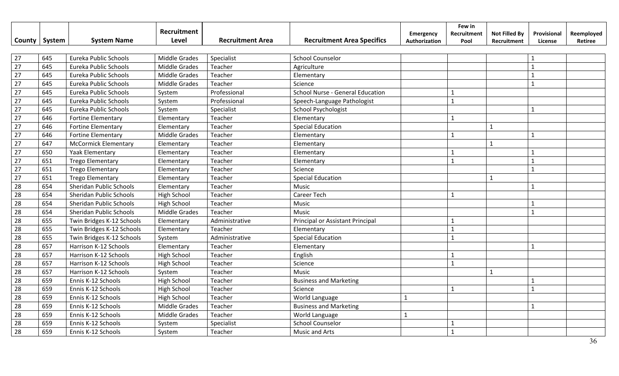|                 |        |                             | Recruitment          |                         |                                   | <b>Emergency</b> | Few in<br>Recruitment | <b>Not Filled By</b> | Provisional    | Reemployed |
|-----------------|--------|-----------------------------|----------------------|-------------------------|-----------------------------------|------------------|-----------------------|----------------------|----------------|------------|
| County          | System | <b>System Name</b>          | Level                | <b>Recruitment Area</b> | <b>Recruitment Area Specifics</b> | Authorization    | Pool                  | Recruitment          | License        | Retiree    |
|                 |        |                             |                      |                         |                                   |                  |                       |                      |                |            |
| 27              | 645    | Eureka Public Schools       | <b>Middle Grades</b> | Specialist              | <b>School Counselor</b>           |                  |                       |                      |                |            |
| $\overline{27}$ | 645    | Eureka Public Schools       | <b>Middle Grades</b> | Teacher                 | Agriculture                       |                  |                       |                      |                |            |
| $\overline{27}$ | 645    | Eureka Public Schools       | <b>Middle Grades</b> | Teacher                 | Elementary                        |                  |                       |                      |                |            |
| $\overline{27}$ | 645    | Eureka Public Schools       | <b>Middle Grades</b> | Teacher                 | Science                           |                  |                       |                      |                |            |
| 27              | 645    | Eureka Public Schools       | System               | Professional            | School Nurse - General Education  |                  | $\mathbf{1}$          |                      |                |            |
| 27              | 645    | Eureka Public Schools       | System               | Professional            | Speech-Language Pathologist       |                  | $\mathbf{1}$          |                      |                |            |
| 27              | 645    | Eureka Public Schools       | System               | Specialist              | <b>School Psychologist</b>        |                  |                       |                      | $\mathbf{1}$   |            |
| $\overline{27}$ | 646    | <b>Fortine Elementary</b>   | Elementary           | Teacher                 | Elementary                        |                  | $\mathbf{1}$          |                      |                |            |
| 27              | 646    | <b>Fortine Elementary</b>   | Elementary           | Teacher                 | <b>Special Education</b>          |                  |                       | $\mathbf{1}$         |                |            |
| 27              | 646    | <b>Fortine Elementary</b>   | <b>Middle Grades</b> | Teacher                 | Elementary                        |                  | 1                     |                      | $\mathbf{1}$   |            |
| 27              | 647    | <b>McCormick Elementary</b> | Elementary           | Teacher                 | Elementary                        |                  |                       | $\mathbf{1}$         |                |            |
| 27              | 650    | <b>Yaak Elementary</b>      | Elementary           | Teacher                 | Elementary                        |                  |                       |                      | $\mathbf{1}$   |            |
| 27              | 651    | <b>Trego Elementary</b>     | Elementary           | Teacher                 | Elementary                        |                  | $\mathbf{1}$          |                      | $\mathbf{1}$   |            |
| 27              | 651    | <b>Trego Elementary</b>     | Elementary           | Teacher                 | Science                           |                  |                       |                      | $\mathbf{1}$   |            |
| 27              | 651    | <b>Trego Elementary</b>     | Elementary           | Teacher                 | <b>Special Education</b>          |                  |                       | $\mathbf{1}$         |                |            |
| 28              | 654    | Sheridan Public Schools     | Elementary           | Teacher                 | Music                             |                  |                       |                      | $\mathbf{1}$   |            |
| 28              | 654    | Sheridan Public Schools     | <b>High School</b>   | Teacher                 | <b>Career Tech</b>                |                  |                       |                      |                |            |
| 28              | 654    | Sheridan Public Schools     | High School          | Teacher                 | Music                             |                  |                       |                      |                |            |
| 28              | 654    | Sheridan Public Schools     | <b>Middle Grades</b> | Teacher                 | Music                             |                  |                       |                      | $\overline{1}$ |            |
| 28              | 655    | Twin Bridges K-12 Schools   | Elementary           | Administrative          | Principal or Assistant Principal  |                  |                       |                      |                |            |
| 28              | 655    | Twin Bridges K-12 Schools   | Elementary           | Teacher                 | Elementary                        |                  | $\mathbf{1}$          |                      |                |            |
| $\overline{28}$ | 655    | Twin Bridges K-12 Schools   | System               | Administrative          | <b>Special Education</b>          |                  | $\mathbf{1}$          |                      |                |            |
| $\overline{28}$ | 657    | Harrison K-12 Schools       | Elementary           | Teacher                 | Elementary                        |                  |                       |                      | $\mathbf{1}$   |            |
| $\overline{28}$ | 657    | Harrison K-12 Schools       | High School          | Teacher                 | English                           |                  |                       |                      |                |            |
| 28              | 657    | Harrison K-12 Schools       | High School          | Teacher                 | Science                           |                  | $\mathbf{1}$          |                      |                |            |
| 28              | 657    | Harrison K-12 Schools       | System               | Teacher                 | Music                             |                  |                       | $\mathbf{1}$         |                |            |
| 28              | 659    | Ennis K-12 Schools          | <b>High School</b>   | Teacher                 | <b>Business and Marketing</b>     |                  |                       |                      |                |            |
| 28              | 659    | Ennis K-12 Schools          | High School          | Teacher                 | Science                           |                  | 1                     |                      | $\mathbf{1}$   |            |
| 28              | 659    | Ennis K-12 Schools          | High School          | Teacher                 | World Language                    | $\mathbf{1}$     |                       |                      |                |            |
| 28              | 659    | Ennis K-12 Schools          | <b>Middle Grades</b> | Teacher                 | <b>Business and Marketing</b>     |                  |                       |                      | $\mathbf{1}$   |            |
| 28              | 659    | Ennis K-12 Schools          | Middle Grades        | Teacher                 | World Language                    | $\mathbf{1}$     |                       |                      |                |            |
| 28              | 659    | Ennis K-12 Schools          | System               | Specialist              | <b>School Counselor</b>           |                  | 1                     |                      |                |            |
| 28              | 659    | Ennis K-12 Schools          | System               | Teacher                 | <b>Music and Arts</b>             |                  | $\mathbf{1}$          |                      |                |            |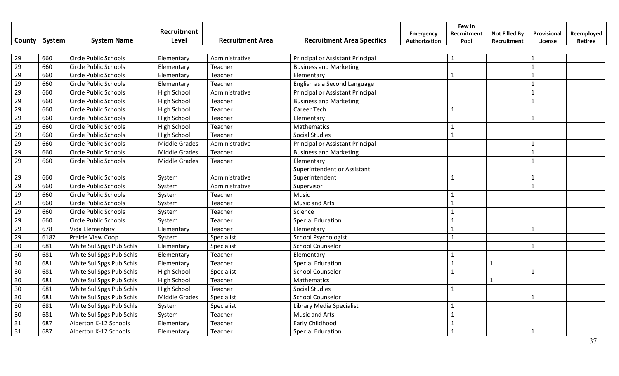|        |        |                              | Recruitment          |                         |                                   | <b>Emergency</b> | Few in<br>Recruitment | <b>Not Filled By</b> | Provisional  | Reemployed |
|--------|--------|------------------------------|----------------------|-------------------------|-----------------------------------|------------------|-----------------------|----------------------|--------------|------------|
| County | System | <b>System Name</b>           | Level                | <b>Recruitment Area</b> | <b>Recruitment Area Specifics</b> | Authorization    | Pool                  | Recruitment          | License      | Retiree    |
|        |        |                              |                      |                         |                                   |                  |                       |                      |              |            |
| 29     | 660    | <b>Circle Public Schools</b> | Elementary           | Administrative          | Principal or Assistant Principal  |                  | $\mathbf{1}$          |                      |              |            |
| 29     | 660    | <b>Circle Public Schools</b> | Elementary           | Teacher                 | <b>Business and Marketing</b>     |                  |                       |                      | $\mathbf{1}$ |            |
| 29     | 660    | <b>Circle Public Schools</b> | Elementary           | Teacher                 | Elementary                        |                  | $\mathbf{1}$          |                      |              |            |
| 29     | 660    | Circle Public Schools        | Elementary           | Teacher                 | English as a Second Language      |                  |                       |                      |              |            |
| 29     | 660    | <b>Circle Public Schools</b> | High School          | Administrative          | Principal or Assistant Principal  |                  |                       |                      |              |            |
| 29     | 660    | <b>Circle Public Schools</b> | High School          | Teacher                 | <b>Business and Marketing</b>     |                  |                       |                      | $\mathbf{1}$ |            |
| 29     | 660    | <b>Circle Public Schools</b> | High School          | Teacher                 | <b>Career Tech</b>                |                  | 1                     |                      |              |            |
| 29     | 660    | <b>Circle Public Schools</b> | High School          | Teacher                 | Elementary                        |                  |                       |                      | $\mathbf{1}$ |            |
| 29     | 660    | <b>Circle Public Schools</b> | High School          | Teacher                 | Mathematics                       |                  | 1                     |                      |              |            |
| 29     | 660    | <b>Circle Public Schools</b> | High School          | Teacher                 | <b>Social Studies</b>             |                  | $\mathbf{1}$          |                      |              |            |
| 29     | 660    | <b>Circle Public Schools</b> | <b>Middle Grades</b> | Administrative          | Principal or Assistant Principal  |                  |                       |                      |              |            |
| 29     | 660    | <b>Circle Public Schools</b> | <b>Middle Grades</b> | Teacher                 | <b>Business and Marketing</b>     |                  |                       |                      |              |            |
| 29     | 660    | <b>Circle Public Schools</b> | <b>Middle Grades</b> | Teacher                 | Elementary                        |                  |                       |                      |              |            |
|        |        |                              |                      |                         | Superintendent or Assistant       |                  |                       |                      |              |            |
| 29     | 660    | <b>Circle Public Schools</b> | System               | Administrative          | Superintendent                    |                  |                       |                      |              |            |
| 29     | 660    | <b>Circle Public Schools</b> | System               | Administrative          | Supervisor                        |                  |                       |                      | $\mathbf{1}$ |            |
| 29     | 660    | <b>Circle Public Schools</b> | System               | Teacher                 | Music                             |                  | $\mathbf{1}$          |                      |              |            |
| 29     | 660    | <b>Circle Public Schools</b> | System               | Teacher                 | <b>Music and Arts</b>             |                  | $\mathbf{1}$          |                      |              |            |
| 29     | 660    | Circle Public Schools        | System               | Teacher                 | Science                           |                  | $\mathbf{1}$          |                      |              |            |
| 29     | 660    | <b>Circle Public Schools</b> | System               | Teacher                 | <b>Special Education</b>          |                  | $\mathbf{1}$          |                      |              |            |
| 29     | 678    | Vida Elementary              | Elementary           | Teacher                 | Elementary                        |                  | $\mathbf{1}$          |                      | $\mathbf{1}$ |            |
| 29     | 6182   | Prairie View Coop            | System               | Specialist              | <b>School Psychologist</b>        |                  | $\mathbf{1}$          |                      |              |            |
| 30     | 681    | White Sul Spgs Pub Schls     | Elementary           | Specialist              | <b>School Counselor</b>           |                  |                       |                      | $\mathbf{1}$ |            |
| 30     | 681    | White Sul Spgs Pub Schls     | Elementary           | Teacher                 | Elementary                        |                  |                       |                      |              |            |
| 30     | 681    | White Sul Spgs Pub Schls     | Elementary           | Teacher                 | <b>Special Education</b>          |                  |                       | $\mathbf{1}$         |              |            |
| 30     | 681    | White Sul Spgs Pub Schls     | High School          | Specialist              | <b>School Counselor</b>           |                  | $\mathbf{1}$          |                      |              |            |
| 30     | 681    | White Sul Spgs Pub Schls     | High School          | Teacher                 | Mathematics                       |                  |                       | $\mathbf{1}$         |              |            |
| 30     | 681    | White Sul Spgs Pub Schls     | High School          | Teacher                 | <b>Social Studies</b>             |                  | $\mathbf{1}$          |                      |              |            |
| 30     | 681    | White Sul Spgs Pub Schls     | Middle Grades        | Specialist              | <b>School Counselor</b>           |                  |                       |                      | $\mathbf{1}$ |            |
| 30     | 681    | White Sul Spgs Pub Schls     | System               | Specialist              | Library Media Specialist          |                  |                       |                      |              |            |
| 30     | 681    | White Sul Spgs Pub Schls     | System               | Teacher                 | <b>Music and Arts</b>             |                  |                       |                      |              |            |
| 31     | 687    | Alberton K-12 Schools        | Elementary           | Teacher                 | Early Childhood                   |                  |                       |                      |              |            |
| 31     | 687    | Alberton K-12 Schools        | Elementary           | Teacher                 | <b>Special Education</b>          |                  |                       |                      | $\mathbf{1}$ |            |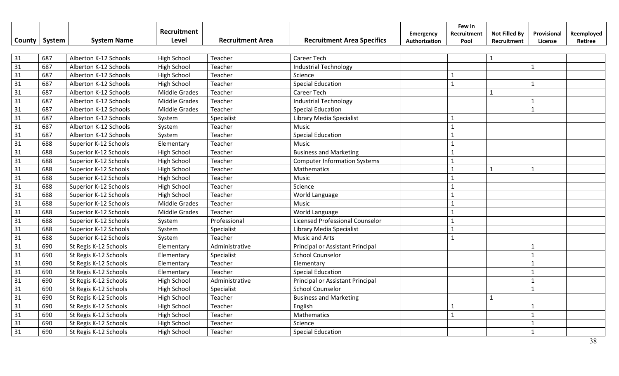| <b>County</b> | System | <b>System Name</b>    | Recruitment<br>Level | <b>Recruitment Area</b> | <b>Recruitment Area Specifics</b>   | <b>Emergency</b><br>Authorization | Few in<br>Recruitment<br>Pool | <b>Not Filled By</b><br>Recruitment | Provisional<br>License | Reemployed<br>Retiree |
|---------------|--------|-----------------------|----------------------|-------------------------|-------------------------------------|-----------------------------------|-------------------------------|-------------------------------------|------------------------|-----------------------|
|               |        |                       |                      |                         |                                     |                                   |                               |                                     |                        |                       |
| 31            | 687    | Alberton K-12 Schools | <b>High School</b>   | Teacher                 | Career Tech                         |                                   |                               | $\mathbf{1}$                        |                        |                       |
| 31            | 687    | Alberton K-12 Schools | <b>High School</b>   | Teacher                 | <b>Industrial Technology</b>        |                                   |                               |                                     | $\mathbf{1}$           |                       |
| 31            | 687    | Alberton K-12 Schools | <b>High School</b>   | Teacher                 | Science                             |                                   |                               |                                     |                        |                       |
| 31            | 687    | Alberton K-12 Schools | <b>High School</b>   | Teacher                 | <b>Special Education</b>            |                                   | $\mathbf{1}$                  |                                     | $\mathbf{1}$           |                       |
| 31            | 687    | Alberton K-12 Schools | Middle Grades        | Teacher                 | Career Tech                         |                                   |                               | $\mathbf{1}$                        |                        |                       |
| 31            | 687    | Alberton K-12 Schools | Middle Grades        | Teacher                 | <b>Industrial Technology</b>        |                                   |                               |                                     | $\mathbf{1}$           |                       |
| 31            | 687    | Alberton K-12 Schools | Middle Grades        | Teacher                 | <b>Special Education</b>            |                                   |                               |                                     | $\mathbf{1}$           |                       |
| 31            | 687    | Alberton K-12 Schools | System               | Specialist              | Library Media Specialist            |                                   | $\mathbf{1}$                  |                                     |                        |                       |
| 31            | 687    | Alberton K-12 Schools | System               | Teacher                 | Music                               |                                   | $\mathbf{1}$                  |                                     |                        |                       |
| 31            | 687    | Alberton K-12 Schools | System               | Teacher                 | <b>Special Education</b>            |                                   | $\mathbf{1}$                  |                                     |                        |                       |
| 31            | 688    | Superior K-12 Schools | Elementary           | Teacher                 | Music                               |                                   | $\mathbf 1$                   |                                     |                        |                       |
| 31            | 688    | Superior K-12 Schools | <b>High School</b>   | Teacher                 | <b>Business and Marketing</b>       |                                   | $\mathbf{1}$                  |                                     |                        |                       |
| 31            | 688    | Superior K-12 Schools | <b>High School</b>   | Teacher                 | <b>Computer Information Systems</b> |                                   | $\mathbf 1$                   |                                     |                        |                       |
| 31            | 688    | Superior K-12 Schools | <b>High School</b>   | Teacher                 | Mathematics                         |                                   | $\mathbf{1}$                  | $\mathbf{1}$                        | $\mathbf{1}$           |                       |
| 31            | 688    | Superior K-12 Schools | High School          | Teacher                 | Music                               |                                   | $\mathbf{1}$                  |                                     |                        |                       |
| 31            | 688    | Superior K-12 Schools | High School          | Teacher                 | Science                             |                                   | $\overline{1}$                |                                     |                        |                       |
| 31            | 688    | Superior K-12 Schools | High School          | Teacher                 | World Language                      |                                   | $\mathbf{1}$                  |                                     |                        |                       |
| 31            | 688    | Superior K-12 Schools | <b>Middle Grades</b> | Teacher                 | Music                               |                                   | $\mathbf{1}$                  |                                     |                        |                       |
| 31            | 688    | Superior K-12 Schools | <b>Middle Grades</b> | Teacher                 | World Language                      |                                   | $\mathbf 1$                   |                                     |                        |                       |
| 31            | 688    | Superior K-12 Schools | System               | Professional            | Licensed Professional Counselor     |                                   | $\mathbf{1}$                  |                                     |                        |                       |
| 31            | 688    | Superior K-12 Schools | System               | Specialist              | Library Media Specialist            |                                   | $\mathbf{1}$                  |                                     |                        |                       |
| 31            | 688    | Superior K-12 Schools | System               | Teacher                 | <b>Music and Arts</b>               |                                   | $\mathbf{1}$                  |                                     |                        |                       |
| 31            | 690    | St Regis K-12 Schools | Elementary           | Administrative          | Principal or Assistant Principal    |                                   |                               |                                     |                        |                       |
| 31            | 690    | St Regis K-12 Schools | Elementary           | Specialist              | <b>School Counselor</b>             |                                   |                               |                                     |                        |                       |
| 31            | 690    | St Regis K-12 Schools | Elementary           | Teacher                 | Elementary                          |                                   |                               |                                     | $\mathbf{1}$           |                       |
| 31            | 690    | St Regis K-12 Schools | Elementary           | Teacher                 | <b>Special Education</b>            |                                   |                               |                                     | $\mathbf{1}$           |                       |
| 31            | 690    | St Regis K-12 Schools | High School          | Administrative          | Principal or Assistant Principal    |                                   |                               |                                     | $\mathbf{1}$           |                       |
| 31            | 690    | St Regis K-12 Schools | <b>High School</b>   | Specialist              | <b>School Counselor</b>             |                                   |                               |                                     | $\mathbf{1}$           |                       |
| 31            | 690    | St Regis K-12 Schools | <b>High School</b>   | Teacher                 | <b>Business and Marketing</b>       |                                   |                               | $\mathbf{1}$                        |                        |                       |
| 31            | 690    | St Regis K-12 Schools | <b>High School</b>   | Teacher                 | English                             |                                   |                               |                                     |                        |                       |
| 31            | 690    | St Regis K-12 Schools | <b>High School</b>   | Teacher                 | Mathematics                         |                                   | $\mathbf{1}$                  |                                     |                        |                       |
| 31            | 690    | St Regis K-12 Schools | <b>High School</b>   | Teacher                 | Science                             |                                   |                               |                                     |                        |                       |
| 31            | 690    | St Regis K-12 Schools | <b>High School</b>   | Teacher                 | <b>Special Education</b>            |                                   |                               |                                     |                        |                       |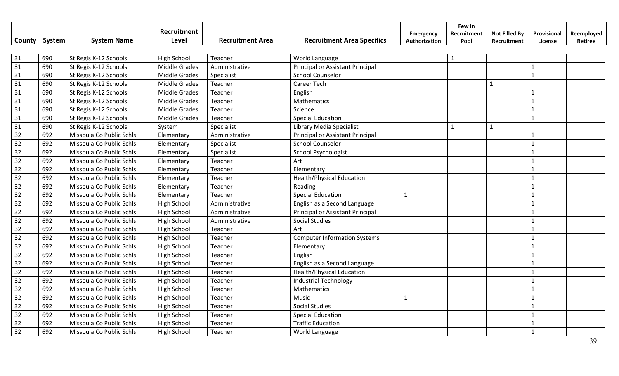|                 |        |                          | <b>Recruitment</b>   |                         |                                     | Emergency     | Few in<br>Recruitment | <b>Not Filled By</b> | Provisional    | Reemployed |
|-----------------|--------|--------------------------|----------------------|-------------------------|-------------------------------------|---------------|-----------------------|----------------------|----------------|------------|
| County          | System | <b>System Name</b>       | Level                | <b>Recruitment Area</b> | <b>Recruitment Area Specifics</b>   | Authorization | Pool                  | Recruitment          | License        | Retiree    |
|                 |        |                          |                      |                         |                                     |               |                       |                      |                |            |
| 31              | 690    | St Regis K-12 Schools    | <b>High School</b>   | Teacher                 | World Language                      |               | 1                     |                      |                |            |
| $\overline{31}$ | 690    | St Regis K-12 Schools    | <b>Middle Grades</b> | Administrative          | Principal or Assistant Principal    |               |                       |                      | $\mathbf{1}$   |            |
| 31              | 690    | St Regis K-12 Schools    | <b>Middle Grades</b> | Specialist              | <b>School Counselor</b>             |               |                       |                      | $\mathbf{1}$   |            |
| 31              | 690    | St Regis K-12 Schools    | Middle Grades        | Teacher                 | Career Tech                         |               |                       | $\mathbf{1}$         |                |            |
| 31              | 690    | St Regis K-12 Schools    | <b>Middle Grades</b> | Teacher                 | English                             |               |                       |                      | $\mathbf{1}$   |            |
| 31              | 690    | St Regis K-12 Schools    | Middle Grades        | Teacher                 | Mathematics                         |               |                       |                      | $\mathbf{1}$   |            |
| 31              | 690    | St Regis K-12 Schools    | Middle Grades        | Teacher                 | Science                             |               |                       |                      | $\mathbf{1}$   |            |
| 31              | 690    | St Regis K-12 Schools    | Middle Grades        | Teacher                 | <b>Special Education</b>            |               |                       |                      | $\mathbf{1}$   |            |
| 31              | 690    | St Regis K-12 Schools    | System               | Specialist              | Library Media Specialist            |               | 1                     | $\mathbf{1}$         |                |            |
| 32              | 692    | Missoula Co Public Schls | Elementary           | Administrative          | Principal or Assistant Principal    |               |                       |                      | $\mathbf{1}$   |            |
| 32              | 692    | Missoula Co Public Schls | Elementary           | Specialist              | <b>School Counselor</b>             |               |                       |                      | $\mathbf{1}$   |            |
| 32              | 692    | Missoula Co Public Schls | Elementary           | Specialist              | School Psychologist                 |               |                       |                      | $\mathbf{1}$   |            |
| 32              | 692    | Missoula Co Public Schls | Elementary           | Teacher                 | Art                                 |               |                       |                      | $\mathbf{1}$   |            |
| 32              | 692    | Missoula Co Public Schls | Elementary           | Teacher                 | Elementary                          |               |                       |                      | $\mathbf{1}$   |            |
| 32              | 692    | Missoula Co Public Schls | Elementary           | Teacher                 | <b>Health/Physical Education</b>    |               |                       |                      | $\mathbf{1}$   |            |
| 32              | 692    | Missoula Co Public Schls | Elementary           | Teacher                 | Reading                             |               |                       |                      | $\mathbf{1}$   |            |
| 32              | 692    | Missoula Co Public Schls | Elementary           | Teacher                 | <b>Special Education</b>            | $\mathbf{1}$  |                       |                      | $\mathbf{1}$   |            |
| 32              | 692    | Missoula Co Public Schls | <b>High School</b>   | Administrative          | English as a Second Language        |               |                       |                      | $\mathbf{1}$   |            |
| 32              | 692    | Missoula Co Public Schls | <b>High School</b>   | Administrative          | Principal or Assistant Principal    |               |                       |                      | $\mathbf{1}$   |            |
| 32              | 692    | Missoula Co Public Schls | High School          | Administrative          | <b>Social Studies</b>               |               |                       |                      | $\overline{1}$ |            |
| 32              | 692    | Missoula Co Public Schls | High School          | Teacher                 | Art                                 |               |                       |                      | $\mathbf{1}$   |            |
| 32              | 692    | Missoula Co Public Schls | <b>High School</b>   | Teacher                 | <b>Computer Information Systems</b> |               |                       |                      | $\mathbf{1}$   |            |
| 32              | 692    | Missoula Co Public Schls | <b>High School</b>   | Teacher                 | Elementary                          |               |                       |                      | $\mathbf{1}$   |            |
| $\overline{32}$ | 692    | Missoula Co Public Schls | <b>High School</b>   | Teacher                 | English                             |               |                       |                      | $\overline{1}$ |            |
| 32              | 692    | Missoula Co Public Schls | High School          | Teacher                 | English as a Second Language        |               |                       |                      |                |            |
| 32              | 692    | Missoula Co Public Schls | <b>High School</b>   | Teacher                 | <b>Health/Physical Education</b>    |               |                       |                      |                |            |
| 32              | 692    | Missoula Co Public Schls | <b>High School</b>   | Teacher                 | <b>Industrial Technology</b>        |               |                       |                      | $\mathbf{1}$   |            |
| 32              | 692    | Missoula Co Public Schls | <b>High School</b>   | Teacher                 | Mathematics                         |               |                       |                      | $\mathbf{1}$   |            |
| 32              | 692    | Missoula Co Public Schls | <b>High School</b>   | Teacher                 | Music                               | $\mathbf{1}$  |                       |                      | $\mathbf{1}$   |            |
| 32              | 692    | Missoula Co Public Schls | <b>High School</b>   | Teacher                 | <b>Social Studies</b>               |               |                       |                      | $\mathbf{1}$   |            |
| 32              | 692    | Missoula Co Public Schls | <b>High School</b>   | Teacher                 | <b>Special Education</b>            |               |                       |                      | $\overline{1}$ |            |
| 32              | 692    | Missoula Co Public Schls | <b>High School</b>   | Teacher                 | <b>Traffic Education</b>            |               |                       |                      |                |            |
| 32              | 692    | Missoula Co Public Schls | <b>High School</b>   | Teacher                 | World Language                      |               |                       |                      |                |            |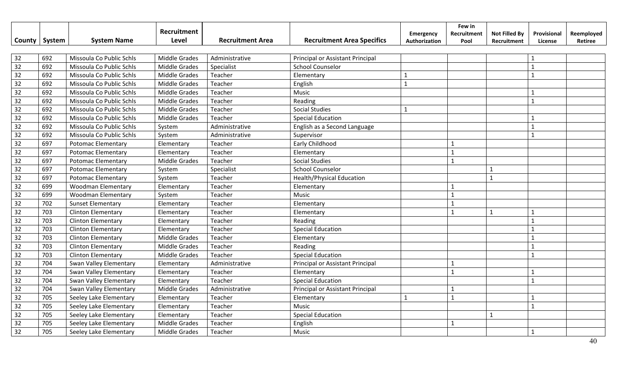|        |        |                           | Recruitment          |                         |                                   | <b>Emergency</b> | Few in<br>Recruitment | <b>Not Filled By</b> | Provisional  | Reemployed |
|--------|--------|---------------------------|----------------------|-------------------------|-----------------------------------|------------------|-----------------------|----------------------|--------------|------------|
| County | System | <b>System Name</b>        | Level                | <b>Recruitment Area</b> | <b>Recruitment Area Specifics</b> | Authorization    | Pool                  | Recruitment          | License      | Retiree    |
|        |        |                           |                      |                         |                                   |                  |                       |                      |              |            |
| 32     | 692    | Missoula Co Public Schls  | <b>Middle Grades</b> | Administrative          | Principal or Assistant Principal  |                  |                       |                      | $\mathbf{1}$ |            |
| 32     | 692    | Missoula Co Public Schls  | <b>Middle Grades</b> | Specialist              | <b>School Counselor</b>           |                  |                       |                      | $\mathbf{1}$ |            |
| 32     | 692    | Missoula Co Public Schls  | <b>Middle Grades</b> | Teacher                 | Elementary                        | $\mathbf{1}$     |                       |                      | $\mathbf{1}$ |            |
| 32     | 692    | Missoula Co Public Schls  | <b>Middle Grades</b> | Teacher                 | English                           | $\mathbf{1}$     |                       |                      |              |            |
| 32     | 692    | Missoula Co Public Schls  | <b>Middle Grades</b> | Teacher                 | Music                             |                  |                       |                      | $\mathbf{1}$ |            |
| 32     | 692    | Missoula Co Public Schls  | Middle Grades        | Teacher                 | Reading                           |                  |                       |                      | $\mathbf{1}$ |            |
| 32     | 692    | Missoula Co Public Schls  | Middle Grades        | Teacher                 | <b>Social Studies</b>             | $\mathbf{1}$     |                       |                      |              |            |
| 32     | 692    | Missoula Co Public Schls  | Middle Grades        | Teacher                 | <b>Special Education</b>          |                  |                       |                      | $\mathbf{1}$ |            |
| 32     | 692    | Missoula Co Public Schls  | System               | Administrative          | English as a Second Language      |                  |                       |                      | $\mathbf{1}$ |            |
| 32     | 692    | Missoula Co Public Schls  | System               | Administrative          | Supervisor                        |                  |                       |                      | $\mathbf{1}$ |            |
| 32     | 697    | <b>Potomac Elementary</b> | Elementary           | Teacher                 | Early Childhood                   |                  |                       |                      |              |            |
| 32     | 697    | <b>Potomac Elementary</b> | Elementary           | Teacher                 | Elementary                        |                  | $\mathbf{1}$          |                      |              |            |
| 32     | 697    | <b>Potomac Elementary</b> | <b>Middle Grades</b> | Teacher                 | <b>Social Studies</b>             |                  | $\mathbf{1}$          |                      |              |            |
| 32     | 697    | <b>Potomac Elementary</b> | System               | Specialist              | <b>School Counselor</b>           |                  |                       | $\mathbf{1}$         |              |            |
| 32     | 697    | Potomac Elementary        | System               | Teacher                 | <b>Health/Physical Education</b>  |                  |                       | $\mathbf{1}$         |              |            |
| 32     | 699    | <b>Woodman Elementary</b> | Elementary           | Teacher                 | Elementary                        |                  | $\mathbf{1}$          |                      |              |            |
| 32     | 699    | <b>Woodman Elementary</b> | System               | Teacher                 | Music                             |                  | $\mathbf{1}$          |                      |              |            |
| 32     | 702    | <b>Sunset Elementary</b>  | Elementary           | Teacher                 | Elementary                        |                  | $\mathbf{1}$          |                      |              |            |
| 32     | 703    | <b>Clinton Elementary</b> | Elementary           | Teacher                 | Elementary                        |                  | $\mathbf{1}$          | $\mathbf{1}$         | $\mathbf{1}$ |            |
| 32     | 703    | <b>Clinton Elementary</b> | Elementary           | Teacher                 | Reading                           |                  |                       |                      | $\mathbf{1}$ |            |
| 32     | 703    | <b>Clinton Elementary</b> | Elementary           | Teacher                 | <b>Special Education</b>          |                  |                       |                      | $\mathbf{1}$ |            |
| 32     | 703    | <b>Clinton Elementary</b> | <b>Middle Grades</b> | Teacher                 | Elementary                        |                  |                       |                      | $\mathbf{1}$ |            |
| 32     | 703    | <b>Clinton Elementary</b> | <b>Middle Grades</b> | Teacher                 | Reading                           |                  |                       |                      | $\mathbf{1}$ |            |
| 32     | 703    | <b>Clinton Elementary</b> | <b>Middle Grades</b> | Teacher                 | <b>Special Education</b>          |                  |                       |                      | $\mathbf{1}$ |            |
| 32     | 704    | Swan Valley Elementary    | Elementary           | Administrative          | Principal or Assistant Principal  |                  | $\mathbf{1}$          |                      |              |            |
| 32     | 704    | Swan Valley Elementary    | Elementary           | Teacher                 | Elementary                        |                  | $\mathbf{1}$          |                      | $\mathbf{1}$ |            |
| 32     | 704    | Swan Valley Elementary    | Elementary           | Teacher                 | <b>Special Education</b>          |                  |                       |                      | $\mathbf{1}$ |            |
| 32     | 704    | Swan Valley Elementary    | <b>Middle Grades</b> | Administrative          | Principal or Assistant Principal  |                  | $\mathbf{1}$          |                      |              |            |
| 32     | 705    | Seeley Lake Elementary    | Elementary           | Teacher                 | Elementary                        | $\mathbf{1}$     | $\mathbf{1}$          |                      |              |            |
| 32     | 705    | Seeley Lake Elementary    | Elementary           | Teacher                 | Music                             |                  |                       |                      | $\mathbf{1}$ |            |
| 32     | 705    | Seeley Lake Elementary    | Elementary           | Teacher                 | <b>Special Education</b>          |                  |                       | $\mathbf{1}$         |              |            |
| 32     | 705    | Seeley Lake Elementary    | <b>Middle Grades</b> | Teacher                 | English                           |                  | $\mathbf{1}$          |                      |              |            |
| 32     | 705    | Seeley Lake Elementary    | <b>Middle Grades</b> | Teacher                 | Music                             |                  |                       |                      | $\mathbf{1}$ |            |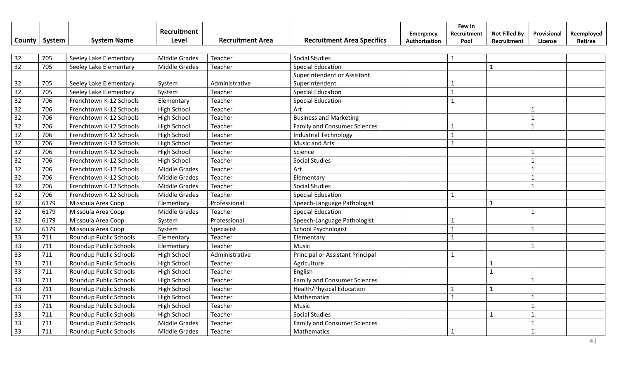|                 | County   System | <b>System Name</b>            | Recruitment<br>Level | <b>Recruitment Area</b> | <b>Recruitment Area Specifics</b>   | Emergency<br>Authorization | Few in<br>Recruitment<br>Pool | <b>Not Filled By</b><br>Recruitment | Provisional<br>License | Reemployed<br>Retiree |
|-----------------|-----------------|-------------------------------|----------------------|-------------------------|-------------------------------------|----------------------------|-------------------------------|-------------------------------------|------------------------|-----------------------|
| 32              | 705             | Seeley Lake Elementary        | <b>Middle Grades</b> | Teacher                 | <b>Social Studies</b>               |                            | $\mathbf{1}$                  |                                     |                        |                       |
| 32              | 705             | Seeley Lake Elementary        | <b>Middle Grades</b> | Teacher                 | <b>Special Education</b>            |                            |                               | $\mathbf{1}$                        |                        |                       |
|                 |                 |                               |                      |                         | Superintendent or Assistant         |                            |                               |                                     |                        |                       |
| 32              | 705             | Seeley Lake Elementary        | System               | Administrative          | Superintendent                      |                            | -1                            |                                     |                        |                       |
| 32              | 705             | Seeley Lake Elementary        | System               | Teacher                 | <b>Special Education</b>            |                            | $\mathbf{1}$                  |                                     |                        |                       |
| $\overline{32}$ | 706             | Frenchtown K-12 Schools       | Elementary           | Teacher                 | <b>Special Education</b>            |                            |                               |                                     |                        |                       |
| $\overline{32}$ | 706             | Frenchtown K-12 Schools       | <b>High School</b>   | Teacher                 | Art                                 |                            |                               |                                     |                        |                       |
| $\overline{32}$ | 706             | Frenchtown K-12 Schools       | <b>High School</b>   | Teacher                 | <b>Business and Marketing</b>       |                            |                               |                                     | $\mathbf{1}$           |                       |
| 32              | 706             | Frenchtown K-12 Schools       | <b>High School</b>   | Teacher                 | <b>Family and Consumer Sciences</b> |                            | $\mathbf{1}$                  |                                     | $\mathbf{1}$           |                       |
| 32              | 706             | Frenchtown K-12 Schools       | High School          | Teacher                 | <b>Industrial Technology</b>        |                            | $\mathbf{1}$                  |                                     |                        |                       |
| $\overline{32}$ | 706             | Frenchtown K-12 Schools       | <b>High School</b>   | Teacher                 | <b>Music and Arts</b>               |                            | $\mathbf{1}$                  |                                     |                        |                       |
| $\overline{32}$ | 706             | Frenchtown K-12 Schools       | <b>High School</b>   | Teacher                 | Science                             |                            |                               |                                     | $\mathbf{1}$           |                       |
| 32              | 706             | Frenchtown K-12 Schools       | High School          | Teacher                 | <b>Social Studies</b>               |                            |                               |                                     | $\mathbf{1}$           |                       |
| 32              | 706             | Frenchtown K-12 Schools       | Middle Grades        | Teacher                 | Art                                 |                            |                               |                                     | $\mathbf{1}$           |                       |
| 32              | 706             | Frenchtown K-12 Schools       | <b>Middle Grades</b> | Teacher                 | Elementary                          |                            |                               |                                     | $\mathbf{1}$           |                       |
| 32              | 706             | Frenchtown K-12 Schools       | Middle Grades        | Teacher                 | <b>Social Studies</b>               |                            |                               |                                     | $\mathbf{1}$           |                       |
| 32              | 706             | Frenchtown K-12 Schools       | Middle Grades        | Teacher                 | <b>Special Education</b>            |                            | $\mathbf{1}$                  |                                     |                        |                       |
| 32              | 6179            | Missoula Area Coop            | Elementary           | Professional            | Speech-Language Pathologist         |                            |                               | 1                                   |                        |                       |
| 32              | 6179            | Missoula Area Coop            | <b>Middle Grades</b> | Teacher                 | <b>Special Education</b>            |                            |                               |                                     | $\mathbf{1}$           |                       |
| 32              | 6179            | Missoula Area Coop            | System               | Professional            | Speech-Language Pathologist         |                            |                               |                                     |                        |                       |
| 32              | 6179            | Missoula Area Coop            | System               | Specialist              | School Psychologist                 |                            | $\mathbf{1}$                  |                                     | $\mathbf{1}$           |                       |
| 33              | 711             | Roundup Public Schools        | Elementary           | Teacher                 | Elementary                          |                            | $\mathbf{1}$                  |                                     |                        |                       |
| 33              | 711             | Roundup Public Schools        | Elementary           | Teacher                 | Music                               |                            |                               |                                     | $\mathbf{1}$           |                       |
| 33              | 711             | Roundup Public Schools        | High School          | Administrative          | Principal or Assistant Principal    |                            | $\mathbf{1}$                  |                                     |                        |                       |
| $\overline{33}$ | 711             | Roundup Public Schools        | High School          | Teacher                 | Agriculture                         |                            |                               | $\mathbf{1}$                        |                        |                       |
| 33              | 711             | Roundup Public Schools        | <b>High School</b>   | Teacher                 | English                             |                            |                               | $\mathbf{1}$                        |                        |                       |
| 33              | 711             | Roundup Public Schools        | <b>High School</b>   | Teacher                 | <b>Family and Consumer Sciences</b> |                            |                               |                                     | $\mathbf{1}$           |                       |
| 33              | 711             | Roundup Public Schools        | High School          | Teacher                 | <b>Health/Physical Education</b>    |                            |                               | $\mathbf{1}$                        |                        |                       |
| 33              | 711             | Roundup Public Schools        | <b>High School</b>   | Teacher                 | Mathematics                         |                            | $\mathbf{1}$                  |                                     |                        |                       |
| 33              | 711             | Roundup Public Schools        | <b>High School</b>   | Teacher                 | Music                               |                            |                               |                                     | $\mathbf{1}$           |                       |
| 33              | 711             | Roundup Public Schools        | <b>High School</b>   | Teacher                 | <b>Social Studies</b>               |                            |                               | $\mathbf{1}$                        | $\mathbf{1}$           |                       |
| 33              | 711             | Roundup Public Schools        | Middle Grades        | Teacher                 | <b>Family and Consumer Sciences</b> |                            |                               |                                     |                        |                       |
| 33              | 711             | <b>Roundup Public Schools</b> | <b>Middle Grades</b> | Teacher                 | Mathematics                         |                            | $\mathbf{1}$                  |                                     | $\mathbf{1}$           |                       |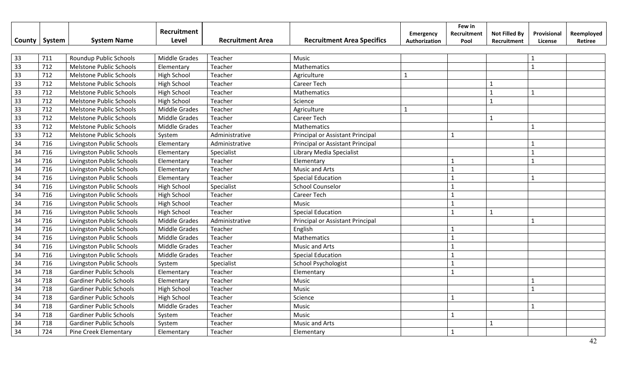|        |        |                                | Recruitment          |                         |                                   | Emergency     | Few in<br>Recruitment | <b>Not Filled By</b> | Provisional    | Reemployed |
|--------|--------|--------------------------------|----------------------|-------------------------|-----------------------------------|---------------|-----------------------|----------------------|----------------|------------|
| County | System | <b>System Name</b>             | Level                | <b>Recruitment Area</b> | <b>Recruitment Area Specifics</b> | Authorization | Pool                  | Recruitment          | License        | Retiree    |
|        |        |                                |                      |                         |                                   |               |                       |                      |                |            |
| 33     | 711    | Roundup Public Schools         | <b>Middle Grades</b> | Teacher                 | Music                             |               |                       |                      |                |            |
| 33     | 712    | Melstone Public Schools        | Elementary           | Teacher                 | Mathematics                       |               |                       |                      | $\overline{1}$ |            |
| 33     | 712    | Melstone Public Schools        | <b>High School</b>   | Teacher                 | Agriculture                       | $\mathbf{1}$  |                       |                      |                |            |
| 33     | 712    | Melstone Public Schools        | <b>High School</b>   | Teacher                 | <b>Career Tech</b>                |               |                       | 1                    |                |            |
| 33     | 712    | Melstone Public Schools        | <b>High School</b>   | Teacher                 | Mathematics                       |               |                       | $\mathbf{1}$         | $\mathbf{1}$   |            |
| 33     | 712    | Melstone Public Schools        | <b>High School</b>   | Teacher                 | Science                           |               |                       | $\mathbf{1}$         |                |            |
| 33     | 712    | Melstone Public Schools        | Middle Grades        | Teacher                 | Agriculture                       | 1             |                       |                      |                |            |
| 33     | 712    | Melstone Public Schools        | <b>Middle Grades</b> | Teacher                 | <b>Career Tech</b>                |               |                       | 1                    |                |            |
| 33     | 712    | Melstone Public Schools        | Middle Grades        | Teacher                 | Mathematics                       |               |                       |                      | $\mathbf{1}$   |            |
| 33     | 712    | Melstone Public Schools        | System               | Administrative          | Principal or Assistant Principal  |               | $\mathbf{1}$          |                      |                |            |
| 34     | 716    | Livingston Public Schools      | Elementary           | Administrative          | Principal or Assistant Principal  |               |                       |                      |                |            |
| 34     | 716    | Livingston Public Schools      | Elementary           | Specialist              | Library Media Specialist          |               |                       |                      | $\mathbf{1}$   |            |
| 34     | 716    | Livingston Public Schools      | Elementary           | Teacher                 | Elementary                        |               |                       |                      | $\mathbf{1}$   |            |
| 34     | 716    | Livingston Public Schools      | Elementary           | Teacher                 | Music and Arts                    |               | $\mathbf{1}$          |                      |                |            |
| 34     | 716    | Livingston Public Schools      | Elementary           | Teacher                 | <b>Special Education</b>          |               | $\mathbf{1}$          |                      | $\mathbf{1}$   |            |
| 34     | 716    | Livingston Public Schools      | <b>High School</b>   | Specialist              | <b>School Counselor</b>           |               | $\mathbf{1}$          |                      |                |            |
| 34     | 716    | Livingston Public Schools      | High School          | Teacher                 | Career Tech                       |               | $\mathbf{1}$          |                      |                |            |
| 34     | 716    | Livingston Public Schools      | High School          | Teacher                 | Music                             |               | $\mathbf{1}$          |                      |                |            |
| 34     | 716    | Livingston Public Schools      | High School          | Teacher                 | <b>Special Education</b>          |               | $\mathbf{1}$          | $\mathbf{1}$         |                |            |
| 34     | 716    | Livingston Public Schools      | <b>Middle Grades</b> | Administrative          | Principal or Assistant Principal  |               |                       |                      | $\mathbf{1}$   |            |
| 34     | 716    | Livingston Public Schools      | <b>Middle Grades</b> | Teacher                 | English                           |               | $\mathbf{1}$          |                      |                |            |
| 34     | 716    | Livingston Public Schools      | <b>Middle Grades</b> | Teacher                 | Mathematics                       |               | $\mathbf{1}$          |                      |                |            |
| 34     | 716    | Livingston Public Schools      | <b>Middle Grades</b> | Teacher                 | <b>Music and Arts</b>             |               |                       |                      |                |            |
| 34     | 716    | Livingston Public Schools      | Middle Grades        | Teacher                 | <b>Special Education</b>          |               |                       |                      |                |            |
| 34     | 716    | Livingston Public Schools      | System               | Specialist              | <b>School Psychologist</b>        |               | $\mathbf{1}$          |                      |                |            |
| 34     | 718    | <b>Gardiner Public Schools</b> | Elementary           | Teacher                 | Elementary                        |               | $\mathbf{1}$          |                      |                |            |
| 34     | 718    | <b>Gardiner Public Schools</b> | Elementary           | Teacher                 | Music                             |               |                       |                      | $\mathbf{1}$   |            |
| 34     | 718    | <b>Gardiner Public Schools</b> | <b>High School</b>   | Teacher                 | Music                             |               |                       |                      | $\mathbf 1$    |            |
| 34     | 718    | <b>Gardiner Public Schools</b> | <b>High School</b>   | Teacher                 | Science                           |               | $\mathbf{1}$          |                      |                |            |
| 34     | 718    | <b>Gardiner Public Schools</b> | <b>Middle Grades</b> | Teacher                 | Music                             |               |                       |                      | $\mathbf 1$    |            |
| 34     | 718    | <b>Gardiner Public Schools</b> | System               | Teacher                 | Music                             |               | $\mathbf{1}$          |                      |                |            |
| 34     | 718    | <b>Gardiner Public Schools</b> | System               | Teacher                 | <b>Music and Arts</b>             |               |                       | $\mathbf{1}$         |                |            |
| 34     | 724    | <b>Pine Creek Elementary</b>   | Elementary           | Teacher                 | Elementary                        |               | 1                     |                      |                |            |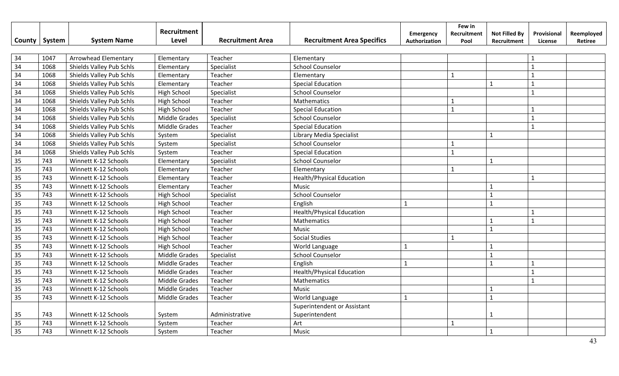|                 |        |                             | Recruitment          |                         | <b>Recruitment Area Specifics</b> | Emergency     | Few in<br>Recruitment | <b>Not Filled By</b> | Provisional    | Reemployed |
|-----------------|--------|-----------------------------|----------------------|-------------------------|-----------------------------------|---------------|-----------------------|----------------------|----------------|------------|
| County          | System | <b>System Name</b>          | Level                | <b>Recruitment Area</b> |                                   | Authorization | Pool                  | Recruitment          | License        | Retiree    |
| 34              | 1047   | <b>Arrowhead Elementary</b> | Elementary           | Teacher                 | Elementary                        |               |                       |                      |                |            |
| $\overline{34}$ | 1068   | Shields Valley Pub Schls    | Elementary           | Specialist              | <b>School Counselor</b>           |               |                       |                      | $\mathbf{1}$   |            |
| 34              | 1068   | Shields Valley Pub Schls    | Elementary           | Teacher                 | Elementary                        |               | $\mathbf{1}$          |                      | $\mathbf{1}$   |            |
| 34              | 1068   | Shields Valley Pub Schls    | Elementary           | Teacher                 | <b>Special Education</b>          |               |                       | $\mathbf{1}$         | $\mathbf{1}$   |            |
| 34              | 1068   | Shields Valley Pub Schls    | <b>High School</b>   | Specialist              | <b>School Counselor</b>           |               |                       |                      | $\overline{1}$ |            |
| 34              | 1068   | Shields Valley Pub Schls    | <b>High School</b>   | Teacher                 | Mathematics                       |               | $\mathbf{1}$          |                      |                |            |
| 34              | 1068   | Shields Valley Pub Schls    | <b>High School</b>   | Teacher                 | <b>Special Education</b>          |               | $\mathbf{1}$          |                      | $\mathbf{1}$   |            |
| 34              | 1068   | Shields Valley Pub Schls    | Middle Grades        | Specialist              | <b>School Counselor</b>           |               |                       |                      | $\mathbf{1}$   |            |
| 34              | 1068   | Shields Valley Pub Schls    | <b>Middle Grades</b> | Teacher                 | <b>Special Education</b>          |               |                       |                      | $\mathbf{1}$   |            |
| 34              | 1068   | Shields Valley Pub Schls    | System               | Specialist              | Library Media Specialist          |               |                       | $\mathbf{1}$         |                |            |
| 34              | 1068   | Shields Valley Pub Schls    | System               | Specialist              | <b>School Counselor</b>           |               | $\mathbf{1}$          |                      |                |            |
| 34              | 1068   | Shields Valley Pub Schls    | System               | Teacher                 | <b>Special Education</b>          |               | $\mathbf{1}$          |                      |                |            |
| 35              | 743    | Winnett K-12 Schools        | Elementary           | Specialist              | <b>School Counselor</b>           |               |                       | $\mathbf{1}$         |                |            |
| 35              | 743    | Winnett K-12 Schools        | Elementary           | Teacher                 | Elementary                        |               | $\mathbf{1}$          |                      |                |            |
| 35              | 743    | Winnett K-12 Schools        | Elementary           | Teacher                 | <b>Health/Physical Education</b>  |               |                       |                      | 1              |            |
| 35              | 743    | Winnett K-12 Schools        | Elementary           | Teacher                 | Music                             |               |                       | $\mathbf{1}$         |                |            |
| 35              | 743    | Winnett K-12 Schools        | High School          | Specialist              | <b>School Counselor</b>           |               |                       | $\mathbf{1}$         |                |            |
| 35              | 743    | Winnett K-12 Schools        | High School          | Teacher                 | English                           | $\mathbf{1}$  |                       | $\mathbf{1}$         |                |            |
| 35              | 743    | Winnett K-12 Schools        | High School          | Teacher                 | <b>Health/Physical Education</b>  |               |                       |                      | $\mathbf{1}$   |            |
| 35              | 743    | Winnett K-12 Schools        | High School          | Teacher                 | Mathematics                       |               |                       | $\mathbf{1}$         | $\mathbf{1}$   |            |
| $\overline{35}$ | 743    | Winnett K-12 Schools        | <b>High School</b>   | Teacher                 | Music                             |               |                       | $\mathbf{1}$         |                |            |
| $\overline{35}$ | 743    | Winnett K-12 Schools        | <b>High School</b>   | Teacher                 | <b>Social Studies</b>             |               | $\mathbf{1}$          |                      |                |            |
| 35              | 743    | Winnett K-12 Schools        | High School          | Teacher                 | World Language                    |               |                       | $\mathbf{1}$         |                |            |
| 35              | 743    | Winnett K-12 Schools        | <b>Middle Grades</b> | Specialist              | <b>School Counselor</b>           |               |                       | $\mathbf{1}$         |                |            |
| 35              | 743    | Winnett K-12 Schools        | Middle Grades        | Teacher                 | English                           |               |                       | $\mathbf{1}$         | $\mathbf{1}$   |            |
| 35              | 743    | Winnett K-12 Schools        | <b>Middle Grades</b> | Teacher                 | <b>Health/Physical Education</b>  |               |                       |                      | $\mathbf{1}$   |            |
| 35              | 743    | Winnett K-12 Schools        | <b>Middle Grades</b> | Teacher                 | Mathematics                       |               |                       |                      | $\mathbf{1}$   |            |
| 35              | 743    | Winnett K-12 Schools        | Middle Grades        | Teacher                 | Music                             |               |                       | $\mathbf{1}$         |                |            |
| 35              | 743    | Winnett K-12 Schools        | Middle Grades        | Teacher                 | World Language                    | $\mathbf{1}$  |                       | $\mathbf{1}$         |                |            |
|                 |        |                             |                      |                         | Superintendent or Assistant       |               |                       |                      |                |            |
| 35              | 743    | Winnett K-12 Schools        | System               | Administrative          | Superintendent                    |               |                       | -1                   |                |            |
| 35              | 743    | Winnett K-12 Schools        | System               | Teacher                 | Art                               |               | $\mathbf{1}$          |                      |                |            |
| 35              | 743    | Winnett K-12 Schools        | System               | Teacher                 | Music                             |               |                       | 1                    |                |            |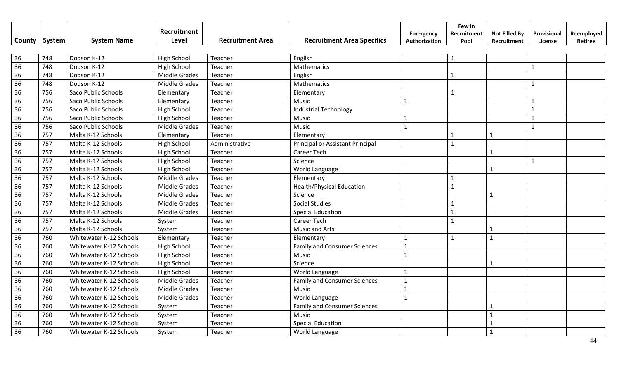|                 |        |                         | Recruitment<br>Level | <b>Recruitment Area</b> | <b>Recruitment Area Specifics</b>   | Emergency     | Few in<br>Recruitment | <b>Not Filled By</b> | Provisional    | Reemployed |
|-----------------|--------|-------------------------|----------------------|-------------------------|-------------------------------------|---------------|-----------------------|----------------------|----------------|------------|
| County          | System | <b>System Name</b>      |                      |                         |                                     | Authorization | Pool                  | Recruitment          | License        | Retiree    |
| 36              | 748    | Dodson K-12             | <b>High School</b>   | Teacher                 | English                             |               | 1                     |                      |                |            |
| 36              | 748    | Dodson K-12             | High School          | Teacher                 | Mathematics                         |               |                       |                      | $\mathbf{1}$   |            |
| 36              | 748    | Dodson K-12             | <b>Middle Grades</b> | Teacher                 | English                             |               | $\mathbf{1}$          |                      |                |            |
| 36              | 748    | Dodson K-12             | <b>Middle Grades</b> | Teacher                 | Mathematics                         |               |                       |                      | $\mathbf{1}$   |            |
| 36              | 756    | Saco Public Schools     | Elementary           | Teacher                 | Elementary                          |               | 1                     |                      |                |            |
| 36              | 756    | Saco Public Schools     | Elementary           | Teacher                 | Music                               |               |                       |                      | $\mathbf{1}$   |            |
| 36              | 756    | Saco Public Schools     | High School          | Teacher                 | <b>Industrial Technology</b>        |               |                       |                      | $\mathbf{1}$   |            |
| 36              | 756    | Saco Public Schools     | <b>High School</b>   | Teacher                 | Music                               | $\mathbf 1$   |                       |                      | $\mathbf{1}$   |            |
| 36              | 756    | Saco Public Schools     | Middle Grades        | Teacher                 | Music                               | $\mathbf{1}$  |                       |                      | $\mathbf{1}$   |            |
| 36              | 757    | Malta K-12 Schools      | Elementary           | Teacher                 | Elementary                          |               | 1                     | $\mathbf{1}$         |                |            |
| 36              | 757    | Malta K-12 Schools      | High School          | Administrative          | Principal or Assistant Principal    |               | $\mathbf{1}$          |                      |                |            |
| 36              | 757    | Malta K-12 Schools      | High School          | Teacher                 | Career Tech                         |               |                       | $\mathbf{1}$         |                |            |
| 36              | 757    | Malta K-12 Schools      | High School          | Teacher                 | Science                             |               |                       |                      | $\overline{1}$ |            |
| 36              | 757    | Malta K-12 Schools      | High School          | Teacher                 | World Language                      |               |                       | $\mathbf{1}$         |                |            |
| 36              | 757    | Malta K-12 Schools      | <b>Middle Grades</b> | Teacher                 | Elementary                          |               | $\mathbf{1}$          |                      |                |            |
| 36              | 757    | Malta K-12 Schools      | <b>Middle Grades</b> | Teacher                 | <b>Health/Physical Education</b>    |               | $\mathbf{1}$          |                      |                |            |
| 36              | 757    | Malta K-12 Schools      | <b>Middle Grades</b> | Teacher                 | Science                             |               |                       | $\mathbf{1}$         |                |            |
| 36              | 757    | Malta K-12 Schools      | <b>Middle Grades</b> | Teacher                 | <b>Social Studies</b>               |               |                       |                      |                |            |
| 36              | 757    | Malta K-12 Schools      | <b>Middle Grades</b> | Teacher                 | <b>Special Education</b>            |               | $\mathbf{1}$          |                      |                |            |
| 36              | 757    | Malta K-12 Schools      | System               | Teacher                 | Career Tech                         |               | $\mathbf{1}$          |                      |                |            |
| 36              | 757    | Malta K-12 Schools      | System               | Teacher                 | <b>Music and Arts</b>               |               |                       | $\mathbf{1}$         |                |            |
| 36              | 760    | Whitewater K-12 Schools | Elementary           | Teacher                 | Elementary                          | $\mathbf{1}$  | $\mathbf{1}$          | $\mathbf{1}$         |                |            |
| $\overline{36}$ | 760    | Whitewater K-12 Schools | High School          | Teacher                 | <b>Family and Consumer Sciences</b> | $\mathbf{1}$  |                       |                      |                |            |
| 36              | 760    | Whitewater K-12 Schools | <b>High School</b>   | Teacher                 | Music                               | $\mathbf 1$   |                       |                      |                |            |
| 36              | 760    | Whitewater K-12 Schools | <b>High School</b>   | Teacher                 | Science                             |               |                       | $\mathbf{1}$         |                |            |
| 36              | 760    | Whitewater K-12 Schools | <b>High School</b>   | Teacher                 | World Language                      |               |                       |                      |                |            |
| 36              | 760    | Whitewater K-12 Schools | Middle Grades        | Teacher                 | <b>Family and Consumer Sciences</b> | $\mathbf{1}$  |                       |                      |                |            |
| 36              | 760    | Whitewater K-12 Schools | <b>Middle Grades</b> | Teacher                 | Music                               | $\mathbf{1}$  |                       |                      |                |            |
| 36              | 760    | Whitewater K-12 Schools | <b>Middle Grades</b> | Teacher                 | World Language                      | $\mathbf{1}$  |                       |                      |                |            |
| 36              | 760    | Whitewater K-12 Schools | System               | Teacher                 | <b>Family and Consumer Sciences</b> |               |                       | $\mathbf{1}$         |                |            |
| 36              | 760    | Whitewater K-12 Schools | System               | Teacher                 | Music                               |               |                       | $\mathbf{1}$         |                |            |
| 36              | 760    | Whitewater K-12 Schools | System               | Teacher                 | <b>Special Education</b>            |               |                       | $\mathbf{1}$         |                |            |
| 36              | 760    | Whitewater K-12 Schools | System               | Teacher                 | World Language                      |               |                       | $\mathbf{1}$         |                |            |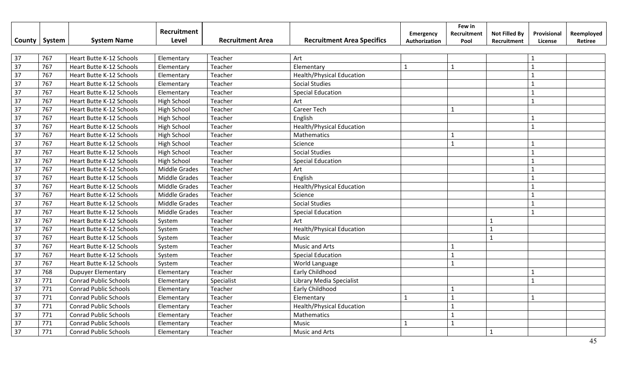|                 |        |                                 | Recruitment          |                         |                                   | Emergency     | Few in<br>Recruitment | <b>Not Filled By</b> | Provisional    | Reemployed |
|-----------------|--------|---------------------------------|----------------------|-------------------------|-----------------------------------|---------------|-----------------------|----------------------|----------------|------------|
| County          | System | <b>System Name</b>              | Level                | <b>Recruitment Area</b> | <b>Recruitment Area Specifics</b> | Authorization | Pool                  | Recruitment          | License        | Retiree    |
|                 |        |                                 |                      |                         |                                   |               |                       |                      |                |            |
| 37              | 767    | <b>Heart Butte K-12 Schools</b> | Elementary           | Teacher                 | Art                               |               |                       |                      |                |            |
| 37              | 767    | <b>Heart Butte K-12 Schools</b> | Elementary           | Teacher                 | Elementary                        | $\mathbf{1}$  | $\mathbf{1}$          |                      | $\mathbf{1}$   |            |
| $\overline{37}$ | 767    | Heart Butte K-12 Schools        | Elementary           | Teacher                 | <b>Health/Physical Education</b>  |               |                       |                      |                |            |
| 37              | 767    | Heart Butte K-12 Schools        | Elementary           | Teacher                 | <b>Social Studies</b>             |               |                       |                      |                |            |
| 37              | 767    | Heart Butte K-12 Schools        | Elementary           | Teacher                 | <b>Special Education</b>          |               |                       |                      |                |            |
| 37              | 767    | Heart Butte K-12 Schools        | <b>High School</b>   | Teacher                 | Art                               |               |                       |                      | $\mathbf{1}$   |            |
| 37              | 767    | Heart Butte K-12 Schools        | High School          | Teacher                 | <b>Career Tech</b>                |               |                       |                      |                |            |
| 37              | 767    | <b>Heart Butte K-12 Schools</b> | High School          | Teacher                 | English                           |               |                       |                      | $\mathbf{1}$   |            |
| 37              | 767    | <b>Heart Butte K-12 Schools</b> | High School          | Teacher                 | <b>Health/Physical Education</b>  |               |                       |                      | $\mathbf{1}$   |            |
| 37              | 767    | Heart Butte K-12 Schools        | High School          | Teacher                 | Mathematics                       |               | 1                     |                      |                |            |
| 37              | 767    | Heart Butte K-12 Schools        | High School          | Teacher                 | Science                           |               | $\mathbf{1}$          |                      | $\mathbf{1}$   |            |
| 37              | 767    | Heart Butte K-12 Schools        | High School          | Teacher                 | <b>Social Studies</b>             |               |                       |                      | $\mathbf{1}$   |            |
| 37              | 767    | Heart Butte K-12 Schools        | High School          | Teacher                 | <b>Special Education</b>          |               |                       |                      |                |            |
| 37              | 767    | Heart Butte K-12 Schools        | <b>Middle Grades</b> | Teacher                 | Art                               |               |                       |                      |                |            |
| 37              | 767    | <b>Heart Butte K-12 Schools</b> | Middle Grades        | Teacher                 | English                           |               |                       |                      | $\overline{1}$ |            |
| 37              | 767    | <b>Heart Butte K-12 Schools</b> | <b>Middle Grades</b> | Teacher                 | <b>Health/Physical Education</b>  |               |                       |                      | $\mathbf{1}$   |            |
| 37              | 767    | Heart Butte K-12 Schools        | <b>Middle Grades</b> | Teacher                 | Science                           |               |                       |                      | $\overline{1}$ |            |
| 37              | 767    | Heart Butte K-12 Schools        | Middle Grades        | Teacher                 | <b>Social Studies</b>             |               |                       |                      | $\mathbf{1}$   |            |
| 37              | 767    | Heart Butte K-12 Schools        | <b>Middle Grades</b> | Teacher                 | <b>Special Education</b>          |               |                       |                      | $\mathbf 1$    |            |
| 37              | 767    | <b>Heart Butte K-12 Schools</b> | System               | Teacher                 | Art                               |               |                       | $\mathbf{1}$         |                |            |
| 37              | 767    | <b>Heart Butte K-12 Schools</b> | System               | Teacher                 | <b>Health/Physical Education</b>  |               |                       | $\mathbf{1}$         |                |            |
| 37              | 767    | Heart Butte K-12 Schools        | System               | Teacher                 | Music                             |               |                       | $\mathbf{1}$         |                |            |
| 37              | 767    | <b>Heart Butte K-12 Schools</b> | System               | Teacher                 | <b>Music and Arts</b>             |               |                       |                      |                |            |
| 37              | 767    | Heart Butte K-12 Schools        | System               | Teacher                 | <b>Special Education</b>          |               |                       |                      |                |            |
| 37              | 767    | Heart Butte K-12 Schools        | System               | Teacher                 | World Language                    |               | $\mathbf{1}$          |                      |                |            |
| 37              | 768    | <b>Dupuyer Elementary</b>       | Elementary           | Teacher                 | Early Childhood                   |               |                       |                      | $\mathbf 1$    |            |
| 37              | 771    | <b>Conrad Public Schools</b>    | Elementary           | Specialist              | Library Media Specialist          |               |                       |                      | $\mathbf{1}$   |            |
| 37              | 771    | <b>Conrad Public Schools</b>    | Elementary           | Teacher                 | Early Childhood                   |               |                       |                      |                |            |
| 37              | 771    | <b>Conrad Public Schools</b>    | Elementary           | Teacher                 | Elementary                        | $\mathbf{1}$  | $\mathbf{1}$          |                      | $\mathbf{1}$   |            |
| 37              | 771    | <b>Conrad Public Schools</b>    | Elementary           | Teacher                 | <b>Health/Physical Education</b>  |               |                       |                      |                |            |
| 37              | 771    | <b>Conrad Public Schools</b>    | Elementary           | Teacher                 | Mathematics                       |               |                       |                      |                |            |
| 37              | 771    | <b>Conrad Public Schools</b>    | Elementary           | Teacher                 | Music                             | $\mathbf{1}$  |                       |                      |                |            |
| 37              | 771    | <b>Conrad Public Schools</b>    | Elementary           | Teacher                 | <b>Music and Arts</b>             |               |                       | $\mathbf{1}$         |                |            |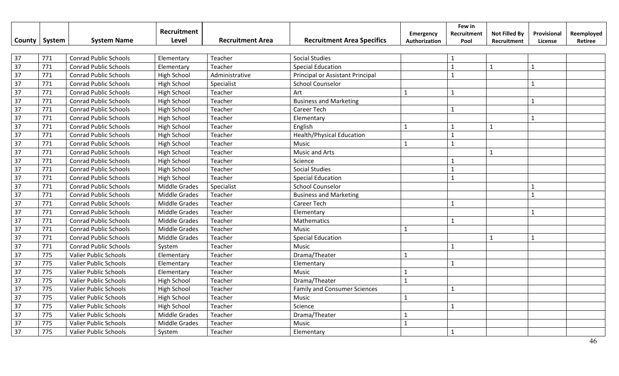| <b>County</b>   | System | <b>System Name</b>           | Recruitment<br>Level | <b>Recruitment Area</b> | <b>Recruitment Area Specifics</b>   | <b>Emergency</b><br>Authorization | Few in<br>Recruitment<br>Pool | <b>Not Filled By</b><br>Recruitment | Provisional<br>License | Reemployed<br>Retiree |
|-----------------|--------|------------------------------|----------------------|-------------------------|-------------------------------------|-----------------------------------|-------------------------------|-------------------------------------|------------------------|-----------------------|
|                 |        |                              |                      |                         |                                     |                                   |                               |                                     |                        |                       |
| 37              | 771    | <b>Conrad Public Schools</b> | Elementary           | Teacher                 | <b>Social Studies</b>               |                                   |                               |                                     |                        |                       |
| 37              | 771    | <b>Conrad Public Schools</b> | Elementary           | Teacher                 | <b>Special Education</b>            |                                   | $\overline{1}$                | $\mathbf{1}$                        | $\mathbf{1}$           |                       |
| $\overline{37}$ | 771    | <b>Conrad Public Schools</b> | <b>High School</b>   | Administrative          | Principal or Assistant Principal    |                                   | $\mathbf{1}$                  |                                     |                        |                       |
| 37              | 771    | <b>Conrad Public Schools</b> | <b>High School</b>   | Specialist              | <b>School Counselor</b>             |                                   |                               |                                     | $\mathbf{1}$           |                       |
| 37              | 771    | <b>Conrad Public Schools</b> | <b>High School</b>   | Teacher                 | Art                                 |                                   | $\mathbf{1}$                  |                                     |                        |                       |
| 37              | 771    | <b>Conrad Public Schools</b> | <b>High School</b>   | Teacher                 | <b>Business and Marketing</b>       |                                   |                               |                                     | $\mathbf{1}$           |                       |
| 37              | 771    | <b>Conrad Public Schools</b> | High School          | Teacher                 | Career Tech                         |                                   | $\mathbf{1}$                  |                                     |                        |                       |
| 37              | 771    | <b>Conrad Public Schools</b> | <b>High School</b>   | Teacher                 | Elementary                          |                                   |                               |                                     | $\mathbf{1}$           |                       |
| 37              | 771    | <b>Conrad Public Schools</b> | <b>High School</b>   | Teacher                 | English                             | $\mathbf{1}$                      | $\mathbf{1}$                  | $\mathbf{1}$                        |                        |                       |
| 37              | 771    | <b>Conrad Public Schools</b> | High School          | Teacher                 | <b>Health/Physical Education</b>    |                                   | $\mathbf{1}$                  |                                     |                        |                       |
| 37              | 771    | <b>Conrad Public Schools</b> | High School          | Teacher                 | Music                               | $\mathbf{1}$                      | $\mathbf{1}$                  |                                     |                        |                       |
| 37              | 771    | <b>Conrad Public Schools</b> | <b>High School</b>   | Teacher                 | Music and Arts                      |                                   |                               | $\mathbf{1}$                        |                        |                       |
| 37              | 771    | <b>Conrad Public Schools</b> | <b>High School</b>   | Teacher                 | Science                             |                                   |                               |                                     |                        |                       |
| 37              | 771    | <b>Conrad Public Schools</b> | <b>High School</b>   | Teacher                 | <b>Social Studies</b>               |                                   | $\mathbf{1}$                  |                                     |                        |                       |
| 37              | 771    | <b>Conrad Public Schools</b> | High School          | Teacher                 | <b>Special Education</b>            |                                   | $\mathbf{1}$                  |                                     |                        |                       |
| 37              | 771    | <b>Conrad Public Schools</b> | <b>Middle Grades</b> | Specialist              | <b>School Counselor</b>             |                                   |                               |                                     |                        |                       |
| 37              | 771    | <b>Conrad Public Schools</b> | <b>Middle Grades</b> | Teacher                 | <b>Business and Marketing</b>       |                                   |                               |                                     | $\mathbf{1}$           |                       |
| 37              | 771    | <b>Conrad Public Schools</b> | <b>Middle Grades</b> | Teacher                 | Career Tech                         |                                   | $\mathbf{1}$                  |                                     |                        |                       |
| 37              | 771    | <b>Conrad Public Schools</b> | <b>Middle Grades</b> | Teacher                 | Elementary                          |                                   |                               |                                     | $\mathbf{1}$           |                       |
| 37              | 771    | <b>Conrad Public Schools</b> | Middle Grades        | Teacher                 | Mathematics                         |                                   | $\mathbf{1}$                  |                                     |                        |                       |
| 37              | 771    | <b>Conrad Public Schools</b> | <b>Middle Grades</b> | Teacher                 | Music                               | $\mathbf{1}$                      |                               |                                     |                        |                       |
| 37              | 771    | <b>Conrad Public Schools</b> | <b>Middle Grades</b> | Teacher                 | <b>Special Education</b>            |                                   |                               | $\mathbf{1}$                        | $\mathbf{1}$           |                       |
| 37              | 771    | <b>Conrad Public Schools</b> | System               | Teacher                 | Music                               |                                   | $\mathbf{1}$                  |                                     |                        |                       |
| 37              | 775    | <b>Valier Public Schools</b> | Elementary           | Teacher                 | Drama/Theater                       | $\mathbf{1}$                      |                               |                                     |                        |                       |
| 37              | 775    | <b>Valier Public Schools</b> | Elementary           | Teacher                 | Elementary                          |                                   | $\mathbf{1}$                  |                                     |                        |                       |
| 37              | 775    | Valier Public Schools        | Elementary           | Teacher                 | Music                               |                                   |                               |                                     |                        |                       |
| 37              | 775    | Valier Public Schools        | <b>High School</b>   | Teacher                 | Drama/Theater                       | $\mathbf{1}$                      |                               |                                     |                        |                       |
| 37              | 775    | <b>Valier Public Schools</b> | High School          | Teacher                 | <b>Family and Consumer Sciences</b> |                                   | 1                             |                                     |                        |                       |
| 37              | 775    | Valier Public Schools        | <b>High School</b>   | Teacher                 | Music                               | $\mathbf{1}$                      |                               |                                     |                        |                       |
| 37              | 775    | <b>Valier Public Schools</b> | <b>High School</b>   | Teacher                 | Science                             |                                   | $\mathbf{1}$                  |                                     |                        |                       |
| 37              | 775    | Valier Public Schools        | Middle Grades        | Teacher                 | Drama/Theater                       | $\mathbf 1$                       |                               |                                     |                        |                       |
| 37              | 775    | <b>Valier Public Schools</b> | <b>Middle Grades</b> | Teacher                 | Music                               | $\mathbf{1}$                      |                               |                                     |                        |                       |
| 37              | 775    | <b>Valier Public Schools</b> | System               | Teacher                 | Elementary                          |                                   | $\mathbf{1}$                  |                                     |                        |                       |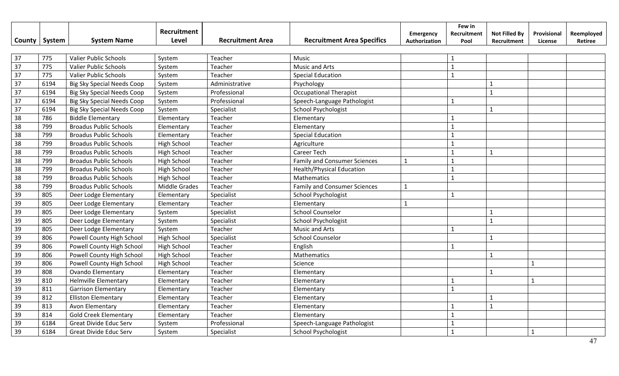| County          | System | <b>System Name</b>                | Recruitment<br>Level | <b>Recruitment Area</b> | <b>Recruitment Area Specifics</b>   | Emergency<br>Authorization | Few in<br>Recruitment<br>Pool | <b>Not Filled By</b><br>Recruitment | Provisional<br>License | Reemployed<br>Retiree |
|-----------------|--------|-----------------------------------|----------------------|-------------------------|-------------------------------------|----------------------------|-------------------------------|-------------------------------------|------------------------|-----------------------|
|                 |        |                                   |                      |                         |                                     |                            |                               |                                     |                        |                       |
| 37              | 775    | <b>Valier Public Schools</b>      | System               | Teacher                 | Music                               |                            |                               |                                     |                        |                       |
| $\overline{37}$ | 775    | <b>Valier Public Schools</b>      | System               | Teacher                 | <b>Music and Arts</b>               |                            | $\mathbf{1}$                  |                                     |                        |                       |
| $\overline{37}$ | 775    | Valier Public Schools             | System               | Teacher                 | <b>Special Education</b>            |                            | $\mathbf{1}$                  |                                     |                        |                       |
| 37              | 6194   | <b>Big Sky Special Needs Coop</b> | System               | Administrative          | Psychology                          |                            |                               | $\mathbf{1}$                        |                        |                       |
| 37              | 6194   | <b>Big Sky Special Needs Coop</b> | System               | Professional            | <b>Occupational Therapist</b>       |                            |                               | $\mathbf{1}$                        |                        |                       |
| 37              | 6194   | <b>Big Sky Special Needs Coop</b> | System               | Professional            | Speech-Language Pathologist         |                            | $\mathbf 1$                   |                                     |                        |                       |
| 37              | 6194   | <b>Big Sky Special Needs Coop</b> | System               | Specialist              | School Psychologist                 |                            |                               | $\mathbf{1}$                        |                        |                       |
| 38              | 786    | <b>Biddle Elementary</b>          | Elementary           | Teacher                 | Elementary                          |                            | 1                             |                                     |                        |                       |
| 38              | 799    | <b>Broadus Public Schools</b>     | Elementary           | Teacher                 | Elementary                          |                            | $\mathbf{1}$                  |                                     |                        |                       |
| 38              | 799    | <b>Broadus Public Schools</b>     | Elementary           | Teacher                 | <b>Special Education</b>            |                            | $\mathbf{1}$                  |                                     |                        |                       |
| 38              | 799    | <b>Broadus Public Schools</b>     | High School          | Teacher                 | Agriculture                         |                            |                               |                                     |                        |                       |
| 38              | 799    | <b>Broadus Public Schools</b>     | <b>High School</b>   | Teacher                 | Career Tech                         |                            |                               | $\mathbf{1}$                        |                        |                       |
| 38              | 799    | <b>Broadus Public Schools</b>     | <b>High School</b>   | Teacher                 | <b>Family and Consumer Sciences</b> | $\mathbf{1}$               | $\mathbf{1}$                  |                                     |                        |                       |
| 38              | 799    | <b>Broadus Public Schools</b>     | <b>High School</b>   | Teacher                 | Health/Physical Education           |                            | $\mathbf{1}$                  |                                     |                        |                       |
| 38              | 799    | <b>Broadus Public Schools</b>     | <b>High School</b>   | Teacher                 | Mathematics                         |                            | $\mathbf{1}$                  |                                     |                        |                       |
| 38              | 799    | <b>Broadus Public Schools</b>     | <b>Middle Grades</b> | Teacher                 | <b>Family and Consumer Sciences</b> | $\mathbf{1}$               |                               |                                     |                        |                       |
| 39              | 805    | Deer Lodge Elementary             | Elementary           | Specialist              | <b>School Psychologist</b>          |                            | $\mathbf{1}$                  |                                     |                        |                       |
| 39              | 805    | Deer Lodge Elementary             | Elementary           | Teacher                 | Elementary                          | 1                          |                               |                                     |                        |                       |
| 39              | 805    | Deer Lodge Elementary             | System               | Specialist              | <b>School Counselor</b>             |                            |                               | $\mathbf{1}$                        |                        |                       |
| 39              | 805    | Deer Lodge Elementary             | System               | Specialist              | <b>School Psychologist</b>          |                            |                               | $\mathbf{1}$                        |                        |                       |
| 39              | 805    | Deer Lodge Elementary             | System               | Teacher                 | Music and Arts                      |                            | $\mathbf{1}$                  |                                     |                        |                       |
| 39              | 806    | Powell County High School         | <b>High School</b>   | Specialist              | <b>School Counselor</b>             |                            |                               | $\mathbf{1}$                        |                        |                       |
| 39              | 806    | Powell County High School         | <b>High School</b>   | Teacher                 | English                             |                            |                               |                                     |                        |                       |
| 39              | 806    | Powell County High School         | <b>High School</b>   | Teacher                 | Mathematics                         |                            |                               | $\mathbf{1}$                        |                        |                       |
| 39              | 806    | Powell County High School         | <b>High School</b>   | Teacher                 | Science                             |                            |                               |                                     | $\mathbf{1}$           |                       |
| 39              | 808    | <b>Ovando Elementary</b>          | Elementary           | Teacher                 | Elementary                          |                            |                               | $\mathbf{1}$                        |                        |                       |
| 39              | 810    | <b>Helmville Elementary</b>       | Elementary           | Teacher                 | Elementary                          |                            | $\mathbf{1}$                  |                                     | $\mathbf{1}$           |                       |
| 39              | 811    | <b>Garrison Elementary</b>        | Elementary           | Teacher                 | Elementary                          |                            | $\mathbf{1}$                  |                                     |                        |                       |
| 39              | 812    | <b>Elliston Elementary</b>        | Elementary           | Teacher                 | Elementary                          |                            |                               | $\mathbf{1}$                        |                        |                       |
| 39              | 813    | Avon Elementary                   | Elementary           | Teacher                 | Elementary                          |                            |                               | $\mathbf{1}$                        |                        |                       |
| 39              | 814    | <b>Gold Creek Elementary</b>      | Elementary           | Teacher                 | Elementary                          |                            |                               |                                     |                        |                       |
| 39              | 6184   | Great Divide Educ Serv            | System               | Professional            | Speech-Language Pathologist         |                            |                               |                                     |                        |                       |
| 39              | 6184   | Great Divide Educ Serv            | System               | Specialist              | School Psychologist                 |                            | $\mathbf{1}$                  |                                     | $\mathbf{1}$           |                       |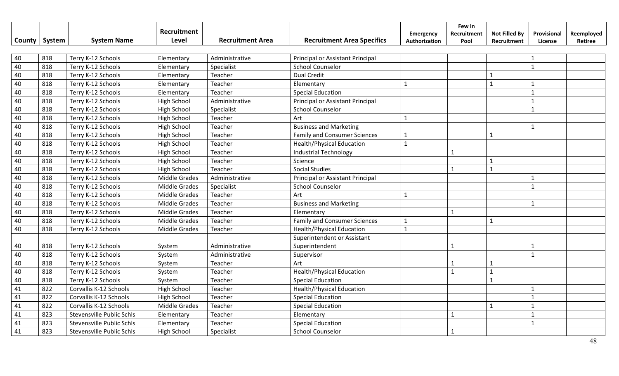|    | County   System | <b>System Name</b>               | Recruitment<br>Level | <b>Recruitment Area</b> | <b>Recruitment Area Specifics</b>   | <b>Emergency</b><br>Authorization | Few in<br>Recruitment<br>Pool | <b>Not Filled By</b><br>Recruitment | Provisional<br>License | Reemployed<br>Retiree |
|----|-----------------|----------------------------------|----------------------|-------------------------|-------------------------------------|-----------------------------------|-------------------------------|-------------------------------------|------------------------|-----------------------|
|    |                 |                                  |                      |                         |                                     |                                   |                               |                                     |                        |                       |
| 40 | 818             | Terry K-12 Schools               | Elementary           | Administrative          | Principal or Assistant Principal    |                                   |                               |                                     | $\mathbf{1}$           |                       |
| 40 | 818             | Terry K-12 Schools               | Elementary           | Specialist              | <b>School Counselor</b>             |                                   |                               |                                     | $\mathbf{1}$           |                       |
| 40 | 818             | Terry K-12 Schools               | Elementary           | Teacher                 | <b>Dual Credit</b>                  |                                   |                               | $\mathbf{1}$                        |                        |                       |
| 40 | 818             | Terry K-12 Schools               | Elementary           | Teacher                 | Elementary                          | $\mathbf 1$                       |                               | $\mathbf{1}$                        | $\mathbf{1}$           |                       |
| 40 | 818             | Terry K-12 Schools               | Elementary           | Teacher                 | <b>Special Education</b>            |                                   |                               |                                     | $\mathbf{1}$           |                       |
| 40 | 818             | Terry K-12 Schools               | <b>High School</b>   | Administrative          | Principal or Assistant Principal    |                                   |                               |                                     | $\mathbf{1}$           |                       |
| 40 | 818             | Terry K-12 Schools               | High School          | Specialist              | <b>School Counselor</b>             |                                   |                               |                                     | $\mathbf{1}$           |                       |
| 40 | 818             | Terry K-12 Schools               | High School          | Teacher                 | Art                                 | $\mathbf 1$                       |                               |                                     |                        |                       |
| 40 | 818             | Terry K-12 Schools               | <b>High School</b>   | Teacher                 | <b>Business and Marketing</b>       |                                   |                               |                                     | $\mathbf{1}$           |                       |
| 40 | 818             | Terry K-12 Schools               | <b>High School</b>   | Teacher                 | <b>Family and Consumer Sciences</b> | 1                                 |                               | $\mathbf{1}$                        |                        |                       |
| 40 | 818             | Terry K-12 Schools               | <b>High School</b>   | Teacher                 | <b>Health/Physical Education</b>    | $\mathbf{1}$                      |                               |                                     |                        |                       |
| 40 | 818             | Terry K-12 Schools               | <b>High School</b>   | Teacher                 | <b>Industrial Technology</b>        |                                   | $\mathbf{1}$                  |                                     |                        |                       |
| 40 | 818             | Terry K-12 Schools               | <b>High School</b>   | Teacher                 | Science                             |                                   |                               | $\mathbf{1}$                        |                        |                       |
| 40 | 818             | Terry K-12 Schools               | <b>High School</b>   | Teacher                 | <b>Social Studies</b>               |                                   | $\mathbf 1$                   | $\mathbf{1}$                        |                        |                       |
| 40 | 818             | Terry K-12 Schools               | <b>Middle Grades</b> | Administrative          | Principal or Assistant Principal    |                                   |                               |                                     | $\mathbf{1}$           |                       |
| 40 | 818             | Terry K-12 Schools               | <b>Middle Grades</b> | Specialist              | <b>School Counselor</b>             |                                   |                               |                                     | $\mathbf{1}$           |                       |
| 40 | 818             | Terry K-12 Schools               | <b>Middle Grades</b> | Teacher                 | Art                                 | $\mathbf{1}$                      |                               |                                     |                        |                       |
| 40 | 818             | Terry K-12 Schools               | Middle Grades        | Teacher                 | <b>Business and Marketing</b>       |                                   |                               |                                     | $\mathbf{1}$           |                       |
| 40 | 818             | Terry K-12 Schools               | Middle Grades        | Teacher                 | Elementary                          |                                   | $\mathbf{1}$                  |                                     |                        |                       |
| 40 | 818             | Terry K-12 Schools               | Middle Grades        | Teacher                 | <b>Family and Consumer Sciences</b> | $\mathbf{1}$                      |                               | $\mathbf{1}$                        |                        |                       |
| 40 | 818             | Terry K-12 Schools               | Middle Grades        | Teacher                 | <b>Health/Physical Education</b>    | $\mathbf{1}$                      |                               |                                     |                        |                       |
|    |                 |                                  |                      |                         | Superintendent or Assistant         |                                   |                               |                                     |                        |                       |
| 40 | 818             | Terry K-12 Schools               | System               | Administrative          | Superintendent                      |                                   | 1                             |                                     |                        |                       |
| 40 | 818             | Terry K-12 Schools               | System               | Administrative          | Supervisor                          |                                   |                               |                                     | $\mathbf{1}$           |                       |
| 40 | 818             | Terry K-12 Schools               | System               | Teacher                 | Art                                 |                                   |                               | $\mathbf{1}$                        |                        |                       |
| 40 | 818             | Terry K-12 Schools               | System               | Teacher                 | <b>Health/Physical Education</b>    |                                   | $\mathbf{1}$                  | $\mathbf{1}$                        |                        |                       |
| 40 | 818             | Terry K-12 Schools               | System               | Teacher                 | <b>Special Education</b>            |                                   |                               | $\mathbf{1}$                        |                        |                       |
| 41 | 822             | Corvallis K-12 Schools           | <b>High School</b>   | Teacher                 | <b>Health/Physical Education</b>    |                                   |                               |                                     | $\mathbf{1}$           |                       |
| 41 | 822             | Corvallis K-12 Schools           | <b>High School</b>   | Teacher                 | <b>Special Education</b>            |                                   |                               |                                     | $\mathbf{1}$           |                       |
| 41 | 822             | Corvallis K-12 Schools           | <b>Middle Grades</b> | Teacher                 | <b>Special Education</b>            |                                   |                               | $\mathbf{1}$                        | $\mathbf{1}$           |                       |
| 41 | 823             | <b>Stevensville Public Schls</b> | Elementary           | Teacher                 | Elementary                          |                                   | $\mathbf{1}$                  |                                     | $\mathbf{1}$           |                       |
| 41 | 823             | <b>Stevensville Public Schls</b> | Elementary           | Teacher                 | <b>Special Education</b>            |                                   |                               |                                     | $\mathbf{1}$           |                       |
| 41 | 823             | Stevensville Public Schls        | <b>High School</b>   | Specialist              | <b>School Counselor</b>             |                                   | $\mathbf{1}$                  |                                     |                        |                       |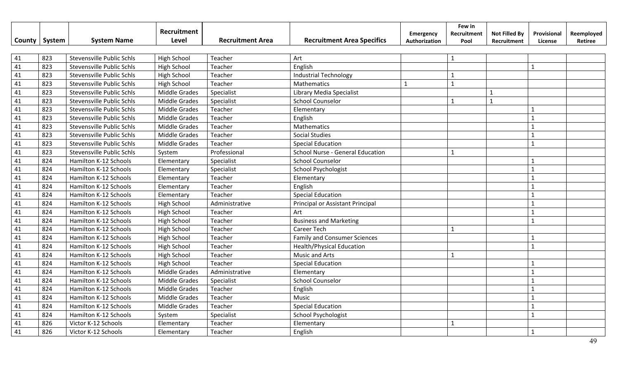|        |        |                                  | Recruitment          |                         |                                     | Emergency     | Few in<br>Recruitment | <b>Not Filled By</b> | Provisional    | Reemployed |
|--------|--------|----------------------------------|----------------------|-------------------------|-------------------------------------|---------------|-----------------------|----------------------|----------------|------------|
| County | System | <b>System Name</b>               | Level                | <b>Recruitment Area</b> | <b>Recruitment Area Specifics</b>   | Authorization | Pool                  | Recruitment          | License        | Retiree    |
|        |        |                                  |                      |                         |                                     |               |                       |                      |                |            |
| 41     | 823    | Stevensville Public Schls        | <b>High School</b>   | Teacher                 | Art                                 |               | $\mathbf{1}$          |                      |                |            |
| 41     | 823    | Stevensville Public Schls        | High School          | Teacher                 | English                             |               |                       |                      | $\mathbf{1}$   |            |
| 41     | 823    | Stevensville Public Schls        | High School          | Teacher                 | <b>Industrial Technology</b>        |               | $\mathbf{1}$          |                      |                |            |
| 41     | 823    | Stevensville Public Schls        | <b>High School</b>   | Teacher                 | Mathematics                         | $\mathbf{1}$  | $\mathbf{1}$          |                      |                |            |
| 41     | 823    | Stevensville Public Schls        | <b>Middle Grades</b> | Specialist              | Library Media Specialist            |               |                       | $\mathbf{1}$         |                |            |
| 41     | 823    | Stevensville Public Schls        | <b>Middle Grades</b> | Specialist              | <b>School Counselor</b>             |               | $\mathbf{1}$          | $\mathbf{1}$         |                |            |
| 41     | 823    | <b>Stevensville Public Schls</b> | <b>Middle Grades</b> | Teacher                 | Elementary                          |               |                       |                      | $\mathbf{1}$   |            |
| 41     | 823    | Stevensville Public Schls        | Middle Grades        | Teacher                 | English                             |               |                       |                      | $\mathbf{1}$   |            |
| 41     | 823    | Stevensville Public Schls        | <b>Middle Grades</b> | Teacher                 | Mathematics                         |               |                       |                      | $\mathbf{1}$   |            |
| 41     | 823    | <b>Stevensville Public Schls</b> | <b>Middle Grades</b> | Teacher                 | <b>Social Studies</b>               |               |                       |                      | $\mathbf{1}$   |            |
| 41     | 823    | <b>Stevensville Public Schls</b> | <b>Middle Grades</b> | Teacher                 | <b>Special Education</b>            |               |                       |                      | $\mathbf{1}$   |            |
| 41     | 823    | <b>Stevensville Public Schls</b> | System               | Professional            | School Nurse - General Education    |               |                       |                      |                |            |
| 41     | 824    | Hamilton K-12 Schools            | Elementary           | Specialist              | <b>School Counselor</b>             |               |                       |                      | $\mathbf{1}$   |            |
| 41     | 824    | Hamilton K-12 Schools            | Elementary           | Specialist              | School Psychologist                 |               |                       |                      | $\mathbf{1}$   |            |
| 41     | 824    | Hamilton K-12 Schools            | Elementary           | Teacher                 | Elementary                          |               |                       |                      |                |            |
| 41     | 824    | Hamilton K-12 Schools            | Elementary           | Teacher                 | English                             |               |                       |                      |                |            |
| 41     | 824    | Hamilton K-12 Schools            | Elementary           | Teacher                 | <b>Special Education</b>            |               |                       |                      |                |            |
| 41     | 824    | Hamilton K-12 Schools            | High School          | Administrative          | Principal or Assistant Principal    |               |                       |                      | $\overline{1}$ |            |
| 41     | 824    | Hamilton K-12 Schools            | High School          | Teacher                 | Art                                 |               |                       |                      | $\mathbf{1}$   |            |
| 41     | 824    | Hamilton K-12 Schools            | High School          | Teacher                 | <b>Business and Marketing</b>       |               |                       |                      | $\mathbf{1}$   |            |
| 41     | 824    | Hamilton K-12 Schools            | High School          | Teacher                 | <b>Career Tech</b>                  |               | $\mathbf{1}$          |                      |                |            |
| 41     | 824    | Hamilton K-12 Schools            | <b>High School</b>   | Teacher                 | <b>Family and Consumer Sciences</b> |               |                       |                      | $\mathbf 1$    |            |
| 41     | 824    | Hamilton K-12 Schools            | <b>High School</b>   | Teacher                 | <b>Health/Physical Education</b>    |               |                       |                      | $\mathbf{1}$   |            |
| 41     | 824    | Hamilton K-12 Schools            | <b>High School</b>   | Teacher                 | <b>Music and Arts</b>               |               | $\mathbf{1}$          |                      |                |            |
| 41     | 824    | Hamilton K-12 Schools            | High School          | Teacher                 | <b>Special Education</b>            |               |                       |                      |                |            |
| 41     | 824    | Hamilton K-12 Schools            | <b>Middle Grades</b> | Administrative          | Elementary                          |               |                       |                      |                |            |
| 41     | 824    | Hamilton K-12 Schools            | Middle Grades        | Specialist              | <b>School Counselor</b>             |               |                       |                      |                |            |
| 41     | 824    | Hamilton K-12 Schools            | Middle Grades        | Teacher                 | English                             |               |                       |                      | $\mathbf{1}$   |            |
| 41     | 824    | Hamilton K-12 Schools            | <b>Middle Grades</b> | Teacher                 | Music                               |               |                       |                      | $\mathbf{1}$   |            |
| 41     | 824    | Hamilton K-12 Schools            | <b>Middle Grades</b> | Teacher                 | <b>Special Education</b>            |               |                       |                      | $\mathbf{1}$   |            |
| 41     | 824    | Hamilton K-12 Schools            | System               | Specialist              | <b>School Psychologist</b>          |               |                       |                      | $\mathbf{1}$   |            |
| 41     | 826    | Victor K-12 Schools              | Elementary           | Teacher                 | Elementary                          |               | $\mathbf{1}$          |                      |                |            |
| 41     | 826    | Victor K-12 Schools              | Elementary           | Teacher                 | English                             |               |                       |                      | $\mathbf 1$    |            |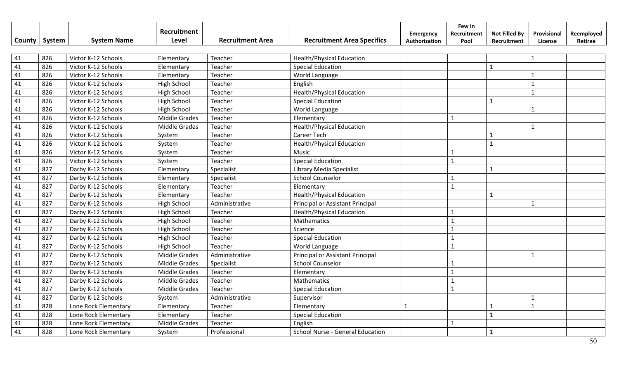|        |        |                      | Recruitment          |                         |                                         | Emergency     | Few in<br>Recruitment | <b>Not Filled By</b> | Provisional    | Reemployed |
|--------|--------|----------------------|----------------------|-------------------------|-----------------------------------------|---------------|-----------------------|----------------------|----------------|------------|
| County | System | <b>System Name</b>   | Level                | <b>Recruitment Area</b> | <b>Recruitment Area Specifics</b>       | Authorization | Pool                  | Recruitment          | License        | Retiree    |
|        |        |                      |                      |                         |                                         |               |                       |                      |                |            |
| 41     | 826    | Victor K-12 Schools  | Elementary           | Teacher                 | <b>Health/Physical Education</b>        |               |                       |                      | $\mathbf{1}$   |            |
| 41     | 826    | Victor K-12 Schools  | Elementary           | Teacher                 | <b>Special Education</b>                |               |                       | $\mathbf{1}$         |                |            |
| 41     | 826    | Victor K-12 Schools  | Elementary           | Teacher                 | World Language                          |               |                       |                      |                |            |
| 41     | 826    | Victor K-12 Schools  | High School          | Teacher                 | English                                 |               |                       |                      | $\mathbf{1}$   |            |
| 41     | 826    | Victor K-12 Schools  | High School          | Teacher                 | <b>Health/Physical Education</b>        |               |                       |                      | $\mathbf{1}$   |            |
| 41     | 826    | Victor K-12 Schools  | High School          | Teacher                 | <b>Special Education</b>                |               |                       | $\mathbf{1}$         |                |            |
| 41     | 826    | Victor K-12 Schools  | High School          | Teacher                 | World Language                          |               |                       |                      | $\mathbf{1}$   |            |
| 41     | 826    | Victor K-12 Schools  | <b>Middle Grades</b> | Teacher                 | Elementary                              |               | $\mathbf{1}$          |                      |                |            |
| 41     | 826    | Victor K-12 Schools  | <b>Middle Grades</b> | Teacher                 | <b>Health/Physical Education</b>        |               |                       |                      | $\mathbf{1}$   |            |
| 41     | 826    | Victor K-12 Schools  | System               | Teacher                 | <b>Career Tech</b>                      |               |                       | $\mathbf{1}$         |                |            |
| 41     | 826    | Victor K-12 Schools  | System               | Teacher                 | <b>Health/Physical Education</b>        |               |                       | $\mathbf{1}$         |                |            |
| 41     | 826    | Victor K-12 Schools  | System               | Teacher                 | <b>Music</b>                            |               |                       |                      |                |            |
| 41     | 826    | Victor K-12 Schools  | System               | Teacher                 | <b>Special Education</b>                |               | $\mathbf{1}$          |                      |                |            |
| 41     | 827    | Darby K-12 Schools   | Elementary           | Specialist              | Library Media Specialist                |               |                       | $\mathbf{1}$         |                |            |
| 41     | 827    | Darby K-12 Schools   | Elementary           | Specialist              | <b>School Counselor</b>                 |               | $\mathbf{1}$          |                      |                |            |
| 41     | 827    | Darby K-12 Schools   | Elementary           | Teacher                 | Elementary                              |               | $\mathbf{1}$          |                      |                |            |
| 41     | 827    | Darby K-12 Schools   | Elementary           | Teacher                 | <b>Health/Physical Education</b>        |               |                       | $\mathbf{1}$         |                |            |
| 41     | 827    | Darby K-12 Schools   | <b>High School</b>   | Administrative          | Principal or Assistant Principal        |               |                       |                      | $\mathbf{1}$   |            |
| 41     | 827    | Darby K-12 Schools   | <b>High School</b>   | Teacher                 | <b>Health/Physical Education</b>        |               |                       |                      |                |            |
| 41     | 827    | Darby K-12 Schools   | <b>High School</b>   | Teacher                 | Mathematics                             |               | $\mathbf{1}$          |                      |                |            |
| 41     | 827    | Darby K-12 Schools   | <b>High School</b>   | Teacher                 | Science                                 |               | $\mathbf{1}$          |                      |                |            |
| 41     | 827    | Darby K-12 Schools   | <b>High School</b>   | Teacher                 | <b>Special Education</b>                |               |                       |                      |                |            |
| 41     | 827    | Darby K-12 Schools   | <b>High School</b>   | Teacher                 | World Language                          |               |                       |                      |                |            |
| 41     | 827    | Darby K-12 Schools   | <b>Middle Grades</b> | Administrative          | Principal or Assistant Principal        |               |                       |                      |                |            |
| 41     | 827    | Darby K-12 Schools   | Middle Grades        | Specialist              | <b>School Counselor</b>                 |               | $\mathbf{1}$          |                      |                |            |
| 41     | 827    | Darby K-12 Schools   | <b>Middle Grades</b> | Teacher                 | Elementary                              |               | $\mathbf{1}$          |                      |                |            |
| 41     | 827    | Darby K-12 Schools   | <b>Middle Grades</b> | Teacher                 | Mathematics                             |               | $\mathbf{1}$          |                      |                |            |
| 41     | 827    | Darby K-12 Schools   | Middle Grades        | Teacher                 | <b>Special Education</b>                |               | $\mathbf{1}$          |                      |                |            |
| 41     | 827    | Darby K-12 Schools   | System               | Administrative          | Supervisor                              |               |                       |                      | $\mathbf{1}$   |            |
| 41     | 828    | Lone Rock Elementary | Elementary           | Teacher                 | Elementary                              | 1             |                       | $\mathbf{1}$         | $\overline{1}$ |            |
| 41     | 828    | Lone Rock Elementary | Elementary           | Teacher                 | <b>Special Education</b>                |               |                       | $\mathbf{1}$         |                |            |
| 41     | 828    | Lone Rock Elementary | Middle Grades        | Teacher                 | English                                 |               | $\mathbf{1}$          |                      |                |            |
| 41     | 828    | Lone Rock Elementary | System               | Professional            | <b>School Nurse - General Education</b> |               |                       | $\mathbf{1}$         |                |            |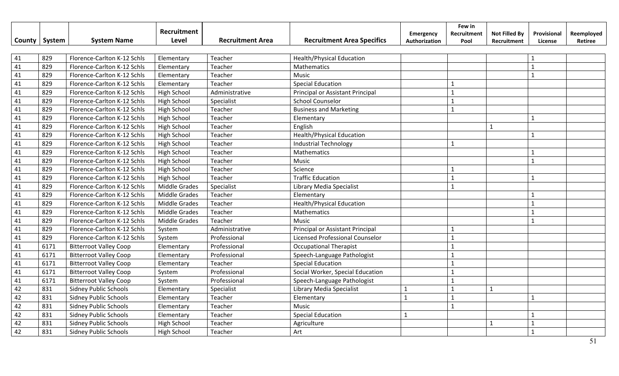|        |        | <b>System Name</b>            | Recruitment<br>Level | <b>Recruitment Area</b> | <b>Recruitment Area Specifics</b> | Emergency     | Few in<br>Recruitment | <b>Not Filled By</b> | Provisional  | Reemployed |
|--------|--------|-------------------------------|----------------------|-------------------------|-----------------------------------|---------------|-----------------------|----------------------|--------------|------------|
| County | System |                               |                      |                         |                                   | Authorization | Pool                  | Recruitment          | License      | Retiree    |
| 41     | 829    | Florence-Carlton K-12 Schls   | Elementary           | Teacher                 | <b>Health/Physical Education</b>  |               |                       |                      |              |            |
| 41     | 829    | Florence-Carlton K-12 Schls   | Elementary           | Teacher                 | Mathematics                       |               |                       |                      | $\mathbf{1}$ |            |
| 41     | 829    | Florence-Carlton K-12 Schls   | Elementary           | Teacher                 | Music                             |               |                       |                      | $\mathbf{1}$ |            |
| 41     | 829    | Florence-Carlton K-12 Schls   | Elementary           | Teacher                 | <b>Special Education</b>          |               | $\mathbf{1}$          |                      |              |            |
| 41     | 829    | Florence-Carlton K-12 Schls   | <b>High School</b>   | Administrative          | Principal or Assistant Principal  |               | $\mathbf{1}$          |                      |              |            |
| 41     | 829    | Florence-Carlton K-12 Schls   | <b>High School</b>   | Specialist              | <b>School Counselor</b>           |               | $\mathbf{1}$          |                      |              |            |
| 41     | 829    | Florence-Carlton K-12 Schls   | <b>High School</b>   | Teacher                 | <b>Business and Marketing</b>     |               | $\mathbf{1}$          |                      |              |            |
| 41     | 829    | Florence-Carlton K-12 Schls   | High School          | Teacher                 | Elementary                        |               |                       |                      | $\mathbf{1}$ |            |
| 41     | 829    | Florence-Carlton K-12 Schls   | High School          | Teacher                 | English                           |               |                       | $\mathbf{1}$         |              |            |
| 41     | 829    | Florence-Carlton K-12 Schls   | <b>High School</b>   | Teacher                 | <b>Health/Physical Education</b>  |               |                       |                      | $\mathbf{1}$ |            |
| 41     | 829    | Florence-Carlton K-12 Schls   | <b>High School</b>   | Teacher                 | <b>Industrial Technology</b>      |               |                       |                      |              |            |
| 41     | 829    | Florence-Carlton K-12 Schls   | <b>High School</b>   | Teacher                 | Mathematics                       |               |                       |                      | $\mathbf{1}$ |            |
| 41     | 829    | Florence-Carlton K-12 Schls   | <b>High School</b>   | Teacher                 | Music                             |               |                       |                      | $\mathbf{1}$ |            |
| 41     | 829    | Florence-Carlton K-12 Schls   | <b>High School</b>   | Teacher                 | Science                           |               |                       |                      |              |            |
| 41     | 829    | Florence-Carlton K-12 Schls   | <b>High School</b>   | Teacher                 | <b>Traffic Education</b>          |               | $\mathbf{1}$          |                      | $\mathbf{1}$ |            |
| 41     | 829    | Florence-Carlton K-12 Schls   | Middle Grades        | Specialist              | Library Media Specialist          |               | $\mathbf{1}$          |                      |              |            |
| 41     | 829    | Florence-Carlton K-12 Schls   | <b>Middle Grades</b> | Teacher                 | Elementary                        |               |                       |                      | $\mathbf{1}$ |            |
| 41     | 829    | Florence-Carlton K-12 Schls   | <b>Middle Grades</b> | Teacher                 | <b>Health/Physical Education</b>  |               |                       |                      | $\mathbf{1}$ |            |
| 41     | 829    | Florence-Carlton K-12 Schls   | <b>Middle Grades</b> | Teacher                 | Mathematics                       |               |                       |                      | $\mathbf{1}$ |            |
| 41     | 829    | Florence-Carlton K-12 Schls   | <b>Middle Grades</b> | Teacher                 | Music                             |               |                       |                      | $\mathbf{1}$ |            |
| 41     | 829    | Florence-Carlton K-12 Schls   | System               | Administrative          | Principal or Assistant Principal  |               | $\mathbf{1}$          |                      |              |            |
| 41     | 829    | Florence-Carlton K-12 Schls   | System               | Professional            | Licensed Professional Counselor   |               | $\mathbf{1}$          |                      |              |            |
| 41     | 6171   | <b>Bitterroot Valley Coop</b> | Elementary           | Professional            | <b>Occupational Therapist</b>     |               |                       |                      |              |            |
| 41     | 6171   | <b>Bitterroot Valley Coop</b> | Elementary           | Professional            | Speech-Language Pathologist       |               |                       |                      |              |            |
| 41     | 6171   | <b>Bitterroot Valley Coop</b> | Elementary           | Teacher                 | <b>Special Education</b>          |               | $\mathbf{1}$          |                      |              |            |
| 41     | 6171   | <b>Bitterroot Valley Coop</b> | System               | Professional            | Social Worker, Special Education  |               | $\mathbf{1}$          |                      |              |            |
| 41     | 6171   | <b>Bitterroot Valley Coop</b> | System               | Professional            | Speech-Language Pathologist       |               | $\mathbf{1}$          |                      |              |            |
| 42     | 831    | <b>Sidney Public Schools</b>  | Elementary           | Specialist              | Library Media Specialist          | 1             | $\mathbf{1}$          | $\mathbf{1}$         |              |            |
| 42     | 831    | Sidney Public Schools         | Elementary           | Teacher                 | Elementary                        | $\mathbf{1}$  | $\mathbf{1}$          |                      | $\mathbf{1}$ |            |
| 42     | 831    | <b>Sidney Public Schools</b>  | Elementary           | Teacher                 | Music                             |               | $\mathbf{1}$          |                      |              |            |
| 42     | 831    | <b>Sidney Public Schools</b>  | Elementary           | Teacher                 | <b>Special Education</b>          | 1             |                       |                      | $\mathbf 1$  |            |
| 42     | 831    | <b>Sidney Public Schools</b>  | <b>High School</b>   | Teacher                 | Agriculture                       |               |                       | $\mathbf{1}$         |              |            |
| 42     | 831    | <b>Sidney Public Schools</b>  | <b>High School</b>   | Teacher                 | Art                               |               |                       |                      |              |            |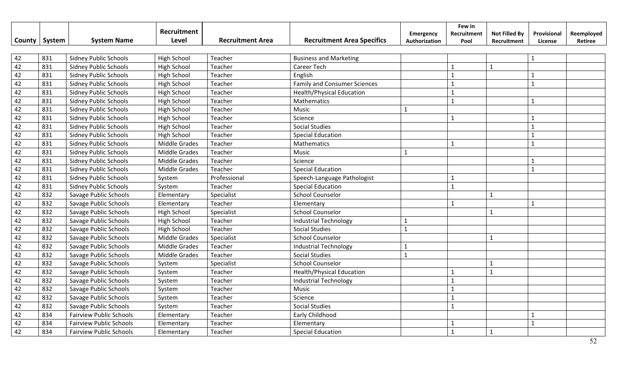|        |        |                                | Recruitment          |                         |                                     |               | Few in       |                      |              |            |
|--------|--------|--------------------------------|----------------------|-------------------------|-------------------------------------|---------------|--------------|----------------------|--------------|------------|
| County | System | <b>System Name</b>             | Level                | <b>Recruitment Area</b> | <b>Recruitment Area Specifics</b>   | Emergency     | Recruitment  | <b>Not Filled By</b> | Provisional  | Reemployed |
|        |        |                                |                      |                         |                                     | Authorization | Pool         | Recruitment          | License      | Retiree    |
| 42     | 831    | <b>Sidney Public Schools</b>   | <b>High School</b>   | Teacher                 | <b>Business and Marketing</b>       |               |              |                      | $\mathbf{1}$ |            |
| 42     | 831    | <b>Sidney Public Schools</b>   | High School          | Teacher                 | <b>Career Tech</b>                  |               | $\mathbf{1}$ | $\mathbf{1}$         |              |            |
| 42     | 831    | <b>Sidney Public Schools</b>   | High School          | Teacher                 | English                             |               | $\mathbf{1}$ |                      |              |            |
| 42     | 831    | <b>Sidney Public Schools</b>   | <b>High School</b>   | Teacher                 | <b>Family and Consumer Sciences</b> |               | $\mathbf{1}$ |                      | $\mathbf{1}$ |            |
| 42     | 831    | <b>Sidney Public Schools</b>   | High School          | Teacher                 | <b>Health/Physical Education</b>    |               | $\mathbf{1}$ |                      |              |            |
| 42     | 831    | <b>Sidney Public Schools</b>   | High School          | Teacher                 | Mathematics                         |               | $\mathbf{1}$ |                      | $\mathbf{1}$ |            |
| 42     | 831    | <b>Sidney Public Schools</b>   | High School          | Teacher                 | Music                               | 1             |              |                      |              |            |
| 42     | 831    | <b>Sidney Public Schools</b>   | High School          | Teacher                 | Science                             |               | $\mathbf{1}$ |                      | $\mathbf{1}$ |            |
| 42     | 831    | <b>Sidney Public Schools</b>   | High School          | Teacher                 | <b>Social Studies</b>               |               |              |                      | $\mathbf{1}$ |            |
| 42     | 831    | <b>Sidney Public Schools</b>   | High School          | Teacher                 | <b>Special Education</b>            |               |              |                      | 1            |            |
| 42     | 831    | <b>Sidney Public Schools</b>   | Middle Grades        | Teacher                 | Mathematics                         |               |              |                      | $\mathbf{1}$ |            |
| 42     | 831    | <b>Sidney Public Schools</b>   | <b>Middle Grades</b> | Teacher                 | Music                               | $\mathbf{1}$  |              |                      |              |            |
| 42     | 831    | <b>Sidney Public Schools</b>   | <b>Middle Grades</b> | Teacher                 | Science                             |               |              |                      |              |            |
| 42     | 831    | <b>Sidney Public Schools</b>   | <b>Middle Grades</b> | Teacher                 | <b>Special Education</b>            |               |              |                      | $\mathbf{1}$ |            |
| 42     | 831    | <b>Sidney Public Schools</b>   | System               | Professional            | Speech-Language Pathologist         |               | $\mathbf{1}$ |                      |              |            |
| 42     | 831    | <b>Sidney Public Schools</b>   | System               | Teacher                 | <b>Special Education</b>            |               | $\mathbf{1}$ |                      |              |            |
| 42     | 832    | Savage Public Schools          | Elementary           | Specialist              | <b>School Counselor</b>             |               |              | $\mathbf{1}$         |              |            |
| 42     | 832    | Savage Public Schools          | Elementary           | Teacher                 | Elementary                          |               | $\mathbf{1}$ |                      | $\mathbf{1}$ |            |
| 42     | 832    | Savage Public Schools          | High School          | Specialist              | <b>School Counselor</b>             |               |              | $\mathbf{1}$         |              |            |
| 42     | 832    | Savage Public Schools          | <b>High School</b>   | Teacher                 | <b>Industrial Technology</b>        | $\mathbf{1}$  |              |                      |              |            |
| 42     | 832    | Savage Public Schools          | High School          | Teacher                 | <b>Social Studies</b>               | $\mathbf{1}$  |              |                      |              |            |
| 42     | 832    | Savage Public Schools          | <b>Middle Grades</b> | Specialist              | <b>School Counselor</b>             |               |              | $\mathbf{1}$         |              |            |
| 42     | 832    | Savage Public Schools          | Middle Grades        | Teacher                 | <b>Industrial Technology</b>        | $\mathbf{1}$  |              |                      |              |            |
| 42     | 832    | Savage Public Schools          | <b>Middle Grades</b> | Teacher                 | <b>Social Studies</b>               | $\mathbf{1}$  |              |                      |              |            |
| 42     | 832    | Savage Public Schools          | System               | Specialist              | <b>School Counselor</b>             |               |              | $\mathbf{1}$         |              |            |
| 42     | 832    | Savage Public Schools          | System               | Teacher                 | <b>Health/Physical Education</b>    |               | 1            | $\mathbf{1}$         |              |            |
| 42     | 832    | Savage Public Schools          | System               | Teacher                 | <b>Industrial Technology</b>        |               | $\mathbf{1}$ |                      |              |            |
| 42     | 832    | Savage Public Schools          | System               | Teacher                 | Music                               |               |              |                      |              |            |
| 42     | 832    | Savage Public Schools          | System               | Teacher                 | Science                             |               |              |                      |              |            |
| 42     | 832    | Savage Public Schools          | System               | Teacher                 | <b>Social Studies</b>               |               |              |                      |              |            |
| 42     | 834    | <b>Fairview Public Schools</b> | Elementary           | Teacher                 | Early Childhood                     |               |              |                      |              |            |
| 42     | 834    | <b>Fairview Public Schools</b> | Elementary           | Teacher                 | Elementary                          |               |              |                      | $\mathbf{1}$ |            |
| 42     | 834    | <b>Fairview Public Schools</b> | Elementary           | Teacher                 | <b>Special Education</b>            |               |              | $\mathbf{1}$         |              |            |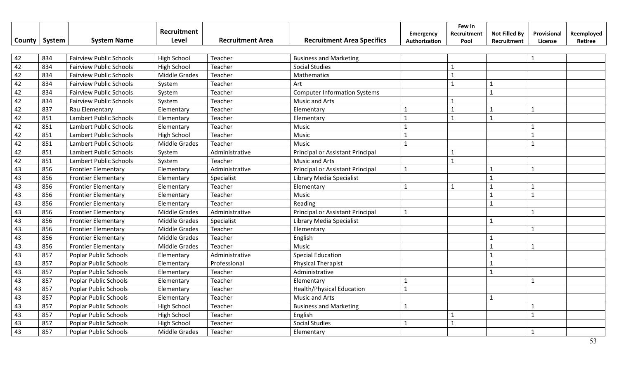|        |        |                                | Recruitment          |                         |                                     | <b>Emergency</b> | Few in<br>Recruitment | <b>Not Filled By</b> | Provisional  | Reemployed |
|--------|--------|--------------------------------|----------------------|-------------------------|-------------------------------------|------------------|-----------------------|----------------------|--------------|------------|
| County | System | <b>System Name</b>             | Level                | <b>Recruitment Area</b> | <b>Recruitment Area Specifics</b>   | Authorization    | Pool                  | Recruitment          | License      | Retiree    |
|        |        |                                |                      |                         |                                     |                  |                       |                      |              |            |
| 42     | 834    | <b>Fairview Public Schools</b> | <b>High School</b>   | Teacher                 | <b>Business and Marketing</b>       |                  |                       |                      | $\mathbf{1}$ |            |
| 42     | 834    | <b>Fairview Public Schools</b> | High School          | Teacher                 | <b>Social Studies</b>               |                  |                       |                      |              |            |
| 42     | 834    | <b>Fairview Public Schools</b> | <b>Middle Grades</b> | Teacher                 | Mathematics                         |                  | $\mathbf{1}$          |                      |              |            |
| 42     | 834    | <b>Fairview Public Schools</b> | System               | Teacher                 | Art                                 |                  | 1                     | $\mathbf{1}$         |              |            |
| 42     | 834    | <b>Fairview Public Schools</b> | System               | Teacher                 | <b>Computer Information Systems</b> |                  |                       | $\mathbf{1}$         |              |            |
| 42     | 834    | <b>Fairview Public Schools</b> | System               | Teacher                 | <b>Music and Arts</b>               |                  |                       |                      |              |            |
| 42     | 837    | Rau Elementary                 | Elementary           | Teacher                 | Elementary                          | $\mathbf{1}$     |                       | $\mathbf{1}$         | $\mathbf{1}$ |            |
| 42     | 851    | Lambert Public Schools         | Elementary           | Teacher                 | Elementary                          | $\mathbf{1}$     | 1                     | $\mathbf{1}$         |              |            |
| 42     | 851    | Lambert Public Schools         | Elementary           | Teacher                 | Music                               | $\mathbf{1}$     |                       |                      | $\mathbf{1}$ |            |
| 42     | 851    | Lambert Public Schools         | High School          | Teacher                 | Music                               | $\mathbf{1}$     |                       |                      | $\mathbf{1}$ |            |
| 42     | 851    | Lambert Public Schools         | <b>Middle Grades</b> | Teacher                 | Music                               | $\mathbf{1}$     |                       |                      | $\mathbf{1}$ |            |
| 42     | 851    | Lambert Public Schools         | System               | Administrative          | Principal or Assistant Principal    |                  |                       |                      |              |            |
| 42     | 851    | Lambert Public Schools         | System               | Teacher                 | Music and Arts                      |                  |                       |                      |              |            |
| 43     | 856    | <b>Frontier Elementary</b>     | Elementary           | Administrative          | Principal or Assistant Principal    | $\mathbf{1}$     |                       | $\mathbf{1}$         | $\mathbf{1}$ |            |
| 43     | 856    | <b>Frontier Elementary</b>     | Elementary           | Specialist              | Library Media Specialist            |                  |                       | $\mathbf{1}$         |              |            |
| 43     | 856    | <b>Frontier Elementary</b>     | Elementary           | Teacher                 | Elementary                          | $\mathbf{1}$     | $\mathbf{1}$          | $\mathbf{1}$         | $\mathbf{1}$ |            |
| 43     | 856    | <b>Frontier Elementary</b>     | Elementary           | Teacher                 | Music                               |                  |                       | $\mathbf{1}$         | $\mathbf{1}$ |            |
| 43     | 856    | <b>Frontier Elementary</b>     | Elementary           | Teacher                 | Reading                             |                  |                       | $\mathbf{1}$         |              |            |
| 43     | 856    | <b>Frontier Elementary</b>     | Middle Grades        | Administrative          | Principal or Assistant Principal    | $\mathbf{1}$     |                       |                      | 1            |            |
| 43     | 856    | <b>Frontier Elementary</b>     | <b>Middle Grades</b> | Specialist              | Library Media Specialist            |                  |                       | $\mathbf{1}$         |              |            |
| 43     | 856    | <b>Frontier Elementary</b>     | <b>Middle Grades</b> | Teacher                 | Elementary                          |                  |                       |                      | $\mathbf{1}$ |            |
| 43     | 856    | <b>Frontier Elementary</b>     | Middle Grades        | Teacher                 | English                             |                  |                       | $\mathbf{1}$         |              |            |
| 43     | 856    | <b>Frontier Elementary</b>     | <b>Middle Grades</b> | Teacher                 | Music                               |                  |                       | $\mathbf{1}$         |              |            |
| 43     | 857    | <b>Poplar Public Schools</b>   | Elementary           | Administrative          | <b>Special Education</b>            |                  |                       | $\mathbf{1}$         |              |            |
| 43     | 857    | <b>Poplar Public Schools</b>   | Elementary           | Professional            | <b>Physical Therapist</b>           |                  |                       | $\mathbf{1}$         |              |            |
| 43     | 857    | <b>Poplar Public Schools</b>   | Elementary           | Teacher                 | Administrative                      |                  |                       | $\mathbf{1}$         |              |            |
| 43     | 857    | <b>Poplar Public Schools</b>   | Elementary           | Teacher                 | Elementary                          | $\mathbf{1}$     |                       |                      | $\mathbf{1}$ |            |
| 43     | 857    | <b>Poplar Public Schools</b>   | Elementary           | Teacher                 | <b>Health/Physical Education</b>    | 1                |                       |                      |              |            |
| 43     | 857    | <b>Poplar Public Schools</b>   | Elementary           | Teacher                 | <b>Music and Arts</b>               |                  |                       | $\mathbf{1}$         |              |            |
| 43     | 857    | <b>Poplar Public Schools</b>   | High School          | Teacher                 | <b>Business and Marketing</b>       | $\mathbf{1}$     |                       |                      |              |            |
| 43     | 857    | <b>Poplar Public Schools</b>   | <b>High School</b>   | Teacher                 | English                             |                  |                       |                      | $\mathbf 1$  |            |
| 43     | 857    | <b>Poplar Public Schools</b>   | <b>High School</b>   | Teacher                 | <b>Social Studies</b>               | $\mathbf{1}$     |                       |                      |              |            |
| 43     | 857    | <b>Poplar Public Schools</b>   | <b>Middle Grades</b> | Teacher                 | Elementary                          |                  |                       |                      |              |            |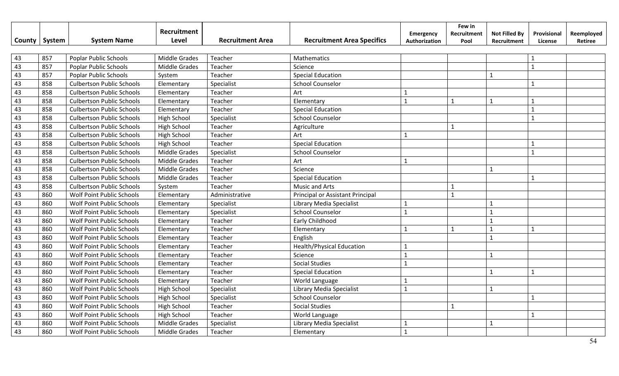|               |        |                                  | Recruitment          |                         |                                   | Emergency     | Few in<br>Recruitment | <b>Not Filled By</b> | Provisional  | Reemployed |
|---------------|--------|----------------------------------|----------------------|-------------------------|-----------------------------------|---------------|-----------------------|----------------------|--------------|------------|
| <b>County</b> | System | <b>System Name</b>               | Level                | <b>Recruitment Area</b> | <b>Recruitment Area Specifics</b> | Authorization | Pool                  | Recruitment          | License      | Retiree    |
|               |        |                                  |                      |                         |                                   |               |                       |                      |              |            |
| 43            | 857    | <b>Poplar Public Schools</b>     | Middle Grades        | Teacher                 | Mathematics                       |               |                       |                      | $\mathbf{1}$ |            |
| 43            | 857    | <b>Poplar Public Schools</b>     | <b>Middle Grades</b> | Teacher                 | Science                           |               |                       |                      | $\mathbf{1}$ |            |
| 43            | 857    | <b>Poplar Public Schools</b>     | System               | Teacher                 | <b>Special Education</b>          |               |                       | $\mathbf{1}$         |              |            |
| 43            | 858    | <b>Culbertson Public Schools</b> | Elementary           | Specialist              | <b>School Counselor</b>           |               |                       |                      | $\mathbf{1}$ |            |
| 43            | 858    | <b>Culbertson Public Schools</b> | Elementary           | Teacher                 | Art                               |               |                       |                      |              |            |
| 43            | 858    | <b>Culbertson Public Schools</b> | Elementary           | Teacher                 | Elementary                        | $\mathbf{1}$  | $\mathbf{1}$          | $\mathbf{1}$         | $\mathbf{1}$ |            |
| 43            | 858    | <b>Culbertson Public Schools</b> | Elementary           | Teacher                 | <b>Special Education</b>          |               |                       |                      | $\mathbf{1}$ |            |
| 43            | 858    | <b>Culbertson Public Schools</b> | High School          | Specialist              | <b>School Counselor</b>           |               |                       |                      | $\mathbf{1}$ |            |
| 43            | 858    | <b>Culbertson Public Schools</b> | High School          | Teacher                 | Agriculture                       |               | $\mathbf{1}$          |                      |              |            |
| 43            | 858    | <b>Culbertson Public Schools</b> | <b>High School</b>   | Teacher                 | Art                               | $\mathbf{1}$  |                       |                      |              |            |
| 43            | 858    | <b>Culbertson Public Schools</b> | High School          | Teacher                 | <b>Special Education</b>          |               |                       |                      | $\mathbf{1}$ |            |
| 43            | 858    | <b>Culbertson Public Schools</b> | <b>Middle Grades</b> | Specialist              | <b>School Counselor</b>           |               |                       |                      | $\mathbf{1}$ |            |
| 43            | 858    | <b>Culbertson Public Schools</b> | <b>Middle Grades</b> | Teacher                 | Art                               | $\mathbf{1}$  |                       |                      |              |            |
| 43            | 858    | <b>Culbertson Public Schools</b> | <b>Middle Grades</b> | Teacher                 | Science                           |               |                       | $\mathbf{1}$         |              |            |
| 43            | 858    | <b>Culbertson Public Schools</b> | <b>Middle Grades</b> | Teacher                 | <b>Special Education</b>          |               |                       |                      | $\mathbf{1}$ |            |
| 43            | 858    | <b>Culbertson Public Schools</b> | System               | Teacher                 | <b>Music and Arts</b>             |               | $\mathbf{1}$          |                      |              |            |
| 43            | 860    | Wolf Point Public Schools        | Elementary           | Administrative          | Principal or Assistant Principal  |               | $\mathbf{1}$          |                      |              |            |
| 43            | 860    | <b>Wolf Point Public Schools</b> | Elementary           | Specialist              | <b>Library Media Specialist</b>   | $\mathbf{1}$  |                       | $\mathbf{1}$         |              |            |
| 43            | 860    | <b>Wolf Point Public Schools</b> | Elementary           | Specialist              | <b>School Counselor</b>           | $\mathbf{1}$  |                       | $\mathbf{1}$         |              |            |
| 43            | 860    | Wolf Point Public Schools        | Elementary           | Teacher                 | Early Childhood                   |               |                       | $\mathbf{1}$         |              |            |
| 43            | 860    | Wolf Point Public Schools        | Elementary           | Teacher                 | Elementary                        | $\mathbf{1}$  | 1                     | $\mathbf{1}$         | 1            |            |
| 43            | 860    | Wolf Point Public Schools        | Elementary           | Teacher                 | English                           |               |                       | $\mathbf{1}$         |              |            |
| 43            | 860    | Wolf Point Public Schools        | Elementary           | Teacher                 | <b>Health/Physical Education</b>  | $\mathbf{1}$  |                       |                      |              |            |
| 43            | 860    | Wolf Point Public Schools        | Elementary           | Teacher                 | Science                           | $\mathbf{1}$  |                       | $\mathbf{1}$         |              |            |
| 43            | 860    | Wolf Point Public Schools        | Elementary           | Teacher                 | <b>Social Studies</b>             | $\mathbf{1}$  |                       |                      |              |            |
| 43            | 860    | Wolf Point Public Schools        | Elementary           | Teacher                 | <b>Special Education</b>          |               |                       | $\mathbf{1}$         | $\mathbf{1}$ |            |
| 43            | 860    | Wolf Point Public Schools        | Elementary           | Teacher                 | World Language                    | $\mathbf{1}$  |                       |                      |              |            |
| 43            | 860    | Wolf Point Public Schools        | <b>High School</b>   | Specialist              | Library Media Specialist          | $\mathbf{1}$  |                       | $\mathbf{1}$         |              |            |
| 43            | 860    | Wolf Point Public Schools        | <b>High School</b>   | Specialist              | <b>School Counselor</b>           |               |                       |                      | $\mathbf{1}$ |            |
| 43            | 860    | Wolf Point Public Schools        | <b>High School</b>   | Teacher                 | <b>Social Studies</b>             |               | $\mathbf{1}$          |                      |              |            |
| 43            | 860    | Wolf Point Public Schools        | <b>High School</b>   | Teacher                 | World Language                    |               |                       |                      | $\mathbf{1}$ |            |
| 43            | 860    | Wolf Point Public Schools        | Middle Grades        | Specialist              | Library Media Specialist          | 1             |                       | $\mathbf{1}$         |              |            |
| 43            | 860    | Wolf Point Public Schools        | <b>Middle Grades</b> | Teacher                 | Elementary                        | $\mathbf{1}$  |                       |                      |              |            |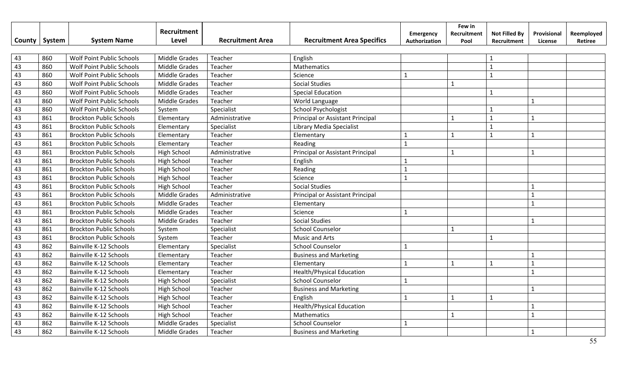|        |        |                                | Recruitment          |                         |                                   | <b>Emergency</b> | Few in<br>Recruitment | <b>Not Filled By</b> | Provisional  | Reemployed |
|--------|--------|--------------------------------|----------------------|-------------------------|-----------------------------------|------------------|-----------------------|----------------------|--------------|------------|
| County | System | <b>System Name</b>             | Level                | <b>Recruitment Area</b> | <b>Recruitment Area Specifics</b> | Authorization    | Pool                  | Recruitment          | License      | Retiree    |
|        |        |                                |                      |                         |                                   |                  |                       |                      |              |            |
| 43     | 860    | Wolf Point Public Schools      | <b>Middle Grades</b> | Teacher                 | English                           |                  |                       | $\mathbf{1}$         |              |            |
| 43     | 860    | Wolf Point Public Schools      | <b>Middle Grades</b> | Teacher                 | Mathematics                       |                  |                       | $\mathbf{1}$         |              |            |
| 43     | 860    | Wolf Point Public Schools      | <b>Middle Grades</b> | Teacher                 | Science                           | $\mathbf{1}$     |                       | $\mathbf{1}$         |              |            |
| 43     | 860    | Wolf Point Public Schools      | <b>Middle Grades</b> | Teacher                 | <b>Social Studies</b>             |                  | $\mathbf{1}$          |                      |              |            |
| 43     | 860    | Wolf Point Public Schools      | <b>Middle Grades</b> | Teacher                 | <b>Special Education</b>          |                  |                       | $\mathbf{1}$         |              |            |
| 43     | 860    | Wolf Point Public Schools      | <b>Middle Grades</b> | Teacher                 | World Language                    |                  |                       |                      | $\mathbf{1}$ |            |
| 43     | 860    | Wolf Point Public Schools      | System               | Specialist              | School Psychologist               |                  |                       | $\mathbf{1}$         |              |            |
| 43     | 861    | <b>Brockton Public Schools</b> | Elementary           | Administrative          | Principal or Assistant Principal  |                  | $\mathbf{1}$          | $\mathbf{1}$         | $\mathbf{1}$ |            |
| 43     | 861    | <b>Brockton Public Schools</b> | Elementary           | Specialist              | Library Media Specialist          |                  |                       | $\mathbf{1}$         |              |            |
| 43     | 861    | <b>Brockton Public Schools</b> | Elementary           | Teacher                 | Elementary                        | $\mathbf{1}$     | $\mathbf{1}$          | $\mathbf{1}$         | $\mathbf{1}$ |            |
| 43     | 861    | <b>Brockton Public Schools</b> | Elementary           | Teacher                 | Reading                           | $\mathbf{1}$     |                       |                      |              |            |
| 43     | 861    | <b>Brockton Public Schools</b> | <b>High School</b>   | Administrative          | Principal or Assistant Principal  |                  | $\mathbf{1}$          |                      | $\mathbf{1}$ |            |
| 43     | 861    | <b>Brockton Public Schools</b> | High School          | Teacher                 | English                           | $\mathbf{1}$     |                       |                      |              |            |
| 43     | 861    | <b>Brockton Public Schools</b> | High School          | Teacher                 | Reading                           | $\mathbf{1}$     |                       |                      |              |            |
| 43     | 861    | <b>Brockton Public Schools</b> | <b>High School</b>   | Teacher                 | Science                           | $\mathbf{1}$     |                       |                      |              |            |
| 43     | 861    | <b>Brockton Public Schools</b> | <b>High School</b>   | Teacher                 | <b>Social Studies</b>             |                  |                       |                      | $\mathbf{1}$ |            |
| 43     | 861    | <b>Brockton Public Schools</b> | Middle Grades        | Administrative          | Principal or Assistant Principal  |                  |                       |                      | $\mathbf{1}$ |            |
| 43     | 861    | <b>Brockton Public Schools</b> | <b>Middle Grades</b> | Teacher                 | Elementary                        |                  |                       |                      | $\mathbf{1}$ |            |
| 43     | 861    | <b>Brockton Public Schools</b> | <b>Middle Grades</b> | Teacher                 | Science                           | $\mathbf{1}$     |                       |                      |              |            |
| 43     | 861    | <b>Brockton Public Schools</b> | Middle Grades        | Teacher                 | <b>Social Studies</b>             |                  |                       |                      | $\mathbf{1}$ |            |
| 43     | 861    | <b>Brockton Public Schools</b> | System               | Specialist              | <b>School Counselor</b>           |                  | $\mathbf{1}$          |                      |              |            |
| 43     | 861    | <b>Brockton Public Schools</b> | System               | Teacher                 | <b>Music and Arts</b>             |                  |                       | $\mathbf{1}$         |              |            |
| 43     | 862    | Bainville K-12 Schools         | Elementary           | Specialist              | <b>School Counselor</b>           | $\mathbf{1}$     |                       |                      |              |            |
| 43     | 862    | Bainville K-12 Schools         | Elementary           | Teacher                 | <b>Business and Marketing</b>     |                  |                       |                      | $\mathbf{1}$ |            |
| 43     | 862    | <b>Bainville K-12 Schools</b>  | Elementary           | Teacher                 | Elementary                        | $\mathbf{1}$     | $\mathbf{1}$          | $\mathbf{1}$         | $\mathbf{1}$ |            |
| 43     | 862    | Bainville K-12 Schools         | Elementary           | Teacher                 | <b>Health/Physical Education</b>  |                  |                       |                      | $\mathbf{1}$ |            |
| 43     | 862    | Bainville K-12 Schools         | <b>High School</b>   | Specialist              | <b>School Counselor</b>           | $\mathbf{1}$     |                       |                      |              |            |
| 43     | 862    | Bainville K-12 Schools         | High School          | Teacher                 | <b>Business and Marketing</b>     |                  |                       |                      | $\mathbf{1}$ |            |
| 43     | 862    | Bainville K-12 Schools         | High School          | Teacher                 | English                           | $\mathbf{1}$     | $\mathbf{1}$          | $\mathbf{1}$         |              |            |
| 43     | 862    | Bainville K-12 Schools         | High School          | Teacher                 | <b>Health/Physical Education</b>  |                  |                       |                      | $\mathbf{1}$ |            |
| 43     | 862    | Bainville K-12 Schools         | <b>High School</b>   | Teacher                 | Mathematics                       |                  | $\mathbf{1}$          |                      | $\mathbf{1}$ |            |
| 43     | 862    | Bainville K-12 Schools         | <b>Middle Grades</b> | Specialist              | <b>School Counselor</b>           | $\mathbf{1}$     |                       |                      |              |            |
| 43     | 862    | Bainville K-12 Schools         | Middle Grades        | Teacher                 | <b>Business and Marketing</b>     |                  |                       |                      | $\mathbf{1}$ |            |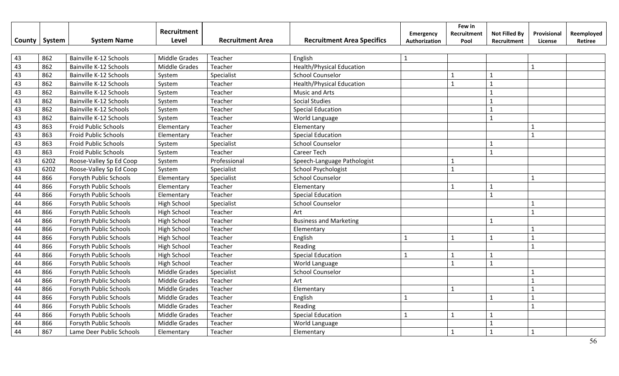|        |        |                             | Recruitment          |                         |                                   | Emergency     | Few in<br>Recruitment | <b>Not Filled By</b> | Provisional    | Reemployed |
|--------|--------|-----------------------------|----------------------|-------------------------|-----------------------------------|---------------|-----------------------|----------------------|----------------|------------|
| County | System | <b>System Name</b>          | Level                | <b>Recruitment Area</b> | <b>Recruitment Area Specifics</b> | Authorization | Pool                  | Recruitment          | License        | Retiree    |
|        |        |                             |                      |                         |                                   |               |                       |                      |                |            |
| 43     | 862    | Bainville K-12 Schools      | <b>Middle Grades</b> | Teacher                 | English                           | $\mathbf{1}$  |                       |                      |                |            |
| 43     | 862    | Bainville K-12 Schools      | <b>Middle Grades</b> | Teacher                 | <b>Health/Physical Education</b>  |               |                       |                      | $\mathbf{1}$   |            |
| 43     | 862    | Bainville K-12 Schools      | System               | Specialist              | <b>School Counselor</b>           |               | 1                     | $\mathbf{1}$         |                |            |
| 43     | 862    | Bainville K-12 Schools      | System               | Teacher                 | <b>Health/Physical Education</b>  |               | $\mathbf{1}$          | $\mathbf{1}$         |                |            |
| 43     | 862    | Bainville K-12 Schools      | System               | Teacher                 | <b>Music and Arts</b>             |               |                       | $\mathbf{1}$         |                |            |
| 43     | 862    | Bainville K-12 Schools      | System               | Teacher                 | <b>Social Studies</b>             |               |                       | $\mathbf{1}$         |                |            |
| 43     | 862    | Bainville K-12 Schools      | System               | Teacher                 | <b>Special Education</b>          |               |                       | $\mathbf{1}$         |                |            |
| 43     | 862    | Bainville K-12 Schools      | System               | Teacher                 | World Language                    |               |                       | $\mathbf{1}$         |                |            |
| 43     | 863    | Froid Public Schools        | Elementary           | Teacher                 | Elementary                        |               |                       |                      | $\mathbf{1}$   |            |
| 43     | 863    | <b>Froid Public Schools</b> | Elementary           | Teacher                 | <b>Special Education</b>          |               |                       |                      | $\mathbf{1}$   |            |
| 43     | 863    | Froid Public Schools        | System               | Specialist              | <b>School Counselor</b>           |               |                       | $\mathbf{1}$         |                |            |
| 43     | 863    | Froid Public Schools        | System               | Teacher                 | <b>Career Tech</b>                |               |                       | $\mathbf{1}$         |                |            |
| 43     | 6202   | Roose-Valley Sp Ed Coop     | System               | Professional            | Speech-Language Pathologist       |               | $\mathbf{1}$          |                      |                |            |
| 43     | 6202   | Roose-Valley Sp Ed Coop     | System               | Specialist              | School Psychologist               |               | $\mathbf{1}$          |                      |                |            |
| 44     | 866    | Forsyth Public Schools      | Elementary           | Specialist              | <b>School Counselor</b>           |               |                       |                      | $\mathbf{1}$   |            |
| 44     | 866    | Forsyth Public Schools      | Elementary           | Teacher                 | Elementary                        |               | $\mathbf{1}$          | $\mathbf{1}$         |                |            |
| 44     | 866    | Forsyth Public Schools      | Elementary           | Teacher                 | <b>Special Education</b>          |               |                       | $\mathbf{1}$         |                |            |
| 44     | 866    | Forsyth Public Schools      | <b>High School</b>   | Specialist              | <b>School Counselor</b>           |               |                       |                      |                |            |
| 44     | 866    | Forsyth Public Schools      | <b>High School</b>   | Teacher                 | Art                               |               |                       |                      | $\mathbf{1}$   |            |
| 44     | 866    | Forsyth Public Schools      | <b>High School</b>   | Teacher                 | <b>Business and Marketing</b>     |               |                       | $\mathbf{1}$         |                |            |
| 44     | 866    | Forsyth Public Schools      | <b>High School</b>   | Teacher                 | Elementary                        |               |                       |                      |                |            |
| 44     | 866    | Forsyth Public Schools      | <b>High School</b>   | Teacher                 | English                           | $\mathbf{1}$  | $\mathbf{1}$          | $\mathbf{1}$         | $\mathbf{1}$   |            |
| 44     | 866    | Forsyth Public Schools      | <b>High School</b>   | Teacher                 | Reading                           |               |                       |                      | $\mathbf{1}$   |            |
| 44     | 866    | Forsyth Public Schools      | <b>High School</b>   | Teacher                 | <b>Special Education</b>          | $\mathbf{1}$  | $\mathbf{1}$          | $\mathbf{1}$         |                |            |
| 44     | 866    | Forsyth Public Schools      | <b>High School</b>   | Teacher                 | World Language                    |               | $\mathbf{1}$          | $\mathbf{1}$         |                |            |
| 44     | 866    | Forsyth Public Schools      | <b>Middle Grades</b> | Specialist              | <b>School Counselor</b>           |               |                       |                      | $\mathbf{1}$   |            |
| 44     | 866    | Forsyth Public Schools      | Middle Grades        | Teacher                 | Art                               |               |                       |                      | $\mathbf{1}$   |            |
| 44     | 866    | Forsyth Public Schools      | Middle Grades        | Teacher                 | Elementary                        |               | $\mathbf{1}$          |                      |                |            |
| 44     | 866    | Forsyth Public Schools      | <b>Middle Grades</b> | Teacher                 | English                           | $\mathbf{1}$  |                       | $\mathbf{1}$         | $\mathbf{1}$   |            |
| 44     | 866    | Forsyth Public Schools      | Middle Grades        | Teacher                 | Reading                           |               |                       |                      | $\overline{1}$ |            |
| 44     | 866    | Forsyth Public Schools      | Middle Grades        | Teacher                 | <b>Special Education</b>          | $\mathbf{1}$  | $\mathbf{1}$          | $\mathbf{1}$         |                |            |
| 44     | 866    | Forsyth Public Schools      | <b>Middle Grades</b> | Teacher                 | World Language                    |               |                       | $\mathbf{1}$         |                |            |
| 44     | 867    | Lame Deer Public Schools    | Elementary           | Teacher                 | Elementary                        |               | $\mathbf{1}$          | $\overline{1}$       | $\mathbf{1}$   |            |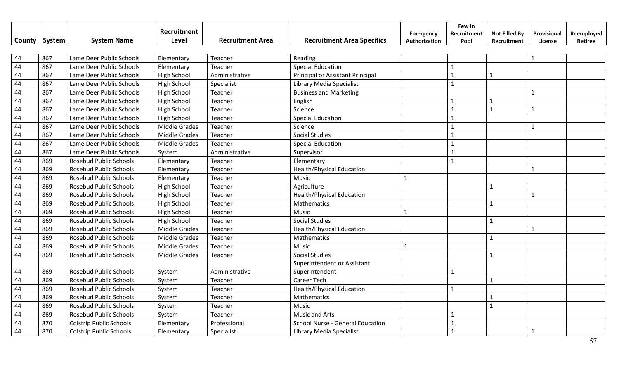|               |        |                                | Recruitment          |                         |                                   | Emergency     | Few in<br>Recruitment | <b>Not Filled By</b> | Provisional  | Reemployed |
|---------------|--------|--------------------------------|----------------------|-------------------------|-----------------------------------|---------------|-----------------------|----------------------|--------------|------------|
| <b>County</b> | System | <b>System Name</b>             | Level                | <b>Recruitment Area</b> | <b>Recruitment Area Specifics</b> | Authorization | Pool                  | Recruitment          | License      | Retiree    |
|               |        |                                |                      |                         |                                   |               |                       |                      |              |            |
| 44            | 867    | Lame Deer Public Schools       | Elementary           | Teacher                 | Reading                           |               |                       |                      | $\mathbf{1}$ |            |
| 44            | 867    | Lame Deer Public Schools       | Elementary           | Teacher                 | <b>Special Education</b>          |               | $\mathbf{1}$          |                      |              |            |
| 44            | 867    | Lame Deer Public Schools       | High School          | Administrative          | Principal or Assistant Principal  |               | $\mathbf{1}$          | $\mathbf 1$          |              |            |
| 44            | 867    | Lame Deer Public Schools       | High School          | Specialist              | Library Media Specialist          |               | $\mathbf{1}$          |                      |              |            |
| 44            | 867    | Lame Deer Public Schools       | High School          | Teacher                 | <b>Business and Marketing</b>     |               |                       |                      | $\mathbf{1}$ |            |
| 44            | 867    | Lame Deer Public Schools       | <b>High School</b>   | Teacher                 | English                           |               | $\mathbf{1}$          | $\mathbf{1}$         |              |            |
| 44            | 867    | Lame Deer Public Schools       | High School          | Teacher                 | Science                           |               | $\mathbf{1}$          | $\mathbf{1}$         | $\mathbf{1}$ |            |
| 44            | 867    | Lame Deer Public Schools       | High School          | Teacher                 | <b>Special Education</b>          |               | 1                     |                      |              |            |
| 44            | 867    | Lame Deer Public Schools       | <b>Middle Grades</b> | Teacher                 | Science                           |               | $\mathbf{1}$          |                      | $\mathbf{1}$ |            |
| 44            | 867    | Lame Deer Public Schools       | <b>Middle Grades</b> | Teacher                 | <b>Social Studies</b>             |               | $\mathbf{1}$          |                      |              |            |
| 44            | 867    | Lame Deer Public Schools       | <b>Middle Grades</b> | Teacher                 | <b>Special Education</b>          |               | $\mathbf{1}$          |                      |              |            |
| 44            | 867    | Lame Deer Public Schools       | System               | Administrative          | Supervisor                        |               | 1                     |                      |              |            |
| 44            | 869    | <b>Rosebud Public Schools</b>  | Elementary           | Teacher                 | Elementary                        |               | $\mathbf{1}$          |                      |              |            |
| 44            | 869    | <b>Rosebud Public Schools</b>  | Elementary           | Teacher                 | <b>Health/Physical Education</b>  |               |                       |                      | $\mathbf{1}$ |            |
| 44            | 869    | <b>Rosebud Public Schools</b>  | Elementary           | Teacher                 | Music                             | $\mathbf{1}$  |                       |                      |              |            |
| 44            | 869    | <b>Rosebud Public Schools</b>  | High School          | Teacher                 | Agriculture                       |               |                       | $\mathbf{1}$         |              |            |
| 44            | 869    | Rosebud Public Schools         | High School          | Teacher                 | <b>Health/Physical Education</b>  |               |                       |                      | $\mathbf{1}$ |            |
| 44            | 869    | <b>Rosebud Public Schools</b>  | High School          | Teacher                 | Mathematics                       |               |                       | $\mathbf{1}$         |              |            |
| 44            | 869    | <b>Rosebud Public Schools</b>  | High School          | Teacher                 | Music                             | $\mathbf{1}$  |                       |                      |              |            |
| 44            | 869    | <b>Rosebud Public Schools</b>  | <b>High School</b>   | Teacher                 | <b>Social Studies</b>             |               |                       | $\mathbf{1}$         |              |            |
| 44            | 869    | <b>Rosebud Public Schools</b>  | <b>Middle Grades</b> | Teacher                 | <b>Health/Physical Education</b>  |               |                       |                      | $\mathbf{1}$ |            |
| 44            | 869    | <b>Rosebud Public Schools</b>  | <b>Middle Grades</b> | Teacher                 | Mathematics                       |               |                       | $\mathbf{1}$         |              |            |
| 44            | 869    | <b>Rosebud Public Schools</b>  | <b>Middle Grades</b> | Teacher                 | Music                             | $\mathbf{1}$  |                       |                      |              |            |
| 44            | 869    | Rosebud Public Schools         | <b>Middle Grades</b> | Teacher                 | <b>Social Studies</b>             |               |                       | $\mathbf{1}$         |              |            |
|               |        |                                |                      |                         | Superintendent or Assistant       |               |                       |                      |              |            |
| 44            | 869    | <b>Rosebud Public Schools</b>  | System               | Administrative          | Superintendent                    |               | 1                     |                      |              |            |
| 44            | 869    | <b>Rosebud Public Schools</b>  | System               | Teacher                 | <b>Career Tech</b>                |               |                       | $\mathbf 1$          |              |            |
| 44            | 869    | Rosebud Public Schools         | System               | Teacher                 | <b>Health/Physical Education</b>  |               | $\mathbf{1}$          |                      |              |            |
| 44            | 869    | <b>Rosebud Public Schools</b>  | System               | Teacher                 | Mathematics                       |               |                       | $\mathbf{1}$         |              |            |
| 44            | 869    | <b>Rosebud Public Schools</b>  | System               | Teacher                 | Music                             |               |                       | $\mathbf{1}$         |              |            |
| 44            | 869    | Rosebud Public Schools         | System               | Teacher                 | <b>Music and Arts</b>             |               | $\mathbf{1}$          |                      |              |            |
| 44            | 870    | <b>Colstrip Public Schools</b> | Elementary           | Professional            | School Nurse - General Education  |               | $\mathbf{1}$          |                      |              |            |
| 44            | 870    | <b>Colstrip Public Schools</b> | Elementary           | Specialist              | Library Media Specialist          |               | $\mathbf{1}$          |                      | $\mathbf{1}$ |            |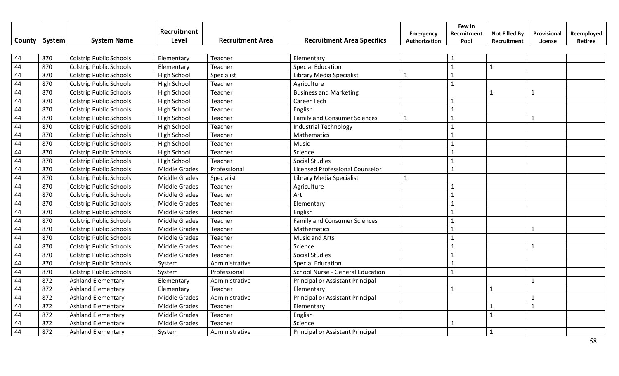|        |        |                                | Recruitment          |                         |                                         | <b>Emergency</b> | Few in<br>Recruitment | <b>Not Filled By</b> | Provisional  | Reemployed |
|--------|--------|--------------------------------|----------------------|-------------------------|-----------------------------------------|------------------|-----------------------|----------------------|--------------|------------|
| County | System | <b>System Name</b>             | Level                | <b>Recruitment Area</b> | <b>Recruitment Area Specifics</b>       | Authorization    | Pool                  | Recruitment          | License      | Retiree    |
|        |        |                                |                      |                         |                                         |                  |                       |                      |              |            |
| 44     | 870    | <b>Colstrip Public Schools</b> | Elementary           | Teacher                 | Elementary                              |                  | 1                     |                      |              |            |
| 44     | 870    | <b>Colstrip Public Schools</b> | Elementary           | Teacher                 | <b>Special Education</b>                |                  | $\mathbf{1}$          | $\mathbf{1}$         |              |            |
| 44     | 870    | <b>Colstrip Public Schools</b> | High School          | Specialist              | Library Media Specialist                | $\mathbf{1}$     | $\mathbf{1}$          |                      |              |            |
| 44     | 870    | <b>Colstrip Public Schools</b> | High School          | Teacher                 | Agriculture                             |                  | $\mathbf{1}$          |                      |              |            |
| 44     | 870    | <b>Colstrip Public Schools</b> | High School          | Teacher                 | <b>Business and Marketing</b>           |                  |                       | $\mathbf{1}$         | $\mathbf{1}$ |            |
| 44     | 870    | <b>Colstrip Public Schools</b> | <b>High School</b>   | Teacher                 | <b>Career Tech</b>                      |                  | $\mathbf{1}$          |                      |              |            |
| 44     | 870    | <b>Colstrip Public Schools</b> | High School          | Teacher                 | English                                 |                  | $\mathbf{1}$          |                      |              |            |
| 44     | 870    | <b>Colstrip Public Schools</b> | High School          | Teacher                 | <b>Family and Consumer Sciences</b>     | $\mathbf{1}$     | $\mathbf{1}$          |                      | $\mathbf{1}$ |            |
| 44     | 870    | <b>Colstrip Public Schools</b> | High School          | Teacher                 | <b>Industrial Technology</b>            |                  | 1                     |                      |              |            |
| 44     | 870    | <b>Colstrip Public Schools</b> | High School          | Teacher                 | Mathematics                             |                  | 1                     |                      |              |            |
| 44     | 870    | <b>Colstrip Public Schools</b> | High School          | Teacher                 | Music                                   |                  | $\mathbf{1}$          |                      |              |            |
| 44     | 870    | <b>Colstrip Public Schools</b> | <b>High School</b>   | Teacher                 | Science                                 |                  | $\mathbf{1}$          |                      |              |            |
| 44     | 870    | <b>Colstrip Public Schools</b> | <b>High School</b>   | Teacher                 | <b>Social Studies</b>                   |                  | 1                     |                      |              |            |
| 44     | 870    | <b>Colstrip Public Schools</b> | <b>Middle Grades</b> | Professional            | Licensed Professional Counselor         |                  | $\mathbf{1}$          |                      |              |            |
| 44     | 870    | <b>Colstrip Public Schools</b> | <b>Middle Grades</b> | Specialist              | Library Media Specialist                | $\mathbf{1}$     |                       |                      |              |            |
| 44     | 870    | <b>Colstrip Public Schools</b> | <b>Middle Grades</b> | Teacher                 | Agriculture                             |                  | $\mathbf{1}$          |                      |              |            |
| 44     | 870    | <b>Colstrip Public Schools</b> | <b>Middle Grades</b> | Teacher                 | Art                                     |                  | $\mathbf{1}$          |                      |              |            |
| 44     | 870    | <b>Colstrip Public Schools</b> | <b>Middle Grades</b> | Teacher                 | Elementary                              |                  | $\mathbf{1}$          |                      |              |            |
| 44     | 870    | <b>Colstrip Public Schools</b> | <b>Middle Grades</b> | Teacher                 | English                                 |                  | $\mathbf{1}$          |                      |              |            |
| 44     | 870    | <b>Colstrip Public Schools</b> | <b>Middle Grades</b> | Teacher                 | <b>Family and Consumer Sciences</b>     |                  | $\mathbf{1}$          |                      |              |            |
| 44     | 870    | <b>Colstrip Public Schools</b> | <b>Middle Grades</b> | Teacher                 | Mathematics                             |                  | $\mathbf{1}$          |                      | $\mathbf{1}$ |            |
| 44     | 870    | <b>Colstrip Public Schools</b> | Middle Grades        | Teacher                 | <b>Music and Arts</b>                   |                  | $\mathbf{1}$          |                      |              |            |
| 44     | 870    | <b>Colstrip Public Schools</b> | Middle Grades        | Teacher                 | Science                                 |                  | $\mathbf{1}$          |                      | $\mathbf{1}$ |            |
| 44     | 870    | <b>Colstrip Public Schools</b> | <b>Middle Grades</b> | Teacher                 | <b>Social Studies</b>                   |                  | $\mathbf{1}$          |                      |              |            |
| 44     | 870    | <b>Colstrip Public Schools</b> | System               | Administrative          | <b>Special Education</b>                |                  | $\mathbf{1}$          |                      |              |            |
| 44     | 870    | <b>Colstrip Public Schools</b> | System               | Professional            | <b>School Nurse - General Education</b> |                  | $\mathbf{1}$          |                      |              |            |
| 44     | 872    | <b>Ashland Elementary</b>      | Elementary           | Administrative          | Principal or Assistant Principal        |                  |                       |                      | $\mathbf{1}$ |            |
| 44     | 872    | <b>Ashland Elementary</b>      | Elementary           | Teacher                 | Elementary                              |                  | $\mathbf{1}$          | $\mathbf{1}$         |              |            |
| 44     | 872    | <b>Ashland Elementary</b>      | Middle Grades        | Administrative          | Principal or Assistant Principal        |                  |                       |                      |              |            |
| 44     | 872    | <b>Ashland Elementary</b>      | <b>Middle Grades</b> | Teacher                 | Elementary                              |                  |                       | $\mathbf{1}$         | $\mathbf{1}$ |            |
| 44     | 872    | <b>Ashland Elementary</b>      | <b>Middle Grades</b> | Teacher                 | English                                 |                  |                       | $\mathbf{1}$         |              |            |
| 44     | 872    | <b>Ashland Elementary</b>      | Middle Grades        | Teacher                 | Science                                 |                  | $\mathbf{1}$          |                      |              |            |
| 44     | 872    | <b>Ashland Elementary</b>      | System               | Administrative          | Principal or Assistant Principal        |                  |                       | $\mathbf{1}$         |              |            |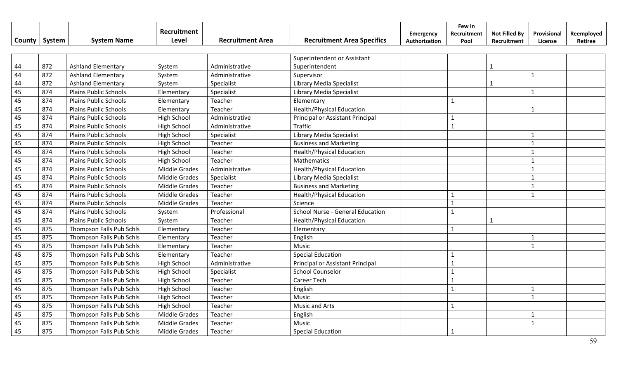|        |        |                              | Recruitment          |                         |                                   | Emergency     | Few in<br>Recruitment | <b>Not Filled By</b> | Provisional    | Reemployed |
|--------|--------|------------------------------|----------------------|-------------------------|-----------------------------------|---------------|-----------------------|----------------------|----------------|------------|
| County | System | <b>System Name</b>           | Level                | <b>Recruitment Area</b> | <b>Recruitment Area Specifics</b> | Authorization | Pool                  | Recruitment          | License        | Retiree    |
|        |        |                              |                      |                         |                                   |               |                       |                      |                |            |
|        |        |                              |                      |                         | Superintendent or Assistant       |               |                       |                      |                |            |
| 44     | 872    | <b>Ashland Elementary</b>    | System               | Administrative          | Superintendent                    |               |                       | 1                    |                |            |
| 44     | 872    | <b>Ashland Elementary</b>    | System               | Administrative          | Supervisor                        |               |                       |                      | $\mathbf{1}$   |            |
| 44     | 872    | Ashland Elementary           | System               | Specialist              | Library Media Specialist          |               |                       | $\mathbf{1}$         |                |            |
| 45     | 874    | <b>Plains Public Schools</b> | Elementary           | Specialist              | Library Media Specialist          |               |                       |                      | $\mathbf{1}$   |            |
| 45     | 874    | <b>Plains Public Schools</b> | Elementary           | Teacher                 | Elementary                        |               | $\mathbf{1}$          |                      |                |            |
| 45     | 874    | <b>Plains Public Schools</b> | Elementary           | Teacher                 | <b>Health/Physical Education</b>  |               |                       |                      | $\mathbf{1}$   |            |
| 45     | 874    | <b>Plains Public Schools</b> | High School          | Administrative          | Principal or Assistant Principal  |               |                       |                      |                |            |
| 45     | 874    | <b>Plains Public Schools</b> | High School          | Administrative          | Traffic                           |               | $\mathbf{1}$          |                      |                |            |
| 45     | 874    | Plains Public Schools        | High School          | Specialist              | Library Media Specialist          |               |                       |                      | $\mathbf{1}$   |            |
| 45     | 874    | <b>Plains Public Schools</b> | High School          | Teacher                 | <b>Business and Marketing</b>     |               |                       |                      | $\mathbf{1}$   |            |
| 45     | 874    | <b>Plains Public Schools</b> | High School          | Teacher                 | <b>Health/Physical Education</b>  |               |                       |                      |                |            |
| 45     | 874    | <b>Plains Public Schools</b> | <b>High School</b>   | Teacher                 | Mathematics                       |               |                       |                      |                |            |
| 45     | 874    | <b>Plains Public Schools</b> | <b>Middle Grades</b> | Administrative          | <b>Health/Physical Education</b>  |               |                       |                      |                |            |
| 45     | 874    | <b>Plains Public Schools</b> | <b>Middle Grades</b> | Specialist              | Library Media Specialist          |               |                       |                      | $\mathbf{1}$   |            |
| 45     | 874    | Plains Public Schools        | <b>Middle Grades</b> | Teacher                 | <b>Business and Marketing</b>     |               |                       |                      | $\overline{1}$ |            |
| 45     | 874    | <b>Plains Public Schools</b> | <b>Middle Grades</b> | Teacher                 | <b>Health/Physical Education</b>  |               | $\mathbf{1}$          |                      | $\mathbf{1}$   |            |
| 45     | 874    | <b>Plains Public Schools</b> | <b>Middle Grades</b> | Teacher                 | Science                           |               | $\mathbf{1}$          |                      |                |            |
| 45     | 874    | <b>Plains Public Schools</b> | System               | Professional            | School Nurse - General Education  |               | $\mathbf{1}$          |                      |                |            |
| 45     | 874    | <b>Plains Public Schools</b> | System               | Teacher                 | <b>Health/Physical Education</b>  |               |                       | $\mathbf{1}$         |                |            |
| 45     | 875    | Thompson Falls Pub Schls     | Elementary           | Teacher                 | Elementary                        |               | $\mathbf{1}$          |                      |                |            |
| 45     | 875    | Thompson Falls Pub Schls     | Elementary           | Teacher                 | English                           |               |                       |                      |                |            |
| 45     | 875    | Thompson Falls Pub Schls     | Elementary           | Teacher                 | Music                             |               |                       |                      | $\mathbf{1}$   |            |
| 45     | 875    | Thompson Falls Pub Schls     | Elementary           | Teacher                 | <b>Special Education</b>          |               |                       |                      |                |            |
| 45     | 875    | Thompson Falls Pub Schls     | High School          | Administrative          | Principal or Assistant Principal  |               | $\mathbf{1}$          |                      |                |            |
| 45     | 875    | Thompson Falls Pub Schls     | High School          | Specialist              | <b>School Counselor</b>           |               | $\mathbf{1}$          |                      |                |            |
| 45     | 875    | Thompson Falls Pub Schls     | High School          | Teacher                 | Career Tech                       |               | $\mathbf{1}$          |                      |                |            |
| 45     | 875    | Thompson Falls Pub Schls     | High School          | Teacher                 | English                           |               | $\mathbf{1}$          |                      | 1              |            |
| 45     | 875    | Thompson Falls Pub Schls     | High School          | Teacher                 | Music                             |               |                       |                      | $\mathbf 1$    |            |
| 45     | 875    | Thompson Falls Pub Schls     | <b>High School</b>   | Teacher                 | Music and Arts                    |               |                       |                      |                |            |
| 45     | 875    | Thompson Falls Pub Schls     | Middle Grades        | Teacher                 | English                           |               |                       |                      |                |            |
| 45     | 875    | Thompson Falls Pub Schls     | Middle Grades        | Teacher                 | Music                             |               |                       |                      | $\mathbf{1}$   |            |
| 45     | 875    | Thompson Falls Pub Schls     | <b>Middle Grades</b> | Teacher                 | <b>Special Education</b>          |               | $\mathbf{1}$          |                      |                |            |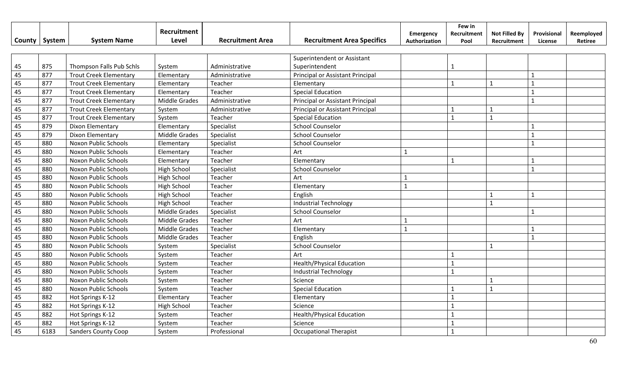|        |        |                               | Recruitment          |                         |                                   |                            | Few in              |                                     |                        |                       |
|--------|--------|-------------------------------|----------------------|-------------------------|-----------------------------------|----------------------------|---------------------|-------------------------------------|------------------------|-----------------------|
| County | System | <b>System Name</b>            | Level                | <b>Recruitment Area</b> | <b>Recruitment Area Specifics</b> | Emergency<br>Authorization | Recruitment<br>Pool | <b>Not Filled By</b><br>Recruitment | Provisional<br>License | Reemployed<br>Retiree |
|        |        |                               |                      |                         |                                   |                            |                     |                                     |                        |                       |
|        |        |                               |                      |                         | Superintendent or Assistant       |                            |                     |                                     |                        |                       |
| 45     | 875    | Thompson Falls Pub Schls      | System               | Administrative          | Superintendent                    |                            | 1                   |                                     |                        |                       |
| 45     | 877    | <b>Trout Creek Elementary</b> | Elementary           | Administrative          | Principal or Assistant Principal  |                            |                     |                                     |                        |                       |
| 45     | 877    | <b>Trout Creek Elementary</b> | Elementary           | Teacher                 | Elementary                        |                            | $\mathbf{1}$        | $\mathbf{1}$                        | $\mathbf{1}$           |                       |
| 45     | 877    | <b>Trout Creek Elementary</b> | Elementary           | Teacher                 | <b>Special Education</b>          |                            |                     |                                     | $\mathbf{1}$           |                       |
| 45     | 877    | <b>Trout Creek Elementary</b> | Middle Grades        | Administrative          | Principal or Assistant Principal  |                            |                     |                                     | $\mathbf{1}$           |                       |
| 45     | 877    | <b>Trout Creek Elementary</b> | System               | Administrative          | Principal or Assistant Principal  |                            | $\mathbf{1}$        | $\mathbf{1}$                        |                        |                       |
| 45     | 877    | <b>Trout Creek Elementary</b> | System               | Teacher                 | <b>Special Education</b>          |                            | $\mathbf{1}$        | $\mathbf{1}$                        |                        |                       |
| 45     | 879    | Dixon Elementary              | Elementary           | Specialist              | <b>School Counselor</b>           |                            |                     |                                     |                        |                       |
| 45     | 879    | Dixon Elementary              | <b>Middle Grades</b> | Specialist              | <b>School Counselor</b>           |                            |                     |                                     | $\mathbf{1}$           |                       |
| 45     | 880    | Noxon Public Schools          | Elementary           | Specialist              | <b>School Counselor</b>           |                            |                     |                                     | $\mathbf{1}$           |                       |
| 45     | 880    | Noxon Public Schools          | Elementary           | Teacher                 | Art                               | $\mathbf{1}$               |                     |                                     |                        |                       |
| 45     | 880    | Noxon Public Schools          | Elementary           | Teacher                 | Elementary                        |                            |                     |                                     |                        |                       |
| 45     | 880    | Noxon Public Schools          | High School          | Specialist              | <b>School Counselor</b>           |                            |                     |                                     | $\mathbf{1}$           |                       |
| 45     | 880    | Noxon Public Schools          | High School          | Teacher                 | Art                               | $\mathbf{1}$               |                     |                                     |                        |                       |
| 45     | 880    | Noxon Public Schools          | High School          | Teacher                 | Elementary                        | $\mathbf{1}$               |                     |                                     |                        |                       |
| 45     | 880    | Noxon Public Schools          | <b>High School</b>   | Teacher                 | English                           |                            |                     | $\mathbf{1}$                        | $\mathbf{1}$           |                       |
| 45     | 880    | Noxon Public Schools          | High School          | Teacher                 | <b>Industrial Technology</b>      |                            |                     | $\mathbf{1}$                        |                        |                       |
| 45     | 880    | Noxon Public Schools          | Middle Grades        | Specialist              | <b>School Counselor</b>           |                            |                     |                                     | $\mathbf{1}$           |                       |
| 45     | 880    | Noxon Public Schools          | Middle Grades        | Teacher                 | Art                               | 1                          |                     |                                     |                        |                       |
| 45     | 880    | Noxon Public Schools          | <b>Middle Grades</b> | Teacher                 | Elementary                        | 1                          |                     |                                     |                        |                       |
| 45     | 880    | Noxon Public Schools          | Middle Grades        | Teacher                 | English                           |                            |                     |                                     |                        |                       |
| 45     | 880    | Noxon Public Schools          | System               | Specialist              | <b>School Counselor</b>           |                            |                     | $\mathbf{1}$                        |                        |                       |
| 45     | 880    | Noxon Public Schools          | System               | Teacher                 | Art                               |                            |                     |                                     |                        |                       |
| 45     | 880    | Noxon Public Schools          | System               | Teacher                 | <b>Health/Physical Education</b>  |                            | $\mathbf{1}$        |                                     |                        |                       |
| 45     | 880    | Noxon Public Schools          | System               | Teacher                 | <b>Industrial Technology</b>      |                            | $\mathbf{1}$        |                                     |                        |                       |
| 45     | 880    | Noxon Public Schools          | System               | Teacher                 | Science                           |                            |                     | $\mathbf{1}$                        |                        |                       |
| 45     | 880    | Noxon Public Schools          | System               | Teacher                 | <b>Special Education</b>          |                            |                     | $\mathbf{1}$                        |                        |                       |
| 45     | 882    | Hot Springs K-12              | Elementary           | Teacher                 | Elementary                        |                            | $\mathbf{1}$        |                                     |                        |                       |
| 45     | 882    | Hot Springs K-12              | <b>High School</b>   | Teacher                 | Science                           |                            |                     |                                     |                        |                       |
| 45     | 882    | Hot Springs K-12              | System               | Teacher                 | <b>Health/Physical Education</b>  |                            |                     |                                     |                        |                       |
| 45     | 882    | Hot Springs K-12              | System               | Teacher                 | Science                           |                            |                     |                                     |                        |                       |
| 45     | 6183   | <b>Sanders County Coop</b>    | System               | Professional            | <b>Occupational Therapist</b>     |                            |                     |                                     |                        |                       |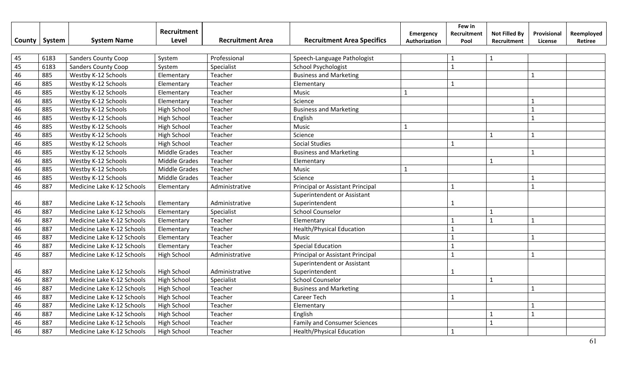| County | System | <b>System Name</b>         | Recruitment<br>Level | <b>Recruitment Area</b> | <b>Recruitment Area Specifics</b>   | <b>Emergency</b><br>Authorization | Few in<br>Recruitment<br>Pool | <b>Not Filled By</b><br>Recruitment | Provisional<br>License | Reemployed<br>Retiree |
|--------|--------|----------------------------|----------------------|-------------------------|-------------------------------------|-----------------------------------|-------------------------------|-------------------------------------|------------------------|-----------------------|
|        |        |                            |                      |                         |                                     |                                   |                               |                                     |                        |                       |
| 45     | 6183   | <b>Sanders County Coop</b> | System               | Professional            | Speech-Language Pathologist         |                                   |                               | 1                                   |                        |                       |
| 45     | 6183   | <b>Sanders County Coop</b> | System               | Specialist              | <b>School Psychologist</b>          |                                   | $\mathbf{1}$                  |                                     |                        |                       |
| 46     | 885    | Westby K-12 Schools        | Elementary           | Teacher                 | <b>Business and Marketing</b>       |                                   |                               |                                     | $\mathbf{1}$           |                       |
| 46     | 885    | Westby K-12 Schools        | Elementary           | Teacher                 | Elementary                          |                                   | $\mathbf{1}$                  |                                     |                        |                       |
| 46     | 885    | Westby K-12 Schools        | Elementary           | Teacher                 | Music                               | $\mathbf{1}$                      |                               |                                     |                        |                       |
| 46     | 885    | Westby K-12 Schools        | Elementary           | Teacher                 | Science                             |                                   |                               |                                     | 1                      |                       |
| 46     | 885    | Westby K-12 Schools        | <b>High School</b>   | Teacher                 | <b>Business and Marketing</b>       |                                   |                               |                                     | $\mathbf{1}$           |                       |
| 46     | 885    | Westby K-12 Schools        | High School          | Teacher                 | English                             |                                   |                               |                                     | $\mathbf{1}$           |                       |
| 46     | 885    | Westby K-12 Schools        | <b>High School</b>   | Teacher                 | Music                               | $\mathbf{1}$                      |                               |                                     |                        |                       |
| 46     | 885    | Westby K-12 Schools        | High School          | Teacher                 | Science                             |                                   |                               | $\mathbf{1}$                        | $\mathbf{1}$           |                       |
| 46     | 885    | Westby K-12 Schools        | <b>High School</b>   | Teacher                 | <b>Social Studies</b>               |                                   |                               |                                     |                        |                       |
| 46     | 885    | Westby K-12 Schools        | <b>Middle Grades</b> | Teacher                 | <b>Business and Marketing</b>       |                                   |                               |                                     | $\mathbf{1}$           |                       |
| 46     | 885    | Westby K-12 Schools        | <b>Middle Grades</b> | Teacher                 | Elementary                          |                                   |                               | $\mathbf{1}$                        |                        |                       |
| 46     | 885    | Westby K-12 Schools        | <b>Middle Grades</b> | Teacher                 | Music                               | $\mathbf{1}$                      |                               |                                     |                        |                       |
| 46     | 885    | Westby K-12 Schools        | <b>Middle Grades</b> | Teacher                 | Science                             |                                   |                               |                                     | $\mathbf{1}$           |                       |
| 46     | 887    | Medicine Lake K-12 Schools | Elementary           | Administrative          | Principal or Assistant Principal    |                                   | $\mathbf{1}$                  |                                     | $\mathbf{1}$           |                       |
|        |        |                            |                      |                         | Superintendent or Assistant         |                                   |                               |                                     |                        |                       |
| 46     | 887    | Medicine Lake K-12 Schools | Elementary           | Administrative          | Superintendent                      |                                   | $\mathbf 1$                   |                                     |                        |                       |
| 46     | 887    | Medicine Lake K-12 Schools | Elementary           | Specialist              | <b>School Counselor</b>             |                                   |                               | $\mathbf{1}$                        |                        |                       |
| 46     | 887    | Medicine Lake K-12 Schools | Elementary           | Teacher                 | Elementary                          |                                   | $\mathbf 1$                   | $\mathbf{1}$                        | 1                      |                       |
| 46     | 887    | Medicine Lake K-12 Schools | Elementary           | Teacher                 | <b>Health/Physical Education</b>    |                                   | $\mathbf{1}$                  |                                     |                        |                       |
| 46     | 887    | Medicine Lake K-12 Schools | Elementary           | Teacher                 | Music                               |                                   | $\mathbf{1}$                  |                                     | $\mathbf{1}$           |                       |
| 46     | 887    | Medicine Lake K-12 Schools | Elementary           | Teacher                 | <b>Special Education</b>            |                                   | $\mathbf{1}$                  |                                     |                        |                       |
| 46     | 887    | Medicine Lake K-12 Schools | <b>High School</b>   | Administrative          | Principal or Assistant Principal    |                                   | $\mathbf{1}$                  |                                     | $\mathbf{1}$           |                       |
|        |        |                            |                      |                         | Superintendent or Assistant         |                                   |                               |                                     |                        |                       |
| 46     | 887    | Medicine Lake K-12 Schools | <b>High School</b>   | Administrative          | Superintendent                      |                                   | 1                             |                                     |                        |                       |
| 46     | 887    | Medicine Lake K-12 Schools | High School          | Specialist              | <b>School Counselor</b>             |                                   |                               | $\mathbf{1}$                        |                        |                       |
| 46     | 887    | Medicine Lake K-12 Schools | <b>High School</b>   | Teacher                 | <b>Business and Marketing</b>       |                                   |                               |                                     | $\mathbf{1}$           |                       |
| 46     | 887    | Medicine Lake K-12 Schools | <b>High School</b>   | Teacher                 | Career Tech                         |                                   | $\mathbf{1}$                  |                                     |                        |                       |
| 46     | 887    | Medicine Lake K-12 Schools | <b>High School</b>   | Teacher                 | Elementary                          |                                   |                               |                                     | $\mathbf 1$            |                       |
| 46     | 887    | Medicine Lake K-12 Schools | <b>High School</b>   | Teacher                 | English                             |                                   |                               | $\mathbf{1}$                        | $\mathbf{1}$           |                       |
| 46     | 887    | Medicine Lake K-12 Schools | High School          | Teacher                 | <b>Family and Consumer Sciences</b> |                                   |                               | $\mathbf{1}$                        |                        |                       |
| 46     | 887    | Medicine Lake K-12 Schools | High School          | Teacher                 | <b>Health/Physical Education</b>    |                                   | $\mathbf{1}$                  |                                     |                        |                       |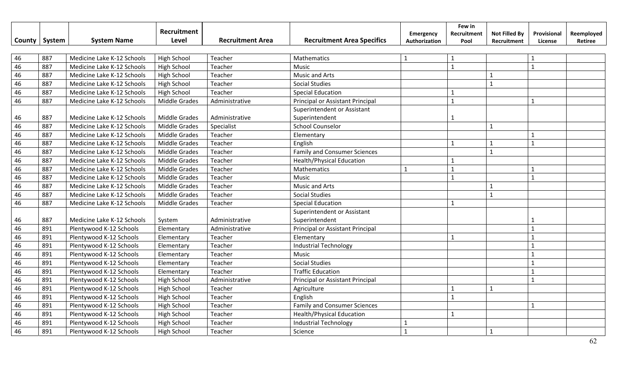|               |        |                            | Recruitment          |                         |                                     | Emergency     | Few in<br>Recruitment | <b>Not Filled By</b> | Provisional  | Reemployed |
|---------------|--------|----------------------------|----------------------|-------------------------|-------------------------------------|---------------|-----------------------|----------------------|--------------|------------|
| <b>County</b> | System | <b>System Name</b>         | Level                | <b>Recruitment Area</b> | <b>Recruitment Area Specifics</b>   | Authorization | Pool                  | Recruitment          | License      | Retiree    |
|               |        |                            |                      |                         |                                     |               |                       |                      |              |            |
| 46            | 887    | Medicine Lake K-12 Schools | <b>High School</b>   | Teacher                 | Mathematics                         | $\mathbf{1}$  | $\mathbf{1}$          |                      | $\mathbf{1}$ |            |
| 46            | 887    | Medicine Lake K-12 Schools | High School          | Teacher                 | Music                               |               | $\mathbf{1}$          |                      | $\mathbf{1}$ |            |
| 46            | 887    | Medicine Lake K-12 Schools | <b>High School</b>   | Teacher                 | <b>Music and Arts</b>               |               |                       | $\mathbf{1}$         |              |            |
| 46            | 887    | Medicine Lake K-12 Schools | <b>High School</b>   | Teacher                 | <b>Social Studies</b>               |               |                       | $\mathbf{1}$         |              |            |
| 46            | 887    | Medicine Lake K-12 Schools | High School          | Teacher                 | <b>Special Education</b>            |               | 1                     |                      |              |            |
| 46            | 887    | Medicine Lake K-12 Schools | Middle Grades        | Administrative          | Principal or Assistant Principal    |               | $\mathbf{1}$          |                      | $\mathbf{1}$ |            |
|               |        |                            |                      |                         | Superintendent or Assistant         |               |                       |                      |              |            |
| 46            | 887    | Medicine Lake K-12 Schools | <b>Middle Grades</b> | Administrative          | Superintendent                      |               | $\mathbf{1}$          |                      |              |            |
| 46            | 887    | Medicine Lake K-12 Schools | Middle Grades        | Specialist              | <b>School Counselor</b>             |               |                       | $\mathbf{1}$         |              |            |
| 46            | 887    | Medicine Lake K-12 Schools | <b>Middle Grades</b> | Teacher                 | Elementary                          |               |                       |                      | $\mathbf{1}$ |            |
| 46            | 887    | Medicine Lake K-12 Schools | <b>Middle Grades</b> | Teacher                 | English                             |               | $\mathbf{1}$          | $\mathbf{1}$         | $\mathbf{1}$ |            |
| 46            | 887    | Medicine Lake K-12 Schools | <b>Middle Grades</b> | Teacher                 | <b>Family and Consumer Sciences</b> |               |                       | $\mathbf{1}$         |              |            |
| 46            | 887    | Medicine Lake K-12 Schools | <b>Middle Grades</b> | Teacher                 | <b>Health/Physical Education</b>    |               | $\mathbf{1}$          |                      |              |            |
| 46            | 887    | Medicine Lake K-12 Schools | <b>Middle Grades</b> | Teacher                 | Mathematics                         | $\mathbf{1}$  | $\mathbf{1}$          |                      | $\mathbf{1}$ |            |
| 46            | 887    | Medicine Lake K-12 Schools | <b>Middle Grades</b> | Teacher                 | Music                               |               | $\mathbf{1}$          |                      | $\mathbf{1}$ |            |
| 46            | 887    | Medicine Lake K-12 Schools | <b>Middle Grades</b> | Teacher                 | <b>Music and Arts</b>               |               |                       | $\mathbf{1}$         |              |            |
| 46            | 887    | Medicine Lake K-12 Schools | <b>Middle Grades</b> | Teacher                 | <b>Social Studies</b>               |               |                       | $\mathbf{1}$         |              |            |
| 46            | 887    | Medicine Lake K-12 Schools | <b>Middle Grades</b> | Teacher                 | <b>Special Education</b>            |               | $\mathbf{1}$          |                      |              |            |
|               |        |                            |                      |                         | Superintendent or Assistant         |               |                       |                      |              |            |
| 46            | 887    | Medicine Lake K-12 Schools | System               | Administrative          | Superintendent                      |               |                       |                      | 1            |            |
| 46            | 891    | Plentywood K-12 Schools    | Elementary           | Administrative          | Principal or Assistant Principal    |               |                       |                      | $\mathbf{1}$ |            |
| 46            | 891    | Plentywood K-12 Schools    | Elementary           | Teacher                 | Elementary                          |               | $\mathbf{1}$          |                      | $\mathbf{1}$ |            |
| 46            | 891    | Plentywood K-12 Schools    | Elementary           | Teacher                 | <b>Industrial Technology</b>        |               |                       |                      | $\mathbf{1}$ |            |
| 46            | 891    | Plentywood K-12 Schools    | Elementary           | Teacher                 | Music                               |               |                       |                      | $\mathbf{1}$ |            |
| 46            | 891    | Plentywood K-12 Schools    | Elementary           | Teacher                 | <b>Social Studies</b>               |               |                       |                      | $\mathbf{1}$ |            |
| 46            | 891    | Plentywood K-12 Schools    | Elementary           | Teacher                 | <b>Traffic Education</b>            |               |                       |                      | $\mathbf{1}$ |            |
| 46            | 891    | Plentywood K-12 Schools    | High School          | Administrative          | Principal or Assistant Principal    |               |                       |                      | $\mathbf{1}$ |            |
| 46            | 891    | Plentywood K-12 Schools    | <b>High School</b>   | Teacher                 | Agriculture                         |               | $\mathbf{1}$          | $\mathbf{1}$         |              |            |
| 46            | 891    | Plentywood K-12 Schools    | <b>High School</b>   | Teacher                 | English                             |               | $\mathbf{1}$          |                      |              |            |
| 46            | 891    | Plentywood K-12 Schools    | High School          | Teacher                 | <b>Family and Consumer Sciences</b> |               |                       |                      | $\mathbf{1}$ |            |
| 46            | 891    | Plentywood K-12 Schools    | High School          | Teacher                 | <b>Health/Physical Education</b>    |               | $\mathbf{1}$          |                      |              |            |
| 46            | 891    | Plentywood K-12 Schools    | <b>High School</b>   | Teacher                 | <b>Industrial Technology</b>        | 1             |                       |                      |              |            |
| 46            | 891    | Plentywood K-12 Schools    | <b>High School</b>   | Teacher                 | Science                             | $\mathbf{1}$  |                       | $\mathbf{1}$         |              |            |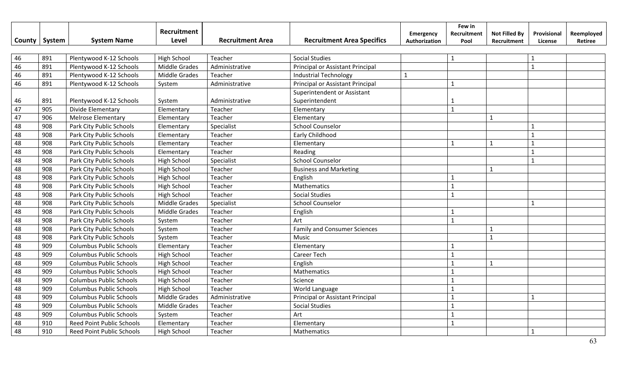| <b>County</b> | System | <b>System Name</b>               | Recruitment<br>Level | <b>Recruitment Area</b> | <b>Recruitment Area Specifics</b>             | <b>Emergency</b><br>Authorization | Few in<br>Recruitment<br>Pool | <b>Not Filled By</b><br>Recruitment | Provisional<br>License | Reemployed<br>Retiree |
|---------------|--------|----------------------------------|----------------------|-------------------------|-----------------------------------------------|-----------------------------------|-------------------------------|-------------------------------------|------------------------|-----------------------|
| 46            | 891    |                                  | <b>High School</b>   | Teacher                 | <b>Social Studies</b>                         |                                   |                               |                                     | $\mathbf{1}$           |                       |
| 46            | 891    | Plentywood K-12 Schools          | <b>Middle Grades</b> |                         |                                               |                                   | -1                            |                                     | $\mathbf{1}$           |                       |
|               |        | Plentywood K-12 Schools          |                      | Administrative          | Principal or Assistant Principal              |                                   |                               |                                     |                        |                       |
| 46            | 891    | Plentywood K-12 Schools          | <b>Middle Grades</b> | Teacher                 | <b>Industrial Technology</b>                  |                                   |                               |                                     |                        |                       |
| 46            | 891    | Plentywood K-12 Schools          | System               | Administrative          | Principal or Assistant Principal              |                                   | 1                             |                                     |                        |                       |
| 46            | 891    | Plentywood K-12 Schools          | System               | Administrative          | Superintendent or Assistant<br>Superintendent |                                   |                               |                                     |                        |                       |
| 47            | 905    | Divide Elementary                | Elementary           | Teacher                 | Elementary                                    |                                   | $\mathbf{1}$                  |                                     |                        |                       |
| 47            | 906    | <b>Melrose Elementary</b>        | Elementary           | Teacher                 | Elementary                                    |                                   |                               | $\mathbf{1}$                        |                        |                       |
| 48            | 908    | Park City Public Schools         | Elementary           | Specialist              | <b>School Counselor</b>                       |                                   |                               |                                     | $\mathbf{1}$           |                       |
| 48            | 908    | Park City Public Schools         | Elementary           | Teacher                 | Early Childhood                               |                                   |                               |                                     | 1                      |                       |
| 48            | 908    | Park City Public Schools         | Elementary           | Teacher                 | Elementary                                    |                                   | 1                             | $\mathbf{1}$                        | $\mathbf{1}$           |                       |
| 48            | 908    | Park City Public Schools         | Elementary           | Teacher                 | Reading                                       |                                   |                               |                                     | $\mathbf{1}$           |                       |
| 48            | 908    | Park City Public Schools         | <b>High School</b>   | Specialist              | <b>School Counselor</b>                       |                                   |                               |                                     | $\mathbf{1}$           |                       |
| 48            | 908    | Park City Public Schools         | <b>High School</b>   | Teacher                 | <b>Business and Marketing</b>                 |                                   |                               | $\mathbf{1}$                        |                        |                       |
| 48            | 908    | Park City Public Schools         | <b>High School</b>   | Teacher                 | English                                       |                                   |                               |                                     |                        |                       |
| 48            | 908    | Park City Public Schools         | <b>High School</b>   | Teacher                 | Mathematics                                   |                                   | $\mathbf 1$                   |                                     |                        |                       |
| 48            | 908    | Park City Public Schools         | <b>High School</b>   | Teacher                 | <b>Social Studies</b>                         |                                   | $\mathbf{1}$                  |                                     |                        |                       |
| 48            | 908    | Park City Public Schools         | <b>Middle Grades</b> | Specialist              | <b>School Counselor</b>                       |                                   |                               |                                     | $\mathbf{1}$           |                       |
| 48            | 908    | Park City Public Schools         | <b>Middle Grades</b> | Teacher                 | English                                       |                                   | $\mathbf{1}$                  |                                     |                        |                       |
| 48            | 908    | Park City Public Schools         | System               | Teacher                 | Art                                           |                                   | $\mathbf{1}$                  |                                     |                        |                       |
| 48            | 908    | Park City Public Schools         | System               | Teacher                 | <b>Family and Consumer Sciences</b>           |                                   |                               | $\mathbf 1$                         |                        |                       |
| 48            | 908    | Park City Public Schools         | System               | Teacher                 | Music                                         |                                   |                               | $\mathbf 1$                         |                        |                       |
| 48            | 909    | <b>Columbus Public Schools</b>   | Elementary           | Teacher                 | Elementary                                    |                                   |                               |                                     |                        |                       |
| 48            | 909    | <b>Columbus Public Schools</b>   | <b>High School</b>   | Teacher                 | Career Tech                                   |                                   | $\overline{1}$                |                                     |                        |                       |
| 48            | 909    | <b>Columbus Public Schools</b>   | <b>High School</b>   | Teacher                 | English                                       |                                   | $\mathbf{1}$                  | $\mathbf{1}$                        |                        |                       |
| 48            | 909    | <b>Columbus Public Schools</b>   | <b>High School</b>   | Teacher                 | Mathematics                                   |                                   | $\mathbf{1}$                  |                                     |                        |                       |
| 48            | 909    | <b>Columbus Public Schools</b>   | <b>High School</b>   | Teacher                 | Science                                       |                                   |                               |                                     |                        |                       |
| 48            | 909    | <b>Columbus Public Schools</b>   | <b>High School</b>   | Teacher                 | World Language                                |                                   | $\mathbf{1}$                  |                                     |                        |                       |
| 48            | 909    | <b>Columbus Public Schools</b>   | Middle Grades        | Administrative          | Principal or Assistant Principal              |                                   | $\mathbf{1}$                  |                                     | $\mathbf{1}$           |                       |
| 48            | 909    | <b>Columbus Public Schools</b>   | <b>Middle Grades</b> | Teacher                 | <b>Social Studies</b>                         |                                   | $\mathbf{1}$                  |                                     |                        |                       |
| 48            | 909    | <b>Columbus Public Schools</b>   | System               | Teacher                 | Art                                           |                                   |                               |                                     |                        |                       |
| 48            | 910    | Reed Point Public Schools        | Elementary           | Teacher                 | Elementary                                    |                                   | $\mathbf{1}$                  |                                     |                        |                       |
| 48            | 910    | <b>Reed Point Public Schools</b> | <b>High School</b>   | Teacher                 | Mathematics                                   |                                   |                               |                                     | $\mathbf{1}$           |                       |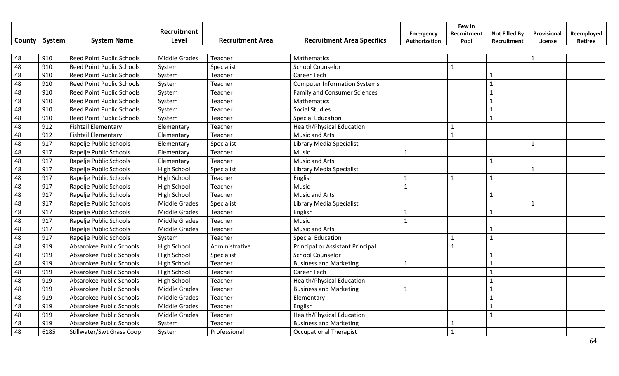|        |        |                                  | <b>Recruitment</b>   |                         |                                     | Emergency     | Few in<br>Recruitment | <b>Not Filled By</b> | Provisional  | Reemployed |
|--------|--------|----------------------------------|----------------------|-------------------------|-------------------------------------|---------------|-----------------------|----------------------|--------------|------------|
| County | System | <b>System Name</b>               | Level                | <b>Recruitment Area</b> | <b>Recruitment Area Specifics</b>   | Authorization | Pool                  | Recruitment          | License      | Retiree    |
|        |        |                                  |                      |                         |                                     |               |                       |                      |              |            |
| 48     | 910    | <b>Reed Point Public Schools</b> | Middle Grades        | Teacher                 | Mathematics                         |               |                       |                      | $\mathbf{1}$ |            |
| 48     | 910    | <b>Reed Point Public Schools</b> | System               | Specialist              | <b>School Counselor</b>             |               | $\mathbf{1}$          |                      |              |            |
| 48     | 910    | Reed Point Public Schools        | System               | Teacher                 | <b>Career Tech</b>                  |               |                       | $\mathbf{1}$         |              |            |
| 48     | 910    | Reed Point Public Schools        | System               | Teacher                 | <b>Computer Information Systems</b> |               |                       | $\overline{1}$       |              |            |
| 48     | 910    | <b>Reed Point Public Schools</b> | System               | Teacher                 | <b>Family and Consumer Sciences</b> |               |                       | $\mathbf{1}$         |              |            |
| 48     | 910    | <b>Reed Point Public Schools</b> | System               | Teacher                 | Mathematics                         |               |                       | $\mathbf{1}$         |              |            |
| 48     | 910    | <b>Reed Point Public Schools</b> | System               | Teacher                 | <b>Social Studies</b>               |               |                       | $\mathbf{1}$         |              |            |
| 48     | 910    | Reed Point Public Schools        | System               | Teacher                 | <b>Special Education</b>            |               |                       | $\mathbf{1}$         |              |            |
| 48     | 912    | <b>Fishtail Elementary</b>       | Elementary           | Teacher                 | <b>Health/Physical Education</b>    |               | $\mathbf{1}$          |                      |              |            |
| 48     | 912    | <b>Fishtail Elementary</b>       | Elementary           | Teacher                 | Music and Arts                      |               | $\mathbf{1}$          |                      |              |            |
| 48     | 917    | Rapelje Public Schools           | Elementary           | Specialist              | Library Media Specialist            |               |                       |                      | $\mathbf{1}$ |            |
| 48     | 917    | Rapelje Public Schools           | Elementary           | Teacher                 | <b>Music</b>                        | $\mathbf{1}$  |                       |                      |              |            |
| 48     | 917    | Rapelje Public Schools           | Elementary           | Teacher                 | <b>Music and Arts</b>               |               |                       | 1                    |              |            |
| 48     | 917    | Rapelje Public Schools           | <b>High School</b>   | Specialist              | Library Media Specialist            |               |                       |                      | $\mathbf{1}$ |            |
| 48     | 917    | Rapelje Public Schools           | <b>High School</b>   | Teacher                 | English                             | $\mathbf{1}$  | $\mathbf{1}$          | $\mathbf{1}$         |              |            |
| 48     | 917    | Rapelje Public Schools           | <b>High School</b>   | Teacher                 | Music                               | $\mathbf{1}$  |                       |                      |              |            |
| 48     | 917    | Rapelje Public Schools           | <b>High School</b>   | Teacher                 | Music and Arts                      |               |                       | 1                    |              |            |
| 48     | 917    | Rapelje Public Schools           | Middle Grades        | Specialist              | Library Media Specialist            |               |                       |                      | 1            |            |
| 48     | 917    | Rapelje Public Schools           | Middle Grades        | Teacher                 | English                             | 1             |                       | $\mathbf{1}$         |              |            |
| 48     | 917    | Rapelje Public Schools           | <b>Middle Grades</b> | Teacher                 | <b>Music</b>                        | $\mathbf{1}$  |                       |                      |              |            |
| 48     | 917    | Rapelje Public Schools           | <b>Middle Grades</b> | Teacher                 | <b>Music and Arts</b>               |               |                       | $\mathbf{1}$         |              |            |
| 48     | 917    | Rapelje Public Schools           | System               | Teacher                 | <b>Special Education</b>            |               | $\mathbf{1}$          | $\mathbf{1}$         |              |            |
| 48     | 919    | Absarokee Public Schools         | <b>High School</b>   | Administrative          | Principal or Assistant Principal    |               | $\mathbf{1}$          |                      |              |            |
| 48     | 919    | Absarokee Public Schools         | <b>High School</b>   | Specialist              | <b>School Counselor</b>             |               |                       | $\mathbf{1}$         |              |            |
| 48     | 919    | Absarokee Public Schools         | <b>High School</b>   | Teacher                 | <b>Business and Marketing</b>       | $\mathbf{1}$  |                       | $\mathbf{1}$         |              |            |
| 48     | 919    | Absarokee Public Schools         | <b>High School</b>   | Teacher                 | <b>Career Tech</b>                  |               |                       | $\mathbf{1}$         |              |            |
| 48     | 919    | Absarokee Public Schools         | <b>High School</b>   | Teacher                 | Health/Physical Education           |               |                       | $\mathbf{1}$         |              |            |
| 48     | 919    | Absarokee Public Schools         | Middle Grades        | Teacher                 | <b>Business and Marketing</b>       | $\mathbf{1}$  |                       | $\mathbf{1}$         |              |            |
| 48     | 919    | Absarokee Public Schools         | Middle Grades        | Teacher                 | Elementary                          |               |                       | $\mathbf{1}$         |              |            |
| 48     | 919    | Absarokee Public Schools         | Middle Grades        | Teacher                 | English                             |               |                       | $\mathbf{1}$         |              |            |
| 48     | 919    | Absarokee Public Schools         | Middle Grades        | Teacher                 | <b>Health/Physical Education</b>    |               |                       | $\mathbf{1}$         |              |            |
| 48     | 919    | Absarokee Public Schools         | System               | Teacher                 | <b>Business and Marketing</b>       |               | $\mathbf{1}$          |                      |              |            |
| 48     | 6185   | <b>Stillwater/Swt Grass Coop</b> | System               | Professional            | <b>Occupational Therapist</b>       |               | $\mathbf{1}$          |                      |              |            |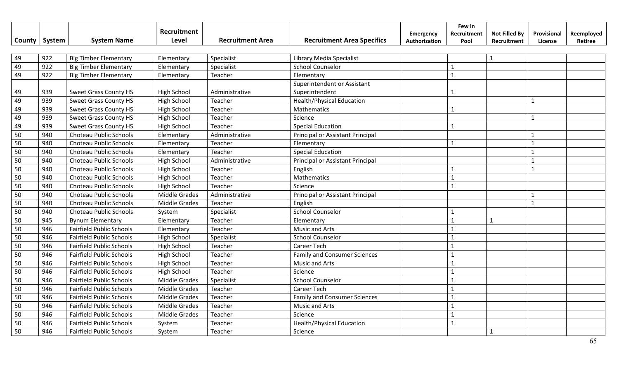|        |        |                                 | Recruitment          |                         |                                     | Emergency     | Few in<br>Recruitment | <b>Not Filled By</b> | Provisional  | Reemployed |
|--------|--------|---------------------------------|----------------------|-------------------------|-------------------------------------|---------------|-----------------------|----------------------|--------------|------------|
| County | System | <b>System Name</b>              | Level                | <b>Recruitment Area</b> | <b>Recruitment Area Specifics</b>   | Authorization | Pool                  | Recruitment          | License      | Retiree    |
|        |        |                                 |                      |                         |                                     |               |                       |                      |              |            |
| 49     | 922    | <b>Big Timber Elementary</b>    | Elementary           | Specialist              | Library Media Specialist            |               |                       | $\mathbf{1}$         |              |            |
| 49     | 922    | <b>Big Timber Elementary</b>    | Elementary           | Specialist              | <b>School Counselor</b>             |               | 1                     |                      |              |            |
| 49     | 922    | <b>Big Timber Elementary</b>    | Elementary           | Teacher                 | Elementary                          |               | $\mathbf{1}$          |                      |              |            |
|        |        |                                 |                      |                         | Superintendent or Assistant         |               |                       |                      |              |            |
| 49     | 939    | <b>Sweet Grass County HS</b>    | High School          | Administrative          | Superintendent                      |               | 1                     |                      |              |            |
| 49     | 939    | <b>Sweet Grass County HS</b>    | <b>High School</b>   | Teacher                 | <b>Health/Physical Education</b>    |               |                       |                      | $\mathbf{1}$ |            |
| 49     | 939    | <b>Sweet Grass County HS</b>    | High School          | Teacher                 | Mathematics                         |               |                       |                      |              |            |
| 49     | 939    | <b>Sweet Grass County HS</b>    | High School          | Teacher                 | Science                             |               |                       |                      |              |            |
| 49     | 939    | <b>Sweet Grass County HS</b>    | High School          | Teacher                 | <b>Special Education</b>            |               | $\mathbf{1}$          |                      |              |            |
| 50     | 940    | Choteau Public Schools          | Elementary           | Administrative          | Principal or Assistant Principal    |               |                       |                      | $\mathbf{1}$ |            |
| 50     | 940    | Choteau Public Schools          | Elementary           | Teacher                 | Elementary                          |               | $\mathbf{1}$          |                      | $\mathbf{1}$ |            |
| 50     | 940    | Choteau Public Schools          | Elementary           | Teacher                 | <b>Special Education</b>            |               |                       |                      | $\mathbf{1}$ |            |
| 50     | 940    | Choteau Public Schools          | High School          | Administrative          | Principal or Assistant Principal    |               |                       |                      | 1            |            |
| 50     | 940    | Choteau Public Schools          | High School          | Teacher                 | English                             |               | $\mathbf{1}$          |                      | $\mathbf{1}$ |            |
| 50     | 940    | Choteau Public Schools          | High School          | Teacher                 | Mathematics                         |               | $\mathbf{1}$          |                      |              |            |
| 50     | 940    | Choteau Public Schools          | High School          | Teacher                 | Science                             |               | 1                     |                      |              |            |
| 50     | 940    | Choteau Public Schools          | <b>Middle Grades</b> | Administrative          | Principal or Assistant Principal    |               |                       |                      |              |            |
| 50     | 940    | Choteau Public Schools          | <b>Middle Grades</b> | Teacher                 | English                             |               |                       |                      | $\mathbf{1}$ |            |
| 50     | 940    | Choteau Public Schools          | System               | Specialist              | <b>School Counselor</b>             |               |                       |                      |              |            |
| 50     | 945    | <b>Bynum Elementary</b>         | Elementary           | Teacher                 | Elementary                          |               |                       | $\mathbf{1}$         |              |            |
| 50     | 946    | <b>Fairfield Public Schools</b> | Elementary           | Teacher                 | Music and Arts                      |               |                       |                      |              |            |
| 50     | 946    | <b>Fairfield Public Schools</b> | High School          | Specialist              | <b>School Counselor</b>             |               | $\mathbf{1}$          |                      |              |            |
| 50     | 946    | <b>Fairfield Public Schools</b> | High School          | Teacher                 | <b>Career Tech</b>                  |               | $\mathbf{1}$          |                      |              |            |
| 50     | 946    | <b>Fairfield Public Schools</b> | High School          | Teacher                 | <b>Family and Consumer Sciences</b> |               | $\mathbf{1}$          |                      |              |            |
| 50     | 946    | <b>Fairfield Public Schools</b> | <b>High School</b>   | Teacher                 | <b>Music and Arts</b>               |               | $\mathbf{1}$          |                      |              |            |
| 50     | 946    | <b>Fairfield Public Schools</b> | High School          | Teacher                 | Science                             |               | $\mathbf{1}$          |                      |              |            |
| 50     | 946    | <b>Fairfield Public Schools</b> | Middle Grades        | Specialist              | <b>School Counselor</b>             |               |                       |                      |              |            |
| 50     | 946    | <b>Fairfield Public Schools</b> | <b>Middle Grades</b> | Teacher                 | <b>Career Tech</b>                  |               |                       |                      |              |            |
| 50     | 946    | <b>Fairfield Public Schools</b> | <b>Middle Grades</b> | Teacher                 | <b>Family and Consumer Sciences</b> |               |                       |                      |              |            |
| 50     | 946    | <b>Fairfield Public Schools</b> | Middle Grades        | Teacher                 | <b>Music and Arts</b>               |               | $\mathbf{1}$          |                      |              |            |
| 50     | 946    | <b>Fairfield Public Schools</b> | Middle Grades        | Teacher                 | Science                             |               | $\mathbf{1}$          |                      |              |            |
| 50     | 946    | <b>Fairfield Public Schools</b> | System               | Teacher                 | <b>Health/Physical Education</b>    |               | $\mathbf{1}$          |                      |              |            |
| 50     | 946    | <b>Fairfield Public Schools</b> | System               | Teacher                 | Science                             |               |                       | $\mathbf{1}$         |              |            |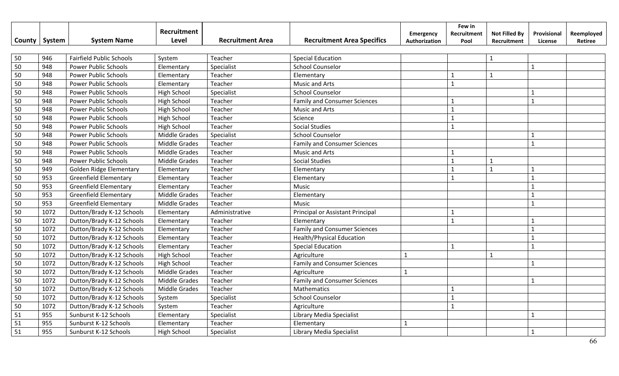|        |        |                                 | Recruitment          |                         |                                     | Emergency     | Few in<br>Recruitment | <b>Not Filled By</b> | Provisional  | Reemployed |
|--------|--------|---------------------------------|----------------------|-------------------------|-------------------------------------|---------------|-----------------------|----------------------|--------------|------------|
| County | System | <b>System Name</b>              | Level                | <b>Recruitment Area</b> | <b>Recruitment Area Specifics</b>   | Authorization | Pool                  | Recruitment          | License      | Retiree    |
|        |        |                                 |                      |                         |                                     |               |                       |                      |              |            |
| 50     | 946    | <b>Fairfield Public Schools</b> | System               | Teacher                 | <b>Special Education</b>            |               |                       | $\mathbf{1}$         |              |            |
| 50     | 948    | <b>Power Public Schools</b>     | Elementary           | Specialist              | <b>School Counselor</b>             |               |                       |                      | $\mathbf{1}$ |            |
| 50     | 948    | <b>Power Public Schools</b>     | Elementary           | Teacher                 | Elementary                          |               | $\mathbf{1}$          | $\mathbf{1}$         |              |            |
| 50     | 948    | <b>Power Public Schools</b>     | Elementary           | Teacher                 | Music and Arts                      |               | $\mathbf{1}$          |                      |              |            |
| 50     | 948    | <b>Power Public Schools</b>     | High School          | Specialist              | <b>School Counselor</b>             |               |                       |                      |              |            |
| 50     | 948    | <b>Power Public Schools</b>     | <b>High School</b>   | Teacher                 | <b>Family and Consumer Sciences</b> |               |                       |                      | $\mathbf{1}$ |            |
| 50     | 948    | <b>Power Public Schools</b>     | High School          | Teacher                 | <b>Music and Arts</b>               |               | $\mathbf{1}$          |                      |              |            |
| 50     | 948    | <b>Power Public Schools</b>     | High School          | Teacher                 | Science                             |               | 1                     |                      |              |            |
| 50     | 948    | <b>Power Public Schools</b>     | High School          | Teacher                 | <b>Social Studies</b>               |               | $\mathbf{1}$          |                      |              |            |
| 50     | 948    | <b>Power Public Schools</b>     | Middle Grades        | Specialist              | <b>School Counselor</b>             |               |                       |                      | $\mathbf{1}$ |            |
| 50     | 948    | <b>Power Public Schools</b>     | <b>Middle Grades</b> | Teacher                 | <b>Family and Consumer Sciences</b> |               |                       |                      | $\mathbf{1}$ |            |
| 50     | 948    | <b>Power Public Schools</b>     | <b>Middle Grades</b> | Teacher                 | <b>Music and Arts</b>               |               |                       |                      |              |            |
| 50     | 948    | <b>Power Public Schools</b>     | <b>Middle Grades</b> | Teacher                 | <b>Social Studies</b>               |               |                       | $\mathbf{1}$         |              |            |
| 50     | 949    | <b>Golden Ridge Elementary</b>  | Elementary           | Teacher                 | Elementary                          |               |                       | $\mathbf{1}$         |              |            |
| 50     | 953    | <b>Greenfield Elementary</b>    | Elementary           | Teacher                 | Elementary                          |               | $\mathbf{1}$          |                      | $\mathbf{1}$ |            |
| 50     | 953    | <b>Greenfield Elementary</b>    | Elementary           | Teacher                 | Music                               |               |                       |                      | $\mathbf{1}$ |            |
| 50     | 953    | <b>Greenfield Elementary</b>    | <b>Middle Grades</b> | Teacher                 | Elementary                          |               |                       |                      | $\mathbf{1}$ |            |
| 50     | 953    | <b>Greenfield Elementary</b>    | Middle Grades        | Teacher                 | Music                               |               |                       |                      | $\mathbf{1}$ |            |
| 50     | 1072   | Dutton/Brady K-12 Schools       | Elementary           | Administrative          | Principal or Assistant Principal    |               | 1                     |                      |              |            |
| 50     | 1072   | Dutton/Brady K-12 Schools       | Elementary           | Teacher                 | Elementary                          |               | $\mathbf{1}$          |                      |              |            |
| 50     | 1072   | Dutton/Brady K-12 Schools       | Elementary           | Teacher                 | <b>Family and Consumer Sciences</b> |               |                       |                      | $\mathbf{1}$ |            |
| 50     | 1072   | Dutton/Brady K-12 Schools       | Elementary           | Teacher                 | <b>Health/Physical Education</b>    |               |                       |                      | $\mathbf{1}$ |            |
| 50     | 1072   | Dutton/Brady K-12 Schools       | Elementary           | Teacher                 | <b>Special Education</b>            |               | $\mathbf{1}$          |                      | $\mathbf{1}$ |            |
| 50     | 1072   | Dutton/Brady K-12 Schools       | High School          | Teacher                 | Agriculture                         | $\mathbf{1}$  |                       | $\mathbf{1}$         |              |            |
| 50     | 1072   | Dutton/Brady K-12 Schools       | High School          | Teacher                 | <b>Family and Consumer Sciences</b> |               |                       |                      |              |            |
| 50     | 1072   | Dutton/Brady K-12 Schools       | <b>Middle Grades</b> | Teacher                 | Agriculture                         | $\mathbf{1}$  |                       |                      |              |            |
| 50     | 1072   | Dutton/Brady K-12 Schools       | <b>Middle Grades</b> | Teacher                 | <b>Family and Consumer Sciences</b> |               |                       |                      | $\mathbf{1}$ |            |
| 50     | 1072   | Dutton/Brady K-12 Schools       | Middle Grades        | Teacher                 | Mathematics                         |               |                       |                      |              |            |
| 50     | 1072   | Dutton/Brady K-12 Schools       | System               | Specialist              | <b>School Counselor</b>             |               | $\mathbf{1}$          |                      |              |            |
| 50     | 1072   | Dutton/Brady K-12 Schools       | System               | Teacher                 | Agriculture                         |               | $\mathbf{1}$          |                      |              |            |
| 51     | 955    | Sunburst K-12 Schools           | Elementary           | Specialist              | Library Media Specialist            |               |                       |                      | $\mathbf 1$  |            |
| 51     | 955    | Sunburst K-12 Schools           | Elementary           | Teacher                 | Elementary                          | $\mathbf{1}$  |                       |                      |              |            |
| 51     | 955    | Sunburst K-12 Schools           | <b>High School</b>   | Specialist              | Library Media Specialist            |               |                       |                      |              |            |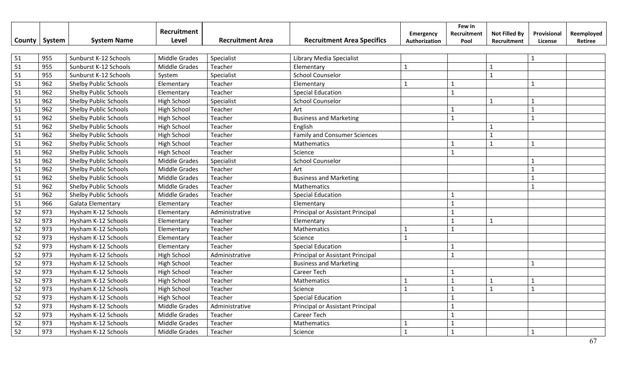|                 |        |                              | Recruitment          |                         |                                     | Emergency     | Few in<br>Recruitment | <b>Not Filled By</b> | Provisional  | Reemployed |
|-----------------|--------|------------------------------|----------------------|-------------------------|-------------------------------------|---------------|-----------------------|----------------------|--------------|------------|
| County          | System | <b>System Name</b>           | Level                | <b>Recruitment Area</b> | <b>Recruitment Area Specifics</b>   | Authorization | Pool                  | Recruitment          | License      | Retiree    |
|                 |        |                              |                      |                         |                                     |               |                       |                      |              |            |
| 51              | 955    | Sunburst K-12 Schools        | <b>Middle Grades</b> | Specialist              | Library Media Specialist            |               |                       |                      | $\mathbf{1}$ |            |
| $\overline{51}$ | 955    | Sunburst K-12 Schools        | <b>Middle Grades</b> | Teacher                 | Elementary                          | $\mathbf{1}$  |                       | $\mathbf{1}$         |              |            |
| 51              | 955    | Sunburst K-12 Schools        | System               | Specialist              | <b>School Counselor</b>             |               |                       | $\mathbf 1$          |              |            |
| 51              | 962    | <b>Shelby Public Schools</b> | Elementary           | Teacher                 | Elementary                          | $\mathbf{1}$  | 1                     |                      | $\mathbf{1}$ |            |
| 51              | 962    | Shelby Public Schools        | Elementary           | Teacher                 | <b>Special Education</b>            |               | $\mathbf{1}$          |                      |              |            |
| 51              | 962    | Shelby Public Schools        | <b>High School</b>   | Specialist              | <b>School Counselor</b>             |               |                       | $\mathbf 1$          | $\mathbf{1}$ |            |
| 51              | 962    | <b>Shelby Public Schools</b> | High School          | Teacher                 | Art                                 |               | 1                     |                      | $\mathbf{1}$ |            |
| 51              | 962    | <b>Shelby Public Schools</b> | High School          | Teacher                 | <b>Business and Marketing</b>       |               | $\mathbf{1}$          |                      | $\mathbf{1}$ |            |
| 51              | 962    | <b>Shelby Public Schools</b> | High School          | Teacher                 | English                             |               |                       | $\mathbf{1}$         |              |            |
| 51              | 962    | <b>Shelby Public Schools</b> | High School          | Teacher                 | <b>Family and Consumer Sciences</b> |               |                       | $\mathbf{1}$         |              |            |
| 51              | 962    | <b>Shelby Public Schools</b> | <b>High School</b>   | Teacher                 | Mathematics                         |               | $\mathbf{1}$          | $\mathbf{1}$         | $\mathbf{1}$ |            |
| 51              | 962    | <b>Shelby Public Schools</b> | <b>High School</b>   | Teacher                 | Science                             |               | 1                     |                      |              |            |
| 51              | 962    | <b>Shelby Public Schools</b> | <b>Middle Grades</b> | Specialist              | <b>School Counselor</b>             |               |                       |                      | $\mathbf{1}$ |            |
| 51              | 962    | <b>Shelby Public Schools</b> | <b>Middle Grades</b> | Teacher                 | Art                                 |               |                       |                      | $\mathbf{1}$ |            |
| 51              | 962    | <b>Shelby Public Schools</b> | Middle Grades        | Teacher                 | <b>Business and Marketing</b>       |               |                       |                      | $\mathbf{1}$ |            |
| 51              | 962    | Shelby Public Schools        | <b>Middle Grades</b> | Teacher                 | Mathematics                         |               |                       |                      | $\mathbf{1}$ |            |
| 51              | 962    | <b>Shelby Public Schools</b> | <b>Middle Grades</b> | Teacher                 | <b>Special Education</b>            |               | $\mathbf{1}$          |                      |              |            |
| 51              | 966    | <b>Galata Elementary</b>     | Elementary           | Teacher                 | Elementary                          |               | $\mathbf{1}$          |                      |              |            |
| 52              | 973    | Hysham K-12 Schools          | Elementary           | Administrative          | Principal or Assistant Principal    |               | $\mathbf{1}$          |                      |              |            |
| 52              | 973    | Hysham K-12 Schools          | Elementary           | Teacher                 | Elementary                          |               | $\mathbf{1}$          | $\mathbf{1}$         |              |            |
| 52              | 973    | Hysham K-12 Schools          | Elementary           | Teacher                 | Mathematics                         | $\mathbf 1$   | $\mathbf{1}$          |                      |              |            |
| 52              | 973    | Hysham K-12 Schools          | Elementary           | Teacher                 | Science                             | $\mathbf{1}$  |                       |                      |              |            |
| 52              | 973    | Hysham K-12 Schools          | Elementary           | Teacher                 | <b>Special Education</b>            |               | $\mathbf{1}$          |                      |              |            |
| 52              | 973    | Hysham K-12 Schools          | High School          | Administrative          | Principal or Assistant Principal    |               | $\mathbf{1}$          |                      |              |            |
| 52              | 973    | Hysham K-12 Schools          | <b>High School</b>   | Teacher                 | <b>Business and Marketing</b>       |               |                       |                      | $\mathbf{1}$ |            |
| 52              | 973    | Hysham K-12 Schools          | <b>High School</b>   | Teacher                 | Career Tech                         |               | 1                     |                      |              |            |
| 52              | 973    | Hysham K-12 Schools          | <b>High School</b>   | Teacher                 | Mathematics                         | $\mathbf{1}$  | $\mathbf{1}$          | $\mathbf{1}$         | 1            |            |
| 52              | 973    | Hysham K-12 Schools          | High School          | Teacher                 | Science                             | $\mathbf{1}$  | $\mathbf{1}$          | $\mathbf{1}$         | $\mathbf{1}$ |            |
| 52              | 973    | Hysham K-12 Schools          | High School          | Teacher                 | <b>Special Education</b>            |               | $\mathbf{1}$          |                      |              |            |
| 52              | 973    | Hysham K-12 Schools          | <b>Middle Grades</b> | Administrative          | Principal or Assistant Principal    |               | $\mathbf{1}$          |                      |              |            |
| 52              | 973    | Hysham K-12 Schools          | Middle Grades        | Teacher                 | Career Tech                         |               | 1                     |                      |              |            |
| 52              | 973    | Hysham K-12 Schools          | Middle Grades        | Teacher                 | Mathematics                         | 1             | $\mathbf{1}$          |                      |              |            |
| 52              | 973    | Hysham K-12 Schools          | <b>Middle Grades</b> | Teacher                 | Science                             | $\mathbf{1}$  | $\mathbf{1}$          |                      | $\mathbf{1}$ |            |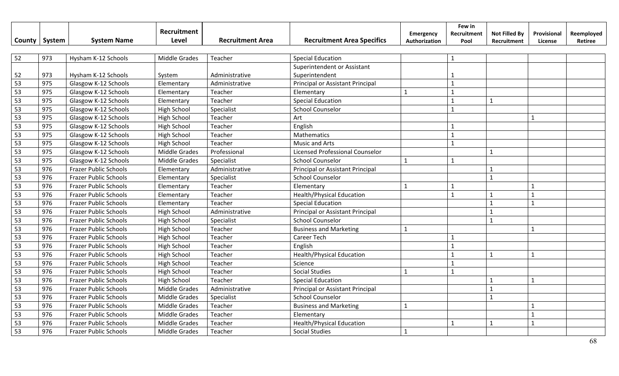|        |        |                              | Recruitment          |                         |                                   | Emergency     | Few in<br>Recruitment | <b>Not Filled By</b>    | Provisional    | Reemployed |
|--------|--------|------------------------------|----------------------|-------------------------|-----------------------------------|---------------|-----------------------|-------------------------|----------------|------------|
| County | System | <b>System Name</b>           | <b>Level</b>         | <b>Recruitment Area</b> | <b>Recruitment Area Specifics</b> | Authorization | Pool                  | Recruitment             | License        | Retiree    |
|        |        |                              |                      |                         |                                   |               |                       |                         |                |            |
| 52     | 973    | Hysham K-12 Schools          | <b>Middle Grades</b> | Teacher                 | <b>Special Education</b>          |               | $\mathbf{1}$          |                         |                |            |
|        |        |                              |                      |                         | Superintendent or Assistant       |               |                       |                         |                |            |
| 52     | 973    | Hysham K-12 Schools          | System               | Administrative          | Superintendent                    |               | 1                     |                         |                |            |
| 53     | 975    | Glasgow K-12 Schools         | Elementary           | Administrative          | Principal or Assistant Principal  |               | $\mathbf{1}$          |                         |                |            |
| 53     | 975    | Glasgow K-12 Schools         | Elementary           | Teacher                 | Elementary                        | $\mathbf{1}$  | $\mathbf{1}$          |                         |                |            |
| 53     | 975    | Glasgow K-12 Schools         | Elementary           | Teacher                 | <b>Special Education</b>          |               | $\mathbf{1}$          | $\mathbf{1}$            |                |            |
| 53     | 975    | Glasgow K-12 Schools         | <b>High School</b>   | Specialist              | <b>School Counselor</b>           |               | $\mathbf{1}$          |                         |                |            |
| 53     | 975    | Glasgow K-12 Schools         | <b>High School</b>   | Teacher                 | Art                               |               |                       |                         | $\mathbf{1}$   |            |
| 53     | 975    | Glasgow K-12 Schools         | <b>High School</b>   | Teacher                 | English                           |               | $\mathbf{1}$          |                         |                |            |
| 53     | 975    | Glasgow K-12 Schools         | High School          | Teacher                 | Mathematics                       |               | $\mathbf{1}$          |                         |                |            |
| 53     | 975    | Glasgow K-12 Schools         | <b>High School</b>   | Teacher                 | Music and Arts                    |               | $\mathbf{1}$          |                         |                |            |
| 53     | 975    | Glasgow K-12 Schools         | Middle Grades        | Professional            | Licensed Professional Counselor   |               |                       | $\mathbf{1}$            |                |            |
| 53     | 975    | Glasgow K-12 Schools         | <b>Middle Grades</b> | Specialist              | <b>School Counselor</b>           | $\mathbf{1}$  | $\mathbf{1}$          |                         |                |            |
| 53     | 976    | <b>Frazer Public Schools</b> | Elementary           | Administrative          | Principal or Assistant Principal  |               |                       | $\mathbf{1}$            |                |            |
| 53     | 976    | <b>Frazer Public Schools</b> | Elementary           | Specialist              | <b>School Counselor</b>           |               |                       | $\mathbf{1}$            |                |            |
| 53     | 976    | <b>Frazer Public Schools</b> | Elementary           | Teacher                 | Elementary                        | $\mathbf{1}$  | 1                     |                         | $\mathbf{1}$   |            |
| 53     | 976    | <b>Frazer Public Schools</b> | Elementary           | Teacher                 | <b>Health/Physical Education</b>  |               | $\mathbf{1}$          | $\mathbf{1}$            | $\mathbf{1}$   |            |
| 53     | 976    | <b>Frazer Public Schools</b> | Elementary           | Teacher                 | <b>Special Education</b>          |               |                       | $\overline{1}$          | $\overline{1}$ |            |
| 53     | 976    | <b>Frazer Public Schools</b> | <b>High School</b>   | Administrative          | Principal or Assistant Principal  |               |                       | $\mathbf{1}$            |                |            |
| 53     | 976    | <b>Frazer Public Schools</b> | <b>High School</b>   | Specialist              | <b>School Counselor</b>           |               |                       | $\mathbf{1}$            |                |            |
| 53     | 976    | <b>Frazer Public Schools</b> | <b>High School</b>   | Teacher                 | <b>Business and Marketing</b>     | $\mathbf{1}$  |                       |                         | $\mathbf{1}$   |            |
| 53     | 976    | <b>Frazer Public Schools</b> | <b>High School</b>   | Teacher                 | Career Tech                       |               | $\mathbf{1}$          |                         |                |            |
| 53     | 976    | <b>Frazer Public Schools</b> | <b>High School</b>   | Teacher                 | English                           |               | $\mathbf{1}$          |                         |                |            |
| 53     | 976    | <b>Frazer Public Schools</b> | <b>High School</b>   | Teacher                 | <b>Health/Physical Education</b>  |               | $\mathbf{1}$          | $\overline{\mathbf{1}}$ | $\mathbf{1}$   |            |
| 53     | 976    | <b>Frazer Public Schools</b> | <b>High School</b>   | Teacher                 | Science                           |               | $\mathbf{1}$          |                         |                |            |
| 53     | 976    | <b>Frazer Public Schools</b> | <b>High School</b>   | Teacher                 | <b>Social Studies</b>             | $\mathbf{1}$  | $\mathbf{1}$          |                         |                |            |
| 53     | 976    | <b>Frazer Public Schools</b> | <b>High School</b>   | Teacher                 | <b>Special Education</b>          |               |                       | $\overline{1}$          | $\mathbf{1}$   |            |
| 53     | 976    | <b>Frazer Public Schools</b> | <b>Middle Grades</b> | Administrative          | Principal or Assistant Principal  |               |                       | $\mathbf{1}$            |                |            |
| 53     | 976    | <b>Frazer Public Schools</b> | Middle Grades        | Specialist              | <b>School Counselor</b>           |               |                       | $\overline{1}$          |                |            |
| 53     | 976    | <b>Frazer Public Schools</b> | Middle Grades        | Teacher                 | <b>Business and Marketing</b>     | $\mathbf 1$   |                       |                         |                |            |
| 53     | 976    | <b>Frazer Public Schools</b> | <b>Middle Grades</b> | Teacher                 | Elementary                        |               |                       |                         | $\mathbf{1}$   |            |
| 53     | 976    | <b>Frazer Public Schools</b> | <b>Middle Grades</b> | Teacher                 | <b>Health/Physical Education</b>  |               | $\mathbf{1}$          | $\mathbf{1}$            | $\mathbf{1}$   |            |
| 53     | 976    | <b>Frazer Public Schools</b> | <b>Middle Grades</b> | Teacher                 | <b>Social Studies</b>             | $\mathbf{1}$  |                       |                         |                |            |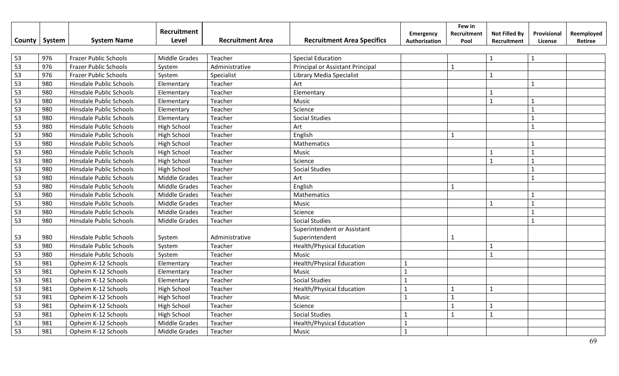|                 |        |                                | Recruitment          |                         |                                   | Emergency     | Few in<br>Recruitment | <b>Not Filled By</b>    | Provisional    | Reemployed |
|-----------------|--------|--------------------------------|----------------------|-------------------------|-----------------------------------|---------------|-----------------------|-------------------------|----------------|------------|
| County          | System | <b>System Name</b>             | Level                | <b>Recruitment Area</b> | <b>Recruitment Area Specifics</b> | Authorization | Pool                  | Recruitment             | License        | Retiree    |
|                 |        |                                |                      |                         |                                   |               |                       |                         |                |            |
| 53              | 976    | <b>Frazer Public Schools</b>   | <b>Middle Grades</b> | Teacher                 | <b>Special Education</b>          |               |                       | $\mathbf{1}$            | $\mathbf{1}$   |            |
| 53              | 976    | <b>Frazer Public Schools</b>   | System               | Administrative          | Principal or Assistant Principal  |               | $\mathbf{1}$          |                         |                |            |
| 53              | 976    | <b>Frazer Public Schools</b>   | System               | Specialist              | Library Media Specialist          |               |                       | $\mathbf{1}$            |                |            |
| 53              | 980    | Hinsdale Public Schools        | Elementary           | Teacher                 | Art                               |               |                       |                         | $\mathbf{1}$   |            |
| 53              | 980    | Hinsdale Public Schools        | Elementary           | Teacher                 | Elementary                        |               |                       | $\mathbf{1}$            |                |            |
| 53              | 980    | Hinsdale Public Schools        | Elementary           | Teacher                 | Music                             |               |                       | $\overline{1}$          | $\mathbf{1}$   |            |
| 53              | 980    | Hinsdale Public Schools        | Elementary           | Teacher                 | Science                           |               |                       |                         | $\mathbf{1}$   |            |
| 53              | 980    | Hinsdale Public Schools        | Elementary           | Teacher                 | <b>Social Studies</b>             |               |                       |                         | 1              |            |
| 53              | 980    | Hinsdale Public Schools        | High School          | Teacher                 | Art                               |               |                       |                         | $\mathbf{1}$   |            |
| 53              | 980    | Hinsdale Public Schools        | High School          | Teacher                 | English                           |               | 1                     |                         |                |            |
| 53              | 980    | Hinsdale Public Schools        | High School          | Teacher                 | Mathematics                       |               |                       |                         |                |            |
| 53              | 980    | Hinsdale Public Schools        | High School          | Teacher                 | Music                             |               |                       | $\mathbf{1}$            | $\mathbf{1}$   |            |
| 53              | 980    | Hinsdale Public Schools        | High School          | Teacher                 | Science                           |               |                       | $\overline{\mathbf{1}}$ | $\mathbf{1}$   |            |
| 53              | 980    | Hinsdale Public Schools        | High School          | Teacher                 | <b>Social Studies</b>             |               |                       |                         |                |            |
| 53              | 980    | <b>Hinsdale Public Schools</b> | <b>Middle Grades</b> | Teacher                 | Art                               |               |                       |                         | $\mathbf{1}$   |            |
| 53              | 980    | <b>Hinsdale Public Schools</b> | <b>Middle Grades</b> | Teacher                 | English                           |               | $\mathbf{1}$          |                         |                |            |
| 53              | 980    | Hinsdale Public Schools        | <b>Middle Grades</b> | Teacher                 | Mathematics                       |               |                       |                         | $\mathbf{1}$   |            |
| 53              | 980    | Hinsdale Public Schools        | <b>Middle Grades</b> | Teacher                 | Music                             |               |                       | $\mathbf{1}$            | $\overline{1}$ |            |
| 53              | 980    | Hinsdale Public Schools        | Middle Grades        | Teacher                 | Science                           |               |                       |                         | $\mathbf{1}$   |            |
| 53              | 980    | <b>Hinsdale Public Schools</b> | Middle Grades        | Teacher                 | <b>Social Studies</b>             |               |                       |                         |                |            |
|                 |        |                                |                      |                         | Superintendent or Assistant       |               |                       |                         |                |            |
| 53              | 980    | <b>Hinsdale Public Schools</b> | System               | Administrative          | Superintendent                    |               | -1                    |                         |                |            |
| $\overline{53}$ | 980    | Hinsdale Public Schools        | System               | Teacher                 | <b>Health/Physical Education</b>  |               |                       | $\mathbf{1}$            |                |            |
| 53              | 980    | Hinsdale Public Schools        | System               | Teacher                 | <b>Music</b>                      |               |                       | $\mathbf{1}$            |                |            |
| 53              | 981    | Opheim K-12 Schools            | Elementary           | Teacher                 | <b>Health/Physical Education</b>  | $\mathbf{1}$  |                       |                         |                |            |
| 53              | 981    | Opheim K-12 Schools            | Elementary           | Teacher                 | Music                             | $\mathbf{1}$  |                       |                         |                |            |
| 53              | 981    | Opheim K-12 Schools            | Elementary           | Teacher                 | <b>Social Studies</b>             |               |                       |                         |                |            |
| 53              | 981    | Opheim K-12 Schools            | <b>High School</b>   | Teacher                 | <b>Health/Physical Education</b>  | $\mathbf{1}$  | $\mathbf{1}$          | $\mathbf{1}$            |                |            |
| 53              | 981    | Opheim K-12 Schools            | High School          | Teacher                 | Music                             | $\mathbf{1}$  | $\mathbf{1}$          |                         |                |            |
| 53              | 981    | Opheim K-12 Schools            | High School          | Teacher                 | Science                           |               | $\mathbf{1}$          | $\mathbf{1}$            |                |            |
| 53              | 981    | Opheim K-12 Schools            | <b>High School</b>   | Teacher                 | <b>Social Studies</b>             |               | $\overline{1}$        | $\mathbf{1}$            |                |            |
| 53              | 981    | Opheim K-12 Schools            | Middle Grades        | Teacher                 | <b>Health/Physical Education</b>  | $\mathbf{1}$  |                       |                         |                |            |
| 53              | 981    | Opheim K-12 Schools            | Middle Grades        | Teacher                 | Music                             | $\mathbf 1$   |                       |                         |                |            |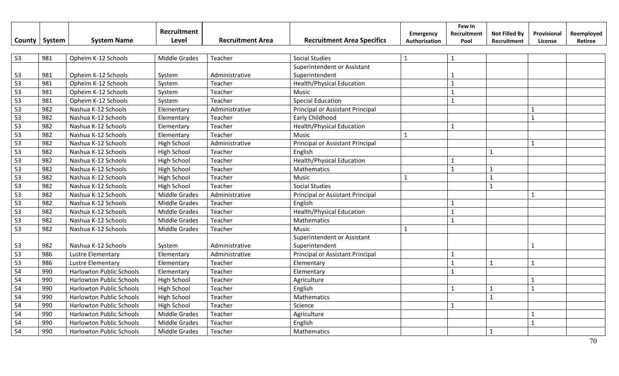| County | System | <b>System Name</b>              | Recruitment<br>Level | <b>Recruitment Area</b> | <b>Recruitment Area Specifics</b> | Emergency<br>Authorization | Few in<br>Recruitment<br>Pool | <b>Not Filled By</b><br>Recruitment | Provisional<br>License | Reemployed<br>Retiree |
|--------|--------|---------------------------------|----------------------|-------------------------|-----------------------------------|----------------------------|-------------------------------|-------------------------------------|------------------------|-----------------------|
| 53     | 981    | Opheim K-12 Schools             | Middle Grades        | Teacher                 | <b>Social Studies</b>             | $\mathbf{1}$               | $\mathbf{1}$                  |                                     |                        |                       |
|        |        |                                 |                      |                         | Superintendent or Assistant       |                            |                               |                                     |                        |                       |
| 53     | 981    | Opheim K-12 Schools             | System               | Administrative          | Superintendent                    |                            |                               |                                     |                        |                       |
| 53     | 981    | Opheim K-12 Schools             | System               | Teacher                 | <b>Health/Physical Education</b>  |                            | $\mathbf{1}$                  |                                     |                        |                       |
| 53     | 981    | Opheim K-12 Schools             | System               | Teacher                 | Music                             |                            |                               |                                     |                        |                       |
| 53     | 981    | Opheim K-12 Schools             | System               | Teacher                 | <b>Special Education</b>          |                            |                               |                                     |                        |                       |
| 53     | 982    | Nashua K-12 Schools             | Elementary           | Administrative          | Principal or Assistant Principal  |                            |                               |                                     | $\mathbf{1}$           |                       |
| 53     | 982    | Nashua K-12 Schools             | Elementary           | Teacher                 | Early Childhood                   |                            |                               |                                     | $\mathbf{1}$           |                       |
| 53     | 982    | Nashua K-12 Schools             | Elementary           | Teacher                 | <b>Health/Physical Education</b>  |                            | $\mathbf{1}$                  |                                     |                        |                       |
| 53     | 982    | Nashua K-12 Schools             | Elementary           | Teacher                 | <b>Music</b>                      | 1                          |                               |                                     |                        |                       |
| 53     | 982    | Nashua K-12 Schools             | High School          | Administrative          | Principal or Assistant Principal  |                            |                               |                                     | $\mathbf{1}$           |                       |
| 53     | 982    | Nashua K-12 Schools             | High School          | Teacher                 | English                           |                            |                               | $\mathbf{1}$                        |                        |                       |
| 53     | 982    | Nashua K-12 Schools             | <b>High School</b>   | Teacher                 | <b>Health/Physical Education</b>  |                            | 1                             |                                     |                        |                       |
| 53     | 982    | Nashua K-12 Schools             | High School          | Teacher                 | Mathematics                       |                            | $\mathbf{1}$                  | $\mathbf{1}$                        |                        |                       |
| 53     | 982    | Nashua K-12 Schools             | <b>High School</b>   | Teacher                 | Music                             | $\mathbf{1}$               |                               | $\mathbf{1}$                        |                        |                       |
| 53     | 982    | Nashua K-12 Schools             | High School          | Teacher                 | <b>Social Studies</b>             |                            |                               | $\mathbf{1}$                        |                        |                       |
| 53     | 982    | Nashua K-12 Schools             | <b>Middle Grades</b> | Administrative          | Principal or Assistant Principal  |                            |                               |                                     |                        |                       |
| 53     | 982    | Nashua K-12 Schools             | <b>Middle Grades</b> | Teacher                 | English                           |                            |                               |                                     |                        |                       |
| 53     | 982    | Nashua K-12 Schools             | <b>Middle Grades</b> | Teacher                 | <b>Health/Physical Education</b>  |                            | $\mathbf{1}$                  |                                     |                        |                       |
| 53     | 982    | Nashua K-12 Schools             | Middle Grades        | Teacher                 | Mathematics                       |                            | $\mathbf{1}$                  |                                     |                        |                       |
| 53     | 982    | Nashua K-12 Schools             | Middle Grades        | Teacher                 | Music                             | $\mathbf{1}$               |                               |                                     |                        |                       |
|        |        |                                 |                      |                         | Superintendent or Assistant       |                            |                               |                                     |                        |                       |
| 53     | 982    | Nashua K-12 Schools             | System               | Administrative          | Superintendent                    |                            |                               |                                     |                        |                       |
| 53     | 986    | Lustre Elementary               | Elementary           | Administrative          | Principal or Assistant Principal  |                            | $\mathbf{1}$                  |                                     |                        |                       |
| 53     | 986    | <b>Lustre Elementary</b>        | Elementary           | Teacher                 | Elementary                        |                            |                               | 1                                   | $\mathbf 1$            |                       |
| 54     | 990    | <b>Harlowton Public Schools</b> | Elementary           | Teacher                 | Elementary                        |                            | $\mathbf{1}$                  |                                     |                        |                       |
| 54     | 990    | Harlowton Public Schools        | <b>High School</b>   | Teacher                 | Agriculture                       |                            |                               |                                     | $\mathbf{1}$           |                       |
| 54     | 990    | <b>Harlowton Public Schools</b> | <b>High School</b>   | Teacher                 | English                           |                            | $\mathbf{1}$                  | $\mathbf{1}$                        | $\mathbf{1}$           |                       |
| 54     | 990    | <b>Harlowton Public Schools</b> | <b>High School</b>   | Teacher                 | Mathematics                       |                            |                               | $\mathbf{1}$                        |                        |                       |
| 54     | 990    | <b>Harlowton Public Schools</b> | <b>High School</b>   | Teacher                 | Science                           |                            | $\mathbf{1}$                  |                                     |                        |                       |
| 54     | 990    | <b>Harlowton Public Schools</b> | Middle Grades        | Teacher                 | Agriculture                       |                            |                               |                                     |                        |                       |
| 54     | 990    | <b>Harlowton Public Schools</b> | <b>Middle Grades</b> | Teacher                 | English                           |                            |                               |                                     | $\mathbf{1}$           |                       |
| 54     | 990    | <b>Harlowton Public Schools</b> | Middle Grades        | Teacher                 | Mathematics                       |                            |                               | $\mathbf{1}$                        |                        |                       |

70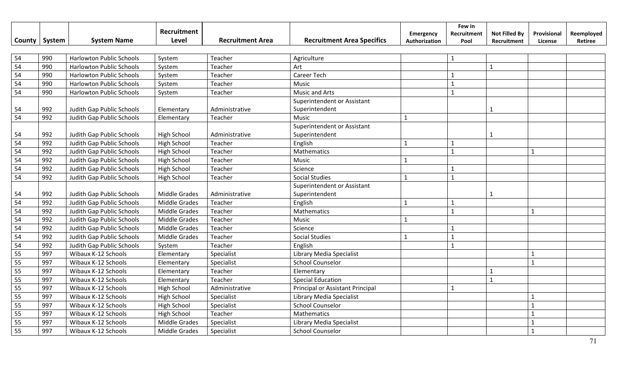|        |        |                                 | Recruitment          |                         |                                   | Emergency     | Few in<br>Recruitment | <b>Not Filled By</b> | Provisional  | Reemployed |
|--------|--------|---------------------------------|----------------------|-------------------------|-----------------------------------|---------------|-----------------------|----------------------|--------------|------------|
| County | System | <b>System Name</b>              | <b>Level</b>         | <b>Recruitment Area</b> | <b>Recruitment Area Specifics</b> | Authorization | Pool                  | Recruitment          | License      | Retiree    |
| 54     | 990    | <b>Harlowton Public Schools</b> | System               | Teacher                 | Agriculture                       |               | $\mathbf{1}$          |                      |              |            |
| 54     | 990    | <b>Harlowton Public Schools</b> | System               | Teacher                 | Art                               |               |                       | $\mathbf{1}$         |              |            |
| 54     | 990    | Harlowton Public Schools        | System               | Teacher                 | Career Tech                       |               | $\mathbf 1$           |                      |              |            |
| 54     | 990    | Harlowton Public Schools        | System               | Teacher                 | Music                             |               | $\mathbf{1}$          |                      |              |            |
| 54     | 990    | Harlowton Public Schools        | System               | Teacher                 | Music and Arts                    |               | $\mathbf{1}$          |                      |              |            |
|        |        |                                 |                      |                         | Superintendent or Assistant       |               |                       |                      |              |            |
| 54     | 992    | Judith Gap Public Schools       | Elementary           | Administrative          | Superintendent                    |               |                       | $\mathbf{1}$         |              |            |
| 54     | 992    | Judith Gap Public Schools       | Elementary           | Teacher                 | Music                             | $\mathbf{1}$  |                       |                      |              |            |
|        |        |                                 |                      |                         | Superintendent or Assistant       |               |                       |                      |              |            |
| 54     | 992    | Judith Gap Public Schools       | High School          | Administrative          | Superintendent                    |               |                       | $\mathbf{1}$         |              |            |
| 54     | 992    | Judith Gap Public Schools       | <b>High School</b>   | Teacher                 | English                           | $\mathbf{1}$  | $\mathbf{1}$          |                      |              |            |
| 54     | 992    | Judith Gap Public Schools       | High School          | Teacher                 | Mathematics                       |               | $\mathbf{1}$          |                      | $\mathbf{1}$ |            |
| 54     | 992    | Judith Gap Public Schools       | <b>High School</b>   | Teacher                 | Music                             | $\mathbf{1}$  |                       |                      |              |            |
| 54     | 992    | Judith Gap Public Schools       | <b>High School</b>   | Teacher                 | Science                           |               | $\mathbf{1}$          |                      |              |            |
| 54     | 992    | Judith Gap Public Schools       | <b>High School</b>   | Teacher                 | <b>Social Studies</b>             | $\mathbf{1}$  | $\mathbf{1}$          |                      |              |            |
|        |        |                                 |                      |                         | Superintendent or Assistant       |               |                       |                      |              |            |
| 54     | 992    | Judith Gap Public Schools       | <b>Middle Grades</b> | Administrative          | Superintendent                    |               |                       | $\mathbf{1}$         |              |            |
| 54     | 992    | Judith Gap Public Schools       | <b>Middle Grades</b> | Teacher                 | English                           | $\mathbf{1}$  | 1                     |                      |              |            |
| 54     | 992    | Judith Gap Public Schools       | <b>Middle Grades</b> | Teacher                 | Mathematics                       |               | $\mathbf{1}$          |                      |              |            |
| 54     | 992    | Judith Gap Public Schools       | <b>Middle Grades</b> | Teacher                 | Music                             | $\mathbf{1}$  |                       |                      |              |            |
| 54     | 992    | Judith Gap Public Schools       | <b>Middle Grades</b> | Teacher                 | Science                           |               | $\mathbf{1}$          |                      |              |            |
| 54     | 992    | Judith Gap Public Schools       | <b>Middle Grades</b> | Teacher                 | <b>Social Studies</b>             | $\mathbf{1}$  | $\mathbf{1}$          |                      |              |            |
| 54     | 992    | Judith Gap Public Schools       | System               | Teacher                 | English                           |               | $\mathbf{1}$          |                      |              |            |
| 55     | 997    | Wibaux K-12 Schools             | Elementary           | Specialist              | Library Media Specialist          |               |                       |                      | 1            |            |
| 55     | 997    | Wibaux K-12 Schools             | Elementary           | Specialist              | <b>School Counselor</b>           |               |                       |                      | $\mathbf{1}$ |            |
| 55     | 997    | Wibaux K-12 Schools             | Elementary           | Teacher                 | Elementary                        |               |                       | $\mathbf{1}$         |              |            |
| 55     | 997    | Wibaux K-12 Schools             | Elementary           | Teacher                 | <b>Special Education</b>          |               |                       | $\mathbf{1}$         |              |            |
| 55     | 997    | Wibaux K-12 Schools             | <b>High School</b>   | Administrative          | Principal or Assistant Principal  |               | $\mathbf{1}$          |                      |              |            |
| 55     | 997    | Wibaux K-12 Schools             | <b>High School</b>   | Specialist              | Library Media Specialist          |               |                       |                      |              |            |
| 55     | 997    | Wibaux K-12 Schools             | <b>High School</b>   | Specialist              | <b>School Counselor</b>           |               |                       |                      |              |            |
| 55     | 997    | Wibaux K-12 Schools             | <b>High School</b>   | Teacher                 | Mathematics                       |               |                       |                      |              |            |
| 55     | 997    | Wibaux K-12 Schools             | <b>Middle Grades</b> | Specialist              | Library Media Specialist          |               |                       |                      | $\mathbf{1}$ |            |
| 55     | 997    | Wibaux K-12 Schools             | <b>Middle Grades</b> | Specialist              | <b>School Counselor</b>           |               |                       |                      | $\mathbf{1}$ |            |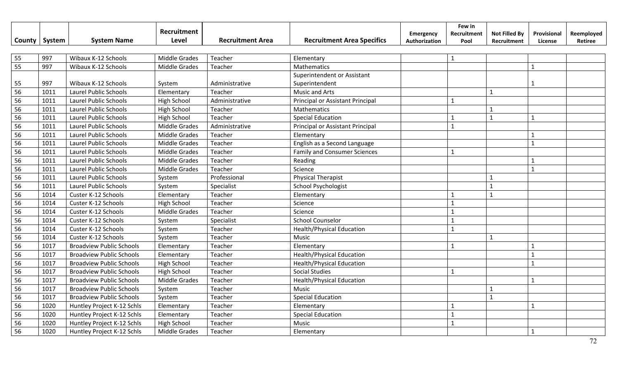|    |                 |                                 | Recruitment          |                         |                                     | Emergency     | Few in<br>Recruitment | <b>Not Filled By</b> | Provisional  | Reemployed |
|----|-----------------|---------------------------------|----------------------|-------------------------|-------------------------------------|---------------|-----------------------|----------------------|--------------|------------|
|    | County   System | <b>System Name</b>              | Level                | <b>Recruitment Area</b> | <b>Recruitment Area Specifics</b>   | Authorization | Pool                  | Recruitment          | License      | Retiree    |
|    |                 |                                 |                      |                         |                                     |               |                       |                      |              |            |
| 55 | 997             | Wibaux K-12 Schools             | <b>Middle Grades</b> | Teacher                 | Elementary                          |               | $\mathbf{1}$          |                      |              |            |
| 55 | 997             | Wibaux K-12 Schools             | <b>Middle Grades</b> | Teacher                 | Mathematics                         |               |                       |                      | $\mathbf{1}$ |            |
|    |                 |                                 |                      |                         | Superintendent or Assistant         |               |                       |                      |              |            |
| 55 | 997             | Wibaux K-12 Schools             | System               | Administrative          | Superintendent                      |               |                       |                      | $\mathbf{1}$ |            |
| 56 | 1011            | Laurel Public Schools           | Elementary           | Teacher                 | <b>Music and Arts</b>               |               |                       | $\mathbf{1}$         |              |            |
| 56 | 1011            | Laurel Public Schools           | <b>High School</b>   | Administrative          | Principal or Assistant Principal    |               | $\mathbf{1}$          |                      |              |            |
| 56 | 1011            | Laurel Public Schools           | <b>High School</b>   | Teacher                 | Mathematics                         |               |                       | $\mathbf{1}$         |              |            |
| 56 | 1011            | Laurel Public Schools           | <b>High School</b>   | Teacher                 | <b>Special Education</b>            |               | $\mathbf{1}$          | $\mathbf{1}$         | $\mathbf{1}$ |            |
| 56 | 1011            | <b>Laurel Public Schools</b>    | <b>Middle Grades</b> | Administrative          | Principal or Assistant Principal    |               | $\mathbf{1}$          |                      |              |            |
| 56 | 1011            | Laurel Public Schools           | <b>Middle Grades</b> | Teacher                 | Elementary                          |               |                       |                      | $\mathbf{1}$ |            |
| 56 | 1011            | Laurel Public Schools           | Middle Grades        | Teacher                 | English as a Second Language        |               |                       |                      | $\mathbf{1}$ |            |
| 56 | 1011            | Laurel Public Schools           | Middle Grades        | Teacher                 | <b>Family and Consumer Sciences</b> |               | $\mathbf{1}$          |                      |              |            |
| 56 | 1011            | Laurel Public Schools           | <b>Middle Grades</b> | Teacher                 | Reading                             |               |                       |                      | $\mathbf{1}$ |            |
| 56 | 1011            | Laurel Public Schools           | Middle Grades        | Teacher                 | Science                             |               |                       |                      | $\mathbf{1}$ |            |
| 56 | 1011            | Laurel Public Schools           | System               | Professional            | <b>Physical Therapist</b>           |               |                       | $\mathbf 1$          |              |            |
| 56 | 1011            | Laurel Public Schools           | System               | Specialist              | School Psychologist                 |               |                       | $\mathbf 1$          |              |            |
| 56 | 1014            | Custer K-12 Schools             | Elementary           | Teacher                 | Elementary                          |               | $\mathbf{1}$          | $\mathbf{1}$         |              |            |
| 56 | 1014            | Custer K-12 Schools             | <b>High School</b>   | Teacher                 | Science                             |               | $\mathbf{1}$          |                      |              |            |
| 56 | 1014            | Custer K-12 Schools             | <b>Middle Grades</b> | Teacher                 | Science                             |               | $\mathbf{1}$          |                      |              |            |
| 56 | 1014            | Custer K-12 Schools             | System               | Specialist              | <b>School Counselor</b>             |               | $\mathbf{1}$          |                      |              |            |
| 56 | 1014            | Custer K-12 Schools             | System               | Teacher                 | <b>Health/Physical Education</b>    |               | $\mathbf{1}$          |                      |              |            |
| 56 | 1014            | Custer K-12 Schools             | System               | Teacher                 | Music                               |               |                       | $\mathbf{1}$         |              |            |
| 56 | 1017            | <b>Broadview Public Schools</b> | Elementary           | Teacher                 | Elementary                          |               | $\mathbf{1}$          |                      | $\mathbf{1}$ |            |
| 56 | 1017            | <b>Broadview Public Schools</b> | Elementary           | Teacher                 | <b>Health/Physical Education</b>    |               |                       |                      | $\mathbf{1}$ |            |
| 56 | 1017            | <b>Broadview Public Schools</b> | <b>High School</b>   | Teacher                 | <b>Health/Physical Education</b>    |               |                       |                      | $\mathbf{1}$ |            |
| 56 | 1017            | <b>Broadview Public Schools</b> | <b>High School</b>   | Teacher                 | <b>Social Studies</b>               |               | $\mathbf{1}$          |                      |              |            |
| 56 | 1017            | <b>Broadview Public Schools</b> | <b>Middle Grades</b> | Teacher                 | Health/Physical Education           |               |                       |                      | $\mathbf{1}$ |            |
| 56 | 1017            | <b>Broadview Public Schools</b> | System               | Teacher                 | Music                               |               |                       | $\mathbf{1}$         |              |            |
| 56 | 1017            | <b>Broadview Public Schools</b> | System               | Teacher                 | <b>Special Education</b>            |               |                       | $\mathbf{1}$         |              |            |
| 56 | 1020            | Huntley Project K-12 Schls      | Elementary           | Teacher                 | Elementary                          |               | $\mathbf{1}$          |                      | $\mathbf{1}$ |            |
| 56 | 1020            | Huntley Project K-12 Schls      | Elementary           | Teacher                 | <b>Special Education</b>            |               | $\mathbf{1}$          |                      |              |            |
| 56 | 1020            | Huntley Project K-12 Schls      | <b>High School</b>   | Teacher                 | Music                               |               | $\mathbf{1}$          |                      |              |            |
| 56 | 1020            | Huntley Project K-12 Schls      | <b>Middle Grades</b> | Teacher                 | Elementary                          |               |                       |                      | $\mathbf{1}$ |            |